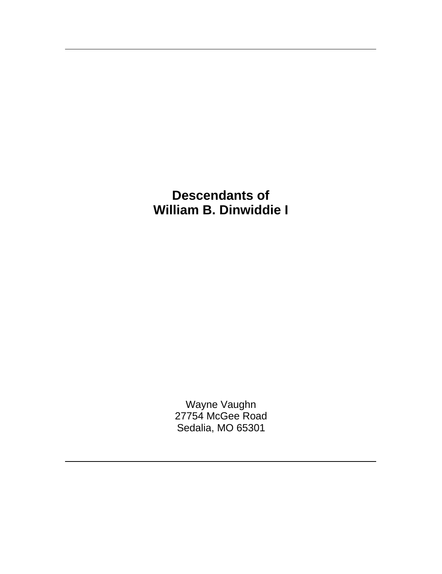> Wayne Vaughn 27754 McGee Road Sedalia, MO 65301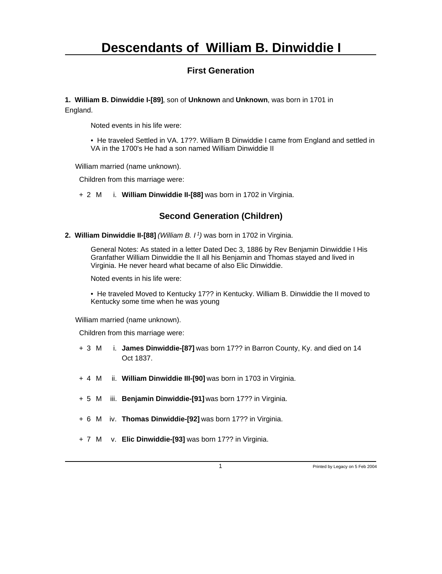#### **First Generation**

**1. William B. Dinwiddie I-[89]**, son of **Unknown** and **Unknown**, was born in 1701 in England.

Noted events in his life were:

• He traveled Settled in VA. 17??. William B Dinwiddie I came from England and settled in VA in the 1700's He had a son named William Dinwiddie II

William married (name unknown).

Children from this marriage were:

+ 2 M i. **William Dinwiddie II-[88]** was born in 1702 in Virginia.

#### **Second Generation (Children)**

**2. William Dinwiddie II-[88]** *(William B. I<sup>1</sup>)* was born in 1702 in Virginia.

General Notes: As stated in a letter Dated Dec 3, 1886 by Rev Benjamin Dinwiddie I His Granfather William Dinwiddie the II all his Benjamin and Thomas stayed and lived in Virginia. He never heard what became of also Elic Dinwiddie.

Noted events in his life were:

• He traveled Moved to Kentucky 17?? in Kentucky. William B. Dinwiddie the II moved to Kentucky some time when he was young

William married (name unknown).

- + 3 M i. **James Dinwiddie-[87]** was born 17?? in Barron County, Ky. and died on 14 Oct 1837.
- + 4 M ii. **William Dinwiddie III-[90]** was born in 1703 in Virginia.
- + 5 M iii. **Benjamin Dinwiddie-[91]** was born 17?? in Virginia.
- + 6 M iv. **Thomas Dinwiddie-[92]** was born 17?? in Virginia.
- + 7 M v. **Elic Dinwiddie-[93]** was born 17?? in Virginia.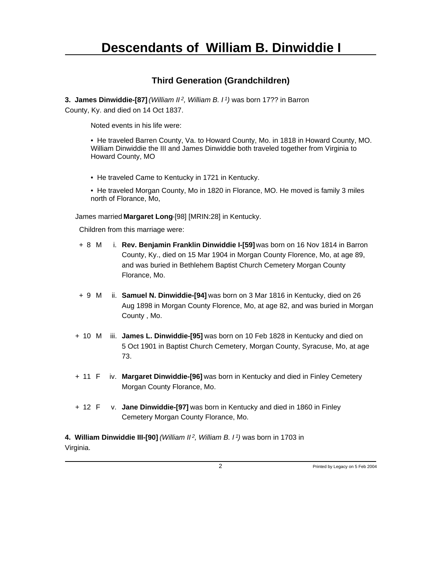#### **Third Generation (Grandchildren)**

**3. James Dinwiddie-[87]** *(William II<sup>2</sup>, William B. I<sup>1</sup>)* was born 17?? in Barron County, Ky. and died on 14 Oct 1837.

Noted events in his life were:

• He traveled Barren County, Va. to Howard County, Mo. in 1818 in Howard County, MO. William Dinwiddie the III and James Dinwiddie both traveled together from Virginia to Howard County, MO

• He traveled Came to Kentucky in 1721 in Kentucky.

• He traveled Morgan County, Mo in 1820 in Florance, MO. He moved is family 3 miles north of Florance, Mo,

James married **Margaret Long**-[98] [MRIN:28] in Kentucky.

Children from this marriage were:

- + 8 M i. **Rev. Benjamin Franklin Dinwiddie I-[59]** was born on 16 Nov 1814 in Barron County, Ky., died on 15 Mar 1904 in Morgan County Florence, Mo, at age 89, and was buried in Bethlehem Baptist Church Cemetery Morgan County Florance, Mo.
- + 9 M ii. **Samuel N. Dinwiddie-[94]** was born on 3 Mar 1816 in Kentucky, died on 26 Aug 1898 in Morgan County Florence, Mo, at age 82, and was buried in Morgan County , Mo.
- + 10 M iii. **James L. Dinwiddie-[95]** was born on 10 Feb 1828 in Kentucky and died on 5 Oct 1901 in Baptist Church Cemetery, Morgan County, Syracuse, Mo, at age 73.
- + 11 F iv. **Margaret Dinwiddie-[96]** was born in Kentucky and died in Finley Cemetery Morgan County Florance, Mo.
- + 12 F v. **Jane Dinwiddie-[97]** was born in Kentucky and died in 1860 in Finley Cemetery Morgan County Florance, Mo.

**4. William Dinwiddie III-[90]** *(William II<sup>2</sup>, William B. I<sup>1</sup>)* was born in 1703 in Virginia.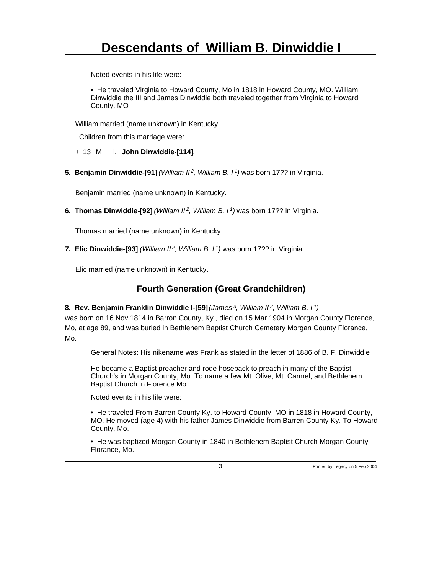Noted events in his life were:

• He traveled Virginia to Howard County, Mo in 1818 in Howard County, MO. William Dinwiddie the III and James Dinwiddie both traveled together from Virginia to Howard County, MO

William married (name unknown) in Kentucky.

Children from this marriage were:

+ 13 M i. **John Dinwiddie-[114]**.

**5. Benjamin Dinwiddie-[91]** *(William II<sup>2</sup>, William B. I<sup>1</sup>)* was born 17?? in Virginia.

Benjamin married (name unknown) in Kentucky.

**6. Thomas Dinwiddie-[92]** *(William II<sup>2</sup>, William B. I<sup>1</sup>)* was born 17?? in Virginia.

Thomas married (name unknown) in Kentucky.

**7. Elic Dinwiddie-[93]** *(William II<sup>2</sup>, William B. I<sup>1</sup>)* was born 17?? in Virginia.

Elic married (name unknown) in Kentucky.

#### **Fourth Generation (Great Grandchildren)**

#### **8. Rev. Benjamin Franklin Dinwiddie I-[59]** *(James<sup>3</sup>, William II<sup>2</sup>, William B. I<sup>1</sup>)*

was born on 16 Nov 1814 in Barron County, Ky., died on 15 Mar 1904 in Morgan County Florence, Mo, at age 89, and was buried in Bethlehem Baptist Church Cemetery Morgan County Florance, Mo.

General Notes: His nikename was Frank as stated in the letter of 1886 of B. F. Dinwiddie

He became a Baptist preacher and rode hoseback to preach in many of the Baptist Church's in Morgan County, Mo. To name a few Mt. Olive, Mt. Carmel, and Bethlehem Baptist Church in Florence Mo.

Noted events in his life were:

• He traveled From Barren County Ky. to Howard County, MO in 1818 in Howard County, MO. He moved (age 4) with his father James Dinwiddie from Barren County Ky. To Howard County, Mo.

• He was baptized Morgan County in 1840 in Bethlehem Baptist Church Morgan County Florance, Mo.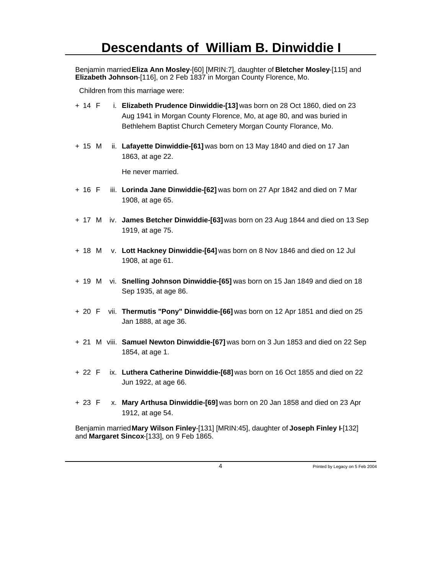Benjamin married **Eliza Ann Mosley**-[60] [MRIN:7], daughter of **Bletcher Mosley**-[115] and **Elizabeth Johnson**-[116], on 2 Feb 1837 in Morgan County Florence, Mo.

Children from this marriage were:

- + 14 F i. **Elizabeth Prudence Dinwiddie-[13]** was born on 28 Oct 1860, died on 23 Aug 1941 in Morgan County Florence, Mo, at age 80, and was buried in Bethlehem Baptist Church Cemetery Morgan County Florance, Mo.
- + 15 M ii. **Lafayette Dinwiddie-[61]** was born on 13 May 1840 and died on 17 Jan 1863, at age 22.

He never married.

- + 16 F iii. **Lorinda Jane Dinwiddie-[62]** was born on 27 Apr 1842 and died on 7 Mar 1908, at age 65.
- + 17 M iv. **James Betcher Dinwiddie-[63]** was born on 23 Aug 1844 and died on 13 Sep 1919, at age 75.
- + 18 M v. **Lott Hackney Dinwiddie-[64]** was born on 8 Nov 1846 and died on 12 Jul 1908, at age 61.
- + 19 M vi. **Snelling Johnson Dinwiddie-[65]** was born on 15 Jan 1849 and died on 18 Sep 1935, at age 86.
- + 20 F vii. **Thermutis "Pony" Dinwiddie-[66]** was born on 12 Apr 1851 and died on 25 Jan 1888, at age 36.
- + 21 M viii. **Samuel Newton Dinwiddie-[67]** was born on 3 Jun 1853 and died on 22 Sep 1854, at age 1.
- + 22 F ix. **Luthera Catherine Dinwiddie-[68]** was born on 16 Oct 1855 and died on 22 Jun 1922, at age 66.
- + 23 F x. **Mary Arthusa Dinwiddie-[69]** was born on 20 Jan 1858 and died on 23 Apr 1912, at age 54.

Benjamin married **Mary Wilson Finley**-[131] [MRIN:45], daughter of **Joseph Finley I**-[132] and **Margaret Sincox**-[133], on 9 Feb 1865.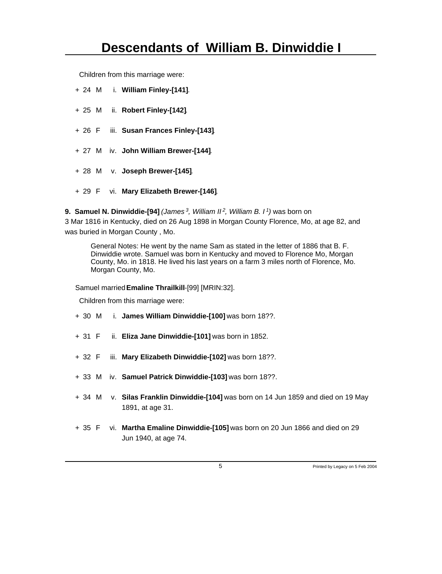Children from this marriage were:

- + 24 M i. **William Finley-[141]**.
- + 25 M ii. **Robert Finley-[142]**.
- + 26 F iii. **Susan Frances Finley-[143]**.
- + 27 M iv. **John William Brewer-[144]**.
- + 28 M v. **Joseph Brewer-[145]**.
- + 29 F vi. **Mary Elizabeth Brewer-[146]**.
- **9. Samuel N. Dinwiddie-[94]** *(James<sup>3</sup>, William II<sup>2</sup>, William B. I<sup>1</sup>)* was born on

3 Mar 1816 in Kentucky, died on 26 Aug 1898 in Morgan County Florence, Mo, at age 82, and was buried in Morgan County , Mo.

General Notes: He went by the name Sam as stated in the letter of 1886 that B. F. Dinwiddie wrote. Samuel was born in Kentucky and moved to Florence Mo, Morgan County, Mo. in 1818. He lived his last years on a farm 3 miles north of Florence, Mo. Morgan County, Mo.

Samuel married **Emaline Thrailkill**-[99] [MRIN:32].

- + 30 M i. **James William Dinwiddie-[100]** was born 18??.
- + 31 F ii. **Eliza Jane Dinwiddie-[101]** was born in 1852.
- + 32 F iii. **Mary Elizabeth Dinwiddie-[102]** was born 18??.
- + 33 M iv. **Samuel Patrick Dinwiddie-[103]** was born 18??.
- + 34 M v. **Silas Franklin Dinwiddie-[104]** was born on 14 Jun 1859 and died on 19 May 1891, at age 31.
- + 35 F vi. **Martha Emaline Dinwiddie-[105]** was born on 20 Jun 1866 and died on 29 Jun 1940, at age 74.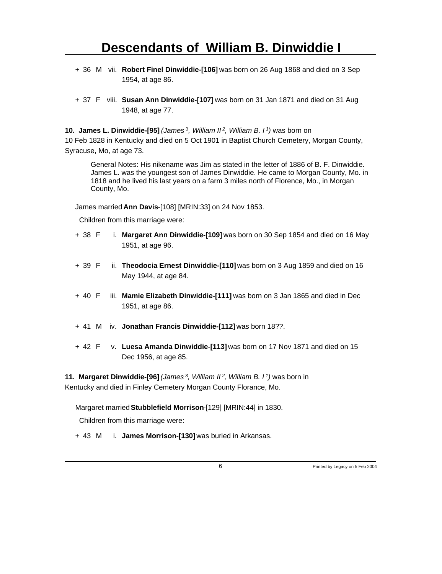- + 36 M vii. **Robert Finel Dinwiddie-[106]** was born on 26 Aug 1868 and died on 3 Sep 1954, at age 86.
- + 37 F viii. **Susan Ann Dinwiddie-[107]** was born on 31 Jan 1871 and died on 31 Aug 1948, at age 77.

**10. James L. Dinwiddie-[95]** *(James<sup>3</sup>, William II<sup>2</sup>, William B. I<sup>1</sup>)* was born on 10 Feb 1828 in Kentucky and died on 5 Oct 1901 in Baptist Church Cemetery, Morgan County, Syracuse, Mo, at age 73.

General Notes: His nikename was Jim as stated in the letter of 1886 of B. F. Dinwiddie. James L. was the youngest son of James Dinwiddie. He came to Morgan County, Mo. in 1818 and he lived his last years on a farm 3 miles north of Florence, Mo., in Morgan County, Mo.

James married **Ann Davis**-[108] [MRIN:33] on 24 Nov 1853.

Children from this marriage were:

- + 38 F i. **Margaret Ann Dinwiddie-[109]** was born on 30 Sep 1854 and died on 16 May 1951, at age 96.
- + 39 F ii. **Theodocia Ernest Dinwiddie-[110]** was born on 3 Aug 1859 and died on 16 May 1944, at age 84.
- + 40 F iii. **Mamie Elizabeth Dinwiddie-[111]** was born on 3 Jan 1865 and died in Dec 1951, at age 86.
- + 41 M iv. **Jonathan Francis Dinwiddie-[112]** was born 18??.
- + 42 F v. **Luesa Amanda Dinwiddie-[113]** was born on 17 Nov 1871 and died on 15 Dec 1956, at age 85.

**11. Margaret Dinwiddie-[96]** *(James<sup>3</sup>, William II<sup>2</sup>, William B. I<sup>1</sup>)* was born in Kentucky and died in Finley Cemetery Morgan County Florance, Mo.

Margaret married **Stubblefield Morrison**-[129] [MRIN:44] in 1830.

Children from this marriage were:

+ 43 M i. **James Morrison-[130]** was buried in Arkansas.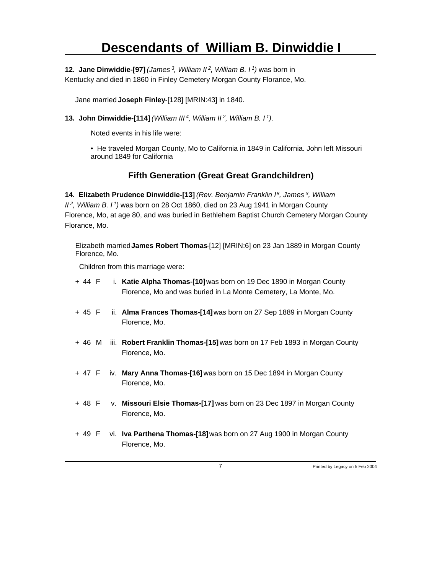**12. Jane Dinwiddie-[97]** *(James<sup>3</sup>, William II<sup>2</sup>, William B. I<sup>1</sup>)* was born in

Kentucky and died in 1860 in Finley Cemetery Morgan County Florance, Mo.

Jane married **Joseph Finley**-[128] [MRIN:43] in 1840.

**13. John Dinwiddie-[114]** *(William III<sup>4</sup>, William II<sup>2</sup>, William B. I<sup>1</sup>)*.

Noted events in his life were:

• He traveled Morgan County, Mo to California in 1849 in California. John left Missouri around 1849 for California

#### **Fifth Generation (Great Great Grandchildren)**

**14. Elizabeth Prudence Dinwiddie-[13]** *(Rev. Benjamin Franklin I<sup>8</sup>, James<sup>3</sup>, William II<sup>2</sup>, William B. I<sup>1</sup>)* was born on 28 Oct 1860, died on 23 Aug 1941 in Morgan County Florence, Mo, at age 80, and was buried in Bethlehem Baptist Church Cemetery Morgan County Florance, Mo.

Elizabeth married **James Robert Thomas**-[12] [MRIN:6] on 23 Jan 1889 in Morgan County Florence, Mo.

Children from this marriage were:

+ 44 F i. **Katie Alpha Thomas-[10]** was born on 19 Dec 1890 in Morgan County Florence, Mo and was buried in La Monte Cemetery, La Monte, Mo. + 45 F ii. **Alma Frances Thomas-[14]** was born on 27 Sep 1889 in Morgan County Florence, Mo. + 46 M iii. **Robert Franklin Thomas-[15]** was born on 17 Feb 1893 in Morgan County Florence, Mo. + 47 F iv. **Mary Anna Thomas-[16]** was born on 15 Dec 1894 in Morgan County Florence, Mo. + 48 F v. **Missouri Elsie Thomas-[17]** was born on 23 Dec 1897 in Morgan County Florence, Mo. + 49 F vi. **Iva Parthena Thomas-[18]** was born on 27 Aug 1900 in Morgan County Florence, Mo.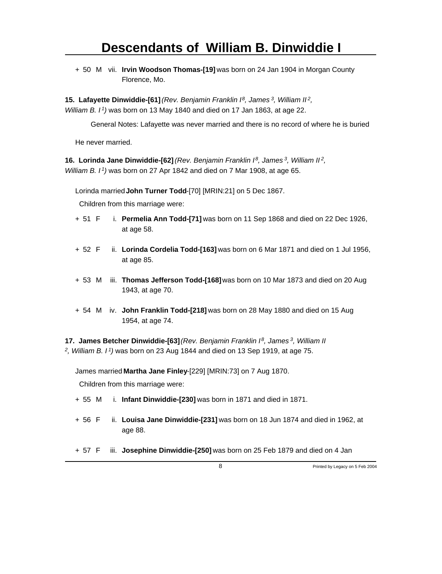+ 50 M vii. **Irvin Woodson Thomas-[19]** was born on 24 Jan 1904 in Morgan County Florence, Mo.

**15. Lafayette Dinwiddie-[61]** *(Rev. Benjamin Franklin I<sup>8</sup>, James<sup>3</sup>, William II<sup>2</sup> , William B. I<sup>1</sup>)* was born on 13 May 1840 and died on 17 Jan 1863, at age 22.

General Notes: Lafayette was never married and there is no record of where he is buried

He never married.

**16. Lorinda Jane Dinwiddie-[62]** *(Rev. Benjamin Franklin I<sup>8</sup>, James<sup>3</sup>, William II<sup>2</sup> , William B. I<sup>1</sup>)* was born on 27 Apr 1842 and died on 7 Mar 1908, at age 65.

Lorinda married **John Turner Todd**-[70] [MRIN:21] on 5 Dec 1867.

Children from this marriage were:

- + 51 F i. **Permelia Ann Todd-[71]** was born on 11 Sep 1868 and died on 22 Dec 1926, at age 58.
- + 52 F ii. **Lorinda Cordelia Todd-[163]** was born on 6 Mar 1871 and died on 1 Jul 1956, at age 85.
- + 53 M iii. **Thomas Jefferson Todd-[168]** was born on 10 Mar 1873 and died on 20 Aug 1943, at age 70.
- + 54 M iv. **John Franklin Todd-[218]** was born on 28 May 1880 and died on 15 Aug 1954, at age 74.

**17. James Betcher Dinwiddie-[63]** *(Rev. Benjamin Franklin I<sup>8</sup>, James<sup>3</sup>, William II 2 , William B. I<sup>1</sup>)* was born on 23 Aug 1844 and died on 13 Sep 1919, at age 75.

James married **Martha Jane Finley**-[229] [MRIN:73] on 7 Aug 1870.

- + 55 M i. **Infant Dinwiddie-[230]** was born in 1871 and died in 1871.
- + 56 F ii. **Louisa Jane Dinwiddie-[231]** was born on 18 Jun 1874 and died in 1962, at age 88.
- + 57 F iii. **Josephine Dinwiddie-[250]** was born on 25 Feb 1879 and died on 4 Jan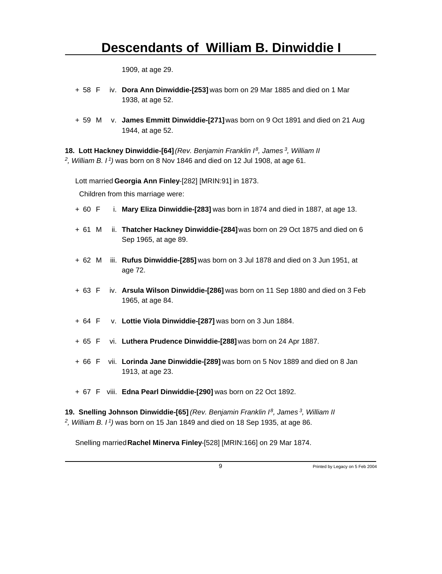1909, at age 29.

- + 58 F iv. **Dora Ann Dinwiddie-[253]** was born on 29 Mar 1885 and died on 1 Mar 1938, at age 52.
- + 59 M v. **James Emmitt Dinwiddie-[271]** was born on 9 Oct 1891 and died on 21 Aug 1944, at age 52.

**18. Lott Hackney Dinwiddie-[64]** *(Rev. Benjamin Franklin I<sup>8</sup>, James<sup>3</sup>, William II 2 , William B. I<sup>1</sup>)* was born on 8 Nov 1846 and died on 12 Jul 1908, at age 61.

Lott married **Georgia Ann Finley**-[282] [MRIN:91] in 1873.

Children from this marriage were:

- + 60 F i. **Mary Eliza Dinwiddie-[283]** was born in 1874 and died in 1887, at age 13.
- + 61 M ii. **Thatcher Hackney Dinwiddie-[284]** was born on 29 Oct 1875 and died on 6 Sep 1965, at age 89.
- + 62 M iii. **Rufus Dinwiddie-[285]** was born on 3 Jul 1878 and died on 3 Jun 1951, at age 72.
- + 63 F iv. **Arsula Wilson Dinwiddie-[286]** was born on 11 Sep 1880 and died on 3 Feb 1965, at age 84.
- + 64 F v. **Lottie Viola Dinwiddie-[287]** was born on 3 Jun 1884.
- + 65 F vi. **Luthera Prudence Dinwiddie-[288]** was born on 24 Apr 1887.
- + 66 F vii. **Lorinda Jane Dinwiddie-[289]** was born on 5 Nov 1889 and died on 8 Jan 1913, at age 23.
- + 67 F viii. **Edna Pearl Dinwiddie-[290]** was born on 22 Oct 1892.

**19. Snelling Johnson Dinwiddie-[65]** *(Rev. Benjamin Franklin I<sup>8</sup>, James<sup>3</sup>, William II 2 , William B. I<sup>1</sup>)* was born on 15 Jan 1849 and died on 18 Sep 1935, at age 86.

Snelling married **Rachel Minerva Finley**-[528] [MRIN:166] on 29 Mar 1874.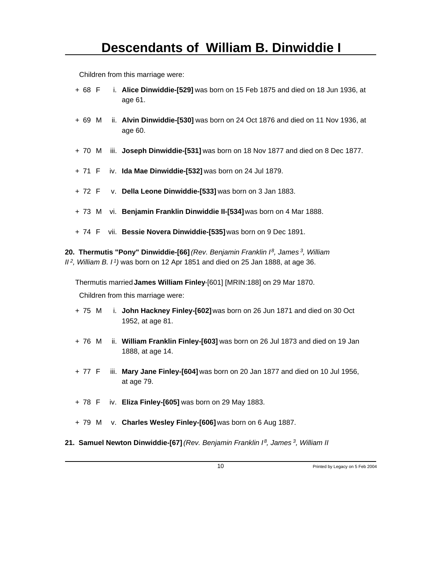Children from this marriage were:

| + 68 F i. Alice Dinwiddie-[529] was born on 15 Feb 1875 and died on 18 Jun 1936, at |
|-------------------------------------------------------------------------------------|
| age 61.                                                                             |

- + 69 M ii. **Alvin Dinwiddie-[530]** was born on 24 Oct 1876 and died on 11 Nov 1936, at age 60.
- + 70 M iii. **Joseph Dinwiddie-[531]** was born on 18 Nov 1877 and died on 8 Dec 1877.
- + 71 F iv. **Ida Mae Dinwiddie-[532]** was born on 24 Jul 1879.
- + 72 F v. **Della Leone Dinwiddie-[533]** was born on 3 Jan 1883.
- + 73 M vi. **Benjamin Franklin Dinwiddie II-[534]** was born on 4 Mar 1888.
- + 74 F vii. **Bessie Novera Dinwiddie-[535]** was born on 9 Dec 1891.

**20. Thermutis "Pony" Dinwiddie-[66]** *(Rev. Benjamin Franklin I<sup>8</sup>, James<sup>3</sup>, William II<sup>2</sup>, William B. I<sup>1</sup>)* was born on 12 Apr 1851 and died on 25 Jan 1888, at age 36.

Thermutis married **James William Finley**-[601] [MRIN:188] on 29 Mar 1870.

- + 75 M i. **John Hackney Finley-[602]** was born on 26 Jun 1871 and died on 30 Oct 1952, at age 81.
- + 76 M ii. **William Franklin Finley-[603]** was born on 26 Jul 1873 and died on 19 Jan 1888, at age 14.
- + 77 F iii. **Mary Jane Finley-[604]** was born on 20 Jan 1877 and died on 10 Jul 1956, at age 79.
- + 78 F iv. **Eliza Finley-[605]** was born on 29 May 1883.
- + 79 M v. **Charles Wesley Finley-[606]** was born on 6 Aug 1887.
- **21. Samuel Newton Dinwiddie-[67]** *(Rev. Benjamin Franklin I 8, James 3, William II*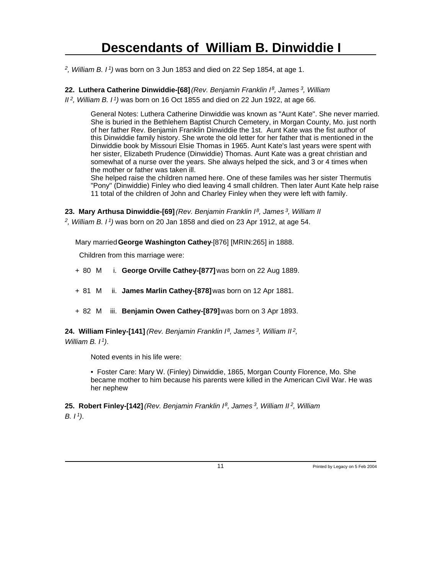*2 , William B. I<sup>1</sup>)* was born on 3 Jun 1853 and died on 22 Sep 1854, at age 1.

**22. Luthera Catherine Dinwiddie-[68]** *(Rev. Benjamin Franklin I<sup>8</sup>, James<sup>3</sup>, William*

*II<sup>2</sup>, William B. I<sup>1</sup>)* was born on 16 Oct 1855 and died on 22 Jun 1922, at age 66.

General Notes: Luthera Catherine Dinwiddie was known as "Aunt Kate". She never married. She is buried in the Bethlehem Baptist Church Cemetery, in Morgan County, Mo. just north of her father Rev. Benjamin Franklin Dinwiddie the 1st. Aunt Kate was the fist author of this Dinwiddie family history. She wrote the old letter for her father that is mentioned in the Dinwiddie book by Missouri Elsie Thomas in 1965. Aunt Kate's last years were spent with her sister, Elizabeth Prudence (Dinwiddie) Thomas. Aunt Kate was a great christian and somewhat of a nurse over the years. She always helped the sick, and 3 or 4 times when the mother or father was taken ill.

She helped raise the children named here. One of these familes was her sister Thermutis "Pony" (Dinwiddie) Finley who died leaving 4 small children. Then later Aunt Kate help raise 11 total of the children of John and Charley Finley when they were left with family.

**23. Mary Arthusa Dinwiddie-[69]** *(Rev. Benjamin Franklin I<sup>8</sup>, James<sup>3</sup>, William II 2 , William B. I<sup>1</sup>)* was born on 20 Jan 1858 and died on 23 Apr 1912, at age 54.

Mary married **George Washington Cathey**-[876] [MRIN:265] in 1888.

Children from this marriage were:

- + 80 M i. **George Orville Cathey-[877]** was born on 22 Aug 1889.
- + 81 M ii. **James Marlin Cathey-[878]** was born on 12 Apr 1881.
- + 82 M iii. **Benjamin Owen Cathey-[879]** was born on 3 Apr 1893.

**24. William Finley-[141]** *(Rev. Benjamin Franklin I<sup>8</sup>, James<sup>3</sup>, William II<sup>2</sup> , William B. I<sup>1</sup>)*.

Noted events in his life were:

• Foster Care: Mary W. (Finley) Dinwiddie, 1865, Morgan County Florence, Mo. She became mother to him because his parents were killed in the American Civil War. He was her nephew

**25. Robert Finley-[142]** *(Rev. Benjamin Franklin I<sup>8</sup>, James<sup>3</sup>, William II<sup>2</sup>, William B. I 1)*.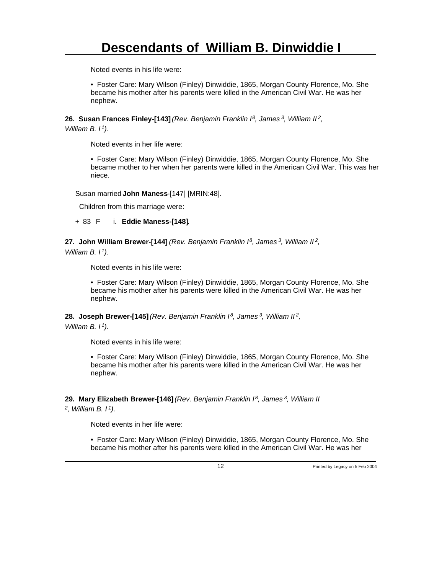Noted events in his life were:

• Foster Care: Mary Wilson (Finley) Dinwiddie, 1865, Morgan County Florence, Mo. She became his mother after his parents were killed in the American Civil War. He was her nephew.

**26. Susan Frances Finley-[143]** *(Rev. Benjamin Franklin I<sup>8</sup>, James<sup>3</sup>, William II<sup>2</sup> ,*

*William B. I<sup>1</sup>)*.

Noted events in her life were:

• Foster Care: Mary Wilson (Finley) Dinwiddie, 1865, Morgan County Florence, Mo. She became mother to her when her parents were killed in the American Civil War. This was her niece.

Susan married **John Maness**-[147] [MRIN:48].

Children from this marriage were:

+ 83 F i. **Eddie Maness-[148]**.

**27. John William Brewer-[144]** *(Rev. Benjamin Franklin I<sup>8</sup>, James<sup>3</sup>, William II<sup>2</sup> ,*

*William B. I<sup>1</sup>)*.

Noted events in his life were:

• Foster Care: Mary Wilson (Finley) Dinwiddie, 1865, Morgan County Florence, Mo. She became his mother after his parents were killed in the American Civil War. He was her nephew.

**28. Joseph Brewer-[145]** *(Rev. Benjamin Franklin I<sup>8</sup>, James<sup>3</sup>, William II<sup>2</sup> ,*

*William B. I<sup>1</sup>)*.

Noted events in his life were:

• Foster Care: Mary Wilson (Finley) Dinwiddie, 1865, Morgan County Florence, Mo. She became his mother after his parents were killed in the American Civil War. He was her nephew.

**29. Mary Elizabeth Brewer-[146]** *(Rev. Benjamin Franklin I<sup>8</sup>, James<sup>3</sup>, William II*

*2 , William B. I<sup>1</sup>)*.

Noted events in her life were:

• Foster Care: Mary Wilson (Finley) Dinwiddie, 1865, Morgan County Florence, Mo. She became his mother after his parents were killed in the American Civil War. He was her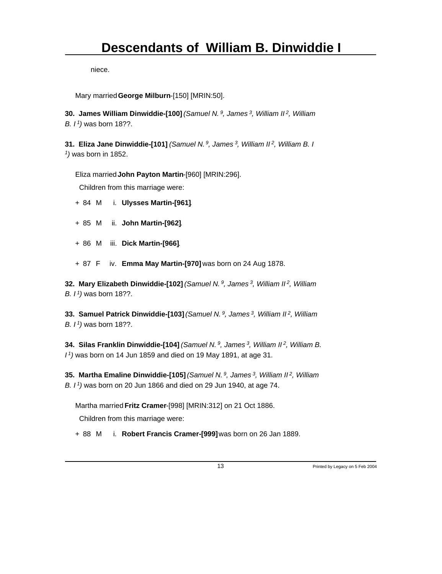niece.

Mary married **George Milburn**-[150] [MRIN:50].

**30. James William Dinwiddie-[100]** *(Samuel N.<sup>9</sup>, James<sup>3</sup>, William II<sup>2</sup>, William B. I<sup>1</sup>)* was born 18??.

**31. Eliza Jane Dinwiddie-[101]** *(Samuel N.<sup>9</sup>, James<sup>3</sup>, William II<sup>2</sup>, William B. I 1 )* was born in 1852.

Eliza married **John Payton Martin**-[960] [MRIN:296].

Children from this marriage were:

- + 84 M i. **Ulysses Martin-[961]**.
- + 85 M ii. **John Martin-[962]**.
- + 86 M iii. **Dick Martin-[966]**.
- + 87 F iv. **Emma May Martin-[970]** was born on 24 Aug 1878.

**32. Mary Elizabeth Dinwiddie-[102]** *(Samuel N.<sup>9</sup>, James<sup>3</sup>, William II<sup>2</sup>, William B. I<sup>1</sup>)* was born 18??.

**33. Samuel Patrick Dinwiddie-[103]** *(Samuel N.<sup>9</sup>, James<sup>3</sup>, William II<sup>2</sup>, William B. I<sup>1</sup>)* was born 18??.

**34. Silas Franklin Dinwiddie-[104]** *(Samuel N.<sup>9</sup>, James<sup>3</sup>, William II<sup>2</sup>, William B. I <sup>1</sup>)* was born on 14 Jun 1859 and died on 19 May 1891, at age 31.

**35. Martha Emaline Dinwiddie-[105]** *(Samuel N.<sup>9</sup>, James<sup>3</sup>, William II<sup>2</sup>, William B. I<sup>1</sup>)* was born on 20 Jun 1866 and died on 29 Jun 1940, at age 74.

Martha married **Fritz Cramer**-[998] [MRIN:312] on 21 Oct 1886.

Children from this marriage were:

+ 88 M i. **Robert Francis Cramer-[999]** was born on 26 Jan 1889.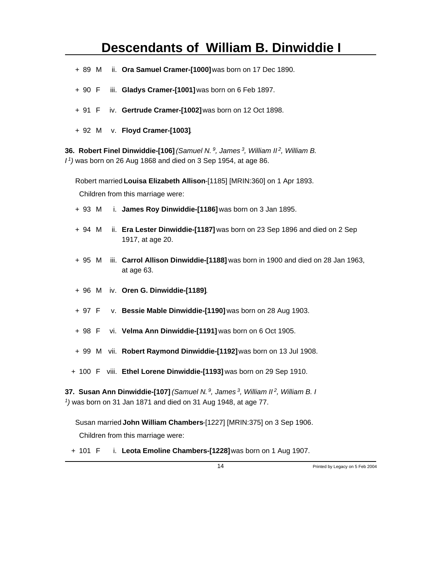- + 89 M ii. **Ora Samuel Cramer-[1000]** was born on 17 Dec 1890.
- + 90 F iii. **Gladys Cramer-[1001]** was born on 6 Feb 1897.
- + 91 F iv. **Gertrude Cramer-[1002]** was born on 12 Oct 1898.
- + 92 M v. **Floyd Cramer-[1003]**.

**36. Robert Finel Dinwiddie-[106]** *(Samuel N.<sup>9</sup>, James<sup>3</sup>, William II<sup>2</sup>, William B. I <sup>1</sup>)* was born on 26 Aug 1868 and died on 3 Sep 1954, at age 86.

Robert married **Louisa Elizabeth Allison**-[1185] [MRIN:360] on 1 Apr 1893.

Children from this marriage were:

- + 93 M i. **James Roy Dinwiddie-[1186]** was born on 3 Jan 1895.
- + 94 M ii. **Era Lester Dinwiddie-[1187]** was born on 23 Sep 1896 and died on 2 Sep 1917, at age 20.
- + 95 M iii. **Carrol Allison Dinwiddie-[1188]** was born in 1900 and died on 28 Jan 1963, at age 63.
- + 96 M iv. **Oren G. Dinwiddie-[1189]**.
- + 97 F v. **Bessie Mable Dinwiddie-[1190]** was born on 28 Aug 1903.
- + 98 F vi. **Velma Ann Dinwiddie-[1191]** was born on 6 Oct 1905.
- + 99 M vii. **Robert Raymond Dinwiddie-[1192]** was born on 13 Jul 1908.
- + 100 F viii. **Ethel Lorene Dinwiddie-[1193]** was born on 29 Sep 1910.

**37. Susan Ann Dinwiddie-[107]** *(Samuel N.<sup>9</sup>, James<sup>3</sup>, William II<sup>2</sup>, William B. I 1 )* was born on 31 Jan 1871 and died on 31 Aug 1948, at age 77.

Susan married **John William Chambers**-[1227] [MRIN:375] on 3 Sep 1906.

Children from this marriage were:

+ 101 F i. **Leota Emoline Chambers-[1228]** was born on 1 Aug 1907.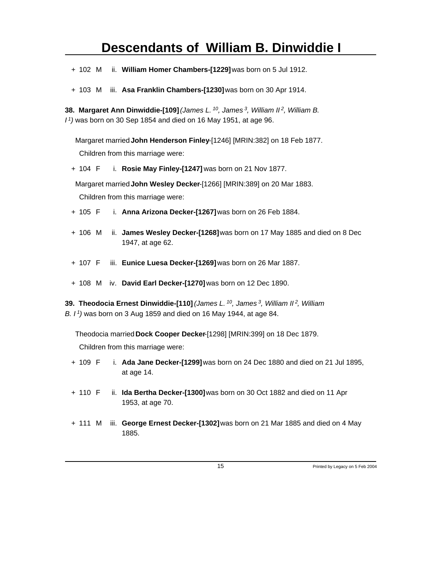- + 102 M ii. **William Homer Chambers-[1229]** was born on 5 Jul 1912.
- + 103 M iii. **Asa Franklin Chambers-[1230]** was born on 30 Apr 1914.

**38. Margaret Ann Dinwiddie-[109]** *(James L.<sup>10</sup>, James<sup>3</sup>, William II<sup>2</sup>, William B. I <sup>1</sup>)* was born on 30 Sep 1854 and died on 16 May 1951, at age 96.

Margaret married **John Henderson Finley**-[1246] [MRIN:382] on 18 Feb 1877. Children from this marriage were:

+ 104 F i. **Rosie May Finley-[1247]** was born on 21 Nov 1877.

Margaret married **John Wesley Decker**-[1266] [MRIN:389] on 20 Mar 1883. Children from this marriage were:

- + 105 F i. **Anna Arizona Decker-[1267]** was born on 26 Feb 1884.
- + 106 M ii. **James Wesley Decker-[1268]** was born on 17 May 1885 and died on 8 Dec 1947, at age 62.
- + 107 F iii. **Eunice Luesa Decker-[1269]** was born on 26 Mar 1887.
- + 108 M iv. **David Earl Decker-[1270]** was born on 12 Dec 1890.

**39. Theodocia Ernest Dinwiddie-[110]** *(James L.<sup>10</sup>, James<sup>3</sup>, William II<sup>2</sup>, William B. I<sup>1</sup>)* was born on 3 Aug 1859 and died on 16 May 1944, at age 84.

Theodocia married **Dock Cooper Decker**-[1298] [MRIN:399] on 18 Dec 1879.

- + 109 F i. **Ada Jane Decker-[1299]** was born on 24 Dec 1880 and died on 21 Jul 1895, at age 14.
- + 110 F ii. **Ida Bertha Decker-[1300]** was born on 30 Oct 1882 and died on 11 Apr 1953, at age 70.
- + 111 M iii. **George Ernest Decker-[1302]** was born on 21 Mar 1885 and died on 4 May 1885.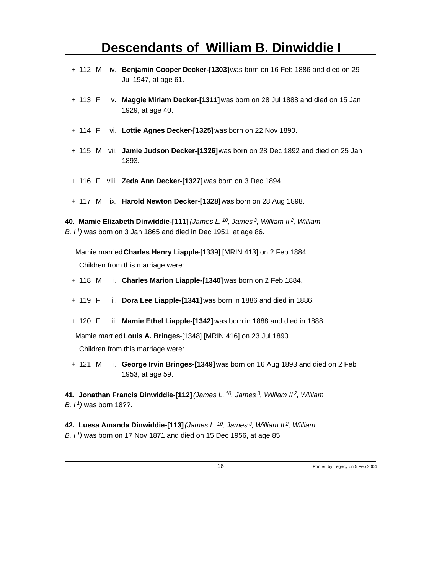- + 112 M iv. **Benjamin Cooper Decker-[1303]** was born on 16 Feb 1886 and died on 29 Jul 1947, at age 61.
- + 113 F v. **Maggie Miriam Decker-[1311]** was born on 28 Jul 1888 and died on 15 Jan 1929, at age 40.
- + 114 F vi. **Lottie Agnes Decker-[1325]** was born on 22 Nov 1890.
- + 115 M vii. **Jamie Judson Decker-[1326]** was born on 28 Dec 1892 and died on 25 Jan 1893.
- + 116 F viii. **Zeda Ann Decker-[1327]** was born on 3 Dec 1894.
- + 117 M ix. **Harold Newton Decker-[1328]** was born on 28 Aug 1898.

**40. Mamie Elizabeth Dinwiddie-[111]** *(James L.<sup>10</sup>, James<sup>3</sup>, William II<sup>2</sup>, William B. I<sup>1</sup>)* was born on 3 Jan 1865 and died in Dec 1951, at age 86.

Mamie married **Charles Henry Liapple**-[1339] [MRIN:413] on 2 Feb 1884. Children from this marriage were:

- + 118 M i. **Charles Marion Liapple-[1340]** was born on 2 Feb 1884.
- + 119 F ii. **Dora Lee Liapple-[1341]** was born in 1886 and died in 1886.
- + 120 F iii. **Mamie Ethel Liapple-[1342]** was born in 1888 and died in 1888.

Mamie married **Louis A. Bringes**-[1348] [MRIN:416] on 23 Jul 1890.

Children from this marriage were:

+ 121 M i. **George Irvin Bringes-[1349]** was born on 16 Aug 1893 and died on 2 Feb 1953, at age 59.

**41. Jonathan Francis Dinwiddie-[112]** *(James L.<sup>10</sup>, James<sup>3</sup>, William II<sup>2</sup>, William B. I<sup>1</sup>)* was born 18??.

**42. Luesa Amanda Dinwiddie-[113]** *(James L.<sup>10</sup>, James<sup>3</sup>, William II<sup>2</sup>, William B. I 1)* was born on 17 Nov 1871 and died on 15 Dec 1956, at age 85.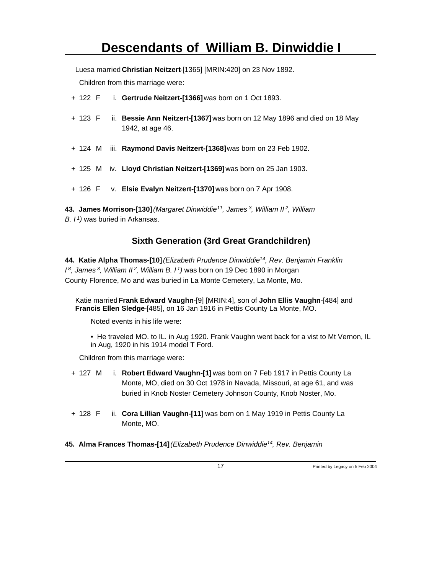Luesa married **Christian Neitzert**-[1365] [MRIN:420] on 23 Nov 1892.

Children from this marriage were:

- + 122 F i. **Gertrude Neitzert-[1366]** was born on 1 Oct 1893.
- + 123 F ii. **Bessie Ann Neitzert-[1367]** was born on 12 May 1896 and died on 18 May 1942, at age 46.
- + 124 M iii. **Raymond Davis Neitzert-[1368]** was born on 23 Feb 1902.
- + 125 M iv. **Lloyd Christian Neitzert-[1369]** was born on 25 Jan 1903.
- + 126 F v. **Elsie Evalyn Neitzert-[1370]** was born on 7 Apr 1908.

**43. James Morrison-[130]** *(Margaret Dinwiddie<sup>11</sup>, James<sup>3</sup>, William II<sup>2</sup>, William B. I<sup>1</sup>)* was buried in Arkansas.

#### **Sixth Generation (3rd Great Grandchildren)**

**44. Katie Alpha Thomas-[10]** *(Elizabeth Prudence Dinwiddie<sup>14</sup>, Rev. Benjamin Franklin I <sup>8</sup>, James<sup>3</sup>, William II<sup>2</sup>, William B. I<sup>1</sup>)* was born on 19 Dec 1890 in Morgan County Florence, Mo and was buried in La Monte Cemetery, La Monte, Mo.

Katie married **Frank Edward Vaughn**-[9] [MRIN:4], son of **John Ellis Vaughn**-[484] and **Francis Ellen Sledge**-[485], on 16 Jan 1916 in Pettis County La Monte, MO.

Noted events in his life were:

• He traveled MO. to IL. in Aug 1920. Frank Vaughn went back for a vist to Mt Vernon, IL in Aug, 1920 in his 1914 model T Ford.

Children from this marriage were:

- + 127 M i. **Robert Edward Vaughn-[1]** was born on 7 Feb 1917 in Pettis County La Monte, MO, died on 30 Oct 1978 in Navada, Missouri, at age 61, and was buried in Knob Noster Cemetery Johnson County, Knob Noster, Mo.
- + 128 F ii. **Cora Lillian Vaughn-[11]** was born on 1 May 1919 in Pettis County La Monte, MO.

**45. Alma Frances Thomas-[14]** *(Elizabeth Prudence Dinwiddie 14, Rev. Benjamin*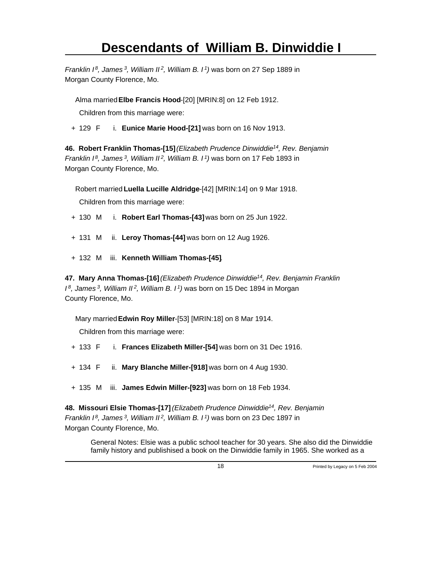*Franklin I<sup>8</sup>, James<sup>3</sup>, William II<sup>2</sup>, William B. I<sup>1</sup>)* was born on 27 Sep 1889 in Morgan County Florence, Mo.

Alma married **Elbe Francis Hood**-[20] [MRIN:8] on 12 Feb 1912.

Children from this marriage were:

+ 129 F i. **Eunice Marie Hood-[21]** was born on 16 Nov 1913.

**46. Robert Franklin Thomas-[15]** *(Elizabeth Prudence Dinwiddie<sup>14</sup>, Rev. Benjamin Franklin I<sup>8</sup>, James<sup>3</sup>, William II<sup>2</sup>, William B. I<sup>1</sup>)* was born on 17 Feb 1893 in Morgan County Florence, Mo.

Robert married **Luella Lucille Aldridge**-[42] [MRIN:14] on 9 Mar 1918.

Children from this marriage were:

- + 130 M i. **Robert Earl Thomas-[43]** was born on 25 Jun 1922.
- + 131 M ii. **Leroy Thomas-[44]** was born on 12 Aug 1926.
- + 132 M iii. **Kenneth William Thomas-[45]**.

**47. Mary Anna Thomas-[16]** *(Elizabeth Prudence Dinwiddie<sup>14</sup>, Rev. Benjamin Franklin I <sup>8</sup>, James<sup>3</sup>, William II<sup>2</sup>, William B. I<sup>1</sup>)* was born on 15 Dec 1894 in Morgan County Florence, Mo.

Mary married **Edwin Roy Miller**-[53] [MRIN:18] on 8 Mar 1914.

Children from this marriage were:

- + 133 F i. **Frances Elizabeth Miller-[54]** was born on 31 Dec 1916.
- + 134 F ii. **Mary Blanche Miller-[918]** was born on 4 Aug 1930.
- + 135 M iii. **James Edwin Miller-[923]** was born on 18 Feb 1934.

**48. Missouri Elsie Thomas-[17]** *(Elizabeth Prudence Dinwiddie<sup>14</sup>, Rev. Benjamin Franklin I<sup>8</sup>, James<sup>3</sup>, William II<sup>2</sup>, William B. I<sup>1</sup>)* was born on 23 Dec 1897 in Morgan County Florence, Mo.

General Notes: Elsie was a public school teacher for 30 years. She also did the Dinwiddie family history and publishised a book on the Dinwiddie family in 1965. She worked as a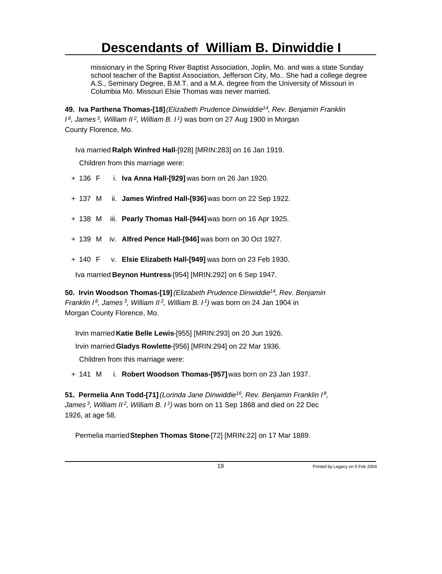missionary in the Spring River Baptist Association, Joplin, Mo. and was a state Sunday school teacher of the Baptist Association, Jefferson City, Mo.. She had a college degree A.S., Seminary Degree, B.M.T. and a M.A. degree from the University of Missouri in Columbia Mo. Missouri Elsie Thomas was never married.

**49. Iva Parthena Thomas-[18]** *(Elizabeth Prudence Dinwiddie<sup>14</sup>, Rev. Benjamin Franklin I <sup>8</sup>, James<sup>3</sup>, William II<sup>2</sup>, William B. I<sup>1</sup>)* was born on 27 Aug 1900 in Morgan County Florence, Mo.

Iva married **Ralph Winfred Hall**-[928] [MRIN:283] on 16 Jan 1919.

Children from this marriage were:

- + 136 F i. **Iva Anna Hall-[929]** was born on 26 Jan 1920.
- + 137 M ii. **James Winfred Hall-[936]** was born on 22 Sep 1922.
- + 138 M iii. **Pearly Thomas Hall-[944]** was born on 16 Apr 1925.
- + 139 M iv. **Alfred Pence Hall-[946]** was born on 30 Oct 1927.
- + 140 F v. **Elsie Elizabeth Hall-[949]** was born on 23 Feb 1930.

Iva married **Beynon Huntress**-[954] [MRIN:292] on 6 Sep 1947.

**50. Irvin Woodson Thomas-[19]** *(Elizabeth Prudence Dinwiddie<sup>14</sup>, Rev. Benjamin Franklin I<sup>8</sup>, James<sup>3</sup>, William II<sup>2</sup>, William B. I<sup>1</sup>)* was born on 24 Jan 1904 in Morgan County Florence, Mo.

Irvin married **Katie Belle Lewis**-[955] [MRIN:293] on 20 Jun 1926.

Irvin married **Gladys Rowlette**-[956] [MRIN:294] on 22 Mar 1936.

Children from this marriage were:

+ 141 M i. **Robert Woodson Thomas-[957]** was born on 23 Jan 1937.

**51. Permelia Ann Todd-[71]** *(Lorinda Jane Dinwiddie<sup>16</sup>, Rev. Benjamin Franklin I<sup>8</sup> , James<sup>3</sup>, William II<sup>2</sup>, William B. I<sup>1</sup>)* was born on 11 Sep 1868 and died on 22 Dec 1926, at age 58.

Permelia married Stephen Thomas Stone-[72] [MRIN:22] on 17 Mar 1889.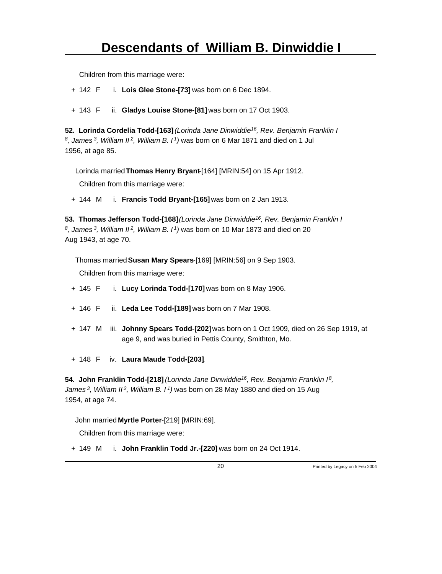Children from this marriage were:

+ 142 F i. **Lois Glee Stone-[73]** was born on 6 Dec 1894.

+ 143 F ii. **Gladys Louise Stone-[81]** was born on 17 Oct 1903.

**52. Lorinda Cordelia Todd-[163]** *(Lorinda Jane Dinwiddie<sup>16</sup>, Rev. Benjamin Franklin I 8 , James<sup>3</sup>, William II<sup>2</sup>, William B. I<sup>1</sup>)* was born on 6 Mar 1871 and died on 1 Jul 1956, at age 85.

Lorinda married **Thomas Henry Bryant**-[164] [MRIN:54] on 15 Apr 1912.

Children from this marriage were:

+ 144 M i. **Francis Todd Bryant-[165]** was born on 2 Jan 1913.

**53. Thomas Jefferson Todd-[168]** *(Lorinda Jane Dinwiddie<sup>16</sup>, Rev. Benjamin Franklin I 8 , James<sup>3</sup>, William II<sup>2</sup>, William B. I<sup>1</sup>)* was born on 10 Mar 1873 and died on 20 Aug 1943, at age 70.

Thomas married **Susan Mary Spears**-[169] [MRIN:56] on 9 Sep 1903.

Children from this marriage were:

- + 145 F i. **Lucy Lorinda Todd-[170]** was born on 8 May 1906.
- + 146 F ii. **Leda Lee Todd-[189]** was born on 7 Mar 1908.
- + 147 M iii. **Johnny Spears Todd-[202]** was born on 1 Oct 1909, died on 26 Sep 1919, at age 9, and was buried in Pettis County, Smithton, Mo.
- + 148 F iv. **Laura Maude Todd-[203]**.

**54. John Franklin Todd-[218]** *(Lorinda Jane Dinwiddie<sup>16</sup>, Rev. Benjamin Franklin I<sup>8</sup> , James<sup>3</sup>, William II<sup>2</sup>, William B. I<sup>1</sup>)* was born on 28 May 1880 and died on 15 Aug 1954, at age 74.

John married **Myrtle Porter**-[219] [MRIN:69].

Children from this marriage were:

+ 149 M i. **John Franklin Todd Jr.-[220]** was born on 24 Oct 1914.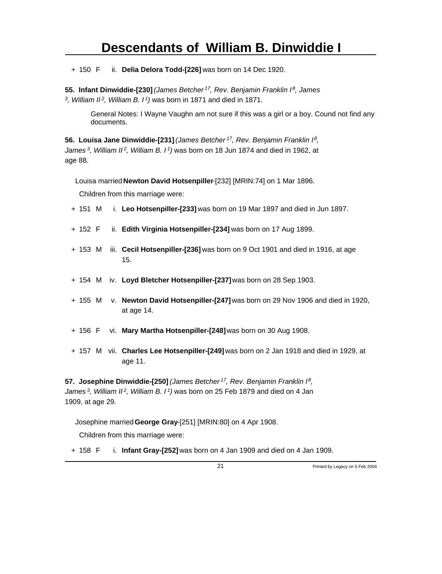+ 150 F ii. **Delia Delora Todd-[226]** was born on 14 Dec 1920.

**55. Infant Dinwiddie-[230]** *(James Betcher<sup>17</sup>, Rev. Benjamin Franklin I<sup>8</sup>, James 3 , William II<sup>2</sup>, William B. I<sup>1</sup>)* was born in 1871 and died in 1871.

General Notes: I Wayne Vaughn am not sure if this was a girl or a boy. Cound not find any documents.

**56. Louisa Jane Dinwiddie-[231]** *(James Betcher<sup>17</sup>, Rev. Benjamin Franklin I<sup>8</sup> , James<sup>3</sup>, William II<sup>2</sup>, William B. I<sup>1</sup>)* was born on 18 Jun 1874 and died in 1962, at age 88.

Louisa married **Newton David Hotsenpiller**-[232] [MRIN:74] on 1 Mar 1896.

Children from this marriage were:

- + 151 M i. **Leo Hotsenpiller-[233]** was born on 19 Mar 1897 and died in Jun 1897.
- + 152 F ii. **Edith Virginia Hotsenpiller-[234]** was born on 17 Aug 1899.
- + 153 M iii. **Cecil Hotsenpiller-[236]** was born on 9 Oct 1901 and died in 1916, at age 15.
- + 154 M iv. **Loyd Bletcher Hotsenpiller-[237]** was born on 28 Sep 1903.
- + 155 M v. **Newton David Hotsenpiller-[247]** was born on 29 Nov 1906 and died in 1920, at age 14.
- + 156 F vi. **Mary Martha Hotsenpiller-[248]** was born on 30 Aug 1908.
- + 157 M vii. **Charles Lee Hotsenpiller-[249]** was born on 2 Jan 1918 and died in 1929, at age 11.

**57. Josephine Dinwiddie-[250]** *(James Betcher<sup>17</sup>, Rev. Benjamin Franklin I<sup>8</sup> , James<sup>3</sup>, William II<sup>2</sup>, William B. I<sup>1</sup>)* was born on 25 Feb 1879 and died on 4 Jan 1909, at age 29.

Josephine married **George Gray**-[251] [MRIN:80] on 4 Apr 1908.

Children from this marriage were:

+ 158 F i. **Infant Gray-[252]** was born on 4 Jan 1909 and died on 4 Jan 1909.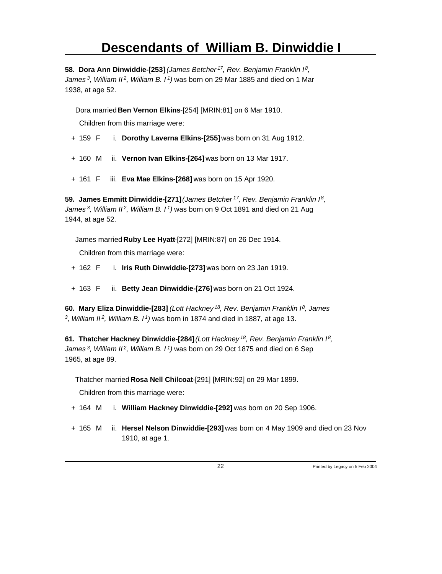**58. Dora Ann Dinwiddie-[253]** *(James Betcher<sup>17</sup>, Rev. Benjamin Franklin I<sup>8</sup> , James<sup>3</sup>, William II<sup>2</sup>, William B. I<sup>1</sup>)* was born on 29 Mar 1885 and died on 1 Mar 1938, at age 52.

Dora married **Ben Vernon Elkins**-[254] [MRIN:81] on 6 Mar 1910.

Children from this marriage were:

- + 159 F i. **Dorothy Laverna Elkins-[255]** was born on 31 Aug 1912.
- + 160 M ii. **Vernon Ivan Elkins-[264]** was born on 13 Mar 1917.
- + 161 F iii. **Eva Mae Elkins-[268]** was born on 15 Apr 1920.

**59. James Emmitt Dinwiddie-[271]** *(James Betcher<sup>17</sup>, Rev. Benjamin Franklin I<sup>8</sup> , James<sup>3</sup>, William II<sup>2</sup>, William B. I<sup>1</sup>)* was born on 9 Oct 1891 and died on 21 Aug 1944, at age 52.

James married **Ruby Lee Hyatt**-[272] [MRIN:87] on 26 Dec 1914. Children from this marriage were:

- + 162 F i. **Iris Ruth Dinwiddie-[273]** was born on 23 Jan 1919.
- + 163 F ii. **Betty Jean Dinwiddie-[276]** was born on 21 Oct 1924.

**60. Mary Eliza Dinwiddie-[283]** *(Lott Hackney<sup>18</sup>, Rev. Benjamin Franklin I<sup>8</sup>, James 3 , William II<sup>2</sup>, William B. I<sup>1</sup>)* was born in 1874 and died in 1887, at age 13.

**61. Thatcher Hackney Dinwiddie-[284]** *(Lott Hackney<sup>18</sup>, Rev. Benjamin Franklin I<sup>8</sup> , James<sup>3</sup>, William II<sup>2</sup>, William B. I<sup>1</sup>)* was born on 29 Oct 1875 and died on 6 Sep 1965, at age 89.

Thatcher married **Rosa Nell Chilcoat**-[291] [MRIN:92] on 29 Mar 1899.

- + 164 M i. **William Hackney Dinwiddie-[292]** was born on 20 Sep 1906.
- + 165 M ii. **Hersel Nelson Dinwiddie-[293]** was born on 4 May 1909 and died on 23 Nov 1910, at age 1.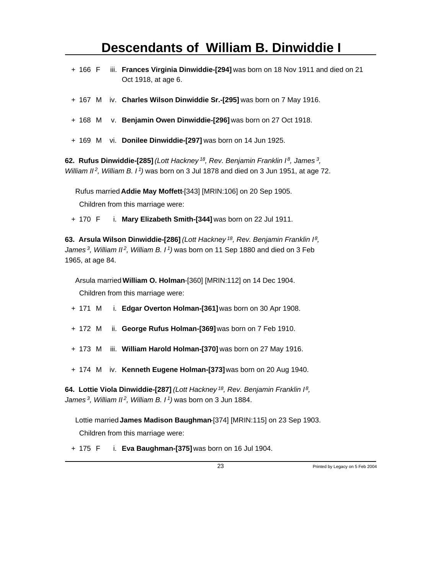- + 166 F iii. **Frances Virginia Dinwiddie-[294]** was born on 18 Nov 1911 and died on 21 Oct 1918, at age 6.
- + 167 M iv. **Charles Wilson Dinwiddie Sr.-[295]** was born on 7 May 1916.
- + 168 M v. **Benjamin Owen Dinwiddie-[296]** was born on 27 Oct 1918.
- + 169 M vi. **Donilee Dinwiddie-[297]** was born on 14 Jun 1925.

**62. Rufus Dinwiddie-[285]** *(Lott Hackney<sup>18</sup>, Rev. Benjamin Franklin I<sup>8</sup>, James<sup>3</sup> , William II<sup>2</sup>, William B. I<sup>1</sup>)* was born on 3 Jul 1878 and died on 3 Jun 1951, at age 72.

Rufus married **Addie May Moffett**-[343] [MRIN:106] on 20 Sep 1905.

Children from this marriage were:

+ 170 F i. **Mary Elizabeth Smith-[344]** was born on 22 Jul 1911.

**63. Arsula Wilson Dinwiddie-[286]** *(Lott Hackney<sup>18</sup>, Rev. Benjamin Franklin I<sup>8</sup> , James<sup>3</sup>, William II<sup>2</sup>, William B. I<sup>1</sup>)* was born on 11 Sep 1880 and died on 3 Feb 1965, at age 84.

Arsula married **William O. Holman**-[360] [MRIN:112] on 14 Dec 1904. Children from this marriage were:

- + 171 M i. **Edgar Overton Holman-[361]** was born on 30 Apr 1908.
- + 172 M ii. **George Rufus Holman-[369]** was born on 7 Feb 1910.
- + 173 M iii. **William Harold Holman-[370]** was born on 27 May 1916.
- + 174 M iv. **Kenneth Eugene Holman-[373]** was born on 20 Aug 1940.

**64. Lottie Viola Dinwiddie-[287]** *(Lott Hackney<sup>18</sup>, Rev. Benjamin Franklin I<sup>8</sup> , James<sup>3</sup>, William II<sup>2</sup>, William B. I<sup>1</sup>)* was born on 3 Jun 1884.

Lottie married **James Madison Baughman**-[374] [MRIN:115] on 23 Sep 1903. Children from this marriage were:

+ 175 F i. **Eva Baughman-[375]** was born on 16 Jul 1904.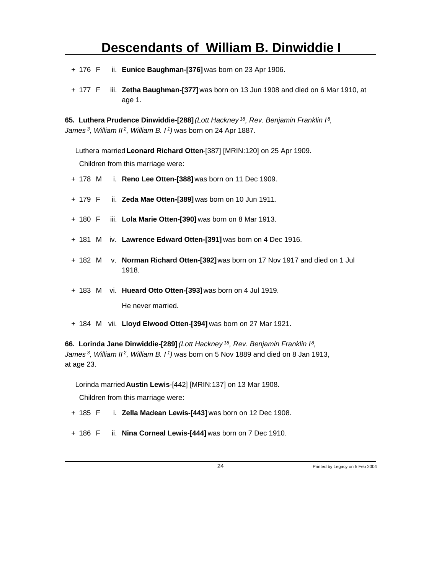- + 176 F ii. **Eunice Baughman-[376]** was born on 23 Apr 1906.
- + 177 F iii. **Zetha Baughman-[377]** was born on 13 Jun 1908 and died on 6 Mar 1910, at age 1.

**65. Luthera Prudence Dinwiddie-[288]** *(Lott Hackney<sup>18</sup>, Rev. Benjamin Franklin I<sup>8</sup> , James<sup>3</sup>, William II<sup>2</sup>, William B. I<sup>1</sup>)* was born on 24 Apr 1887.

Luthera married **Leonard Richard Otten**-[387] [MRIN:120] on 25 Apr 1909. Children from this marriage were:

- + 178 M i. **Reno Lee Otten-[388]** was born on 11 Dec 1909.
- + 179 F ii. **Zeda Mae Otten-[389]** was born on 10 Jun 1911.
- + 180 F iii. **Lola Marie Otten-[390]** was born on 8 Mar 1913.
- + 181 M iv. **Lawrence Edward Otten-[391]** was born on 4 Dec 1916.
- + 182 M v. **Norman Richard Otten-[392]** was born on 17 Nov 1917 and died on 1 Jul 1918.
- + 183 M vi. **Hueard Otto Otten-[393]** was born on 4 Jul 1919. He never married.
- + 184 M vii. **Lloyd Elwood Otten-[394]** was born on 27 Mar 1921.

**66. Lorinda Jane Dinwiddie-[289]** *(Lott Hackney<sup>18</sup>, Rev. Benjamin Franklin I<sup>8</sup> , James<sup>3</sup>, William II<sup>2</sup>, William B. I<sup>1</sup>)* was born on 5 Nov 1889 and died on 8 Jan 1913, at age 23.

Lorinda married **Austin Lewis**-[442] [MRIN:137] on 13 Mar 1908.

- + 185 F i. **Zella Madean Lewis-[443]** was born on 12 Dec 1908.
- + 186 F ii. **Nina Corneal Lewis-[444]** was born on 7 Dec 1910.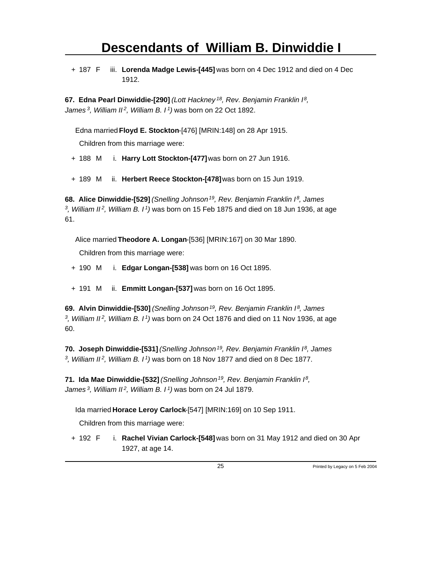+ 187 F iii. **Lorenda Madge Lewis-[445]** was born on 4 Dec 1912 and died on 4 Dec 1912.

**67. Edna Pearl Dinwiddie-[290]** *(Lott Hackney<sup>18</sup>, Rev. Benjamin Franklin I<sup>8</sup> , James<sup>3</sup>, William II<sup>2</sup>, William B. I<sup>1</sup>)* was born on 22 Oct 1892.

Edna married **Floyd E. Stockton**-[476] [MRIN:148] on 28 Apr 1915.

Children from this marriage were:

+ 188 M i. **Harry Lott Stockton-[477]** was born on 27 Jun 1916.

+ 189 M ii. **Herbert Reece Stockton-[478]** was born on 15 Jun 1919.

**68. Alice Dinwiddie-[529]** *(Snelling Johnson<sup>19</sup>, Rev. Benjamin Franklin I<sup>8</sup>, James 3 , William II<sup>2</sup>, William B. I<sup>1</sup>)* was born on 15 Feb 1875 and died on 18 Jun 1936, at age 61.

Alice married **Theodore A. Longan**-[536] [MRIN:167] on 30 Mar 1890.

Children from this marriage were:

+ 190 M i. **Edgar Longan-[538]** was born on 16 Oct 1895.

+ 191 M ii. **Emmitt Longan-[537]** was born on 16 Oct 1895.

**69. Alvin Dinwiddie-[530]** *(Snelling Johnson<sup>19</sup>, Rev. Benjamin Franklin I<sup>8</sup>, James 3 , William II<sup>2</sup>, William B. I<sup>1</sup>)* was born on 24 Oct 1876 and died on 11 Nov 1936, at age 60.

**70. Joseph Dinwiddie-[531]** *(Snelling Johnson<sup>19</sup>, Rev. Benjamin Franklin I<sup>8</sup>, James 3 , William II<sup>2</sup>, William B. I<sup>1</sup>)* was born on 18 Nov 1877 and died on 8 Dec 1877.

**71. Ida Mae Dinwiddie-[532]** *(Snelling Johnson<sup>19</sup>, Rev. Benjamin Franklin I<sup>8</sup> , James<sup>3</sup>, William II<sup>2</sup>, William B. I<sup>1</sup>)* was born on 24 Jul 1879.

Ida married **Horace Leroy Carlock**-[547] [MRIN:169] on 10 Sep 1911.

Children from this marriage were:

+ 192 F i. **Rachel Vivian Carlock-[548]** was born on 31 May 1912 and died on 30 Apr 1927, at age 14.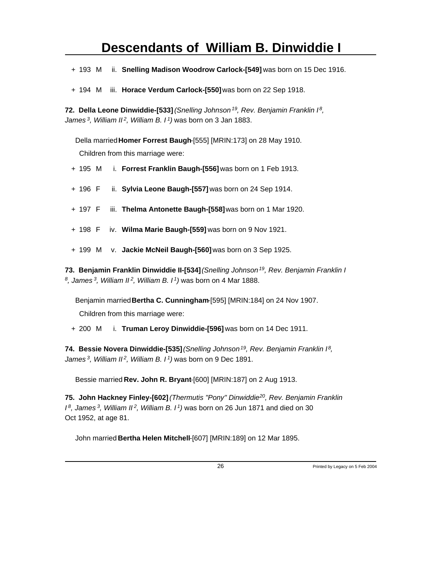+ 193 M ii. **Snelling Madison Woodrow Carlock-[549]** was born on 15 Dec 1916.

+ 194 M iii. **Horace Verdum Carlock-[550]** was born on 22 Sep 1918.

**72. Della Leone Dinwiddie-[533]** *(Snelling Johnson<sup>19</sup>, Rev. Benjamin Franklin I<sup>8</sup> , James<sup>3</sup>, William II<sup>2</sup>, William B. I<sup>1</sup>)* was born on 3 Jan 1883.

Della married **Homer Forrest Baugh**-[555] [MRIN:173] on 28 May 1910. Children from this marriage were:

- + 195 M i. **Forrest Franklin Baugh-[556]** was born on 1 Feb 1913.
- + 196 F ii. **Sylvia Leone Baugh-[557]** was born on 24 Sep 1914.
- + 197 F iii. **Thelma Antonette Baugh-[558]** was born on 1 Mar 1920.
- + 198 F iv. **Wilma Marie Baugh-[559]** was born on 9 Nov 1921.
- + 199 M v. **Jackie McNeil Baugh-[560]** was born on 3 Sep 1925.

**73. Benjamin Franklin Dinwiddie II-[534]** *(Snelling Johnson<sup>19</sup>, Rev. Benjamin Franklin I 8 , James<sup>3</sup>, William II<sup>2</sup>, William B. I<sup>1</sup>)* was born on 4 Mar 1888.

Benjamin married **Bertha C. Cunningham**-[595] [MRIN:184] on 24 Nov 1907. Children from this marriage were:

+ 200 M i. **Truman Leroy Dinwiddie-[596]** was born on 14 Dec 1911.

**74. Bessie Novera Dinwiddie-[535]** *(Snelling Johnson<sup>19</sup>, Rev. Benjamin Franklin I<sup>8</sup> , James<sup>3</sup>, William II<sup>2</sup>, William B. I<sup>1</sup>)* was born on 9 Dec 1891.

Bessie married **Rev. John R. Bryant**-[600] [MRIN:187] on 2 Aug 1913.

**75. John Hackney Finley-[602]** *(Thermutis "Pony" Dinwiddie<sup>20</sup>, Rev. Benjamin Franklin I <sup>8</sup>, James<sup>3</sup>, William II<sup>2</sup>, William B. I<sup>1</sup>)* was born on 26 Jun 1871 and died on 30 Oct 1952, at age 81.

John married **Bertha Helen Mitchell**-[607] [MRIN:189] on 12 Mar 1895.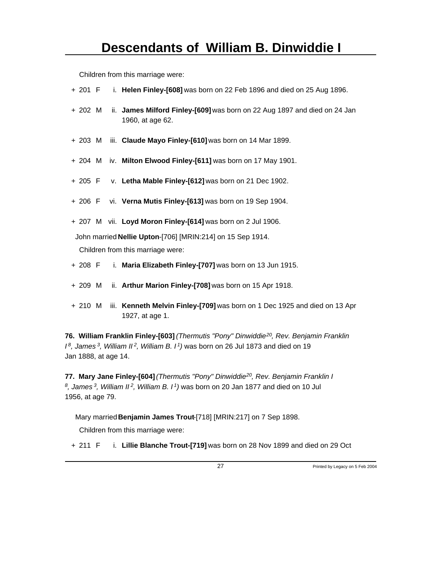Children from this marriage were:

- + 201 F i. **Helen Finley-[608]** was born on 22 Feb 1896 and died on 25 Aug 1896.
- + 202 M ii. **James Milford Finley-[609]** was born on 22 Aug 1897 and died on 24 Jan 1960, at age 62.
- + 203 M iii. **Claude Mayo Finley-[610]** was born on 14 Mar 1899.
- + 204 M iv. **Milton Elwood Finley-[611]** was born on 17 May 1901.
- + 205 F v. **Letha Mable Finley-[612]** was born on 21 Dec 1902.
- + 206 F vi. **Verna Mutis Finley-[613]** was born on 19 Sep 1904.
- + 207 M vii. **Loyd Moron Finley-[614]** was born on 2 Jul 1906.

John married **Nellie Upton**-[706] [MRIN:214] on 15 Sep 1914.

Children from this marriage were:

- + 208 F i. **Maria Elizabeth Finley-[707]** was born on 13 Jun 1915.
- + 209 M ii. **Arthur Marion Finley-[708]** was born on 15 Apr 1918.
- + 210 M iii. **Kenneth Melvin Finley-[709]** was born on 1 Dec 1925 and died on 13 Apr 1927, at age 1.

**76. William Franklin Finley-[603]** *(Thermutis "Pony" Dinwiddie<sup>20</sup>, Rev. Benjamin Franklin I <sup>8</sup>, James<sup>3</sup>, William II<sup>2</sup>, William B. I<sup>1</sup>)* was born on 26 Jul 1873 and died on 19 Jan 1888, at age 14.

**77. Mary Jane Finley-[604]** *(Thermutis "Pony" Dinwiddie<sup>20</sup>, Rev. Benjamin Franklin I 8 , James<sup>3</sup>, William II<sup>2</sup>, William B. I<sup>1</sup>)* was born on 20 Jan 1877 and died on 10 Jul 1956, at age 79.

Mary married **Benjamin James Trout**-[718] [MRIN:217] on 7 Sep 1898.

Children from this marriage were:

+ 211 F i. **Lillie Blanche Trout-[719]** was born on 28 Nov 1899 and died on 29 Oct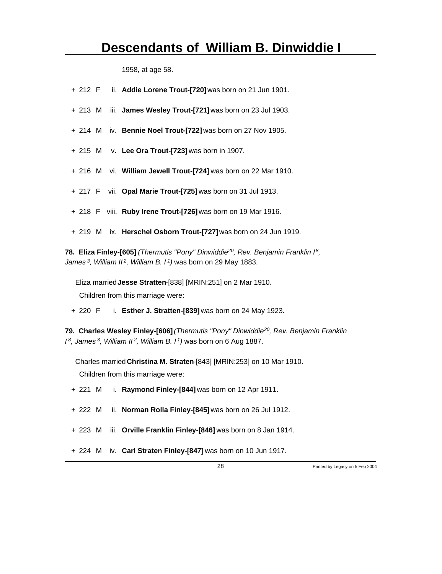1958, at age 58.

|  | + 212 F ii. Addie Lorene Trout-[720] was born on 21 Jun 1901.    |
|--|------------------------------------------------------------------|
|  | + 213 M iii. James Wesley Trout-[721] was born on 23 Jul 1903.   |
|  | + 214 M iv. Bennie Noel Trout-[722] was born on 27 Nov 1905.     |
|  | $+ 215$ M v. Lee Ora Trout-[723] was born in 1907.               |
|  | + 216 M vi. William Jewell Trout-[724] was born on 22 Mar 1910.  |
|  | + 217 F vii. Opal Marie Trout-[725] was born on 31 Jul 1913.     |
|  | + 218 F viii. Ruby Irene Trout-[726] was born on 19 Mar 1916.    |
|  | + 219 M ix. Herschel Osborn Trout-[727] was born on 24 Jun 1919. |

**78. Eliza Finley-[605]** *(Thermutis "Pony" Dinwiddie<sup>20</sup>, Rev. Benjamin Franklin I<sup>8</sup> , James<sup>3</sup>, William II<sup>2</sup>, William B. I<sup>1</sup>)* was born on 29 May 1883.

Eliza married **Jesse Stratten**-[838] [MRIN:251] on 2 Mar 1910. Children from this marriage were:

+ 220 F i. **Esther J. Stratten-[839]** was born on 24 May 1923.

**79. Charles Wesley Finley-[606]** *(Thermutis "Pony" Dinwiddie<sup>20</sup>, Rev. Benjamin Franklin I <sup>8</sup>, James<sup>3</sup>, William II<sup>2</sup>, William B. I<sup>1</sup>)* was born on 6 Aug 1887.

Charles married **Christina M. Straten**-[843] [MRIN:253] on 10 Mar 1910. Children from this marriage were:

- + 221 M i. **Raymond Finley-[844]** was born on 12 Apr 1911.
- + 222 M ii. **Norman Rolla Finley-[845]** was born on 26 Jul 1912.
- + 223 M iii. **Orville Franklin Finley-[846]** was born on 8 Jan 1914.
- + 224 M iv. **Carl Straten Finley-[847]** was born on 10 Jun 1917.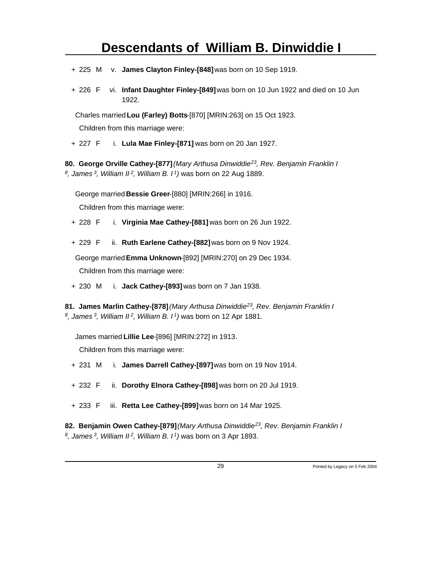- + 225 M v. **James Clayton Finley-[848]** was born on 10 Sep 1919.
- + 226 F vi. **Infant Daughter Finley-[849]** was born on 10 Jun 1922 and died on 10 Jun 1922.

Charles married **Lou (Farley) Botts**-[870] [MRIN:263] on 15 Oct 1923.

Children from this marriage were:

+ 227 F i. **Lula Mae Finley-[871]** was born on 20 Jan 1927.

**80. George Orville Cathey-[877]** *(Mary Arthusa Dinwiddie<sup>23</sup>, Rev. Benjamin Franklin I 8 , James<sup>3</sup>, William II<sup>2</sup>, William B. I<sup>1</sup>)* was born on 22 Aug 1889.

George married **Bessie Greer**-[880] [MRIN:266] in 1916.

Children from this marriage were:

- + 228 F i. **Virginia Mae Cathey-[881]** was born on 26 Jun 1922.
- + 229 F ii. **Ruth Earlene Cathey-[882]** was born on 9 Nov 1924.

George married **Emma Unknown**-[892] [MRIN:270] on 29 Dec 1934. Children from this marriage were:

+ 230 M i. **Jack Cathey-[893]** was born on 7 Jan 1938.

**81. James Marlin Cathey-[878]** *(Mary Arthusa Dinwiddie<sup>23</sup>, Rev. Benjamin Franklin I 8 , James<sup>3</sup>, William II<sup>2</sup>, William B. I<sup>1</sup>)* was born on 12 Apr 1881.

James married **Lillie Lee**-[896] [MRIN:272] in 1913.

Children from this marriage were:

- + 231 M i. **James Darrell Cathey-[897]** was born on 19 Nov 1914.
- + 232 F ii. **Dorothy Elnora Cathey-[898]** was born on 20 Jul 1919.
- + 233 F iii. **Retta Lee Cathey-[899]** was born on 14 Mar 1925.

**82. Benjamin Owen Cathey-[879]** *(Mary Arthusa Dinwiddie<sup>23</sup>, Rev. Benjamin Franklin I 8 , James 3, William II 2, William B. I 1)* was born on 3 Apr 1893.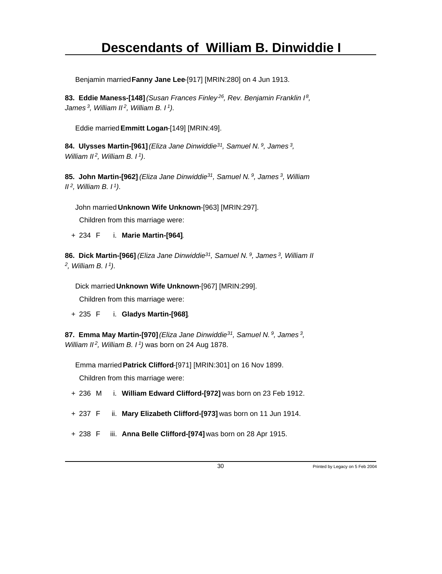Benjamin married **Fanny Jane Lee**-[917] [MRIN:280] on 4 Jun 1913.

**83. Eddie Maness-[148]** *(Susan Frances Finley<sup>26</sup>, Rev. Benjamin Franklin I<sup>8</sup> , James<sup>3</sup>, William II<sup>2</sup>, William B. I<sup>1</sup>)*.

Eddie married **Emmitt Logan**-[149] [MRIN:49].

**84. Ulysses Martin-[961]** *(Eliza Jane Dinwiddie<sup>31</sup>, Samuel N.<sup>9</sup>, James<sup>3</sup> , William II<sup>2</sup>, William B. I<sup>1</sup>)*.

**85. John Martin-[962]** *(Eliza Jane Dinwiddie<sup>31</sup>, Samuel N.<sup>9</sup>, James<sup>3</sup>, William II<sup>2</sup>, William B. I<sup>1</sup>)*.

John married **Unknown Wife Unknown**-[963] [MRIN:297].

Children from this marriage were:

+ 234 F i. **Marie Martin-[964]**.

**86. Dick Martin-[966]** *(Eliza Jane Dinwiddie<sup>31</sup>, Samuel N.<sup>9</sup>, James<sup>3</sup>, William II 2 , William B. I<sup>1</sup>)*.

Dick married **Unknown Wife Unknown**-[967] [MRIN:299].

Children from this marriage were:

+ 235 F i. **Gladys Martin-[968]**.

**87. Emma May Martin-[970]** *(Eliza Jane Dinwiddie<sup>31</sup>, Samuel N.<sup>9</sup>, James<sup>3</sup> , William II<sup>2</sup>, William B. I<sup>1</sup>)* was born on 24 Aug 1878.

Emma married **Patrick Clifford**-[971] [MRIN:301] on 16 Nov 1899. Children from this marriage were:

- + 236 M i. **William Edward Clifford-[972]** was born on 23 Feb 1912.
- + 237 F ii. **Mary Elizabeth Clifford-[973]** was born on 11 Jun 1914.
- + 238 F iii. **Anna Belle Clifford-[974]** was born on 28 Apr 1915.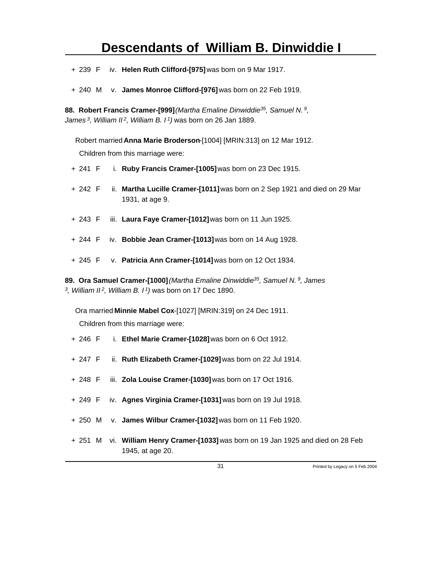- + 239 F iv. **Helen Ruth Clifford-[975]** was born on 9 Mar 1917.
- + 240 M v. **James Monroe Clifford-[976]** was born on 22 Feb 1919.

**88. Robert Francis Cramer-[999]** *(Martha Emaline Dinwiddie<sup>35</sup>, Samuel N.<sup>9</sup> , James<sup>3</sup>, William II<sup>2</sup>, William B. I<sup>1</sup>)* was born on 26 Jan 1889.

Robert married **Anna Marie Broderson**-[1004] [MRIN:313] on 12 Mar 1912. Children from this marriage were:

- + 241 F i. **Ruby Francis Cramer-[1005]** was born on 23 Dec 1915.
- + 242 F ii. **Martha Lucille Cramer-[1011]** was born on 2 Sep 1921 and died on 29 Mar 1931, at age 9.
- + 243 F iii. **Laura Faye Cramer-[1012]** was born on 11 Jun 1925.
- + 244 F iv. **Bobbie Jean Cramer-[1013]** was born on 14 Aug 1928.
- + 245 F v. **Patricia Ann Cramer-[1014]** was born on 12 Oct 1934.

**89. Ora Samuel Cramer-[1000]** *(Martha Emaline Dinwiddie<sup>35</sup>, Samuel N.<sup>9</sup>, James 3 , William II<sup>2</sup>, William B. I<sup>1</sup>)* was born on 17 Dec 1890.

Ora married **Minnie Mabel Cox**-[1027] [MRIN:319] on 24 Dec 1911.

- + 246 F i. **Ethel Marie Cramer-[1028]** was born on 6 Oct 1912.
- + 247 F ii. **Ruth Elizabeth Cramer-[1029]** was born on 22 Jul 1914.
- + 248 F iii. **Zola Louise Cramer-[1030]** was born on 17 Oct 1916.
- + 249 F iv. **Agnes Virginia Cramer-[1031]** was born on 19 Jul 1918.
- + 250 M v. **James Wilbur Cramer-[1032]** was born on 11 Feb 1920.
- + 251 M vi. **William Henry Cramer-[1033]** was born on 19 Jan 1925 and died on 28 Feb 1945, at age 20.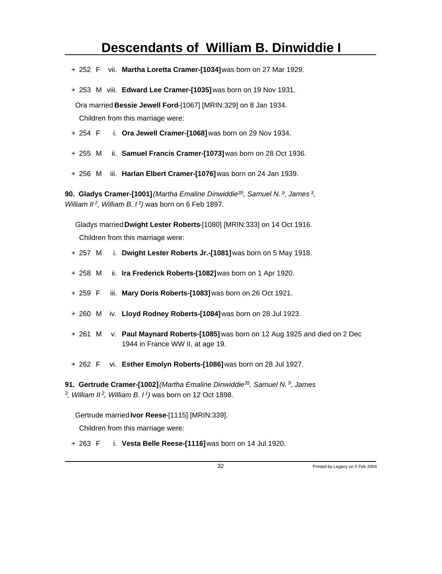- + 252 F vii. **Martha Loretta Cramer-[1034]** was born on 27 Mar 1929.
- + 253 M viii. **Edward Lee Cramer-[1035]** was born on 19 Nov 1931.

Ora married **Bessie Jewell Ford**-[1067] [MRIN:329] on 8 Jan 1934. Children from this marriage were:

- + 254 F i. **Ora Jewell Cramer-[1068]** was born on 29 Nov 1934.
- + 255 M ii. **Samuel Francis Cramer-[1073]** was born on 28 Oct 1936.
- + 256 M iii. **Harlan Elbert Cramer-[1076]** was born on 24 Jan 1939.

**90. Gladys Cramer-[1001]** *(Martha Emaline Dinwiddie<sup>35</sup>, Samuel N.<sup>9</sup>, James<sup>3</sup> , William II<sup>2</sup>, William B. I<sup>1</sup>)* was born on 6 Feb 1897.

Gladys married **Dwight Lester Roberts**-[1080] [MRIN:333] on 14 Oct 1916. Children from this marriage were:

- + 257 M i. **Dwight Lester Roberts Jr.-[1081]** was born on 5 May 1918.
- + 258 M ii. **Ira Frederick Roberts-[1082]** was born on 1 Apr 1920.
- + 259 F iii. **Mary Doris Roberts-[1083]** was born on 26 Oct 1921.
- + 260 M iv. **Lloyd Rodney Roberts-[1084]** was born on 28 Jul 1923.
- + 261 M v. **Paul Maynard Roberts-[1085]** was born on 12 Aug 1925 and died on 2 Dec 1944 in France WW II, at age 19.
- + 262 F vi. **Esther Emolyn Roberts-[1086]** was born on 28 Jul 1927.

**91. Gertrude Cramer-[1002]** *(Martha Emaline Dinwiddie<sup>35</sup>, Samuel N.<sup>9</sup>, James 3 , William II<sup>2</sup>, William B. I<sup>1</sup>)* was born on 12 Oct 1898.

Gertrude married **Ivor Reese**-[1115] [MRIN:339].

Children from this marriage were:

+ 263 F i. **Vesta Belle Reese-[1116]** was born on 14 Jul 1920.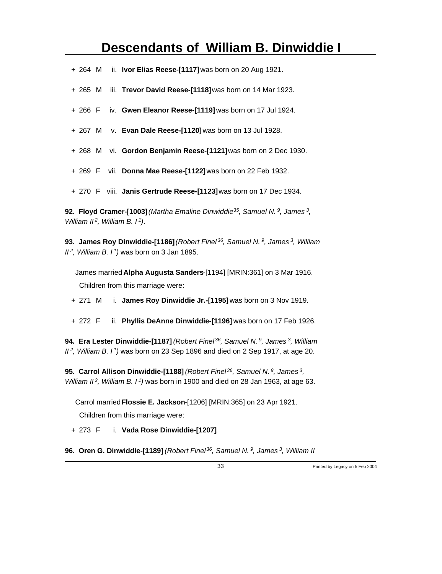- + 264 M ii. **Ivor Elias Reese-[1117]** was born on 20 Aug 1921.
- + 265 M iii. **Trevor David Reese-[1118]** was born on 14 Mar 1923.
- + 266 F iv. **Gwen Eleanor Reese-[1119]** was born on 17 Jul 1924.
- + 267 M v. **Evan Dale Reese-[1120]** was born on 13 Jul 1928.
- + 268 M vi. **Gordon Benjamin Reese-[1121]** was born on 2 Dec 1930.
- + 269 F vii. **Donna Mae Reese-[1122]** was born on 22 Feb 1932.
- + 270 F viii. **Janis Gertrude Reese-[1123]** was born on 17 Dec 1934.

**92. Floyd Cramer-[1003]** *(Martha Emaline Dinwiddie<sup>35</sup>, Samuel N.<sup>9</sup>, James<sup>3</sup> , William II<sup>2</sup>, William B. I<sup>1</sup>)*.

**93. James Roy Dinwiddie-[1186]** *(Robert Finel<sup>36</sup>, Samuel N.<sup>9</sup>, James<sup>3</sup>, William II<sup>2</sup>, William B. I<sup>1</sup>)* was born on 3 Jan 1895.

James married **Alpha Augusta Sanders**-[1194] [MRIN:361] on 3 Mar 1916. Children from this marriage were:

- + 271 M i. **James Roy Dinwiddie Jr.-[1195]** was born on 3 Nov 1919.
- + 272 F ii. **Phyllis DeAnne Dinwiddie-[1196]** was born on 17 Feb 1926.

**94. Era Lester Dinwiddie-[1187]** *(Robert Finel<sup>36</sup>, Samuel N.<sup>9</sup>, James<sup>3</sup>, William II<sup>2</sup>, William B. I<sup>1</sup>)* was born on 23 Sep 1896 and died on 2 Sep 1917, at age 20.

**95. Carrol Allison Dinwiddie-[1188]** *(Robert Finel<sup>36</sup>, Samuel N.<sup>9</sup>, James<sup>3</sup> , William II<sup>2</sup>, William B. I<sup>1</sup>)* was born in 1900 and died on 28 Jan 1963, at age 63.

Carrol married **Flossie E. Jackson**-[1206] [MRIN:365] on 23 Apr 1921. Children from this marriage were:

+ 273 F i. **Vada Rose Dinwiddie-[1207]**.

**96. Oren G. Dinwiddie-[1189]** *(Robert Finel 36, Samuel N. 9, James 3, William II*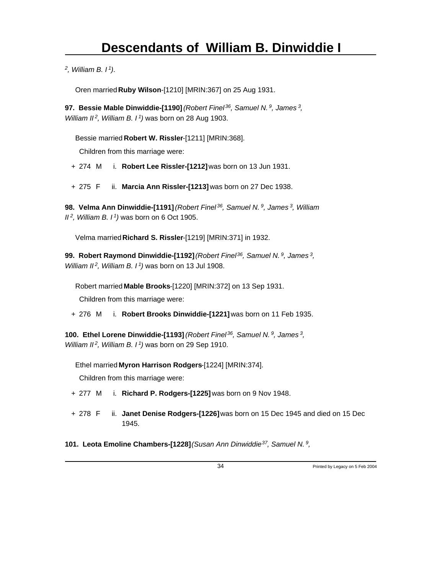*2 , William B. I<sup>1</sup>)*.

Oren married **Ruby Wilson**-[1210] [MRIN:367] on 25 Aug 1931.

**97. Bessie Mable Dinwiddie-[1190]** *(Robert Finel<sup>36</sup>, Samuel N.<sup>9</sup>, James<sup>3</sup> , William II<sup>2</sup>, William B. I<sup>1</sup>)* was born on 28 Aug 1903.

Bessie married **Robert W. Rissler**-[1211] [MRIN:368].

Children from this marriage were:

+ 274 M i. **Robert Lee Rissler-[1212]** was born on 13 Jun 1931.

+ 275 F ii. **Marcia Ann Rissler-[1213]** was born on 27 Dec 1938.

**98. Velma Ann Dinwiddie-[1191]** *(Robert Finel<sup>36</sup>, Samuel N.<sup>9</sup>, James<sup>3</sup>, William II<sup>2</sup>, William B. I<sup>1</sup>)* was born on 6 Oct 1905.

Velma married **Richard S. Rissler**-[1219] [MRIN:371] in 1932.

**99. Robert Raymond Dinwiddie-[1192]** *(Robert Finel<sup>36</sup>, Samuel N.<sup>9</sup>, James<sup>3</sup> , William II<sup>2</sup>, William B. I<sup>1</sup>)* was born on 13 Jul 1908.

Robert married **Mable Brooks**-[1220] [MRIN:372] on 13 Sep 1931.

Children from this marriage were:

+ 276 M i. **Robert Brooks Dinwiddie-[1221]** was born on 11 Feb 1935.

**100. Ethel Lorene Dinwiddie-[1193]** *(Robert Finel<sup>36</sup>, Samuel N.<sup>9</sup>, James<sup>3</sup> , William II<sup>2</sup>, William B. I<sup>1</sup>)* was born on 29 Sep 1910.

Ethel married **Myron Harrison Rodgers**-[1224] [MRIN:374].

Children from this marriage were:

- + 277 M i. **Richard P. Rodgers-[1225]** was born on 9 Nov 1948.
- + 278 F ii. **Janet Denise Rodgers-[1226]** was born on 15 Dec 1945 and died on 15 Dec 1945.

**101. Leota Emoline Chambers-[1228]** *(Susan Ann Dinwiddie<sup>37</sup>, Samuel N.<sup>9</sup> ,*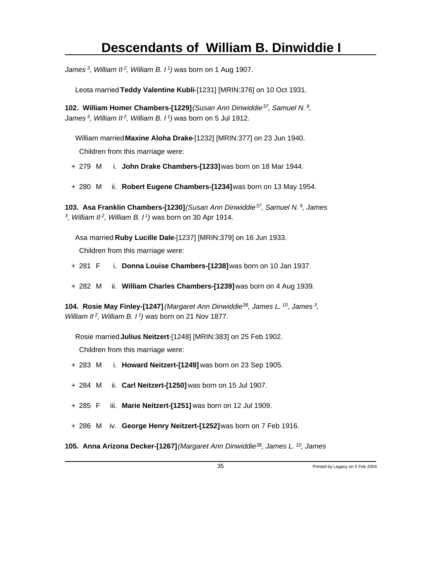*James<sup>3</sup>, William II<sup>2</sup>, William B. I<sup>1</sup>)* was born on 1 Aug 1907.

Leota married **Teddy Valentine Kubli**-[1231] [MRIN:376] on 10 Oct 1931.

**102. William Homer Chambers-[1229]** *(Susan Ann Dinwiddie<sup>37</sup>, Samuel N.<sup>9</sup> , James<sup>3</sup>, William II<sup>2</sup>, William B. I<sup>1</sup>)* was born on 5 Jul 1912.

William married **Maxine Aloha Drake**-[1232] [MRIN:377] on 23 Jun 1940.

Children from this marriage were:

+ 279 M i. **John Drake Chambers-[1233]** was born on 18 Mar 1944.

+ 280 M ii. **Robert Eugene Chambers-[1234]** was born on 13 May 1954.

**103. Asa Franklin Chambers-[1230]** *(Susan Ann Dinwiddie<sup>37</sup>, Samuel N.<sup>9</sup>, James 3 , William II<sup>2</sup>, William B. I<sup>1</sup>)* was born on 30 Apr 1914.

Asa married **Ruby Lucille Dale**-[1237] [MRIN:379] on 16 Jun 1933. Children from this marriage were:

- + 281 F i. **Donna Louise Chambers-[1238]** was born on 10 Jan 1937.
- + 282 M ii. **William Charles Chambers-[1239]** was born on 4 Aug 1939.

**104. Rosie May Finley-[1247]** *(Margaret Ann Dinwiddie<sup>38</sup>, James L.<sup>10</sup>, James<sup>3</sup> , William II<sup>2</sup>, William B. I<sup>1</sup>)* was born on 21 Nov 1877.

Rosie married **Julius Neitzert**-[1248] [MRIN:383] on 25 Feb 1902. Children from this marriage were:

- + 283 M i. **Howard Neitzert-[1249]** was born on 23 Sep 1905.
- + 284 M ii. **Carl Neitzert-[1250]** was born on 15 Jul 1907.
- + 285 F iii. **Marie Neitzert-[1251]** was born on 12 Jul 1909.
- + 286 M iv. **George Henry Neitzert-[1252]** was born on 7 Feb 1916.

**105. Anna Arizona Decker-[1267]** *(Margaret Ann Dinwiddie 38, James L. 10, James*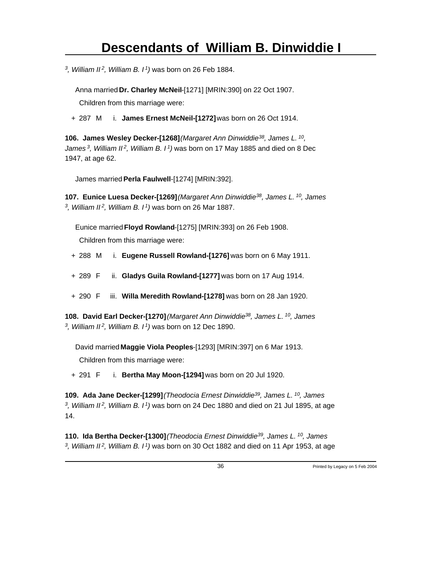*3 , William II<sup>2</sup>, William B. I<sup>1</sup>)* was born on 26 Feb 1884.

Anna married **Dr. Charley McNeil**-[1271] [MRIN:390] on 22 Oct 1907.

Children from this marriage were:

+ 287 M i. **James Ernest McNeil-[1272]** was born on 26 Oct 1914.

**106. James Wesley Decker-[1268]** *(Margaret Ann Dinwiddie<sup>38</sup>, James L.<sup>10</sup> , James<sup>3</sup>, William II<sup>2</sup>, William B. I<sup>1</sup>)* was born on 17 May 1885 and died on 8 Dec 1947, at age 62.

James married **Perla Faulwell**-[1274] [MRIN:392].

**107. Eunice Luesa Decker-[1269]** *(Margaret Ann Dinwiddie<sup>38</sup>, James L.<sup>10</sup>, James 3 , William II<sup>2</sup>, William B. I<sup>1</sup>)* was born on 26 Mar 1887.

Eunice married **Floyd Rowland**-[1275] [MRIN:393] on 26 Feb 1908.

Children from this marriage were:

- + 288 M i. **Eugene Russell Rowland-[1276]** was born on 6 May 1911.
- + 289 F ii. **Gladys Guila Rowland-[1277]** was born on 17 Aug 1914.
- + 290 F iii. **Willa Meredith Rowland-[1278]** was born on 28 Jan 1920.

**108. David Earl Decker-[1270]** *(Margaret Ann Dinwiddie<sup>38</sup>, James L.<sup>10</sup>, James 3 , William II<sup>2</sup>, William B. I<sup>1</sup>)* was born on 12 Dec 1890.

David married **Maggie Viola Peoples**-[1293] [MRIN:397] on 6 Mar 1913.

Children from this marriage were:

+ 291 F i. **Bertha May Moon-[1294]** was born on 20 Jul 1920.

**109. Ada Jane Decker-[1299]** *(Theodocia Ernest Dinwiddie<sup>39</sup>, James L.<sup>10</sup>, James 3 , William II<sup>2</sup>, William B. I<sup>1</sup>)* was born on 24 Dec 1880 and died on 21 Jul 1895, at age 14.

**110. Ida Bertha Decker-[1300]** *(Theodocia Ernest Dinwiddie<sup>39</sup>, James L.<sup>10</sup>, James 3 , William II 2, William B. I 1)* was born on 30 Oct 1882 and died on 11 Apr 1953, at age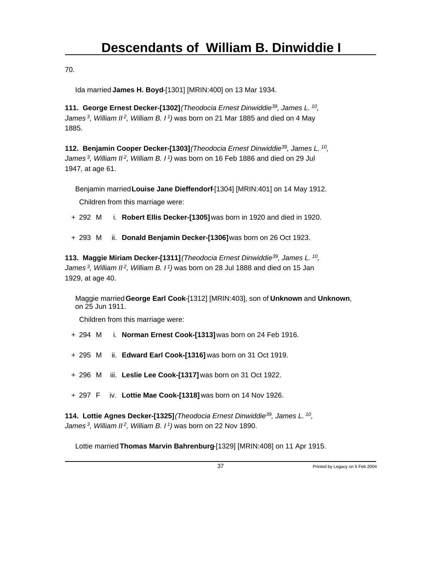70.

Ida married **James H. Boyd**-[1301] [MRIN:400] on 13 Mar 1934.

**111. George Ernest Decker-[1302]** *(Theodocia Ernest Dinwiddie<sup>39</sup>, James L.<sup>10</sup> , James<sup>3</sup>, William II<sup>2</sup>, William B. I<sup>1</sup>)* was born on 21 Mar 1885 and died on 4 May 1885.

**112. Benjamin Cooper Decker-[1303]** *(Theodocia Ernest Dinwiddie<sup>39</sup>, James L.<sup>10</sup> , James<sup>3</sup>, William II<sup>2</sup>, William B. I<sup>1</sup>)* was born on 16 Feb 1886 and died on 29 Jul 1947, at age 61.

Benjamin married **Louise Jane Dieffendorf**-[1304] [MRIN:401] on 14 May 1912.

Children from this marriage were:

+ 292 M i. **Robert Ellis Decker-[1305]** was born in 1920 and died in 1920.

+ 293 M ii. **Donald Benjamin Decker-[1306]** was born on 26 Oct 1923.

**113. Maggie Miriam Decker-[1311]** *(Theodocia Ernest Dinwiddie<sup>39</sup>, James L.<sup>10</sup> , James<sup>3</sup>, William II<sup>2</sup>, William B. I<sup>1</sup>)* was born on 28 Jul 1888 and died on 15 Jan 1929, at age 40.

Maggie married **George Earl Cook**-[1312] [MRIN:403], son of **Unknown** and **Unknown**, on 25 Jun 1911.

Children from this marriage were:

- + 294 M i. **Norman Ernest Cook-[1313]** was born on 24 Feb 1916.
- + 295 M ii. **Edward Earl Cook-[1316]** was born on 31 Oct 1919.
- + 296 M iii. **Leslie Lee Cook-[1317]** was born on 31 Oct 1922.
- + 297 F iv. **Lottie Mae Cook-[1318]** was born on 14 Nov 1926.

**114. Lottie Agnes Decker-[1325]** *(Theodocia Ernest Dinwiddie<sup>39</sup>, James L.<sup>10</sup> , James<sup>3</sup>, William II<sup>2</sup>, William B. I<sup>1</sup>)* was born on 22 Nov 1890.

Lottie married **Thomas Marvin Bahrenburg**-[1329] [MRIN:408] on 11 Apr 1915.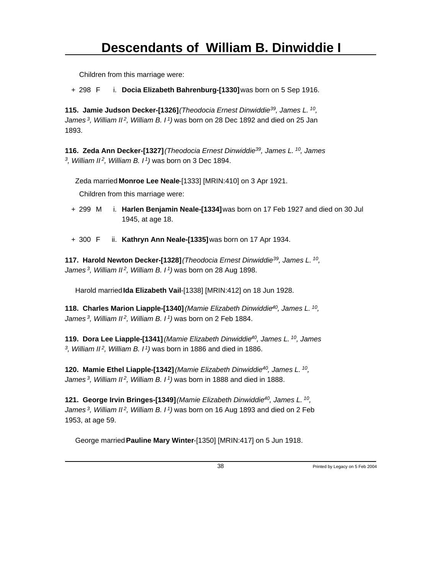+ 298 F i. **Docia Elizabeth Bahrenburg-[1330]** was born on 5 Sep 1916.

**115. Jamie Judson Decker-[1326]** *(Theodocia Ernest Dinwiddie<sup>39</sup>, James L.<sup>10</sup> , James<sup>3</sup>, William II<sup>2</sup>, William B. I<sup>1</sup>)* was born on 28 Dec 1892 and died on 25 Jan 1893.

**116. Zeda Ann Decker-[1327]** *(Theodocia Ernest Dinwiddie<sup>39</sup>, James L.<sup>10</sup>, James 3 , William II<sup>2</sup>, William B. I<sup>1</sup>)* was born on 3 Dec 1894.

Zeda married **Monroe Lee Neale**-[1333] [MRIN:410] on 3 Apr 1921.

Children from this marriage were:

- + 299 M i. **Harlen Benjamin Neale-[1334]** was born on 17 Feb 1927 and died on 30 Jul 1945, at age 18.
- + 300 F ii. **Kathryn Ann Neale-[1335]** was born on 17 Apr 1934.

**117. Harold Newton Decker-[1328]** *(Theodocia Ernest Dinwiddie<sup>39</sup>, James L.<sup>10</sup> , James<sup>3</sup>, William II<sup>2</sup>, William B. I<sup>1</sup>)* was born on 28 Aug 1898.

Harold married **Ida Elizabeth Vail**-[1338] [MRIN:412] on 18 Jun 1928.

**118. Charles Marion Liapple-[1340]** *(Mamie Elizabeth Dinwiddie<sup>40</sup>, James L.<sup>10</sup> , James<sup>3</sup>, William II<sup>2</sup>, William B. I<sup>1</sup>)* was born on 2 Feb 1884.

**119. Dora Lee Liapple-[1341]** *(Mamie Elizabeth Dinwiddie<sup>40</sup>, James L.<sup>10</sup>, James 3 , William II<sup>2</sup>, William B. I<sup>1</sup>)* was born in 1886 and died in 1886.

**120. Mamie Ethel Liapple-[1342]** *(Mamie Elizabeth Dinwiddie<sup>40</sup>, James L.<sup>10</sup> , James<sup>3</sup>, William II<sup>2</sup>, William B. I<sup>1</sup>)* was born in 1888 and died in 1888.

**121. George Irvin Bringes-[1349]** *(Mamie Elizabeth Dinwiddie<sup>40</sup>, James L.<sup>10</sup> , James<sup>3</sup>, William II<sup>2</sup>, William B. I<sup>1</sup>)* was born on 16 Aug 1893 and died on 2 Feb 1953, at age 59.

George married **Pauline Mary Winter**-[1350] [MRIN:417] on 5 Jun 1918.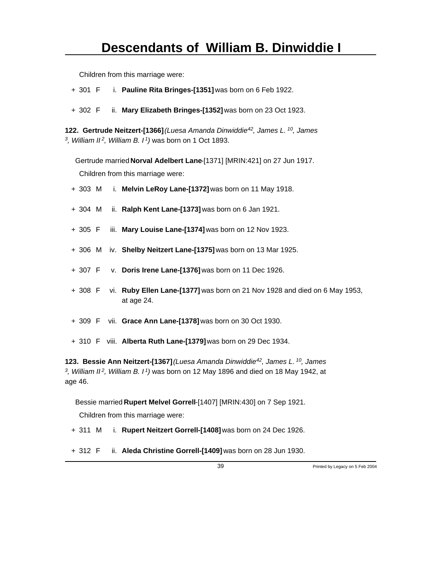- + 301 F i. **Pauline Rita Bringes-[1351]** was born on 6 Feb 1922.
- + 302 F ii. **Mary Elizabeth Bringes-[1352]** was born on 23 Oct 1923.

**122. Gertrude Neitzert-[1366]** *(Luesa Amanda Dinwiddie<sup>42</sup>, James L.<sup>10</sup>, James 3 , William II<sup>2</sup>, William B. I<sup>1</sup>)* was born on 1 Oct 1893.

Gertrude married **Norval Adelbert Lane**-[1371] [MRIN:421] on 27 Jun 1917. Children from this marriage were:

- + 303 M i. **Melvin LeRoy Lane-[1372]** was born on 11 May 1918.
- + 304 M ii. **Ralph Kent Lane-[1373]** was born on 6 Jan 1921.
- + 305 F iii. **Mary Louise Lane-[1374]** was born on 12 Nov 1923.
- + 306 M iv. **Shelby Neitzert Lane-[1375]** was born on 13 Mar 1925.
- + 307 F v. **Doris Irene Lane-[1376]** was born on 11 Dec 1926.
- + 308 F vi. **Ruby Ellen Lane-[1377]** was born on 21 Nov 1928 and died on 6 May 1953, at age 24.
- + 309 F vii. **Grace Ann Lane-[1378]** was born on 30 Oct 1930.
- + 310 F viii. **Alberta Ruth Lane-[1379]** was born on 29 Dec 1934.

**123. Bessie Ann Neitzert-[1367]** *(Luesa Amanda Dinwiddie<sup>42</sup>, James L.<sup>10</sup>, James 3 , William II<sup>2</sup>, William B. I<sup>1</sup>)* was born on 12 May 1896 and died on 18 May 1942, at age 46.

Bessie married **Rupert Melvel Gorrell**-[1407] [MRIN:430] on 7 Sep 1921.

Children from this marriage were:

+ 311 M i. **Rupert Neitzert Gorrell-[1408]** was born on 24 Dec 1926.

+ 312 F ii. **Aleda Christine Gorrell-[1409]** was born on 28 Jun 1930.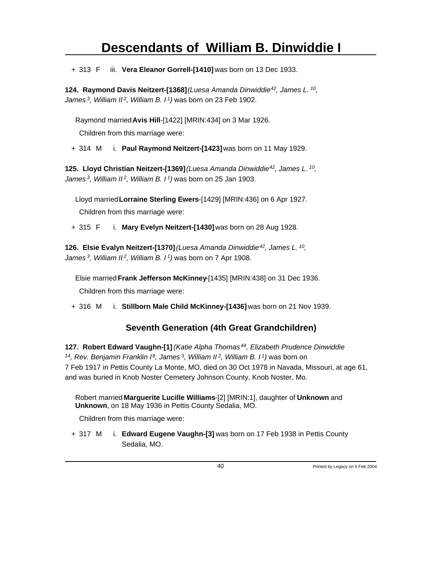+ 313 F iii. **Vera Eleanor Gorrell-[1410]** was born on 13 Dec 1933.

**124. Raymond Davis Neitzert-[1368]** *(Luesa Amanda Dinwiddie<sup>42</sup>, James L.<sup>10</sup> , James<sup>3</sup>, William II<sup>2</sup>, William B. I<sup>1</sup>)* was born on 23 Feb 1902.

Raymond married **Avis Hill**-[1422] [MRIN:434] on 3 Mar 1926.

Children from this marriage were:

+ 314 M i. **Paul Raymond Neitzert-[1423]** was born on 11 May 1929.

**125. Lloyd Christian Neitzert-[1369]** *(Luesa Amanda Dinwiddie<sup>42</sup>, James L.<sup>10</sup> , James<sup>3</sup>, William II<sup>2</sup>, William B. I<sup>1</sup>)* was born on 25 Jan 1903.

Lloyd married **Lorraine Sterling Ewers**-[1429] [MRIN:436] on 6 Apr 1927.

Children from this marriage were:

+ 315 F i. **Mary Evelyn Neitzert-[1430]** was born on 28 Aug 1928.

**126. Elsie Evalyn Neitzert-[1370]** *(Luesa Amanda Dinwiddie<sup>42</sup>, James L.<sup>10</sup> , James<sup>3</sup>, William II<sup>2</sup>, William B. I<sup>1</sup>)* was born on 7 Apr 1908.

Elsie married **Frank Jefferson McKinney**-[1435] [MRIN:438] on 31 Dec 1936.

Children from this marriage were:

+ 316 M i. **Stillborn Male Child McKinney-[1436]** was born on 21 Nov 1939.

#### **Seventh Generation (4th Great Grandchildren)**

**127. Robert Edward Vaughn-[1]** *(Katie Alpha Thomas<sup>44</sup>, Elizabeth Prudence Dinwiddie <sup>14</sup>, Rev. Benjamin Franklin I<sup>8</sup>, James<sup>3</sup>, William II<sup>2</sup>, William B. I<sup>1</sup>)* was born on 7 Feb 1917 in Pettis County La Monte, MO, died on 30 Oct 1978 in Navada, Missouri, at age 61, and was buried in Knob Noster Cemetery Johnson County, Knob Noster, Mo.

Robert married **Marguerite Lucille Williams**-[2] [MRIN:1], daughter of **Unknown** and **Unknown**, on 18 May 1936 in Pettis County Sedalia, MO.

Children from this marriage were:

+ 317 M i. **Edward Eugene Vaughn-[3]** was born on 17 Feb 1938 in Pettis County Sedalia, MO.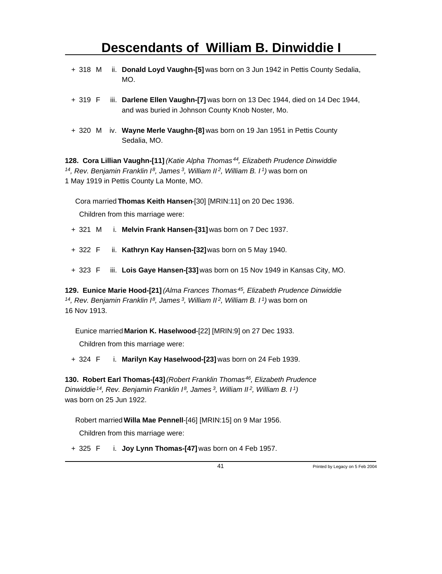- + 318 M ii. **Donald Loyd Vaughn-[5]** was born on 3 Jun 1942 in Pettis County Sedalia, MO.
- + 319 F iii. **Darlene Ellen Vaughn-[7]** was born on 13 Dec 1944, died on 14 Dec 1944, and was buried in Johnson County Knob Noster, Mo.
- + 320 M iv. **Wayne Merle Vaughn-[8]** was born on 19 Jan 1951 in Pettis County Sedalia, MO.

**128. Cora Lillian Vaughn-[11]** *(Katie Alpha Thomas<sup>44</sup>, Elizabeth Prudence Dinwiddie <sup>14</sup>, Rev. Benjamin Franklin I<sup>8</sup>, James<sup>3</sup>, William II<sup>2</sup>, William B. I<sup>1</sup>)* was born on 1 May 1919 in Pettis County La Monte, MO.

Cora married **Thomas Keith Hansen**-[30] [MRIN:11] on 20 Dec 1936.

Children from this marriage were:

- + 321 M i. **Melvin Frank Hansen-[31]** was born on 7 Dec 1937.
- + 322 F ii. **Kathryn Kay Hansen-[32]** was born on 5 May 1940.
- + 323 F iii. **Lois Gaye Hansen-[33]** was born on 15 Nov 1949 in Kansas City, MO.

**129. Eunice Marie Hood-[21]** *(Alma Frances Thomas<sup>45</sup>, Elizabeth Prudence Dinwiddie <sup>14</sup>, Rev. Benjamin Franklin I<sup>8</sup>, James<sup>3</sup>, William II<sup>2</sup>, William B. I<sup>1</sup>)* was born on 16 Nov 1913.

Eunice married **Marion K. Haselwood**-[22] [MRIN:9] on 27 Dec 1933.

Children from this marriage were:

+ 324 F i. **Marilyn Kay Haselwood-[23]** was born on 24 Feb 1939.

**130. Robert Earl Thomas-[43]** *(Robert Franklin Thomas<sup>46</sup>, Elizabeth Prudence Dinwiddie<sup>14</sup>, Rev. Benjamin Franklin I<sup>8</sup>, James<sup>3</sup>, William II<sup>2</sup>, William B. I<sup>1</sup>)* was born on 25 Jun 1922.

Robert married **Willa Mae Pennell**-[46] [MRIN:15] on 9 Mar 1956.

Children from this marriage were:

+ 325 F i. **Joy Lynn Thomas-[47]** was born on 4 Feb 1957.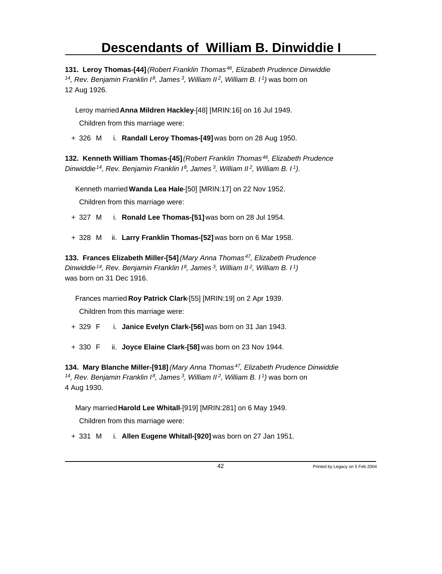**131. Leroy Thomas-[44]** *(Robert Franklin Thomas<sup>46</sup>, Elizabeth Prudence Dinwiddie <sup>14</sup>, Rev. Benjamin Franklin I<sup>8</sup>, James<sup>3</sup>, William II<sup>2</sup>, William B. I<sup>1</sup>)* was born on 12 Aug 1926.

Leroy married **Anna Mildren Hackley**-[48] [MRIN:16] on 16 Jul 1949.

Children from this marriage were:

+ 326 M i. **Randall Leroy Thomas-[49]** was born on 28 Aug 1950.

**132. Kenneth William Thomas-[45]** *(Robert Franklin Thomas<sup>46</sup>, Elizabeth Prudence Dinwiddie<sup>14</sup>, Rev. Benjamin Franklin I<sup>8</sup>, James<sup>3</sup>, William II<sup>2</sup>, William B. I<sup>1</sup>)*.

Kenneth married **Wanda Lea Hale**-[50] [MRIN:17] on 22 Nov 1952.

Children from this marriage were:

- + 327 M i. **Ronald Lee Thomas-[51]** was born on 28 Jul 1954.
- + 328 M ii. **Larry Franklin Thomas-[52]** was born on 6 Mar 1958.

**133. Frances Elizabeth Miller-[54]** *(Mary Anna Thomas<sup>47</sup>, Elizabeth Prudence Dinwiddie<sup>14</sup>, Rev. Benjamin Franklin I<sup>8</sup>, James<sup>3</sup>, William II<sup>2</sup>, William B. I<sup>1</sup>)* was born on 31 Dec 1916.

Frances married **Roy Patrick Clark**-[55] [MRIN:19] on 2 Apr 1939.

Children from this marriage were:

- + 329 F i. **Janice Evelyn Clark-[56]** was born on 31 Jan 1943.
- + 330 F ii. **Joyce Elaine Clark-[58]** was born on 23 Nov 1944.

**134. Mary Blanche Miller-[918]** *(Mary Anna Thomas<sup>47</sup>, Elizabeth Prudence Dinwiddie <sup>14</sup>, Rev. Benjamin Franklin I<sup>8</sup>, James<sup>3</sup>, William II<sup>2</sup>, William B. I<sup>1</sup>)* was born on 4 Aug 1930.

Mary married **Harold Lee Whitall**-[919] [MRIN:281] on 6 May 1949.

Children from this marriage were:

+ 331 M i. **Allen Eugene Whitall-[920]** was born on 27 Jan 1951.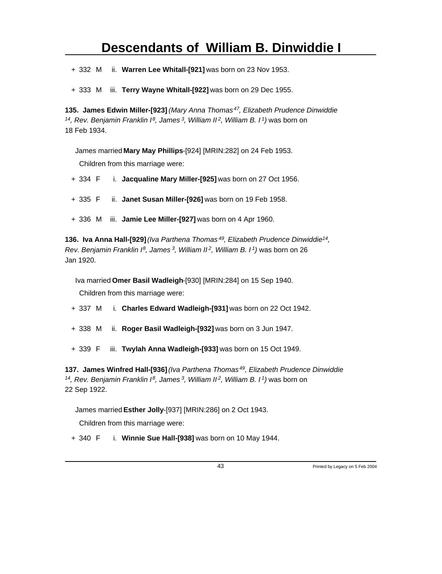+ 332 M ii. **Warren Lee Whitall-[921]** was born on 23 Nov 1953.

+ 333 M iii. **Terry Wayne Whitall-[922]** was born on 29 Dec 1955.

**135. James Edwin Miller-[923]** *(Mary Anna Thomas<sup>47</sup>, Elizabeth Prudence Dinwiddie <sup>14</sup>, Rev. Benjamin Franklin I<sup>8</sup>, James<sup>3</sup>, William II<sup>2</sup>, William B. I<sup>1</sup>)* was born on 18 Feb 1934.

James married **Mary May Phillips**-[924] [MRIN:282] on 24 Feb 1953. Children from this marriage were:

+ 334 F i. **Jacqualine Mary Miller-[925]** was born on 27 Oct 1956.

+ 335 F ii. **Janet Susan Miller-[926]** was born on 19 Feb 1958.

+ 336 M iii. **Jamie Lee Miller-[927]** was born on 4 Apr 1960.

**136. Iva Anna Hall-[929]** *(Iva Parthena Thomas<sup>49</sup>, Elizabeth Prudence Dinwiddie<sup>14</sup> , Rev. Benjamin Franklin I<sup>8</sup>, James<sup>3</sup>, William II<sup>2</sup>, William B. I<sup>1</sup>)* was born on 26 Jan 1920.

Iva married **Omer Basil Wadleigh**-[930] [MRIN:284] on 15 Sep 1940.

Children from this marriage were:

- + 337 M i. **Charles Edward Wadleigh-[931]** was born on 22 Oct 1942.
- + 338 M ii. **Roger Basil Wadleigh-[932]** was born on 3 Jun 1947.
- + 339 F iii. **Twylah Anna Wadleigh-[933]** was born on 15 Oct 1949.

**137. James Winfred Hall-[936]** *(Iva Parthena Thomas<sup>49</sup>, Elizabeth Prudence Dinwiddie <sup>14</sup>, Rev. Benjamin Franklin I<sup>8</sup>, James<sup>3</sup>, William II<sup>2</sup>, William B. I<sup>1</sup>)* was born on 22 Sep 1922.

James married **Esther Jolly**-[937] [MRIN:286] on 2 Oct 1943.

Children from this marriage were:

+ 340 F i. **Winnie Sue Hall-[938]** was born on 10 May 1944.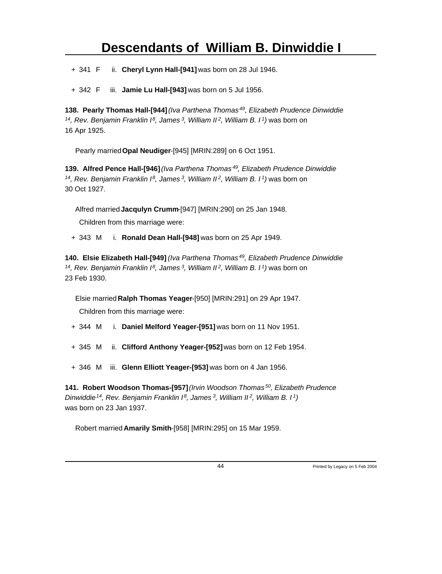+ 341 F ii. **Cheryl Lynn Hall-[941]** was born on 28 Jul 1946.

+ 342 F iii. **Jamie Lu Hall-[943]** was born on 5 Jul 1956.

**138. Pearly Thomas Hall-[944]** *(Iva Parthena Thomas<sup>49</sup>, Elizabeth Prudence Dinwiddie <sup>14</sup>, Rev. Benjamin Franklin I<sup>8</sup>, James<sup>3</sup>, William II<sup>2</sup>, William B. I<sup>1</sup>)* was born on 16 Apr 1925.

Pearly married **Opal Neudiger**-[945] [MRIN:289] on 6 Oct 1951.

**139. Alfred Pence Hall-[946]** *(Iva Parthena Thomas<sup>49</sup>, Elizabeth Prudence Dinwiddie <sup>14</sup>, Rev. Benjamin Franklin I<sup>8</sup>, James<sup>3</sup>, William II<sup>2</sup>, William B. I<sup>1</sup>)* was born on 30 Oct 1927.

Alfred married **Jacqulyn Crumm**-[947] [MRIN:290] on 25 Jan 1948.

Children from this marriage were:

+ 343 M i. **Ronald Dean Hall-[948]** was born on 25 Apr 1949.

**140. Elsie Elizabeth Hall-[949]** *(Iva Parthena Thomas<sup>49</sup>, Elizabeth Prudence Dinwiddie <sup>14</sup>, Rev. Benjamin Franklin I<sup>8</sup>, James<sup>3</sup>, William II<sup>2</sup>, William B. I<sup>1</sup>)* was born on 23 Feb 1930.

Elsie married **Ralph Thomas Yeager**-[950] [MRIN:291] on 29 Apr 1947.

Children from this marriage were:

- + 344 M i. **Daniel Melford Yeager-[951]** was born on 11 Nov 1951.
- + 345 M ii. **Clifford Anthony Yeager-[952]** was born on 12 Feb 1954.
- + 346 M iii. **Glenn Elliott Yeager-[953]** was born on 4 Jan 1956.

**141. Robert Woodson Thomas-[957]** *(Irvin Woodson Thomas<sup>50</sup>, Elizabeth Prudence Dinwiddie<sup>14</sup>, Rev. Benjamin Franklin I<sup>8</sup>, James<sup>3</sup>, William II<sup>2</sup>, William B. I<sup>1</sup>)* was born on 23 Jan 1937.

Robert married **Amarily Smith**-[958] [MRIN:295] on 15 Mar 1959.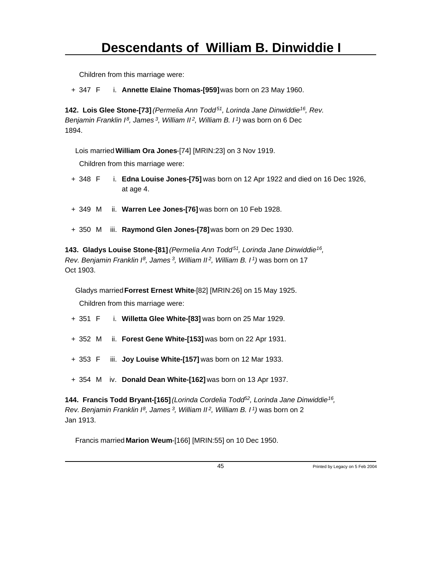+ 347 F i. **Annette Elaine Thomas-[959]** was born on 23 May 1960.

**142. Lois Glee Stone-[73]** *(Permelia Ann Todd<sup>51</sup>, Lorinda Jane Dinwiddie<sup>16</sup>, Rev. Benjamin Franklin I<sup>8</sup>, James<sup>3</sup>, William II<sup>2</sup>, William B. I<sup>1</sup>)* was born on 6 Dec 1894.

Lois married **William Ora Jones**-[74] [MRIN:23] on 3 Nov 1919.

Children from this marriage were:

- + 348 F i. **Edna Louise Jones-[75]** was born on 12 Apr 1922 and died on 16 Dec 1926, at age 4.
- + 349 M ii. **Warren Lee Jones-[76]** was born on 10 Feb 1928.
- + 350 M iii. **Raymond Glen Jones-[78]** was born on 29 Dec 1930.

**143. Gladys Louise Stone-[81]** *(Permelia Ann Todd<sup>51</sup>, Lorinda Jane Dinwiddie<sup>16</sup> , Rev. Benjamin Franklin I<sup>8</sup>, James<sup>3</sup>, William II<sup>2</sup>, William B. I<sup>1</sup>)* was born on 17 Oct 1903.

Gladys married **Forrest Ernest White**-[82] [MRIN:26] on 15 May 1925.

Children from this marriage were:

- + 351 F i. **Willetta Glee White-[83]** was born on 25 Mar 1929.
- + 352 M ii. **Forest Gene White-[153]** was born on 22 Apr 1931.
- + 353 F iii. **Joy Louise White-[157]** was born on 12 Mar 1933.
- + 354 M iv. **Donald Dean White-[162]** was born on 13 Apr 1937.

**144. Francis Todd Bryant-[165]** *(Lorinda Cordelia Todd<sup>52</sup>, Lorinda Jane Dinwiddie<sup>16</sup> , Rev. Benjamin Franklin I<sup>8</sup>, James<sup>3</sup>, William II<sup>2</sup>, William B. I<sup>1</sup>)* was born on 2 Jan 1913.

Francis married **Marion Weum**-[166] [MRIN:55] on 10 Dec 1950.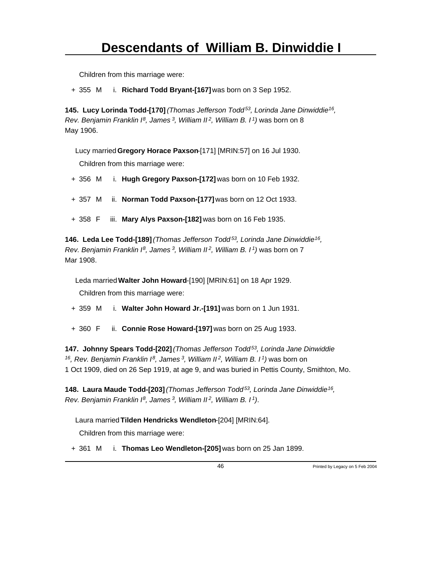+ 355 M i. **Richard Todd Bryant-[167]** was born on 3 Sep 1952.

**145. Lucy Lorinda Todd-[170]** *(Thomas Jefferson Todd<sup>53</sup>, Lorinda Jane Dinwiddie<sup>16</sup> , Rev. Benjamin Franklin I<sup>8</sup>, James<sup>3</sup>, William II<sup>2</sup>, William B. I<sup>1</sup>)* was born on 8 May 1906.

Lucy married **Gregory Horace Paxson**-[171] [MRIN:57] on 16 Jul 1930. Children from this marriage were:

+ 356 M i. **Hugh Gregory Paxson-[172]** was born on 10 Feb 1932.

+ 357 M ii. **Norman Todd Paxson-[177]** was born on 12 Oct 1933.

+ 358 F iii. **Mary Alys Paxson-[182]** was born on 16 Feb 1935.

**146. Leda Lee Todd-[189]** *(Thomas Jefferson Todd<sup>53</sup>, Lorinda Jane Dinwiddie<sup>16</sup> , Rev. Benjamin Franklin I<sup>8</sup>, James<sup>3</sup>, William II<sup>2</sup>, William B. I<sup>1</sup>)* was born on 7 Mar 1908.

Leda married **Walter John Howard**-[190] [MRIN:61] on 18 Apr 1929. Children from this marriage were:

+ 359 M i. **Walter John Howard Jr.-[191]** was born on 1 Jun 1931.

+ 360 F ii. **Connie Rose Howard-[197]** was born on 25 Aug 1933.

**147. Johnny Spears Todd-[202]** *(Thomas Jefferson Todd<sup>53</sup>, Lorinda Jane Dinwiddie <sup>16</sup>, Rev. Benjamin Franklin I<sup>8</sup>, James<sup>3</sup>, William II<sup>2</sup>, William B. I<sup>1</sup>)* was born on 1 Oct 1909, died on 26 Sep 1919, at age 9, and was buried in Pettis County, Smithton, Mo.

**148. Laura Maude Todd-[203]** *(Thomas Jefferson Todd<sup>53</sup>, Lorinda Jane Dinwiddie<sup>16</sup> , Rev. Benjamin Franklin I<sup>8</sup>, James<sup>3</sup>, William II<sup>2</sup>, William B. I<sup>1</sup>)*.

Laura married **Tilden Hendricks Wendleton**-[204] [MRIN:64].

Children from this marriage were:

+ 361 M i. **Thomas Leo Wendleton-[205]** was born on 25 Jan 1899.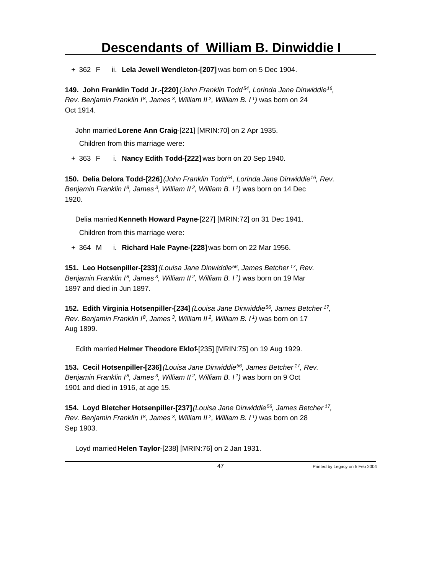+ 362 F ii. **Lela Jewell Wendleton-[207]** was born on 5 Dec 1904.

**149. John Franklin Todd Jr.-[220]** *(John Franklin Todd<sup>54</sup>, Lorinda Jane Dinwiddie<sup>16</sup> , Rev. Benjamin Franklin I<sup>8</sup>, James<sup>3</sup>, William II<sup>2</sup>, William B. I<sup>1</sup>)* was born on 24 Oct 1914.

John married **Lorene Ann Craig**-[221] [MRIN:70] on 2 Apr 1935.

Children from this marriage were:

+ 363 F i. **Nancy Edith Todd-[222]** was born on 20 Sep 1940.

**150. Delia Delora Todd-[226]** *(John Franklin Todd<sup>54</sup>, Lorinda Jane Dinwiddie<sup>16</sup>, Rev. Benjamin Franklin I<sup>8</sup>, James<sup>3</sup>, William II<sup>2</sup>, William B. I<sup>1</sup>)* was born on 14 Dec 1920.

Delia married **Kenneth Howard Payne**-[227] [MRIN:72] on 31 Dec 1941.

Children from this marriage were:

+ 364 M i. **Richard Hale Payne-[228]** was born on 22 Mar 1956.

**151. Leo Hotsenpiller-[233]** *(Louisa Jane Dinwiddie<sup>56</sup>, James Betcher<sup>17</sup>, Rev. Benjamin Franklin I<sup>8</sup>, James<sup>3</sup>, William II<sup>2</sup>, William B. I<sup>1</sup>)* was born on 19 Mar 1897 and died in Jun 1897.

**152. Edith Virginia Hotsenpiller-[234]** *(Louisa Jane Dinwiddie<sup>56</sup>, James Betcher<sup>17</sup> , Rev. Benjamin Franklin I<sup>8</sup>, James<sup>3</sup>, William II<sup>2</sup>, William B. I<sup>1</sup>)* was born on 17 Aug 1899.

Edith married **Helmer Theodore Eklof**-[235] [MRIN:75] on 19 Aug 1929.

**153. Cecil Hotsenpiller-[236]** *(Louisa Jane Dinwiddie<sup>56</sup>, James Betcher<sup>17</sup>, Rev. Benjamin Franklin I<sup>8</sup>, James<sup>3</sup>, William II<sup>2</sup>, William B. I<sup>1</sup>)* was born on 9 Oct 1901 and died in 1916, at age 15.

**154. Loyd Bletcher Hotsenpiller-[237]** *(Louisa Jane Dinwiddie<sup>56</sup>, James Betcher<sup>17</sup> , Rev. Benjamin Franklin I<sup>8</sup>, James<sup>3</sup>, William II<sup>2</sup>, William B. I<sup>1</sup>)* was born on 28 Sep 1903.

Loyd married **Helen Taylor**-[238] [MRIN:76] on 2 Jan 1931.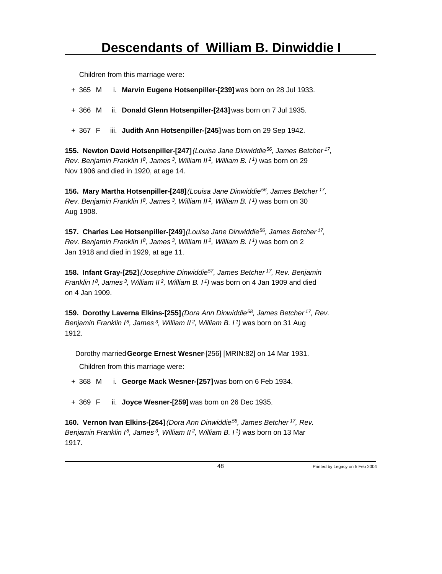+ 365 M i. **Marvin Eugene Hotsenpiller-[239]** was born on 28 Jul 1933.

- + 366 M ii. **Donald Glenn Hotsenpiller-[243]** was born on 7 Jul 1935.
- + 367 F iii. **Judith Ann Hotsenpiller-[245]** was born on 29 Sep 1942.

**155. Newton David Hotsenpiller-[247]** *(Louisa Jane Dinwiddie<sup>56</sup>, James Betcher<sup>17</sup> , Rev. Benjamin Franklin I<sup>8</sup>, James<sup>3</sup>, William II<sup>2</sup>, William B. I<sup>1</sup>)* was born on 29 Nov 1906 and died in 1920, at age 14.

**156. Mary Martha Hotsenpiller-[248]** *(Louisa Jane Dinwiddie<sup>56</sup>, James Betcher<sup>17</sup> , Rev. Benjamin Franklin I<sup>8</sup>, James<sup>3</sup>, William II<sup>2</sup>, William B. I<sup>1</sup>)* was born on 30 Aug 1908.

**157. Charles Lee Hotsenpiller-[249]** *(Louisa Jane Dinwiddie<sup>56</sup>, James Betcher<sup>17</sup> , Rev. Benjamin Franklin I<sup>8</sup>, James<sup>3</sup>, William II<sup>2</sup>, William B. I<sup>1</sup>)* was born on 2 Jan 1918 and died in 1929, at age 11.

**158. Infant Gray-[252]** *(Josephine Dinwiddie<sup>57</sup>, James Betcher<sup>17</sup>, Rev. Benjamin Franklin I<sup>8</sup>, James<sup>3</sup>, William II<sup>2</sup>, William B. I<sup>1</sup>)* was born on 4 Jan 1909 and died on 4 Jan 1909.

**159. Dorothy Laverna Elkins-[255]** *(Dora Ann Dinwiddie<sup>58</sup>, James Betcher<sup>17</sup>, Rev. Benjamin Franklin I<sup>8</sup>, James<sup>3</sup>, William II<sup>2</sup>, William B. I<sup>1</sup>)* was born on 31 Aug 1912.

Dorothy married **George Ernest Wesner**-[256] [MRIN:82] on 14 Mar 1931.

Children from this marriage were:

+ 368 M i. **George Mack Wesner-[257]** was born on 6 Feb 1934.

+ 369 F ii. **Joyce Wesner-[259]** was born on 26 Dec 1935.

**160. Vernon Ivan Elkins-[264]** *(Dora Ann Dinwiddie<sup>58</sup>, James Betcher<sup>17</sup>, Rev. Benjamin Franklin I<sup>8</sup>, James<sup>3</sup>, William II<sup>2</sup>, William B. I<sup>1</sup>)* was born on 13 Mar 1917.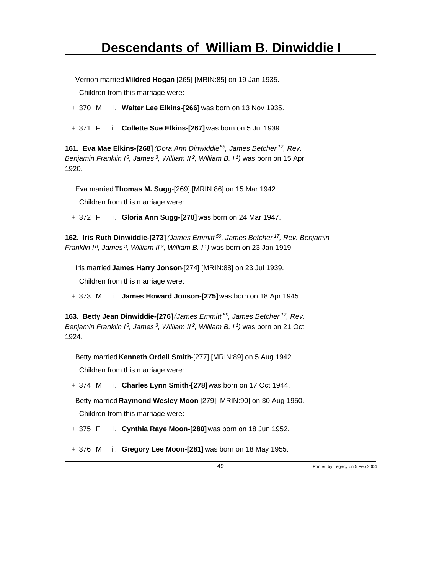Vernon married **Mildred Hogan**-[265] [MRIN:85] on 19 Jan 1935.

Children from this marriage were:

- + 370 M i. **Walter Lee Elkins-[266]** was born on 13 Nov 1935.
- + 371 F ii. **Collette Sue Elkins-[267]** was born on 5 Jul 1939.

**161. Eva Mae Elkins-[268]** *(Dora Ann Dinwiddie<sup>58</sup>, James Betcher<sup>17</sup>, Rev. Benjamin Franklin I<sup>8</sup>, James<sup>3</sup>, William II<sup>2</sup>, William B. I<sup>1</sup>)* was born on 15 Apr 1920.

Eva married **Thomas M. Sugg**-[269] [MRIN:86] on 15 Mar 1942.

Children from this marriage were:

+ 372 F i. **Gloria Ann Sugg-[270]** was born on 24 Mar 1947.

**162. Iris Ruth Dinwiddie-[273]** *(James Emmitt<sup>59</sup>, James Betcher<sup>17</sup>, Rev. Benjamin Franklin I<sup>8</sup>, James<sup>3</sup>, William II<sup>2</sup>, William B. I<sup>1</sup>)* was born on 23 Jan 1919.

Iris married **James Harry Jonson**-[274] [MRIN:88] on 23 Jul 1939.

Children from this marriage were:

+ 373 M i. **James Howard Jonson-[275]** was born on 18 Apr 1945.

**163. Betty Jean Dinwiddie-[276]** *(James Emmitt<sup>59</sup>, James Betcher<sup>17</sup>, Rev. Benjamin Franklin I<sup>8</sup>, James<sup>3</sup>, William II<sup>2</sup>, William B. I<sup>1</sup>)* was born on 21 Oct 1924.

Betty married **Kenneth Ordell Smith**-[277] [MRIN:89] on 5 Aug 1942.

Children from this marriage were:

+ 374 M i. **Charles Lynn Smith-[278]** was born on 17 Oct 1944.

Betty married **Raymond Wesley Moon**-[279] [MRIN:90] on 30 Aug 1950.

Children from this marriage were:

+ 375 F i. **Cynthia Raye Moon-[280]** was born on 18 Jun 1952.

+ 376 M ii. **Gregory Lee Moon-[281]** was born on 18 May 1955.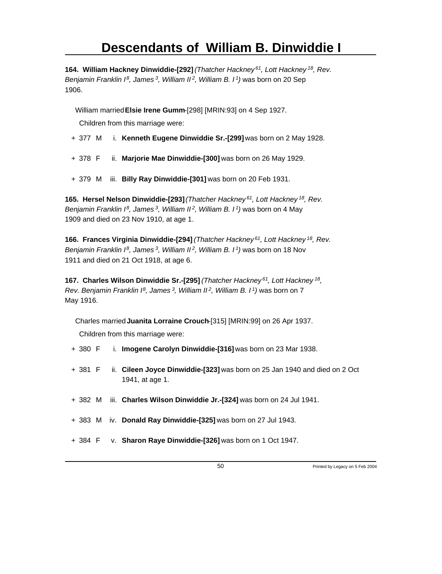**164. William Hackney Dinwiddie-[292]** *(Thatcher Hackney<sup>61</sup>, Lott Hackney<sup>18</sup>, Rev. Benjamin Franklin I<sup>8</sup>, James<sup>3</sup>, William II<sup>2</sup>, William B. I<sup>1</sup>)* was born on 20 Sep 1906.

William married **Elsie Irene Gumm**-[298] [MRIN:93] on 4 Sep 1927.

Children from this marriage were:

- + 377 M i. **Kenneth Eugene Dinwiddie Sr.-[299]** was born on 2 May 1928.
- + 378 F ii. **Marjorie Mae Dinwiddie-[300]** was born on 26 May 1929.
- + 379 M iii. **Billy Ray Dinwiddie-[301]** was born on 20 Feb 1931.

**165. Hersel Nelson Dinwiddie-[293]** *(Thatcher Hackney<sup>61</sup>, Lott Hackney<sup>18</sup>, Rev. Benjamin Franklin I<sup>8</sup>, James<sup>3</sup>, William II<sup>2</sup>, William B. I<sup>1</sup>)* was born on 4 May 1909 and died on 23 Nov 1910, at age 1.

**166. Frances Virginia Dinwiddie-[294]** *(Thatcher Hackney<sup>61</sup>, Lott Hackney<sup>18</sup>, Rev. Benjamin Franklin I<sup>8</sup>, James<sup>3</sup>, William II<sup>2</sup>, William B. I<sup>1</sup>)* was born on 18 Nov 1911 and died on 21 Oct 1918, at age 6.

**167. Charles Wilson Dinwiddie Sr.-[295]** *(Thatcher Hackney<sup>61</sup>, Lott Hackney<sup>18</sup> , Rev. Benjamin Franklin I<sup>8</sup>, James<sup>3</sup>, William II<sup>2</sup>, William B. I<sup>1</sup>)* was born on 7 May 1916.

Charles married **Juanita Lorraine Crouch**-[315] [MRIN:99] on 26 Apr 1937.

Children from this marriage were:

- + 380 F i. **Imogene Carolyn Dinwiddie-[316]** was born on 23 Mar 1938.
- + 381 F ii. **Cileen Joyce Dinwiddie-[323]** was born on 25 Jan 1940 and died on 2 Oct 1941, at age 1.
- + 382 M iii. **Charles Wilson Dinwiddie Jr.-[324]** was born on 24 Jul 1941.
- + 383 M iv. **Donald Ray Dinwiddie-[325]** was born on 27 Jul 1943.
- + 384 F v. **Sharon Raye Dinwiddie-[326]** was born on 1 Oct 1947.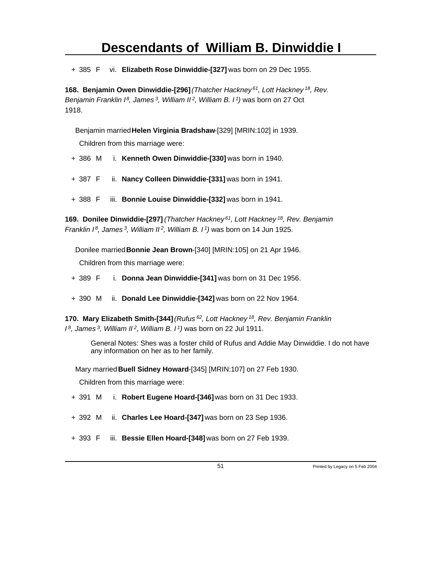+ 385 F vi. **Elizabeth Rose Dinwiddie-[327]** was born on 29 Dec 1955.

**168. Benjamin Owen Dinwiddie-[296]** *(Thatcher Hackney<sup>61</sup>, Lott Hackney<sup>18</sup>, Rev. Benjamin Franklin I<sup>8</sup>, James<sup>3</sup>, William II<sup>2</sup>, William B. I<sup>1</sup>)* was born on 27 Oct 1918.

Benjamin married **Helen Virginia Bradshaw**-[329] [MRIN:102] in 1939.

Children from this marriage were:

- + 386 M i. **Kenneth Owen Dinwiddie-[330]** was born in 1940.
- + 387 F ii. **Nancy Colleen Dinwiddie-[331]** was born in 1941.
- + 388 F iii. **Bonnie Louise Dinwiddie-[332]** was born in 1941.

**169. Donilee Dinwiddie-[297]** *(Thatcher Hackney<sup>61</sup>, Lott Hackney<sup>18</sup>, Rev. Benjamin Franklin I<sup>8</sup>, James<sup>3</sup>, William II<sup>2</sup>, William B. I<sup>1</sup>)* was born on 14 Jun 1925.

Donilee married **Bonnie Jean Brown**-[340] [MRIN:105] on 21 Apr 1946. Children from this marriage were:

- + 389 F i. **Donna Jean Dinwiddie-[341]** was born on 31 Dec 1956.
- + 390 M ii. **Donald Lee Dinwiddie-[342]** was born on 22 Nov 1964.

**170. Mary Elizabeth Smith-[344]** *(Rufus<sup>62</sup>, Lott Hackney<sup>18</sup>, Rev. Benjamin Franklin I <sup>8</sup>, James<sup>3</sup>, William II<sup>2</sup>, William B. I<sup>1</sup>)* was born on 22 Jul 1911.

General Notes: Shes was a foster child of Rufus and Addie May Dinwiddie. I do not have any information on her as to her family.

Mary married **Buell Sidney Howard**-[345] [MRIN:107] on 27 Feb 1930.

Children from this marriage were:

- + 391 M i. **Robert Eugene Hoard-[346]** was born on 31 Dec 1933.
- + 392 M ii. **Charles Lee Hoard-[347]** was born on 23 Sep 1936.
- + 393 F iii. **Bessie Ellen Hoard-[348]** was born on 27 Feb 1939.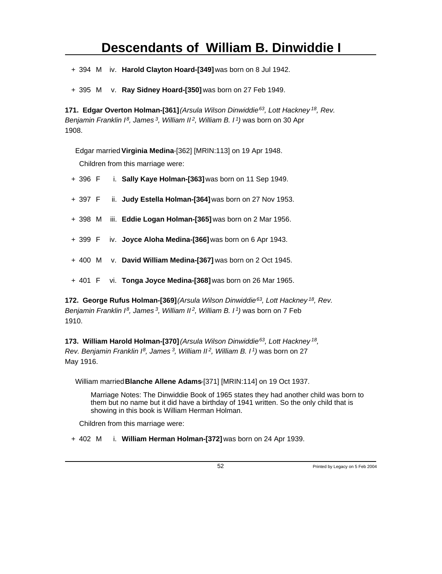+ 394 M iv. **Harold Clayton Hoard-[349]** was born on 8 Jul 1942.

+ 395 M v. **Ray Sidney Hoard-[350]** was born on 27 Feb 1949.

**171. Edgar Overton Holman-[361]** *(Arsula Wilson Dinwiddie<sup>63</sup>, Lott Hackney<sup>18</sup>, Rev. Benjamin Franklin I<sup>8</sup>, James<sup>3</sup>, William II<sup>2</sup>, William B. I<sup>1</sup>)* was born on 30 Apr 1908.

Edgar married **Virginia Medina**-[362] [MRIN:113] on 19 Apr 1948. Children from this marriage were:

- + 396 F i. **Sally Kaye Holman-[363]** was born on 11 Sep 1949.
- + 397 F ii. **Judy Estella Holman-[364]** was born on 27 Nov 1953.
- + 398 M iii. **Eddie Logan Holman-[365]** was born on 2 Mar 1956.
- + 399 F iv. **Joyce Aloha Medina-[366]** was born on 6 Apr 1943.
- + 400 M v. **David William Medina-[367]** was born on 2 Oct 1945.
- + 401 F vi. **Tonga Joyce Medina-[368]** was born on 26 Mar 1965.

**172. George Rufus Holman-[369]** *(Arsula Wilson Dinwiddie<sup>63</sup>, Lott Hackney<sup>18</sup>, Rev. Benjamin Franklin I<sup>8</sup>, James<sup>3</sup>, William II<sup>2</sup>, William B. I<sup>1</sup>)* was born on 7 Feb 1910.

**173. William Harold Holman-[370]** *(Arsula Wilson Dinwiddie<sup>63</sup>, Lott Hackney<sup>18</sup> , Rev. Benjamin Franklin I<sup>8</sup>, James<sup>3</sup>, William II<sup>2</sup>, William B. I<sup>1</sup>)* was born on 27 May 1916.

William married **Blanche Allene Adams**-[371] [MRIN:114] on 19 Oct 1937.

Marriage Notes: The Dinwiddie Book of 1965 states they had another child was born to them but no name but it did have a birthday of 1941 written. So the only child that is showing in this book is William Herman Holman.

Children from this marriage were:

+ 402 M i. **William Herman Holman-[372]** was born on 24 Apr 1939.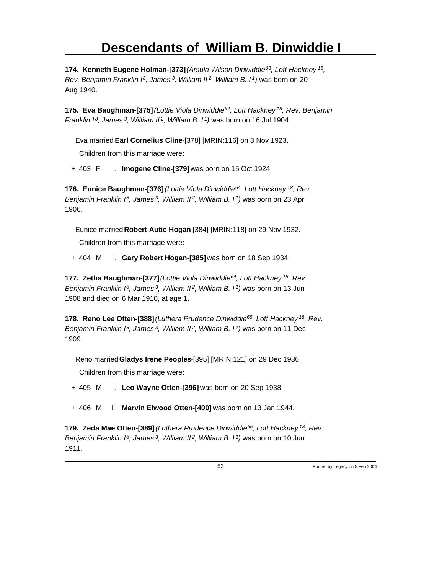**174. Kenneth Eugene Holman-[373]** *(Arsula Wilson Dinwiddie<sup>63</sup>, Lott Hackney<sup>18</sup> , Rev. Benjamin Franklin I<sup>8</sup>, James<sup>3</sup>, William II<sup>2</sup>, William B. I<sup>1</sup>)* was born on 20 Aug 1940.

**175. Eva Baughman-[375]** *(Lottie Viola Dinwiddie<sup>64</sup>, Lott Hackney<sup>18</sup>, Rev. Benjamin Franklin I<sup>8</sup>, James<sup>3</sup>, William II<sup>2</sup>, William B. I<sup>1</sup>)* was born on 16 Jul 1904.

Eva married **Earl Cornelius Cline**-[378] [MRIN:116] on 3 Nov 1923.

Children from this marriage were:

+ 403 F i. **Imogene Cline-[379]** was born on 15 Oct 1924.

**176. Eunice Baughman-[376]** *(Lottie Viola Dinwiddie<sup>64</sup>, Lott Hackney<sup>18</sup>, Rev. Benjamin Franklin I<sup>8</sup>, James<sup>3</sup>, William II<sup>2</sup>, William B. I<sup>1</sup>)* was born on 23 Apr 1906.

Eunice married **Robert Autie Hogan**-[384] [MRIN:118] on 29 Nov 1932.

Children from this marriage were:

+ 404 M i. **Gary Robert Hogan-[385]** was born on 18 Sep 1934.

**177. Zetha Baughman-[377]** *(Lottie Viola Dinwiddie<sup>64</sup>, Lott Hackney<sup>18</sup>, Rev. Benjamin Franklin I<sup>8</sup>, James<sup>3</sup>, William II<sup>2</sup>, William B. I<sup>1</sup>)* was born on 13 Jun 1908 and died on 6 Mar 1910, at age 1.

**178. Reno Lee Otten-[388]** *(Luthera Prudence Dinwiddie<sup>65</sup>, Lott Hackney<sup>18</sup>, Rev. Benjamin Franklin I<sup>8</sup>, James<sup>3</sup>, William II<sup>2</sup>, William B. I<sup>1</sup>)* was born on 11 Dec 1909.

Reno married **Gladys Irene Peoples**-[395] [MRIN:121] on 29 Dec 1936.

Children from this marriage were:

+ 405 M i. **Leo Wayne Otten-[396]** was born on 20 Sep 1938.

+ 406 M ii. **Marvin Elwood Otten-[400]** was born on 13 Jan 1944.

**179. Zeda Mae Otten-[389]** *(Luthera Prudence Dinwiddie<sup>65</sup>, Lott Hackney<sup>18</sup>, Rev. Benjamin Franklin I<sup>8</sup>, James<sup>3</sup>, William II<sup>2</sup>, William B. I<sup>1</sup>)* was born on 10 Jun 1911.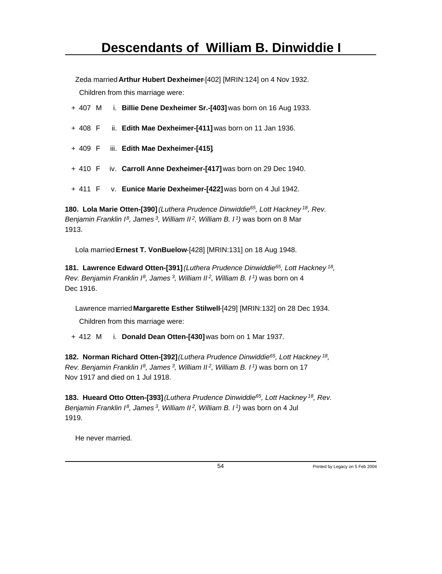Zeda married **Arthur Hubert Dexheimer**-[402] [MRIN:124] on 4 Nov 1932. Children from this marriage were:

|  |  | + 407 M i. Billie Dene Dexheimer Sr.-[403] was born on 16 Aug 1933. |
|--|--|---------------------------------------------------------------------|
|  |  | + 408 F ii. Edith Mae Dexheimer-[411] was born on 11 Jan 1936.      |
|  |  | + 409 F iii. Edith Mae Dexheimer-[415].                             |
|  |  | + 410 F iv. Carroll Anne Dexheimer-[417] was born on 29 Dec 1940.   |
|  |  | $+$ 411 F v. Eunice Marie Dexheimer-[422] was born on 4 Jul 1942.   |

**180. Lola Marie Otten-[390]** *(Luthera Prudence Dinwiddie<sup>65</sup>, Lott Hackney<sup>18</sup>, Rev. Benjamin Franklin I<sup>8</sup>, James<sup>3</sup>, William II<sup>2</sup>, William B. I<sup>1</sup>)* was born on 8 Mar 1913.

Lola married **Ernest T. VonBuelow**-[428] [MRIN:131] on 18 Aug 1948.

**181. Lawrence Edward Otten-[391]** *(Luthera Prudence Dinwiddie<sup>65</sup>, Lott Hackney<sup>18</sup> , Rev. Benjamin Franklin I<sup>8</sup>, James<sup>3</sup>, William II<sup>2</sup>, William B. I<sup>1</sup>)* was born on 4 Dec 1916.

Lawrence married **Margarette Esther Stilwell**-[429] [MRIN:132] on 28 Dec 1934.

Children from this marriage were:

+ 412 M i. **Donald Dean Otten-[430]** was born on 1 Mar 1937.

**182. Norman Richard Otten-[392]** *(Luthera Prudence Dinwiddie<sup>65</sup>, Lott Hackney<sup>18</sup> , Rev. Benjamin Franklin I<sup>8</sup>, James<sup>3</sup>, William II<sup>2</sup>, William B. I<sup>1</sup>)* was born on 17 Nov 1917 and died on 1 Jul 1918.

**183. Hueard Otto Otten-[393]** *(Luthera Prudence Dinwiddie<sup>65</sup>, Lott Hackney<sup>18</sup>, Rev. Benjamin Franklin I<sup>8</sup>, James<sup>3</sup>, William II<sup>2</sup>, William B. I<sup>1</sup>)* was born on 4 Jul 1919.

He never married.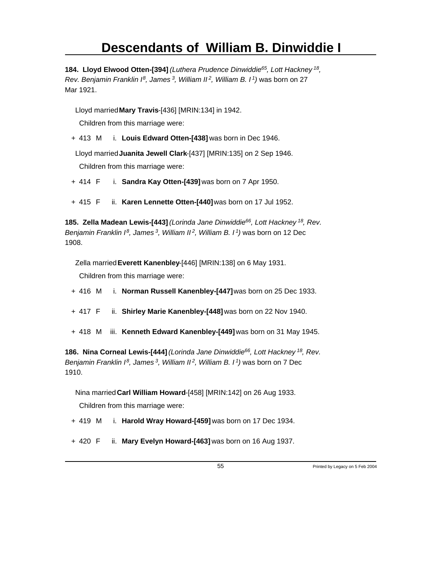**184. Lloyd Elwood Otten-[394]** *(Luthera Prudence Dinwiddie<sup>65</sup>, Lott Hackney<sup>18</sup> , Rev. Benjamin Franklin I<sup>8</sup>, James<sup>3</sup>, William II<sup>2</sup>, William B. I<sup>1</sup>)* was born on 27 Mar 1921.

Lloyd married **Mary Travis**-[436] [MRIN:134] in 1942.

Children from this marriage were:

+ 413 M i. **Louis Edward Otten-[438]** was born in Dec 1946.

Lloyd married **Juanita Jewell Clark**-[437] [MRIN:135] on 2 Sep 1946. Children from this marriage were:

- + 414 F i. **Sandra Kay Otten-[439]** was born on 7 Apr 1950.
- + 415 F ii. **Karen Lennette Otten-[440]** was born on 17 Jul 1952.

**185. Zella Madean Lewis-[443]** *(Lorinda Jane Dinwiddie<sup>66</sup>, Lott Hackney<sup>18</sup>, Rev. Benjamin Franklin I<sup>8</sup>, James<sup>3</sup>, William II<sup>2</sup>, William B. I<sup>1</sup>)* was born on 12 Dec 1908.

Zella married **Everett Kanenbley**-[446] [MRIN:138] on 6 May 1931.

Children from this marriage were:

- + 416 M i. **Norman Russell Kanenbley-[447]** was born on 25 Dec 1933.
- + 417 F ii. **Shirley Marie Kanenbley-[448]** was born on 22 Nov 1940.
- + 418 M iii. **Kenneth Edward Kanenbley-[449]** was born on 31 May 1945.

**186. Nina Corneal Lewis-[444]** *(Lorinda Jane Dinwiddie<sup>66</sup>, Lott Hackney<sup>18</sup>, Rev. Benjamin Franklin I<sup>8</sup>, James<sup>3</sup>, William II<sup>2</sup>, William B. I<sup>1</sup>)* was born on 7 Dec 1910.

Nina married **Carl William Howard**-[458] [MRIN:142] on 26 Aug 1933.

Children from this marriage were:

- + 419 M i. **Harold Wray Howard-[459]** was born on 17 Dec 1934.
- + 420 F ii. **Mary Evelyn Howard-[463]** was born on 16 Aug 1937.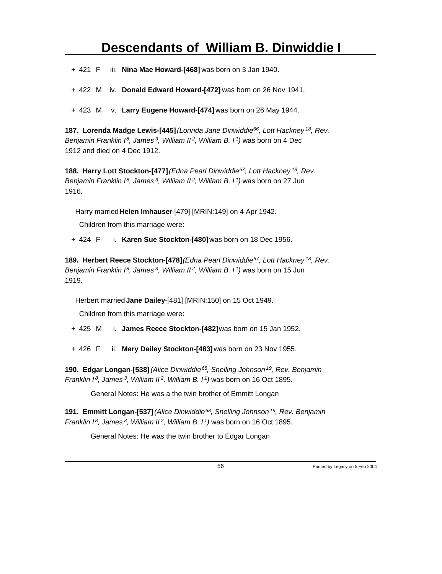+ 421 F iii. **Nina Mae Howard-[468]** was born on 3 Jan 1940.

+ 422 M iv. **Donald Edward Howard-[472]** was born on 26 Nov 1941.

+ 423 M v. **Larry Eugene Howard-[474]** was born on 26 May 1944.

**187. Lorenda Madge Lewis-[445]** *(Lorinda Jane Dinwiddie<sup>66</sup>, Lott Hackney<sup>18</sup>, Rev. Benjamin Franklin I<sup>8</sup>, James<sup>3</sup>, William II<sup>2</sup>, William B. I<sup>1</sup>)* was born on 4 Dec 1912 and died on 4 Dec 1912.

**188. Harry Lott Stockton-[477]** *(Edna Pearl Dinwiddie<sup>67</sup>, Lott Hackney<sup>18</sup>, Rev. Benjamin Franklin I<sup>8</sup>, James<sup>3</sup>, William II<sup>2</sup>, William B. I<sup>1</sup>)* was born on 27 Jun 1916.

Harry married **Helen Imhauser**-[479] [MRIN:149] on 4 Apr 1942.

Children from this marriage were:

+ 424 F i. **Karen Sue Stockton-[480]** was born on 18 Dec 1956.

**189. Herbert Reece Stockton-[478]** *(Edna Pearl Dinwiddie<sup>67</sup>, Lott Hackney<sup>18</sup>, Rev. Benjamin Franklin I<sup>8</sup>, James<sup>3</sup>, William II<sup>2</sup>, William B. I<sup>1</sup>)* was born on 15 Jun 1919.

Herbert married **Jane Dailey**-[481] [MRIN:150] on 15 Oct 1949.

Children from this marriage were:

- + 425 M i. **James Reece Stockton-[482]** was born on 15 Jan 1952.
- + 426 F ii. **Mary Dailey Stockton-[483]** was born on 23 Nov 1955.

**190. Edgar Longan-[538]** *(Alice Dinwiddie<sup>68</sup>, Snelling Johnson<sup>19</sup>, Rev. Benjamin Franklin I<sup>8</sup>, James<sup>3</sup>, William II<sup>2</sup>, William B. I<sup>1</sup>)* was born on 16 Oct 1895.

General Notes: He was a the twin brother of Emmitt Longan

**191. Emmitt Longan-[537]** *(Alice Dinwiddie<sup>68</sup>, Snelling Johnson<sup>19</sup>, Rev. Benjamin Franklin I<sup>8</sup>, James<sup>3</sup>, William II<sup>2</sup>, William B. I<sup>1</sup>)* was born on 16 Oct 1895.

General Notes: He was the twin brother to Edgar Longan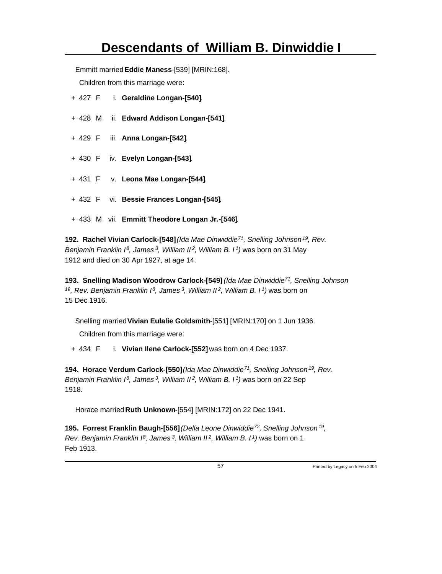Emmitt married **Eddie Maness**-[539] [MRIN:168].

Children from this marriage were:

- + 427 F i. **Geraldine Longan-[540]**.
- + 428 M ii. **Edward Addison Longan-[541]**.
- + 429 F iii. **Anna Longan-[542]**.
- + 430 F iv. **Evelyn Longan-[543]**.
- + 431 F v. **Leona Mae Longan-[544]**.
- + 432 F vi. **Bessie Frances Longan-[545]**.
- + 433 M vii. **Emmitt Theodore Longan Jr.-[546]**.

**192. Rachel Vivian Carlock-[548]** *(Ida Mae Dinwiddie<sup>71</sup>, Snelling Johnson<sup>19</sup>, Rev. Benjamin Franklin I<sup>8</sup>, James<sup>3</sup>, William II<sup>2</sup>, William B. I<sup>1</sup>)* was born on 31 May 1912 and died on 30 Apr 1927, at age 14.

**193. Snelling Madison Woodrow Carlock-[549]** *(Ida Mae Dinwiddie<sup>71</sup>, Snelling Johnson <sup>19</sup>, Rev. Benjamin Franklin I<sup>8</sup>, James<sup>3</sup>, William II<sup>2</sup>, William B. I<sup>1</sup>)* was born on 15 Dec 1916.

Snelling married **Vivian Eulalie Goldsmith**-[551] [MRIN:170] on 1 Jun 1936.

Children from this marriage were:

+ 434 F i. **Vivian Ilene Carlock-[552]** was born on 4 Dec 1937.

**194. Horace Verdum Carlock-[550]** *(Ida Mae Dinwiddie<sup>71</sup>, Snelling Johnson<sup>19</sup>, Rev. Benjamin Franklin I<sup>8</sup>, James<sup>3</sup>, William II<sup>2</sup>, William B. I<sup>1</sup>)* was born on 22 Sep 1918.

Horace married **Ruth Unknown**-[554] [MRIN:172] on 22 Dec 1941.

**195. Forrest Franklin Baugh-[556]** *(Della Leone Dinwiddie<sup>72</sup>, Snelling Johnson<sup>19</sup> , Rev. Benjamin Franklin I<sup>8</sup>, James<sup>3</sup>, William II<sup>2</sup>, William B. I<sup>1</sup>)* was born on 1 Feb 1913.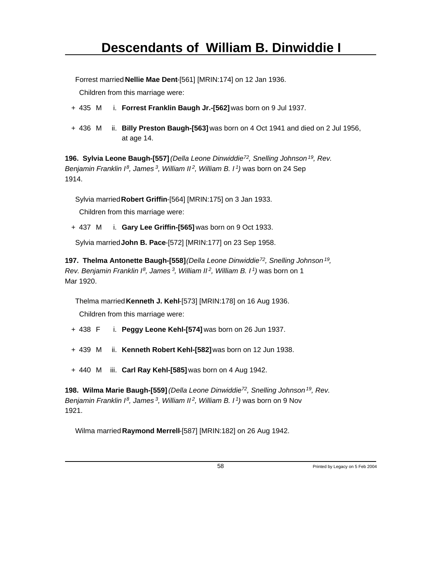Forrest married **Nellie Mae Dent**-[561] [MRIN:174] on 12 Jan 1936.

Children from this marriage were:

- + 435 M i. **Forrest Franklin Baugh Jr.-[562]** was born on 9 Jul 1937.
- + 436 M ii. **Billy Preston Baugh-[563]** was born on 4 Oct 1941 and died on 2 Jul 1956, at age 14.

**196. Sylvia Leone Baugh-[557]** *(Della Leone Dinwiddie<sup>72</sup>, Snelling Johnson<sup>19</sup>, Rev. Benjamin Franklin I<sup>8</sup>, James<sup>3</sup>, William II<sup>2</sup>, William B. I<sup>1</sup>)* was born on 24 Sep 1914.

Sylvia married **Robert Griffin**-[564] [MRIN:175] on 3 Jan 1933.

Children from this marriage were:

+ 437 M i. **Gary Lee Griffin-[565]** was born on 9 Oct 1933.

Sylvia married **John B. Pace**-[572] [MRIN:177] on 23 Sep 1958.

**197. Thelma Antonette Baugh-[558]** *(Della Leone Dinwiddie<sup>72</sup>, Snelling Johnson<sup>19</sup> , Rev. Benjamin Franklin I<sup>8</sup>, James<sup>3</sup>, William II<sup>2</sup>, William B. I<sup>1</sup>)* was born on 1 Mar 1920.

Thelma married **Kenneth J. Kehl**-[573] [MRIN:178] on 16 Aug 1936.

Children from this marriage were:

- + 438 F i. **Peggy Leone Kehl-[574]** was born on 26 Jun 1937.
- + 439 M ii. **Kenneth Robert Kehl-[582]** was born on 12 Jun 1938.
- + 440 M iii. **Carl Ray Kehl-[585]** was born on 4 Aug 1942.

**198. Wilma Marie Baugh-[559]** *(Della Leone Dinwiddie<sup>72</sup>, Snelling Johnson<sup>19</sup>, Rev. Benjamin Franklin I<sup>8</sup>, James<sup>3</sup>, William II<sup>2</sup>, William B. I<sup>1</sup>)* was born on 9 Nov 1921.

Wilma married **Raymond Merrell**-[587] [MRIN:182] on 26 Aug 1942.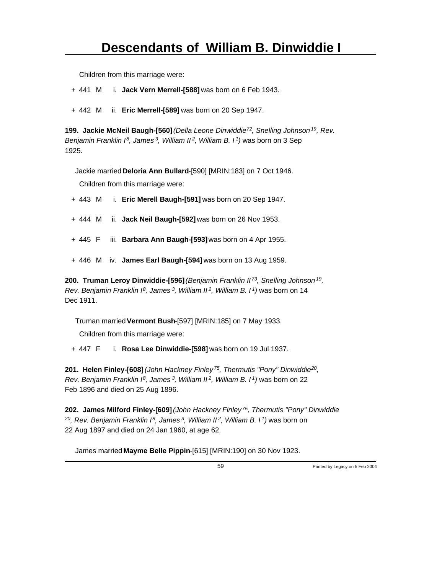+ 441 M i. **Jack Vern Merrell-[588]** was born on 6 Feb 1943.

+ 442 M ii. **Eric Merrell-[589]** was born on 20 Sep 1947.

**199. Jackie McNeil Baugh-[560]** *(Della Leone Dinwiddie<sup>72</sup>, Snelling Johnson<sup>19</sup>, Rev. Benjamin Franklin I<sup>8</sup>, James<sup>3</sup>, William II<sup>2</sup>, William B. I<sup>1</sup>)* was born on 3 Sep 1925.

Jackie married **Deloria Ann Bullard**-[590] [MRIN:183] on 7 Oct 1946.

Children from this marriage were:

- + 443 M i. **Eric Merell Baugh-[591]** was born on 20 Sep 1947.
- + 444 M ii. **Jack Neil Baugh-[592]** was born on 26 Nov 1953.
- + 445 F iii. **Barbara Ann Baugh-[593]** was born on 4 Apr 1955.
- + 446 M iv. **James Earl Baugh-[594]** was born on 13 Aug 1959.

**200. Truman Leroy Dinwiddie-[596]** *(Benjamin Franklin II<sup>73</sup>, Snelling Johnson<sup>19</sup> , Rev. Benjamin Franklin I<sup>8</sup>, James<sup>3</sup>, William II<sup>2</sup>, William B. I<sup>1</sup>)* was born on 14 Dec 1911.

Truman married **Vermont Bush**-[597] [MRIN:185] on 7 May 1933.

Children from this marriage were:

+ 447 F i. **Rosa Lee Dinwiddie-[598]** was born on 19 Jul 1937.

**201. Helen Finley-[608]** *(John Hackney Finley<sup>75</sup>, Thermutis "Pony" Dinwiddie<sup>20</sup> , Rev. Benjamin Franklin I<sup>8</sup>, James<sup>3</sup>, William II<sup>2</sup>, William B. I<sup>1</sup>)* was born on 22 Feb 1896 and died on 25 Aug 1896.

**202. James Milford Finley-[609]** *(John Hackney Finley<sup>75</sup>, Thermutis "Pony" Dinwiddie <sup>20</sup>, Rev. Benjamin Franklin I<sup>8</sup>, James<sup>3</sup>, William II<sup>2</sup>, William B. I<sup>1</sup>)* was born on 22 Aug 1897 and died on 24 Jan 1960, at age 62.

James married **Mayme Belle Pippin**-[615] [MRIN:190] on 30 Nov 1923.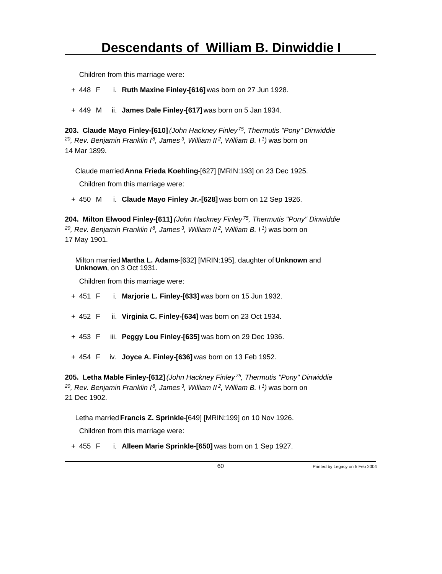+ 448 F i. **Ruth Maxine Finley-[616]** was born on 27 Jun 1928.

+ 449 M ii. **James Dale Finley-[617]** was born on 5 Jan 1934.

**203. Claude Mayo Finley-[610]** *(John Hackney Finley<sup>75</sup>, Thermutis "Pony" Dinwiddie <sup>20</sup>, Rev. Benjamin Franklin I<sup>8</sup>, James<sup>3</sup>, William II<sup>2</sup>, William B. I<sup>1</sup>)* was born on 14 Mar 1899.

Claude married **Anna Frieda Koehling**-[627] [MRIN:193] on 23 Dec 1925.

Children from this marriage were:

+ 450 M i. **Claude Mayo Finley Jr.-[628]** was born on 12 Sep 1926.

**204. Milton Elwood Finley-[611]** *(John Hackney Finley<sup>75</sup>, Thermutis "Pony" Dinwiddie <sup>20</sup>, Rev. Benjamin Franklin I<sup>8</sup>, James<sup>3</sup>, William II<sup>2</sup>, William B. I<sup>1</sup>)* was born on 17 May 1901.

Milton married **Martha L. Adams**-[632] [MRIN:195], daughter of **Unknown** and **Unknown**, on 3 Oct 1931.

Children from this marriage were:

+ 451 F i. **Marjorie L. Finley-[633]** was born on 15 Jun 1932.

- + 452 F ii. **Virginia C. Finley-[634]** was born on 23 Oct 1934.
- + 453 F iii. **Peggy Lou Finley-[635]** was born on 29 Dec 1936.
- + 454 F iv. **Joyce A. Finley-[636]** was born on 13 Feb 1952.

**205. Letha Mable Finley-[612]** *(John Hackney Finley<sup>75</sup>, Thermutis "Pony" Dinwiddie <sup>20</sup>, Rev. Benjamin Franklin I<sup>8</sup>, James<sup>3</sup>, William II<sup>2</sup>, William B. I<sup>1</sup>)* was born on 21 Dec 1902.

Letha married **Francis Z. Sprinkle**-[649] [MRIN:199] on 10 Nov 1926.

Children from this marriage were:

+ 455 F i. **Alleen Marie Sprinkle-[650]** was born on 1 Sep 1927.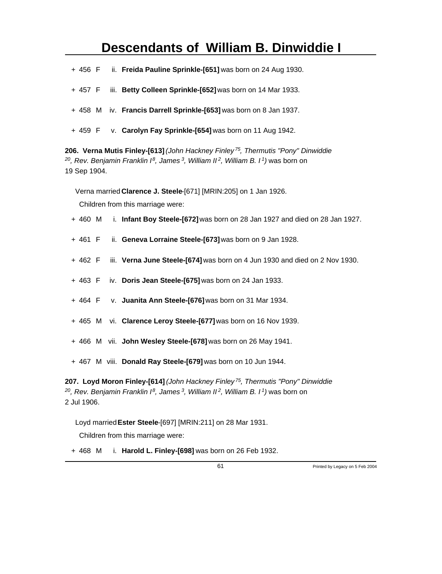- + 456 F ii. **Freida Pauline Sprinkle-[651]** was born on 24 Aug 1930.
- + 457 F iii. **Betty Colleen Sprinkle-[652]** was born on 14 Mar 1933.
- + 458 M iv. **Francis Darrell Sprinkle-[653]** was born on 8 Jan 1937.
- + 459 F v. **Carolyn Fay Sprinkle-[654]** was born on 11 Aug 1942.

**206. Verna Mutis Finley-[613]** *(John Hackney Finley<sup>75</sup>, Thermutis "Pony" Dinwiddie <sup>20</sup>, Rev. Benjamin Franklin I<sup>8</sup>, James<sup>3</sup>, William II<sup>2</sup>, William B. I<sup>1</sup>)* was born on 19 Sep 1904.

Verna married **Clarence J. Steele**-[671] [MRIN:205] on 1 Jan 1926.

Children from this marriage were:

- + 460 M i. **Infant Boy Steele-[672]** was born on 28 Jan 1927 and died on 28 Jan 1927.
- + 461 F ii. **Geneva Lorraine Steele-[673]** was born on 9 Jan 1928.
- + 462 F iii. **Verna June Steele-[674]** was born on 4 Jun 1930 and died on 2 Nov 1930.
- + 463 F iv. **Doris Jean Steele-[675]** was born on 24 Jan 1933.
- + 464 F v. **Juanita Ann Steele-[676]** was born on 31 Mar 1934.
- + 465 M vi. **Clarence Leroy Steele-[677]** was born on 16 Nov 1939.
- + 466 M vii. **John Wesley Steele-[678]** was born on 26 May 1941.
- + 467 M viii. **Donald Ray Steele-[679]** was born on 10 Jun 1944.

**207. Loyd Moron Finley-[614]** *(John Hackney Finley<sup>75</sup>, Thermutis "Pony" Dinwiddie <sup>20</sup>, Rev. Benjamin Franklin I<sup>8</sup>, James<sup>3</sup>, William II<sup>2</sup>, William B. I<sup>1</sup>)* was born on 2 Jul 1906.

Loyd married **Ester Steele**-[697] [MRIN:211] on 28 Mar 1931.

Children from this marriage were:

+ 468 M i. **Harold L. Finley-[698]** was born on 26 Feb 1932.

61 Printed by Legacy on 5 Feb 2004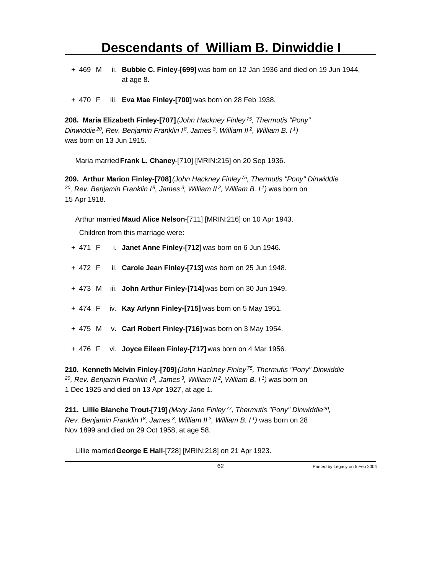- + 469 M ii. **Bubbie C. Finley-[699]** was born on 12 Jan 1936 and died on 19 Jun 1944, at age 8.
- + 470 F iii. **Eva Mae Finley-[700]** was born on 28 Feb 1938.

**208. Maria Elizabeth Finley-[707]** *(John Hackney Finley<sup>75</sup>, Thermutis "Pony" Dinwiddie<sup>20</sup>, Rev. Benjamin Franklin I<sup>8</sup>, James<sup>3</sup>, William II<sup>2</sup>, William B. I<sup>1</sup>)* was born on 13 Jun 1915.

Maria married **Frank L. Chaney**-[710] [MRIN:215] on 20 Sep 1936.

**209. Arthur Marion Finley-[708]** *(John Hackney Finley<sup>75</sup>, Thermutis "Pony" Dinwiddie <sup>20</sup>, Rev. Benjamin Franklin I<sup>8</sup>, James<sup>3</sup>, William II<sup>2</sup>, William B. I<sup>1</sup>)* was born on 15 Apr 1918.

Arthur married **Maud Alice Nelson**-[711] [MRIN:216] on 10 Apr 1943.

Children from this marriage were:

- + 471 F i. **Janet Anne Finley-[712]** was born on 6 Jun 1946.
- + 472 F ii. **Carole Jean Finley-[713]** was born on 25 Jun 1948.
- + 473 M iii. **John Arthur Finley-[714]** was born on 30 Jun 1949.
- + 474 F iv. **Kay Arlynn Finley-[715]** was born on 5 May 1951.
- + 475 M v. **Carl Robert Finley-[716]** was born on 3 May 1954.
- + 476 F vi. **Joyce Eileen Finley-[717]** was born on 4 Mar 1956.

**210. Kenneth Melvin Finley-[709]** *(John Hackney Finley<sup>75</sup>, Thermutis "Pony" Dinwiddie <sup>20</sup>, Rev. Benjamin Franklin I<sup>8</sup>, James<sup>3</sup>, William II<sup>2</sup>, William B. I<sup>1</sup>)* was born on 1 Dec 1925 and died on 13 Apr 1927, at age 1.

**211. Lillie Blanche Trout-[719]** *(Mary Jane Finley<sup>77</sup>, Thermutis "Pony" Dinwiddie<sup>20</sup> , Rev. Benjamin Franklin I<sup>8</sup>, James<sup>3</sup>, William II<sup>2</sup>, William B. I<sup>1</sup>)* was born on 28 Nov 1899 and died on 29 Oct 1958, at age 58.

Lillie married **George E Hall**-[728] [MRIN:218] on 21 Apr 1923.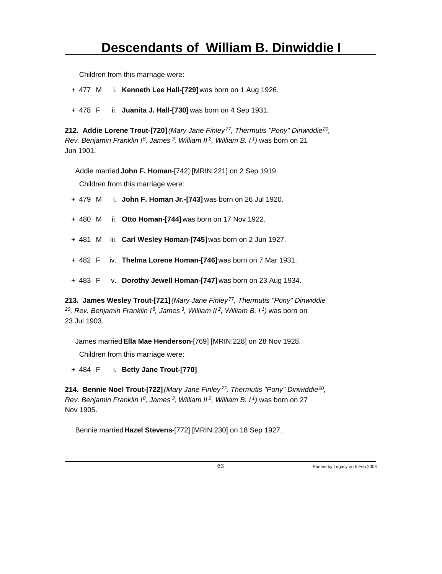+ 477 M i. **Kenneth Lee Hall-[729]** was born on 1 Aug 1926.

+ 478 F ii. **Juanita J. Hall-[730]** was born on 4 Sep 1931.

**212. Addie Lorene Trout-[720]** *(Mary Jane Finley<sup>77</sup>, Thermutis "Pony" Dinwiddie<sup>20</sup> , Rev. Benjamin Franklin I<sup>8</sup>, James<sup>3</sup>, William II<sup>2</sup>, William B. I<sup>1</sup>)* was born on 21 Jun 1901.

Addie married **John F. Homan**-[742] [MRIN:221] on 2 Sep 1919.

Children from this marriage were:

- + 479 M i. **John F. Homan Jr.-[743]** was born on 26 Jul 1920.
- + 480 M ii. **Otto Homan-[744]** was born on 17 Nov 1922.
- + 481 M iii. **Carl Wesley Homan-[745]** was born on 2 Jun 1927.
- + 482 F iv. **Thelma Lorene Homan-[746]** was born on 7 Mar 1931.
- + 483 F v. **Dorothy Jewell Homan-[747]** was born on 23 Aug 1934.

**213. James Wesley Trout-[721]** *(Mary Jane Finley<sup>77</sup>, Thermutis "Pony" Dinwiddie <sup>20</sup>, Rev. Benjamin Franklin I<sup>8</sup>, James<sup>3</sup>, William II<sup>2</sup>, William B. I<sup>1</sup>)* was born on 23 Jul 1903.

James married **Ella Mae Henderson**-[769] [MRIN:228] on 28 Nov 1928.

Children from this marriage were:

+ 484 F i. **Betty Jane Trout-[770]**.

**214. Bennie Noel Trout-[722]** *(Mary Jane Finley<sup>77</sup>, Thermutis "Pony" Dinwiddie<sup>20</sup> , Rev. Benjamin Franklin I<sup>8</sup>, James<sup>3</sup>, William II<sup>2</sup>, William B. I<sup>1</sup>)* was born on 27 Nov 1905.

Bennie married **Hazel Stevens**-[772] [MRIN:230] on 18 Sep 1927.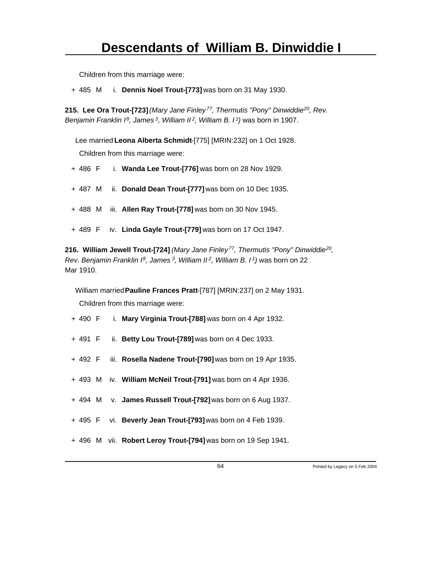+ 485 M i. **Dennis Noel Trout-[773]** was born on 31 May 1930.

**215. Lee Ora Trout-[723]** *(Mary Jane Finley<sup>77</sup>, Thermutis "Pony" Dinwiddie<sup>20</sup>, Rev. Benjamin Franklin I<sup>8</sup>, James<sup>3</sup>, William II<sup>2</sup>, William B. I<sup>1</sup>)* was born in 1907.

Lee married **Leona Alberta Schmidt**-[775] [MRIN:232] on 1 Oct 1928. Children from this marriage were:

+ 486 F i. **Wanda Lee Trout-[776]** was born on 28 Nov 1929.

+ 487 M ii. **Donald Dean Trout-[777]** was born on 10 Dec 1935.

- + 488 M iii. **Allen Ray Trout-[778]** was born on 30 Nov 1945.
- + 489 F iv. **Linda Gayle Trout-[779]** was born on 17 Oct 1947.

**216. William Jewell Trout-[724]** *(Mary Jane Finley<sup>77</sup>, Thermutis "Pony" Dinwiddie<sup>20</sup> , Rev. Benjamin Franklin I<sup>8</sup>, James<sup>3</sup>, William II<sup>2</sup>, William B. I<sup>1</sup>)* was born on 22 Mar 1910.

William married **Pauline Frances Pratt**-[787] [MRIN:237] on 2 May 1931.

Children from this marriage were:

- + 490 F i. **Mary Virginia Trout-[788]** was born on 4 Apr 1932.
- + 491 F ii. **Betty Lou Trout-[789]** was born on 4 Dec 1933.
- + 492 F iii. **Rosella Nadene Trout-[790]** was born on 19 Apr 1935.
- + 493 M iv. **William McNeil Trout-[791]** was born on 4 Apr 1936.
- + 494 M v. **James Russell Trout-[792]** was born on 6 Aug 1937.
- + 495 F vi. **Beverly Jean Trout-[793]** was born on 4 Feb 1939.
- + 496 M vii. **Robert Leroy Trout-[794]** was born on 19 Sep 1941.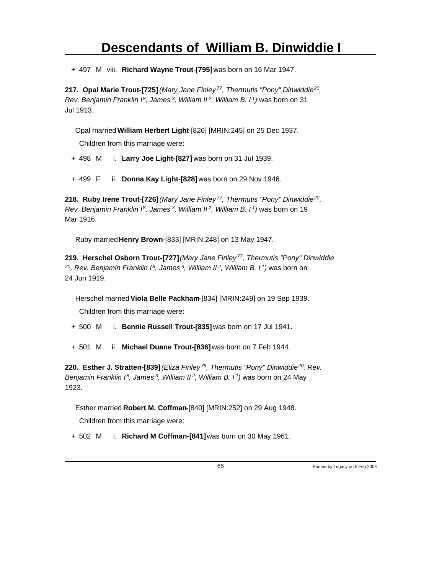+ 497 M viii. **Richard Wayne Trout-[795]** was born on 16 Mar 1947.

**217. Opal Marie Trout-[725]** *(Mary Jane Finley<sup>77</sup>, Thermutis "Pony" Dinwiddie<sup>20</sup> , Rev. Benjamin Franklin I<sup>8</sup>, James<sup>3</sup>, William II<sup>2</sup>, William B. I<sup>1</sup>)* was born on 31 Jul 1913.

Opal married **William Herbert Light**-[826] [MRIN:245] on 25 Dec 1937.

Children from this marriage were:

+ 498 M i. **Larry Joe Light-[827]** was born on 31 Jul 1939.

+ 499 F ii. **Donna Kay Light-[828]** was born on 29 Nov 1946.

**218. Ruby Irene Trout-[726]** *(Mary Jane Finley<sup>77</sup>, Thermutis "Pony" Dinwiddie<sup>20</sup> , Rev. Benjamin Franklin I<sup>8</sup>, James<sup>3</sup>, William II<sup>2</sup>, William B. I<sup>1</sup>)* was born on 19 Mar 1916.

Ruby married **Henry Brown**-[833] [MRIN:248] on 13 May 1947.

**219. Herschel Osborn Trout-[727]** *(Mary Jane Finley<sup>77</sup>, Thermutis "Pony" Dinwiddie <sup>20</sup>, Rev. Benjamin Franklin I<sup>8</sup>, James<sup>3</sup>, William II<sup>2</sup>, William B. I<sup>1</sup>)* was born on 24 Jun 1919.

Herschel married **Viola Belle Packham**-[834] [MRIN:249] on 19 Sep 1939.

Children from this marriage were:

+ 500 M i. **Bennie Russell Trout-[835]** was born on 17 Jul 1941.

+ 501 M ii. **Michael Duane Trout-[836]** was born on 7 Feb 1944.

**220. Esther J. Stratten-[839]** *(Eliza Finley<sup>78</sup>, Thermutis "Pony" Dinwiddie<sup>20</sup>, Rev. Benjamin Franklin I<sup>8</sup>, James<sup>3</sup>, William II<sup>2</sup>, William B. I<sup>1</sup>)* was born on 24 May 1923.

Esther married **Robert M. Coffman**-[840] [MRIN:252] on 29 Aug 1948.

Children from this marriage were:

+ 502 M i. **Richard M Coffman-[841]** was born on 30 May 1961.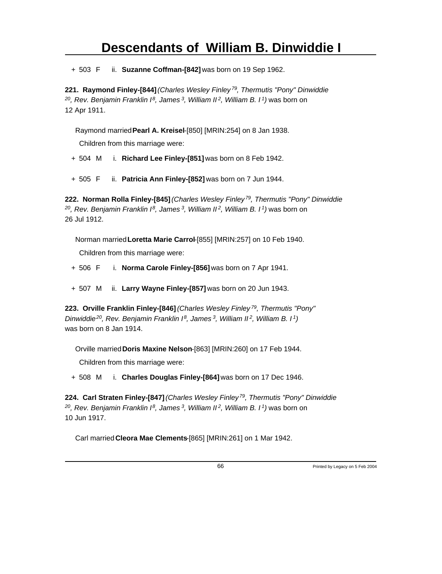+ 503 F ii. **Suzanne Coffman-[842]** was born on 19 Sep 1962.

**221. Raymond Finley-[844]** *(Charles Wesley Finley<sup>79</sup>, Thermutis "Pony" Dinwiddie <sup>20</sup>, Rev. Benjamin Franklin I<sup>8</sup>, James<sup>3</sup>, William II<sup>2</sup>, William B. I<sup>1</sup>)* was born on 12 Apr 1911.

Raymond married **Pearl A. Kreisel**-[850] [MRIN:254] on 8 Jan 1938.

Children from this marriage were:

+ 504 M i. **Richard Lee Finley-[851]** was born on 8 Feb 1942.

+ 505 F ii. **Patricia Ann Finley-[852]** was born on 7 Jun 1944.

**222. Norman Rolla Finley-[845]** *(Charles Wesley Finley<sup>79</sup>, Thermutis "Pony" Dinwiddie <sup>20</sup>, Rev. Benjamin Franklin I<sup>8</sup>, James<sup>3</sup>, William II<sup>2</sup>, William B. I<sup>1</sup>)* was born on 26 Jul 1912.

Norman married **Loretta Marie Carrol**-[855] [MRIN:257] on 10 Feb 1940. Children from this marriage were:

+ 506 F i. **Norma Carole Finley-[856]** was born on 7 Apr 1941.

+ 507 M ii. **Larry Wayne Finley-[857]** was born on 20 Jun 1943.

**223. Orville Franklin Finley-[846]** *(Charles Wesley Finley<sup>79</sup>, Thermutis "Pony" Dinwiddie<sup>20</sup>, Rev. Benjamin Franklin I<sup>8</sup>, James<sup>3</sup>, William II<sup>2</sup>, William B. I<sup>1</sup>)* was born on 8 Jan 1914.

Orville married **Doris Maxine Nelson**-[863] [MRIN:260] on 17 Feb 1944.

Children from this marriage were:

+ 508 M i. **Charles Douglas Finley-[864]** was born on 17 Dec 1946.

**224. Carl Straten Finley-[847]** *(Charles Wesley Finley<sup>79</sup>, Thermutis "Pony" Dinwiddie <sup>20</sup>, Rev. Benjamin Franklin I<sup>8</sup>, James<sup>3</sup>, William II<sup>2</sup>, William B. I<sup>1</sup>)* was born on 10 Jun 1917.

Carl married **Cleora Mae Clements**-[865] [MRIN:261] on 1 Mar 1942.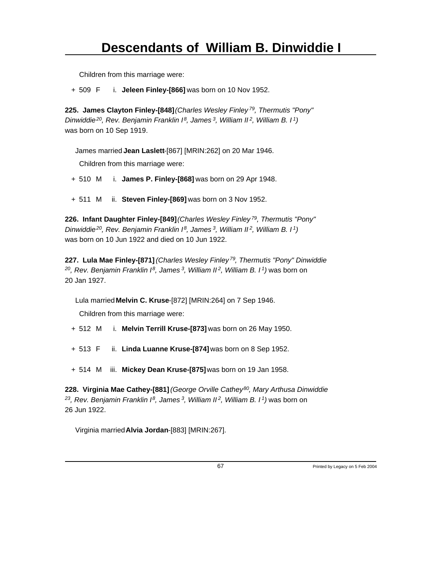+ 509 F i. **Jeleen Finley-[866]** was born on 10 Nov 1952.

**225. James Clayton Finley-[848]** *(Charles Wesley Finley<sup>79</sup>, Thermutis "Pony" Dinwiddie<sup>20</sup>, Rev. Benjamin Franklin I<sup>8</sup>, James<sup>3</sup>, William II<sup>2</sup>, William B. I<sup>1</sup>)* was born on 10 Sep 1919.

James married **Jean Laslett**-[867] [MRIN:262] on 20 Mar 1946.

Children from this marriage were:

+ 510 M i. **James P. Finley-[868]** was born on 29 Apr 1948.

+ 511 M ii. **Steven Finley-[869]** was born on 3 Nov 1952.

**226. Infant Daughter Finley-[849]** *(Charles Wesley Finley<sup>79</sup>, Thermutis "Pony" Dinwiddie<sup>20</sup>, Rev. Benjamin Franklin I<sup>8</sup>, James<sup>3</sup>, William II<sup>2</sup>, William B. I<sup>1</sup>)* was born on 10 Jun 1922 and died on 10 Jun 1922.

**227. Lula Mae Finley-[871]** *(Charles Wesley Finley<sup>79</sup>, Thermutis "Pony" Dinwiddie <sup>20</sup>, Rev. Benjamin Franklin I<sup>8</sup>, James<sup>3</sup>, William II<sup>2</sup>, William B. I<sup>1</sup>)* was born on 20 Jan 1927.

Lula married **Melvin C. Kruse**-[872] [MRIN:264] on 7 Sep 1946.

Children from this marriage were:

- + 512 M i. **Melvin Terrill Kruse-[873]** was born on 26 May 1950.
- + 513 F ii. **Linda Luanne Kruse-[874]** was born on 8 Sep 1952.
- + 514 M iii. **Mickey Dean Kruse-[875]** was born on 19 Jan 1958.

**228. Virginia Mae Cathey-[881]** *(George Orville Cathey<sup>80</sup>, Mary Arthusa Dinwiddie <sup>23</sup>, Rev. Benjamin Franklin I<sup>8</sup>, James<sup>3</sup>, William II<sup>2</sup>, William B. I<sup>1</sup>)* was born on 26 Jun 1922.

Virginia married **Alvia Jordan**-[883] [MRIN:267].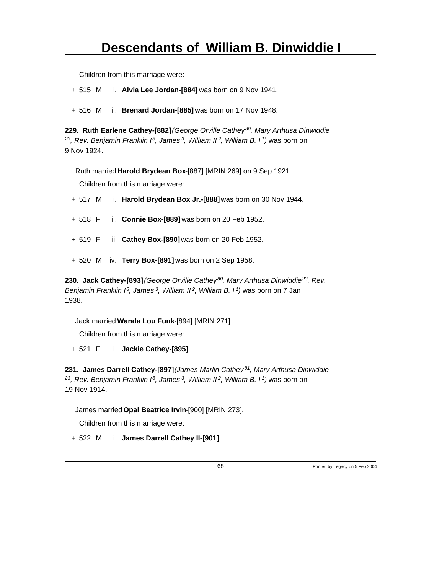+ 515 M i. **Alvia Lee Jordan-[884]** was born on 9 Nov 1941.

+ 516 M ii. **Brenard Jordan-[885]** was born on 17 Nov 1948.

**229. Ruth Earlene Cathey-[882]** *(George Orville Cathey<sup>80</sup>, Mary Arthusa Dinwiddie <sup>23</sup>, Rev. Benjamin Franklin I<sup>8</sup>, James<sup>3</sup>, William II<sup>2</sup>, William B. I<sup>1</sup>)* was born on 9 Nov 1924.

Ruth married **Harold Brydean Box**-[887] [MRIN:269] on 9 Sep 1921.

Children from this marriage were:

- + 517 M i. **Harold Brydean Box Jr.-[888]** was born on 30 Nov 1944.
- + 518 F ii. **Connie Box-[889]** was born on 20 Feb 1952.
- + 519 F iii. **Cathey Box-[890]** was born on 20 Feb 1952.
- + 520 M iv. **Terry Box-[891]** was born on 2 Sep 1958.

**230. Jack Cathey-[893]** *(George Orville Cathey<sup>80</sup>, Mary Arthusa Dinwiddie<sup>23</sup>, Rev. Benjamin Franklin I<sup>8</sup>, James<sup>3</sup>, William II<sup>2</sup>, William B. I<sup>1</sup>)* was born on 7 Jan 1938.

Jack married **Wanda Lou Funk**-[894] [MRIN:271].

Children from this marriage were:

+ 521 F i. **Jackie Cathey-[895]**.

**231. James Darrell Cathey-[897]** *(James Marlin Cathey<sup>81</sup>, Mary Arthusa Dinwiddie <sup>23</sup>, Rev. Benjamin Franklin I<sup>8</sup>, James<sup>3</sup>, William II<sup>2</sup>, William B. I<sup>1</sup>)* was born on 19 Nov 1914.

James married **Opal Beatrice Irvin**-[900] [MRIN:273].

Children from this marriage were:

+ 522 M i. **James Darrell Cathey II-[901]**.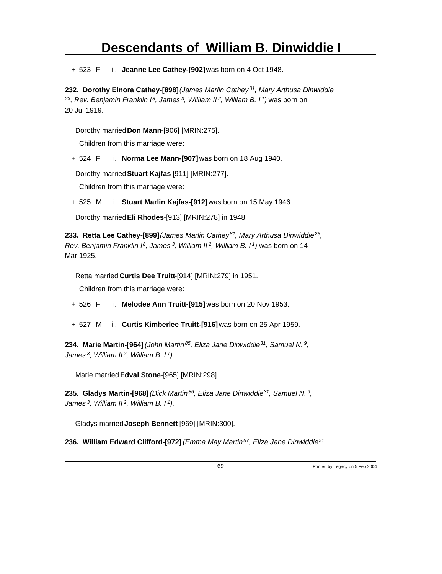+ 523 F ii. **Jeanne Lee Cathey-[902]** was born on 4 Oct 1948.

**232. Dorothy Elnora Cathey-[898]** *(James Marlin Cathey<sup>81</sup>, Mary Arthusa Dinwiddie <sup>23</sup>, Rev. Benjamin Franklin I<sup>8</sup>, James<sup>3</sup>, William II<sup>2</sup>, William B. I<sup>1</sup>)* was born on 20 Jul 1919.

Dorothy married **Don Mann**-[906] [MRIN:275].

Children from this marriage were:

+ 524 F i. **Norma Lee Mann-[907]** was born on 18 Aug 1940.

Dorothy married **Stuart Kajfas**-[911] [MRIN:277].

Children from this marriage were:

+ 525 M i. **Stuart Marlin Kajfas-[912]** was born on 15 May 1946.

Dorothy married **Eli Rhodes**-[913] [MRIN:278] in 1948.

**233. Retta Lee Cathey-[899]** *(James Marlin Cathey<sup>81</sup>, Mary Arthusa Dinwiddie<sup>23</sup> , Rev. Benjamin Franklin I<sup>8</sup>, James<sup>3</sup>, William II<sup>2</sup>, William B. I<sup>1</sup>)* was born on 14 Mar 1925.

Retta married **Curtis Dee Truitt**-[914] [MRIN:279] in 1951.

Children from this marriage were:

+ 526 F i. **Melodee Ann Truitt-[915]** was born on 20 Nov 1953.

+ 527 M ii. **Curtis Kimberlee Truitt-[916]** was born on 25 Apr 1959.

**234. Marie Martin-[964]** *(John Martin<sup>85</sup>, Eliza Jane Dinwiddie<sup>31</sup>, Samuel N.<sup>9</sup> , James<sup>3</sup>, William II<sup>2</sup>, William B. I<sup>1</sup>)*.

Marie married **Edval Stone**-[965] [MRIN:298].

**235. Gladys Martin-[968]** *(Dick Martin<sup>86</sup>, Eliza Jane Dinwiddie<sup>31</sup>, Samuel N.<sup>9</sup> , James<sup>3</sup>, William II<sup>2</sup>, William B. I<sup>1</sup>)*.

Gladys married **Joseph Bennett**-[969] [MRIN:300].

**236. William Edward Clifford-[972]** *(Emma May Martin<sup>87</sup>, Eliza Jane Dinwiddie<sup>31</sup> ,*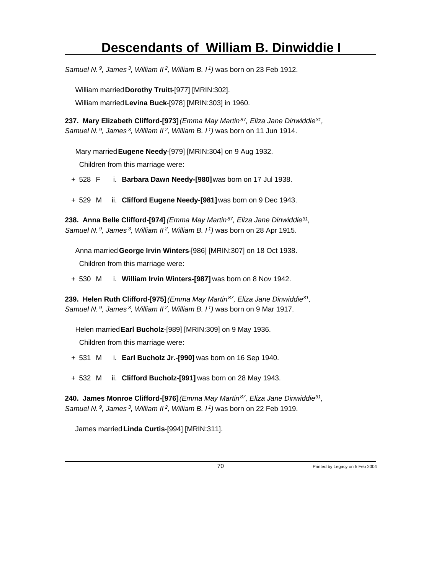*Samuel N.<sup>9</sup>, James<sup>3</sup>, William II<sup>2</sup>, William B. I<sup>1</sup>)* was born on 23 Feb 1912.

William married **Dorothy Truitt**-[977] [MRIN:302].

William married **Levina Buck**-[978] [MRIN:303] in 1960.

**237. Mary Elizabeth Clifford-[973]** *(Emma May Martin<sup>87</sup>, Eliza Jane Dinwiddie<sup>31</sup> , Samuel N.<sup>9</sup>, James<sup>3</sup>, William II<sup>2</sup>, William B. I<sup>1</sup>)* was born on 11 Jun 1914.

Mary married **Eugene Needy**-[979] [MRIN:304] on 9 Aug 1932. Children from this marriage were:

- + 528 F i. **Barbara Dawn Needy-[980]** was born on 17 Jul 1938.
- + 529 M ii. **Clifford Eugene Needy-[981]** was born on 9 Dec 1943.

**238. Anna Belle Clifford-[974]** *(Emma May Martin<sup>87</sup>, Eliza Jane Dinwiddie<sup>31</sup> , Samuel N.<sup>9</sup>, James<sup>3</sup>, William II<sup>2</sup>, William B. I<sup>1</sup>)* was born on 28 Apr 1915.

Anna married **George Irvin Winters**-[986] [MRIN:307] on 18 Oct 1938. Children from this marriage were:

+ 530 M i. **William Irvin Winters-[987]** was born on 8 Nov 1942.

**239. Helen Ruth Clifford-[975]** *(Emma May Martin<sup>87</sup>, Eliza Jane Dinwiddie<sup>31</sup> , Samuel N.<sup>9</sup>, James<sup>3</sup>, William II<sup>2</sup>, William B. I<sup>1</sup>)* was born on 9 Mar 1917.

Helen married **Earl Bucholz**-[989] [MRIN:309] on 9 May 1936. Children from this marriage were:

- + 531 M i. **Earl Bucholz Jr.-[990]** was born on 16 Sep 1940.
- + 532 M ii. **Clifford Bucholz-[991]** was born on 28 May 1943.

**240. James Monroe Clifford-[976]** *(Emma May Martin<sup>87</sup>, Eliza Jane Dinwiddie<sup>31</sup> , Samuel N.<sup>9</sup>, James<sup>3</sup>, William II<sup>2</sup>, William B. I<sup>1</sup>)* was born on 22 Feb 1919.

James married **Linda Curtis**-[994] [MRIN:311].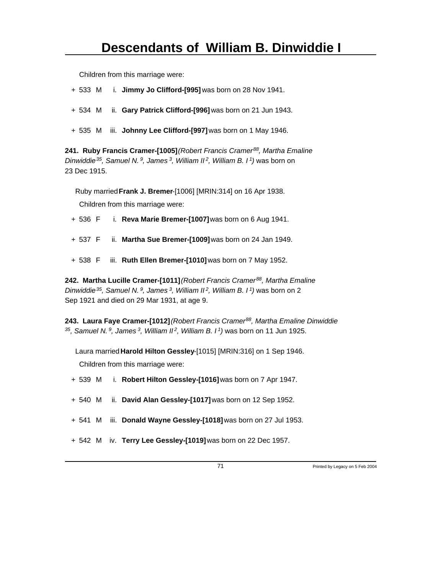- + 533 M i. **Jimmy Jo Clifford-[995]** was born on 28 Nov 1941.
- + 534 M ii. **Gary Patrick Clifford-[996]** was born on 21 Jun 1943.
- + 535 M iii. **Johnny Lee Clifford-[997]** was born on 1 May 1946.

**241. Ruby Francis Cramer-[1005]** *(Robert Francis Cramer<sup>88</sup>, Martha Emaline Dinwiddie<sup>35</sup>, Samuel N.<sup>9</sup>, James<sup>3</sup>, William II<sup>2</sup>, William B. I<sup>1</sup>)* was born on 23 Dec 1915.

Ruby married **Frank J. Bremer**-[1006] [MRIN:314] on 16 Apr 1938.

Children from this marriage were:

- + 536 F i. **Reva Marie Bremer-[1007]** was born on 6 Aug 1941.
- + 537 F ii. **Martha Sue Bremer-[1009]** was born on 24 Jan 1949.
- + 538 F iii. **Ruth Ellen Bremer-[1010]** was born on 7 May 1952.

**242. Martha Lucille Cramer-[1011]** *(Robert Francis Cramer<sup>88</sup>, Martha Emaline Dinwiddie<sup>35</sup>, Samuel N.<sup>9</sup>, James<sup>3</sup>, William II<sup>2</sup>, William B. I<sup>1</sup>)* was born on 2 Sep 1921 and died on 29 Mar 1931, at age 9.

**243. Laura Faye Cramer-[1012]** *(Robert Francis Cramer<sup>88</sup>, Martha Emaline Dinwiddie <sup>35</sup>, Samuel N.<sup>9</sup>, James<sup>3</sup>, William II<sup>2</sup>, William B. I<sup>1</sup>)* was born on 11 Jun 1925.

Laura married **Harold Hilton Gessley**-[1015] [MRIN:316] on 1 Sep 1946. Children from this marriage were:

- + 539 M i. **Robert Hilton Gessley-[1016]** was born on 7 Apr 1947.
- + 540 M ii. **David Alan Gessley-[1017]** was born on 12 Sep 1952.
- + 541 M iii. **Donald Wayne Gessley-[1018]** was born on 27 Jul 1953.
- + 542 M iv. **Terry Lee Gessley-[1019]** was born on 22 Dec 1957.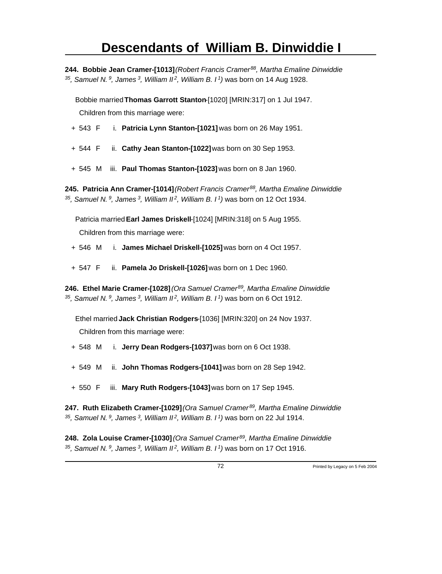**244. Bobbie Jean Cramer-[1013]** *(Robert Francis Cramer<sup>88</sup>, Martha Emaline Dinwiddie <sup>35</sup>, Samuel N.<sup>9</sup>, James<sup>3</sup>, William II<sup>2</sup>, William B. I<sup>1</sup>)* was born on 14 Aug 1928.

Bobbie married **Thomas Garrott Stanton**-[1020] [MRIN:317] on 1 Jul 1947. Children from this marriage were:

- + 543 F i. **Patricia Lynn Stanton-[1021]** was born on 26 May 1951.
- + 544 F ii. **Cathy Jean Stanton-[1022]** was born on 30 Sep 1953.
- + 545 M iii. **Paul Thomas Stanton-[1023]** was born on 8 Jan 1960.

**245. Patricia Ann Cramer-[1014]** *(Robert Francis Cramer<sup>88</sup>, Martha Emaline Dinwiddie <sup>35</sup>, Samuel N.<sup>9</sup>, James<sup>3</sup>, William II<sup>2</sup>, William B. I<sup>1</sup>)* was born on 12 Oct 1934.

Patricia married **Earl James Driskell**-[1024] [MRIN:318] on 5 Aug 1955.

Children from this marriage were:

- + 546 M i. **James Michael Driskell-[1025]** was born on 4 Oct 1957.
- + 547 F ii. **Pamela Jo Driskell-[1026]** was born on 1 Dec 1960.

**246. Ethel Marie Cramer-[1028]** *(Ora Samuel Cramer<sup>89</sup>, Martha Emaline Dinwiddie <sup>35</sup>, Samuel N.<sup>9</sup>, James<sup>3</sup>, William II<sup>2</sup>, William B. I<sup>1</sup>)* was born on 6 Oct 1912.

Ethel married **Jack Christian Rodgers**-[1036] [MRIN:320] on 24 Nov 1937. Children from this marriage were:

- + 548 M i. **Jerry Dean Rodgers-[1037]** was born on 6 Oct 1938.
- + 549 M ii. **John Thomas Rodgers-[1041]** was born on 28 Sep 1942.
- + 550 F iii. **Mary Ruth Rodgers-[1043]** was born on 17 Sep 1945.

**247. Ruth Elizabeth Cramer-[1029]** *(Ora Samuel Cramer<sup>89</sup>, Martha Emaline Dinwiddie <sup>35</sup>, Samuel N.<sup>9</sup>, James<sup>3</sup>, William II<sup>2</sup>, William B. I<sup>1</sup>)* was born on 22 Jul 1914.

**248. Zola Louise Cramer-[1030]** *(Ora Samuel Cramer<sup>89</sup>, Martha Emaline Dinwiddie 35, Samuel N. 9, James 3, William II 2, William B. I 1)* was born on 17 Oct 1916.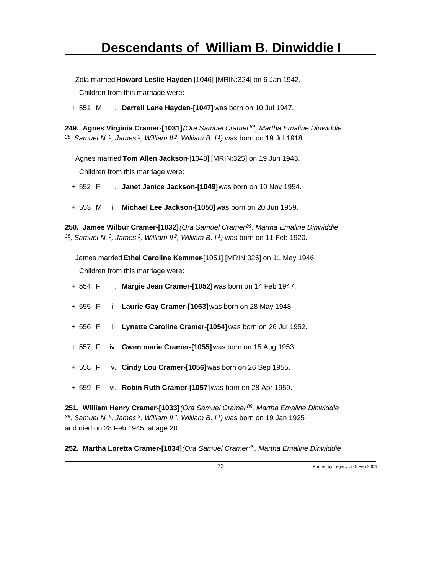Zola married **Howard Leslie Hayden**-[1046] [MRIN:324] on 6 Jan 1942.

Children from this marriage were:

+ 551 M i. **Darrell Lane Hayden-[1047]** was born on 10 Jul 1947.

**249. Agnes Virginia Cramer-[1031]** *(Ora Samuel Cramer<sup>89</sup>, Martha Emaline Dinwiddie <sup>35</sup>, Samuel N.<sup>9</sup>, James<sup>3</sup>, William II<sup>2</sup>, William B. I<sup>1</sup>)* was born on 19 Jul 1918.

Agnes married **Tom Allen Jackson**-[1048] [MRIN:325] on 19 Jun 1943. Children from this marriage were:

- + 552 F i. **Janet Janice Jackson-[1049]** was born on 10 Nov 1954.
- + 553 M ii. **Michael Lee Jackson-[1050]** was born on 20 Jun 1959.

**250. James Wilbur Cramer-[1032]** *(Ora Samuel Cramer<sup>89</sup>, Martha Emaline Dinwiddie <sup>35</sup>, Samuel N.<sup>9</sup>, James<sup>3</sup>, William II<sup>2</sup>, William B. I<sup>1</sup>)* was born on 11 Feb 1920.

James married **Ethel Caroline Kemmer**-[1051] [MRIN:326] on 11 May 1946. Children from this marriage were:

- + 554 F i. **Margie Jean Cramer-[1052]** was born on 14 Feb 1947.
- + 555 F ii. **Laurie Gay Cramer-[1053]** was born on 28 May 1948.
- + 556 F iii. **Lynette Caroline Cramer-[1054]** was born on 26 Jul 1952.
- + 557 F iv. **Gwen marie Cramer-[1055]** was born on 15 Aug 1953.
- + 558 F v. **Cindy Lou Cramer-[1056]** was born on 26 Sep 1955.
- + 559 F vi. **Robin Ruth Cramer-[1057]** was born on 28 Apr 1959.

**251. William Henry Cramer-[1033]** *(Ora Samuel Cramer<sup>89</sup>, Martha Emaline Dinwiddie <sup>35</sup>, Samuel N.<sup>9</sup>, James<sup>3</sup>, William II<sup>2</sup>, William B. I<sup>1</sup>)* was born on 19 Jan 1925 and died on 28 Feb 1945, at age 20.

**252. Martha Loretta Cramer-[1034]** *(Ora Samuel Cramer 89, Martha Emaline Dinwiddie*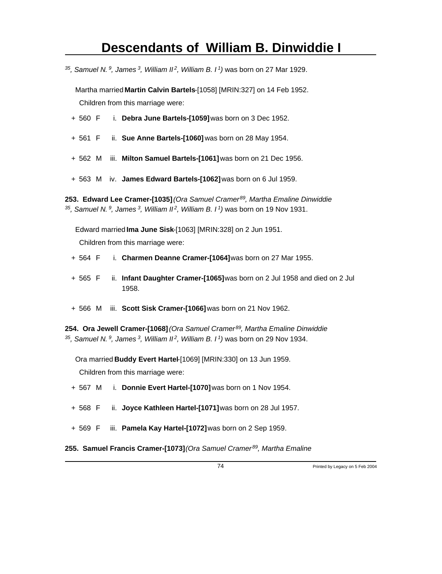*<sup>35</sup>, Samuel N.<sup>9</sup>, James<sup>3</sup>, William II<sup>2</sup>, William B. I<sup>1</sup>)* was born on 27 Mar 1929.

Martha married **Martin Calvin Bartels**-[1058] [MRIN:327] on 14 Feb 1952. Children from this marriage were:

- + 560 F i. **Debra June Bartels-[1059]** was born on 3 Dec 1952.
- + 561 F ii. **Sue Anne Bartels-[1060]** was born on 28 May 1954.
- + 562 M iii. **Milton Samuel Bartels-[1061]** was born on 21 Dec 1956.
- + 563 M iv. **James Edward Bartels-[1062]** was born on 6 Jul 1959.

**253. Edward Lee Cramer-[1035]** *(Ora Samuel Cramer<sup>89</sup>, Martha Emaline Dinwiddie <sup>35</sup>, Samuel N.<sup>9</sup>, James<sup>3</sup>, William II<sup>2</sup>, William B. I<sup>1</sup>)* was born on 19 Nov 1931.

Edward married **Ima June Sisk**-[1063] [MRIN:328] on 2 Jun 1951. Children from this marriage were:

- + 564 F i. **Charmen Deanne Cramer-[1064]** was born on 27 Mar 1955.
- + 565 F ii. **Infant Daughter Cramer-[1065]** was born on 2 Jul 1958 and died on 2 Jul 1958.
- + 566 M iii. **Scott Sisk Cramer-[1066]** was born on 21 Nov 1962.

**254. Ora Jewell Cramer-[1068]** *(Ora Samuel Cramer<sup>89</sup>, Martha Emaline Dinwiddie <sup>35</sup>, Samuel N.<sup>9</sup>, James<sup>3</sup>, William II<sup>2</sup>, William B. I<sup>1</sup>)* was born on 29 Nov 1934.

Ora married **Buddy Evert Hartel**-[1069] [MRIN:330] on 13 Jun 1959.

- + 567 M i. **Donnie Evert Hartel-[1070]** was born on 1 Nov 1954.
- + 568 F ii. **Joyce Kathleen Hartel-[1071]** was born on 28 Jul 1957.
- + 569 F iii. **Pamela Kay Hartel-[1072]** was born on 2 Sep 1959.
- **255. Samuel Francis Cramer-[1073]** *(Ora Samuel Cramer 89, Martha Emaline*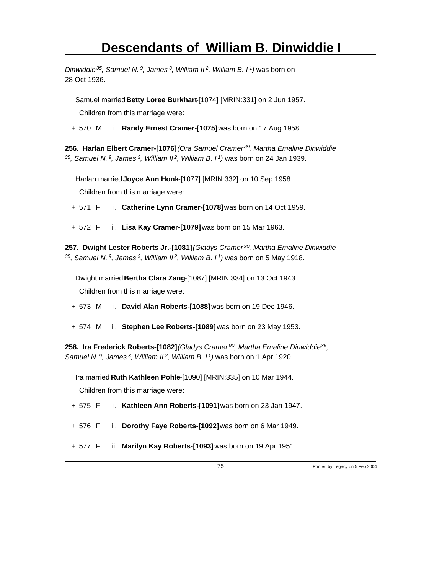*Dinwiddie<sup>35</sup>, Samuel N.<sup>9</sup>, James<sup>3</sup>, William II<sup>2</sup>, William B. I<sup>1</sup>)* was born on 28 Oct 1936.

Samuel married **Betty Loree Burkhart**-[1074] [MRIN:331] on 2 Jun 1957.

Children from this marriage were:

+ 570 M i. **Randy Ernest Cramer-[1075]** was born on 17 Aug 1958.

**256. Harlan Elbert Cramer-[1076]** *(Ora Samuel Cramer<sup>89</sup>, Martha Emaline Dinwiddie <sup>35</sup>, Samuel N.<sup>9</sup>, James<sup>3</sup>, William II<sup>2</sup>, William B. I<sup>1</sup>)* was born on 24 Jan 1939.

Harlan married **Joyce Ann Honk**-[1077] [MRIN:332] on 10 Sep 1958.

Children from this marriage were:

+ 571 F i. **Catherine Lynn Cramer-[1078]** was born on 14 Oct 1959.

+ 572 F ii. **Lisa Kay Cramer-[1079]** was born on 15 Mar 1963.

**257. Dwight Lester Roberts Jr.-[1081]** *(Gladys Cramer<sup>90</sup>, Martha Emaline Dinwiddie <sup>35</sup>, Samuel N.<sup>9</sup>, James<sup>3</sup>, William II<sup>2</sup>, William B. I<sup>1</sup>)* was born on 5 May 1918.

Dwight married **Bertha Clara Zang**-[1087] [MRIN:334] on 13 Oct 1943. Children from this marriage were:

+ 573 M i. **David Alan Roberts-[1088]** was born on 19 Dec 1946.

+ 574 M ii. **Stephen Lee Roberts-[1089]** was born on 23 May 1953.

**258. Ira Frederick Roberts-[1082]** *(Gladys Cramer<sup>90</sup>, Martha Emaline Dinwiddie<sup>35</sup> , Samuel N.<sup>9</sup>, James<sup>3</sup>, William II<sup>2</sup>, William B. I<sup>1</sup>)* was born on 1 Apr 1920.

Ira married **Ruth Kathleen Pohle**-[1090] [MRIN:335] on 10 Mar 1944. Children from this marriage were:

- + 575 F i. **Kathleen Ann Roberts-[1091]** was born on 23 Jan 1947.
- + 576 F ii. **Dorothy Faye Roberts-[1092]** was born on 6 Mar 1949.
- + 577 F iii. **Marilyn Kay Roberts-[1093]** was born on 19 Apr 1951.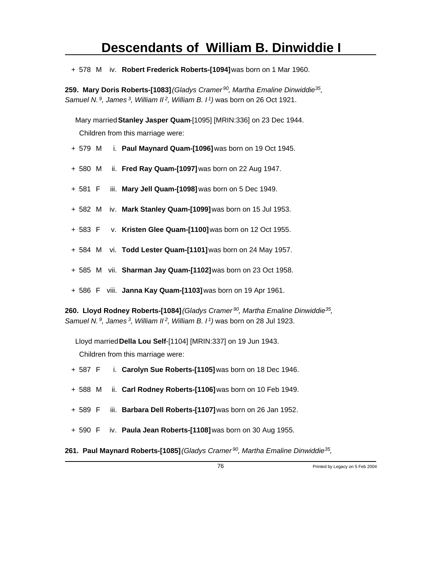+ 578 M iv. **Robert Frederick Roberts-[1094]** was born on 1 Mar 1960.

**259. Mary Doris Roberts-[1083]** *(Gladys Cramer<sup>90</sup>, Martha Emaline Dinwiddie<sup>35</sup> , Samuel N.<sup>9</sup>, James<sup>3</sup>, William II<sup>2</sup>, William B. I<sup>1</sup>)* was born on 26 Oct 1921.

Mary married **Stanley Jasper Quam**-[1095] [MRIN:336] on 23 Dec 1944. Children from this marriage were:

- + 579 M i. **Paul Maynard Quam-[1096]** was born on 19 Oct 1945.
- + 580 M ii. **Fred Ray Quam-[1097]** was born on 22 Aug 1947.
- + 581 F iii. **Mary Jell Quam-[1098]** was born on 5 Dec 1949.
- + 582 M iv. **Mark Stanley Quam-[1099]** was born on 15 Jul 1953.
- + 583 F v. **Kristen Glee Quam-[1100]** was born on 12 Oct 1955.
- + 584 M vi. **Todd Lester Quam-[1101]** was born on 24 May 1957.
- + 585 M vii. **Sharman Jay Quam-[1102]** was born on 23 Oct 1958.
- + 586 F viii. **Janna Kay Quam-[1103]** was born on 19 Apr 1961.

**260. Lloyd Rodney Roberts-[1084]** *(Gladys Cramer<sup>90</sup>, Martha Emaline Dinwiddie<sup>35</sup> , Samuel N.<sup>9</sup>, James<sup>3</sup>, William II<sup>2</sup>, William B. I<sup>1</sup>)* was born on 28 Jul 1923.

Lloyd married **Della Lou Self**-[1104] [MRIN:337] on 19 Jun 1943. Children from this marriage were:

- + 587 F i. **Carolyn Sue Roberts-[1105]** was born on 18 Dec 1946.
- + 588 M ii. **Carl Rodney Roberts-[1106]** was born on 10 Feb 1949.
- + 589 F iii. **Barbara Dell Roberts-[1107]** was born on 26 Jan 1952.
- + 590 F iv. **Paula Jean Roberts-[1108]** was born on 30 Aug 1955.
- **261. Paul Maynard Roberts-[1085]** *(Gladys Cramer<sup>90</sup>, Martha Emaline Dinwiddie<sup>35</sup> ,*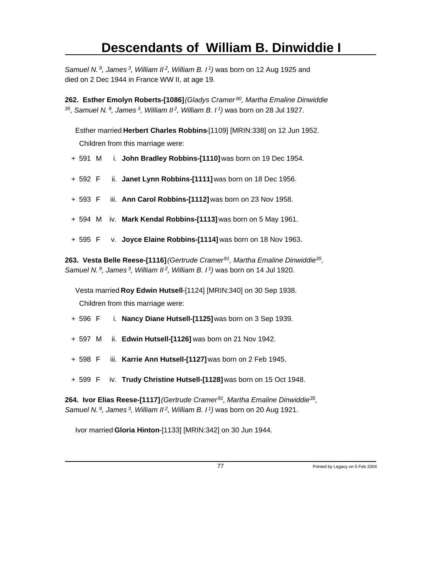*Samuel N.<sup>9</sup>, James<sup>3</sup>, William II<sup>2</sup>, William B. I<sup>1</sup>)* was born on 12 Aug 1925 and died on 2 Dec 1944 in France WW II, at age 19.

**262. Esther Emolyn Roberts-[1086]** *(Gladys Cramer<sup>90</sup>, Martha Emaline Dinwiddie <sup>35</sup>, Samuel N.<sup>9</sup>, James<sup>3</sup>, William II<sup>2</sup>, William B. I<sup>1</sup>)* was born on 28 Jul 1927.

Esther married **Herbert Charles Robbins**-[1109] [MRIN:338] on 12 Jun 1952. Children from this marriage were:

- + 591 M i. **John Bradley Robbins-[1110]** was born on 19 Dec 1954.
- + 592 F ii. **Janet Lynn Robbins-[1111]** was born on 18 Dec 1956.
- + 593 F iii. **Ann Carol Robbins-[1112]** was born on 23 Nov 1958.
- + 594 M iv. **Mark Kendal Robbins-[1113]** was born on 5 May 1961.
- + 595 F v. **Joyce Elaine Robbins-[1114]** was born on 18 Nov 1963.

**263. Vesta Belle Reese-[1116]** *(Gertrude Cramer<sup>91</sup>, Martha Emaline Dinwiddie<sup>35</sup> , Samuel N.<sup>9</sup>, James<sup>3</sup>, William II<sup>2</sup>, William B. I<sup>1</sup>)* was born on 14 Jul 1920.

Vesta married **Roy Edwin Hutsell**-[1124] [MRIN:340] on 30 Sep 1938. Children from this marriage were:

- + 596 F i. **Nancy Diane Hutsell-[1125]** was born on 3 Sep 1939.
- + 597 M ii. **Edwin Hutsell-[1126]** was born on 21 Nov 1942.
- + 598 F iii. **Karrie Ann Hutsell-[1127]** was born on 2 Feb 1945.
- + 599 F iv. **Trudy Christine Hutsell-[1128]** was born on 15 Oct 1948.

**264. Ivor Elias Reese-[1117]** *(Gertrude Cramer<sup>91</sup>, Martha Emaline Dinwiddie<sup>35</sup> , Samuel N.<sup>9</sup>, James<sup>3</sup>, William II<sup>2</sup>, William B. I<sup>1</sup>)* was born on 20 Aug 1921.

Ivor married **Gloria Hinton**-[1133] [MRIN:342] on 30 Jun 1944.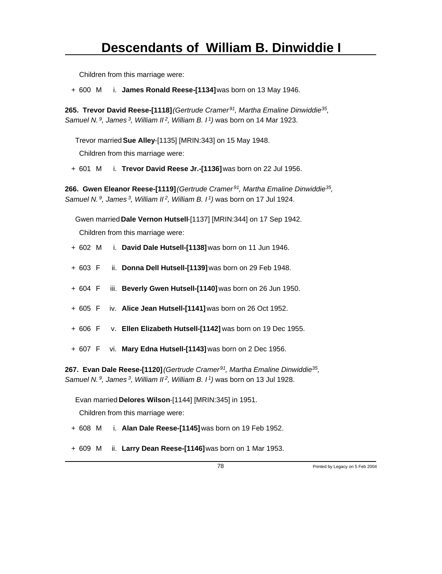Children from this marriage were:

+ 600 M i. **James Ronald Reese-[1134]** was born on 13 May 1946.

**265. Trevor David Reese-[1118]** *(Gertrude Cramer<sup>91</sup>, Martha Emaline Dinwiddie<sup>35</sup> , Samuel N.<sup>9</sup>, James<sup>3</sup>, William II<sup>2</sup>, William B. I<sup>1</sup>)* was born on 14 Mar 1923.

Trevor married **Sue Alley**-[1135] [MRIN:343] on 15 May 1948.

Children from this marriage were:

+ 601 M i. **Trevor David Reese Jr.-[1136]** was born on 22 Jul 1956.

**266. Gwen Eleanor Reese-[1119]** *(Gertrude Cramer<sup>91</sup>, Martha Emaline Dinwiddie<sup>35</sup> , Samuel N.<sup>9</sup>, James<sup>3</sup>, William II<sup>2</sup>, William B. I<sup>1</sup>)* was born on 17 Jul 1924.

Gwen married **Dale Vernon Hutsell**-[1137] [MRIN:344] on 17 Sep 1942.

Children from this marriage were:

- + 602 M i. **David Dale Hutsell-[1138]** was born on 11 Jun 1946.
- + 603 F ii. **Donna Dell Hutsell-[1139]** was born on 29 Feb 1948.
- + 604 F iii. **Beverly Gwen Hutsell-[1140]** was born on 26 Jun 1950.
- + 605 F iv. **Alice Jean Hutsell-[1141]** was born on 26 Oct 1952.
- + 606 F v. **Ellen Elizabeth Hutsell-[1142]** was born on 19 Dec 1955.
- + 607 F vi. **Mary Edna Hutsell-[1143]** was born on 2 Dec 1956.

**267. Evan Dale Reese-[1120]** *(Gertrude Cramer<sup>91</sup>, Martha Emaline Dinwiddie<sup>35</sup> , Samuel N.<sup>9</sup>, James<sup>3</sup>, William II<sup>2</sup>, William B. I<sup>1</sup>)* was born on 13 Jul 1928.

Evan married **Delores Wilson**-[1144] [MRIN:345] in 1951.

- + 608 M i. **Alan Dale Reese-[1145]** was born on 19 Feb 1952.
- + 609 M ii. **Larry Dean Reese-[1146]** was born on 1 Mar 1953.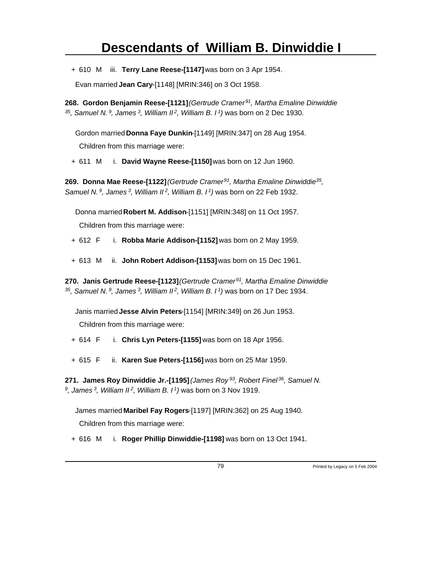+ 610 M iii. **Terry Lane Reese-[1147]** was born on 3 Apr 1954.

Evan married **Jean Cary**-[1148] [MRIN:346] on 3 Oct 1958.

**268. Gordon Benjamin Reese-[1121]** *(Gertrude Cramer<sup>91</sup>, Martha Emaline Dinwiddie <sup>35</sup>, Samuel N.<sup>9</sup>, James<sup>3</sup>, William II<sup>2</sup>, William B. I<sup>1</sup>)* was born on 2 Dec 1930.

Gordon married **Donna Faye Dunkin**-[1149] [MRIN:347] on 28 Aug 1954.

Children from this marriage were:

+ 611 M i. **David Wayne Reese-[1150]** was born on 12 Jun 1960.

**269. Donna Mae Reese-[1122]** *(Gertrude Cramer<sup>91</sup>, Martha Emaline Dinwiddie<sup>35</sup> , Samuel N.<sup>9</sup>, James<sup>3</sup>, William II<sup>2</sup>, William B. I<sup>1</sup>)* was born on 22 Feb 1932.

Donna married **Robert M. Addison**-[1151] [MRIN:348] on 11 Oct 1957.

Children from this marriage were:

+ 612 F i. **Robba Marie Addison-[1152]** was born on 2 May 1959.

+ 613 M ii. **John Robert Addison-[1153]** was born on 15 Dec 1961.

**270. Janis Gertrude Reese-[1123]** *(Gertrude Cramer<sup>91</sup>, Martha Emaline Dinwiddie <sup>35</sup>, Samuel N.<sup>9</sup>, James<sup>3</sup>, William II<sup>2</sup>, William B. I<sup>1</sup>)* was born on 17 Dec 1934.

Janis married **Jesse Alvin Peters**-[1154] [MRIN:349] on 26 Jun 1953.

Children from this marriage were:

+ 614 F i. **Chris Lyn Peters-[1155]** was born on 18 Apr 1956.

+ 615 F ii. **Karen Sue Peters-[1156]** was born on 25 Mar 1959.

**271. James Roy Dinwiddie Jr.-[1195]** *(James Roy<sup>93</sup>, Robert Finel<sup>36</sup>, Samuel N. 9 , James<sup>3</sup>, William II<sup>2</sup>, William B. I<sup>1</sup>)* was born on 3 Nov 1919.

James married **Maribel Fay Rogers**-[1197] [MRIN:362] on 25 Aug 1940.

Children from this marriage were:

+ 616 M i. **Roger Phillip Dinwiddie-[1198]** was born on 13 Oct 1941.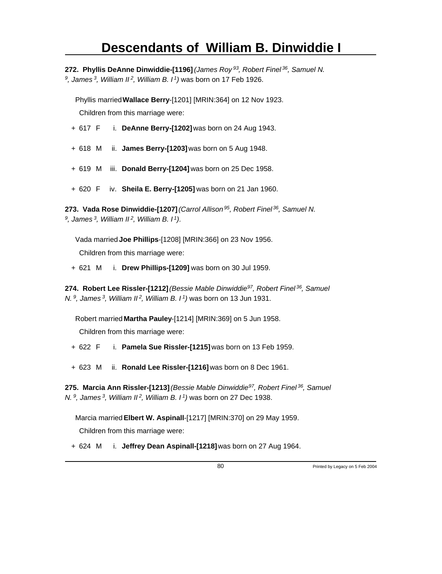**272. Phyllis DeAnne Dinwiddie-[1196]** *(James Roy<sup>93</sup>, Robert Finel<sup>36</sup>, Samuel N. 9 , James<sup>3</sup>, William II<sup>2</sup>, William B. I<sup>1</sup>)* was born on 17 Feb 1926.

Phyllis married **Wallace Berry**-[1201] [MRIN:364] on 12 Nov 1923. Children from this marriage were:

- + 617 F i. **DeAnne Berry-[1202]** was born on 24 Aug 1943.
- + 618 M ii. **James Berry-[1203]** was born on 5 Aug 1948.
- + 619 M iii. **Donald Berry-[1204]** was born on 25 Dec 1958.
- + 620 F iv. **Sheila E. Berry-[1205]** was born on 21 Jan 1960.

**273. Vada Rose Dinwiddie-[1207]** *(Carrol Allison<sup>95</sup>, Robert Finel<sup>36</sup>, Samuel N. 9 , James<sup>3</sup>, William II<sup>2</sup>, William B. I<sup>1</sup>)*.

Vada married **Joe Phillips**-[1208] [MRIN:366] on 23 Nov 1956. Children from this marriage were:

+ 621 M i. **Drew Phillips-[1209]** was born on 30 Jul 1959.

**274. Robert Lee Rissler-[1212]** *(Bessie Mable Dinwiddie<sup>97</sup>, Robert Finel<sup>36</sup>, Samuel N.<sup>9</sup>, James<sup>3</sup>, William II<sup>2</sup>, William B. I<sup>1</sup>)* was born on 13 Jun 1931.

Robert married **Martha Pauley**-[1214] [MRIN:369] on 5 Jun 1958.

Children from this marriage were:

- + 622 F i. **Pamela Sue Rissler-[1215]** was born on 13 Feb 1959.
- + 623 M ii. **Ronald Lee Rissler-[1216]** was born on 8 Dec 1961.

**275. Marcia Ann Rissler-[1213]** *(Bessie Mable Dinwiddie<sup>97</sup>, Robert Finel<sup>36</sup>, Samuel N.<sup>9</sup>, James<sup>3</sup>, William II<sup>2</sup>, William B. I<sup>1</sup>)* was born on 27 Dec 1938.

Marcia married **Elbert W. Aspinall**-[1217] [MRIN:370] on 29 May 1959.

Children from this marriage were:

+ 624 M i. **Jeffrey Dean Aspinall-[1218]** was born on 27 Aug 1964.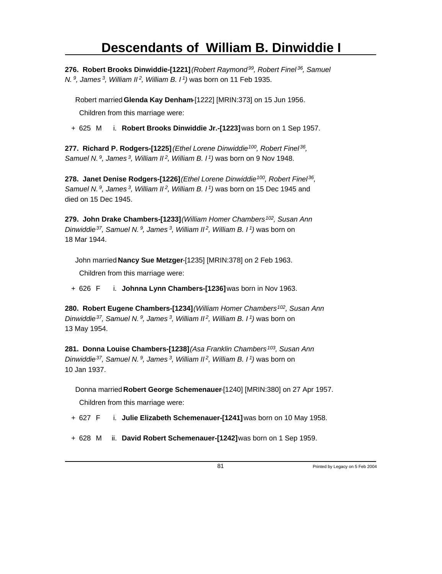**276. Robert Brooks Dinwiddie-[1221]** *(Robert Raymond<sup>99</sup>, Robert Finel<sup>36</sup>, Samuel N.<sup>9</sup>, James<sup>3</sup>, William II<sup>2</sup>, William B. I<sup>1</sup>)* was born on 11 Feb 1935.

Robert married **Glenda Kay Denham**-[1222] [MRIN:373] on 15 Jun 1956. Children from this marriage were:

+ 625 M i. **Robert Brooks Dinwiddie Jr.-[1223]** was born on 1 Sep 1957.

**277. Richard P. Rodgers-[1225]** *(Ethel Lorene Dinwiddie<sup>100</sup>, Robert Finel<sup>36</sup> , Samuel N.<sup>9</sup>, James<sup>3</sup>, William II<sup>2</sup>, William B. I<sup>1</sup>)* was born on 9 Nov 1948.

**278. Janet Denise Rodgers-[1226]** *(Ethel Lorene Dinwiddie<sup>100</sup>, Robert Finel<sup>36</sup> , Samuel N.<sup>9</sup>, James<sup>3</sup>, William II<sup>2</sup>, William B. I<sup>1</sup>)* was born on 15 Dec 1945 and died on 15 Dec 1945.

**279. John Drake Chambers-[1233]** *(William Homer Chambers<sup>102</sup>, Susan Ann Dinwiddie<sup>37</sup>, Samuel N.<sup>9</sup>, James<sup>3</sup>, William II<sup>2</sup>, William B. I<sup>1</sup>)* was born on 18 Mar 1944.

John married **Nancy Sue Metzger**-[1235] [MRIN:378] on 2 Feb 1963.

Children from this marriage were:

+ 626 F i. **Johnna Lynn Chambers-[1236]** was born in Nov 1963.

**280. Robert Eugene Chambers-[1234]** *(William Homer Chambers<sup>102</sup>, Susan Ann Dinwiddie<sup>37</sup>, Samuel N.<sup>9</sup>, James<sup>3</sup>, William II<sup>2</sup>, William B. I<sup>1</sup>)* was born on 13 May 1954.

**281. Donna Louise Chambers-[1238]** *(Asa Franklin Chambers<sup>103</sup>, Susan Ann Dinwiddie<sup>37</sup>, Samuel N.<sup>9</sup>, James<sup>3</sup>, William II<sup>2</sup>, William B. I<sup>1</sup>)* was born on 10 Jan 1937.

Donna married **Robert George Schemenauer**-[1240] [MRIN:380] on 27 Apr 1957.

- + 627 F i. **Julie Elizabeth Schemenauer-[1241]** was born on 10 May 1958.
- + 628 M ii. **David Robert Schemenauer-[1242]** was born on 1 Sep 1959.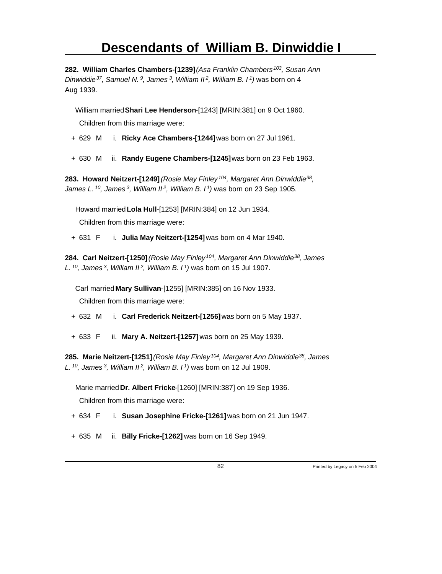**282. William Charles Chambers-[1239]** *(Asa Franklin Chambers<sup>103</sup>, Susan Ann Dinwiddie<sup>37</sup>, Samuel N.<sup>9</sup>, James<sup>3</sup>, William II<sup>2</sup>, William B. I<sup>1</sup>)* was born on 4 Aug 1939.

William married **Shari Lee Henderson**-[1243] [MRIN:381] on 9 Oct 1960. Children from this marriage were:

- + 629 M i. **Ricky Ace Chambers-[1244]** was born on 27 Jul 1961.
- + 630 M ii. **Randy Eugene Chambers-[1245]** was born on 23 Feb 1963.

**283. Howard Neitzert-[1249]** *(Rosie May Finley<sup>104</sup>, Margaret Ann Dinwiddie<sup>38</sup> , James L.<sup>10</sup>, James<sup>3</sup>, William II<sup>2</sup>, William B. I<sup>1</sup>)* was born on 23 Sep 1905.

Howard married **Lola Hull**-[1253] [MRIN:384] on 12 Jun 1934.

Children from this marriage were:

+ 631 F i. **Julia May Neitzert-[1254]** was born on 4 Mar 1940.

**284. Carl Neitzert-[1250]** *(Rosie May Finley<sup>104</sup>, Margaret Ann Dinwiddie<sup>38</sup>, James L.<sup>10</sup>, James<sup>3</sup>, William II<sup>2</sup>, William B. I<sup>1</sup>)* was born on 15 Jul 1907.

Carl married **Mary Sullivan**-[1255] [MRIN:385] on 16 Nov 1933. Children from this marriage were:

- + 632 M i. **Carl Frederick Neitzert-[1256]** was born on 5 May 1937.
- + 633 F ii. **Mary A. Neitzert-[1257]** was born on 25 May 1939.

**285. Marie Neitzert-[1251]** *(Rosie May Finley<sup>104</sup>, Margaret Ann Dinwiddie<sup>38</sup>, James L.<sup>10</sup>, James<sup>3</sup>, William II<sup>2</sup>, William B. I<sup>1</sup>)* was born on 12 Jul 1909.

Marie married **Dr. Albert Fricke**-[1260] [MRIN:387] on 19 Sep 1936.

- + 634 F i. **Susan Josephine Fricke-[1261]** was born on 21 Jun 1947.
- + 635 M ii. **Billy Fricke-[1262]** was born on 16 Sep 1949.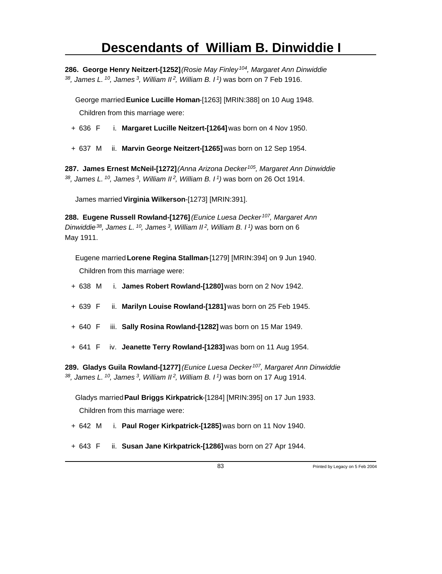**286. George Henry Neitzert-[1252]** *(Rosie May Finley<sup>104</sup>, Margaret Ann Dinwiddie <sup>38</sup>, James L.<sup>10</sup>, James<sup>3</sup>, William II<sup>2</sup>, William B. I<sup>1</sup>)* was born on 7 Feb 1916.

George married **Eunice Lucille Homan**-[1263] [MRIN:388] on 10 Aug 1948. Children from this marriage were:

- + 636 F i. **Margaret Lucille Neitzert-[1264]** was born on 4 Nov 1950.
- + 637 M ii. **Marvin George Neitzert-[1265]** was born on 12 Sep 1954.

**287. James Ernest McNeil-[1272]** *(Anna Arizona Decker<sup>105</sup>, Margaret Ann Dinwiddie <sup>38</sup>, James L.<sup>10</sup>, James<sup>3</sup>, William II<sup>2</sup>, William B. I<sup>1</sup>)* was born on 26 Oct 1914.

James married **Virginia Wilkerson**-[1273] [MRIN:391].

**288. Eugene Russell Rowland-[1276]** *(Eunice Luesa Decker<sup>107</sup>, Margaret Ann Dinwiddie<sup>38</sup>, James L.<sup>10</sup>, James<sup>3</sup>, William II<sup>2</sup>, William B. I<sup>1</sup>)* was born on 6 May 1911.

Eugene married **Lorene Regina Stallman**-[1279] [MRIN:394] on 9 Jun 1940. Children from this marriage were:

- + 638 M i. **James Robert Rowland-[1280]** was born on 2 Nov 1942.
- + 639 F ii. **Marilyn Louise Rowland-[1281]** was born on 25 Feb 1945.
- + 640 F iii. **Sally Rosina Rowland-[1282]** was born on 15 Mar 1949.
- + 641 F iv. **Jeanette Terry Rowland-[1283]** was born on 11 Aug 1954.

**289. Gladys Guila Rowland-[1277]** *(Eunice Luesa Decker<sup>107</sup>, Margaret Ann Dinwiddie <sup>38</sup>, James L.<sup>10</sup>, James<sup>3</sup>, William II<sup>2</sup>, William B. I<sup>1</sup>)* was born on 17 Aug 1914.

Gladys married **Paul Briggs Kirkpatrick**-[1284] [MRIN:395] on 17 Jun 1933. Children from this marriage were:

- + 642 M i. **Paul Roger Kirkpatrick-[1285]** was born on 11 Nov 1940.
- + 643 F ii. **Susan Jane Kirkpatrick-[1286]** was born on 27 Apr 1944.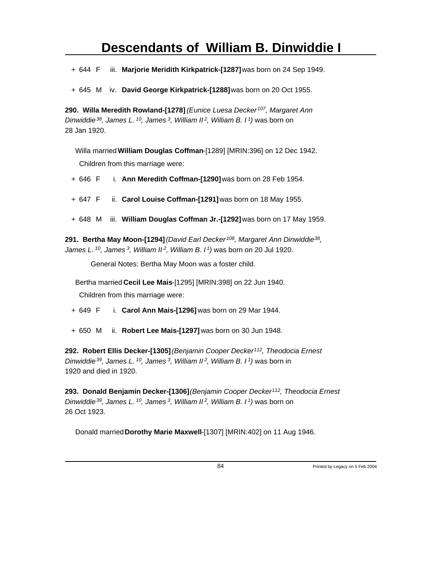+ 644 F iii. **Marjorie Meridith Kirkpatrick-[1287]** was born on 24 Sep 1949.

+ 645 M iv. **David George Kirkpatrick-[1288]** was born on 20 Oct 1955.

**290. Willa Meredith Rowland-[1278]** *(Eunice Luesa Decker<sup>107</sup>, Margaret Ann Dinwiddie<sup>38</sup>, James L.<sup>10</sup>, James<sup>3</sup>, William II<sup>2</sup>, William B. I<sup>1</sup>)* was born on 28 Jan 1920.

Willa married **William Douglas Coffman**-[1289] [MRIN:396] on 12 Dec 1942. Children from this marriage were:

+ 646 F i. **Ann Meredith Coffman-[1290]** was born on 28 Feb 1954.

- + 647 F ii. **Carol Louise Coffman-[1291]** was born on 18 May 1955.
- + 648 M iii. **William Douglas Coffman Jr.-[1292]** was born on 17 May 1959.

**291. Bertha May Moon-[1294]** *(David Earl Decker<sup>108</sup>, Margaret Ann Dinwiddie<sup>38</sup> , James L.<sup>10</sup>, James<sup>3</sup>, William II<sup>2</sup>, William B. I<sup>1</sup>)* was born on 20 Jul 1920.

General Notes: Bertha May Moon was a foster child.

Bertha married **Cecil Lee Mais**-[1295] [MRIN:398] on 22 Jun 1940. Children from this marriage were:

+ 649 F i. **Carol Ann Mais-[1296]** was born on 29 Mar 1944.

+ 650 M ii. **Robert Lee Mais-[1297]** was born on 30 Jun 1948.

**292. Robert Ellis Decker-[1305]** *(Benjamin Cooper Decker<sup>112</sup>, Theodocia Ernest Dinwiddie<sup>39</sup>, James L.<sup>10</sup>, James<sup>3</sup>, William II<sup>2</sup>, William B. I<sup>1</sup>)* was born in 1920 and died in 1920.

**293. Donald Benjamin Decker-[1306]** *(Benjamin Cooper Decker<sup>112</sup>, Theodocia Ernest Dinwiddie<sup>39</sup>, James L.<sup>10</sup>, James<sup>3</sup>, William II<sup>2</sup>, William B. I<sup>1</sup>)* was born on 26 Oct 1923.

Donald married **Dorothy Marie Maxwell**-[1307] [MRIN:402] on 11 Aug 1946.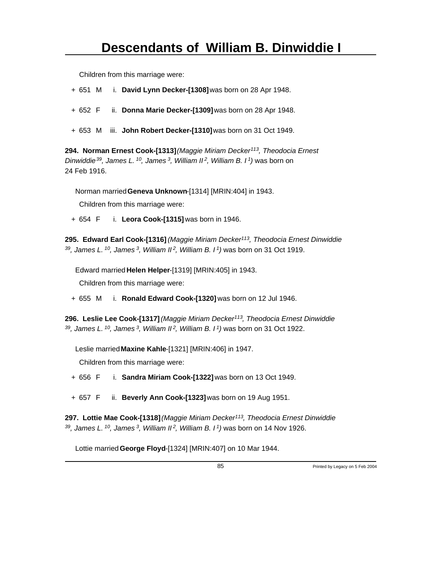Children from this marriage were:

- + 651 M i. **David Lynn Decker-[1308]** was born on 28 Apr 1948.
- + 652 F ii. **Donna Marie Decker-[1309]** was born on 28 Apr 1948.
- + 653 M iii. **John Robert Decker-[1310]** was born on 31 Oct 1949.

**294. Norman Ernest Cook-[1313]** *(Maggie Miriam Decker<sup>113</sup>, Theodocia Ernest Dinwiddie<sup>39</sup>, James L.<sup>10</sup>, James<sup>3</sup>, William II<sup>2</sup>, William B. I<sup>1</sup>)* was born on 24 Feb 1916.

Norman married **Geneva Unknown**-[1314] [MRIN:404] in 1943.

Children from this marriage were:

+ 654 F i. **Leora Cook-[1315]** was born in 1946.

**295. Edward Earl Cook-[1316]** *(Maggie Miriam Decker<sup>113</sup>, Theodocia Ernest Dinwiddie <sup>39</sup>, James L.<sup>10</sup>, James<sup>3</sup>, William II<sup>2</sup>, William B. I<sup>1</sup>)* was born on 31 Oct 1919.

Edward married **Helen Helper**-[1319] [MRIN:405] in 1943.

Children from this marriage were:

+ 655 M i. **Ronald Edward Cook-[1320]** was born on 12 Jul 1946.

**296. Leslie Lee Cook-[1317]** *(Maggie Miriam Decker<sup>113</sup>, Theodocia Ernest Dinwiddie <sup>39</sup>, James L.<sup>10</sup>, James<sup>3</sup>, William II<sup>2</sup>, William B. I<sup>1</sup>)* was born on 31 Oct 1922.

Leslie married **Maxine Kahle**-[1321] [MRIN:406] in 1947.

Children from this marriage were:

- + 656 F i. **Sandra Miriam Cook-[1322]** was born on 13 Oct 1949.
- + 657 F ii. **Beverly Ann Cook-[1323]** was born on 19 Aug 1951.

**297. Lottie Mae Cook-[1318]** *(Maggie Miriam Decker<sup>113</sup>, Theodocia Ernest Dinwiddie <sup>39</sup>, James L.<sup>10</sup>, James<sup>3</sup>, William II<sup>2</sup>, William B. I<sup>1</sup>)* was born on 14 Nov 1926.

Lottie married **George Floyd**-[1324] [MRIN:407] on 10 Mar 1944.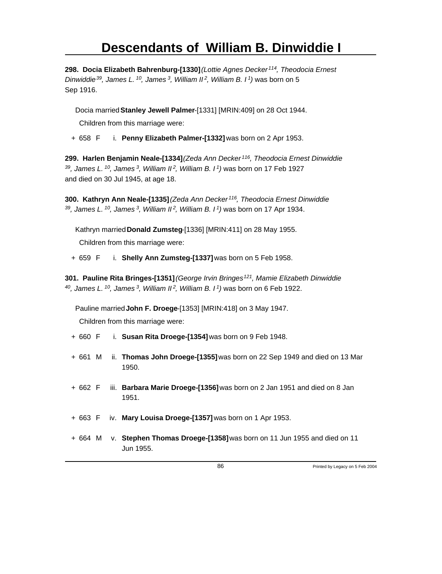**298. Docia Elizabeth Bahrenburg-[1330]** *(Lottie Agnes Decker<sup>114</sup>, Theodocia Ernest Dinwiddie<sup>39</sup>, James L.<sup>10</sup>, James<sup>3</sup>, William II<sup>2</sup>, William B. I<sup>1</sup>)* was born on 5 Sep 1916.

Docia married **Stanley Jewell Palmer**-[1331] [MRIN:409] on 28 Oct 1944.

Children from this marriage were:

+ 658 F i. **Penny Elizabeth Palmer-[1332]** was born on 2 Apr 1953.

**299. Harlen Benjamin Neale-[1334]** *(Zeda Ann Decker<sup>116</sup>, Theodocia Ernest Dinwiddie <sup>39</sup>, James L.<sup>10</sup>, James<sup>3</sup>, William II<sup>2</sup>, William B. I<sup>1</sup>)* was born on 17 Feb 1927 and died on 30 Jul 1945, at age 18.

**300. Kathryn Ann Neale-[1335]** *(Zeda Ann Decker<sup>116</sup>, Theodocia Ernest Dinwiddie <sup>39</sup>, James L.<sup>10</sup>, James<sup>3</sup>, William II<sup>2</sup>, William B. I<sup>1</sup>)* was born on 17 Apr 1934.

Kathryn married **Donald Zumsteg**-[1336] [MRIN:411] on 28 May 1955.

Children from this marriage were:

+ 659 F i. **Shelly Ann Zumsteg-[1337]** was born on 5 Feb 1958.

**301. Pauline Rita Bringes-[1351]** *(George Irvin Bringes<sup>121</sup>, Mamie Elizabeth Dinwiddie <sup>40</sup>, James L.<sup>10</sup>, James<sup>3</sup>, William II<sup>2</sup>, William B. I<sup>1</sup>)* was born on 6 Feb 1922.

Pauline married **John F. Droege**-[1353] [MRIN:418] on 3 May 1947.

- + 660 F i. **Susan Rita Droege-[1354]** was born on 9 Feb 1948.
- + 661 M ii. **Thomas John Droege-[1355]** was born on 22 Sep 1949 and died on 13 Mar 1950.
- + 662 F iii. **Barbara Marie Droege-[1356]** was born on 2 Jan 1951 and died on 8 Jan 1951.
- + 663 F iv. **Mary Louisa Droege-[1357]** was born on 1 Apr 1953.
- + 664 M v. **Stephen Thomas Droege-[1358]** was born on 11 Jun 1955 and died on 11 Jun 1955.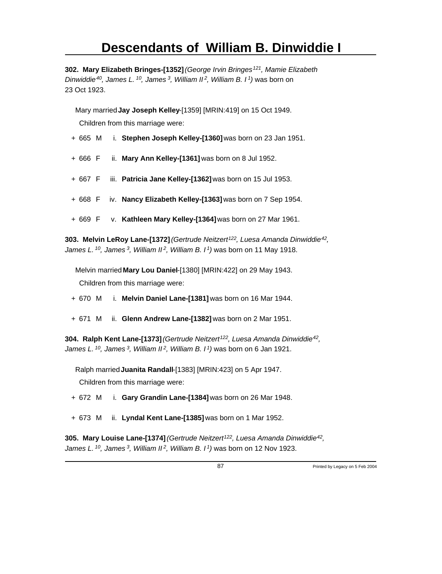**302. Mary Elizabeth Bringes-[1352]** *(George Irvin Bringes<sup>121</sup>, Mamie Elizabeth Dinwiddie<sup>40</sup>, James L.<sup>10</sup>, James<sup>3</sup>, William II<sup>2</sup>, William B. I<sup>1</sup>)* was born on 23 Oct 1923.

Mary married **Jay Joseph Kelley**-[1359] [MRIN:419] on 15 Oct 1949. Children from this marriage were:

- + 665 M i. **Stephen Joseph Kelley-[1360]** was born on 23 Jan 1951.
- + 666 F ii. **Mary Ann Kelley-[1361]** was born on 8 Jul 1952.
- + 667 F iii. **Patricia Jane Kelley-[1362]** was born on 15 Jul 1953.
- + 668 F iv. **Nancy Elizabeth Kelley-[1363]** was born on 7 Sep 1954.
- + 669 F v. **Kathleen Mary Kelley-[1364]** was born on 27 Mar 1961.

**303. Melvin LeRoy Lane-[1372]** *(Gertrude Neitzert<sup>122</sup>, Luesa Amanda Dinwiddie<sup>42</sup> , James L.<sup>10</sup>, James<sup>3</sup>, William II<sup>2</sup>, William B. I<sup>1</sup>)* was born on 11 May 1918.

Melvin married **Mary Lou Daniel**-[1380] [MRIN:422] on 29 May 1943. Children from this marriage were:

- + 670 M i. **Melvin Daniel Lane-[1381]** was born on 16 Mar 1944.
- + 671 M ii. **Glenn Andrew Lane-[1382]** was born on 2 Mar 1951.

**304. Ralph Kent Lane-[1373]** *(Gertrude Neitzert<sup>122</sup>, Luesa Amanda Dinwiddie<sup>42</sup> , James L.<sup>10</sup>, James<sup>3</sup>, William II<sup>2</sup>, William B. I<sup>1</sup>)* was born on 6 Jan 1921.

Ralph married **Juanita Randall**-[1383] [MRIN:423] on 5 Apr 1947. Children from this marriage were:

- + 672 M i. **Gary Grandin Lane-[1384]** was born on 26 Mar 1948.
- + 673 M ii. **Lyndal Kent Lane-[1385]** was born on 1 Mar 1952.

**305. Mary Louise Lane-[1374]** *(Gertrude Neitzert<sup>122</sup>, Luesa Amanda Dinwiddie<sup>42</sup> , James L. 10, James 3, William II 2, William B. I 1)* was born on 12 Nov 1923.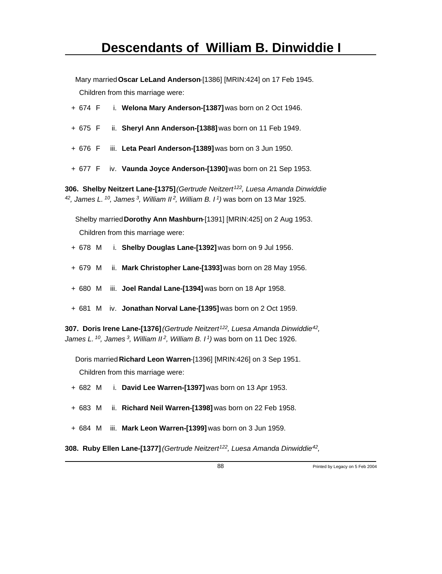Mary married **Oscar LeLand Anderson**-[1386] [MRIN:424] on 17 Feb 1945. Children from this marriage were:

- + 674 F i. **Welona Mary Anderson-[1387]** was born on 2 Oct 1946.
- + 675 F ii. **Sheryl Ann Anderson-[1388]** was born on 11 Feb 1949.
- + 676 F iii. **Leta Pearl Anderson-[1389]** was born on 3 Jun 1950.
- + 677 F iv. **Vaunda Joyce Anderson-[1390]** was born on 21 Sep 1953.

**306. Shelby Neitzert Lane-[1375]** *(Gertrude Neitzert<sup>122</sup>, Luesa Amanda Dinwiddie <sup>42</sup>, James L.<sup>10</sup>, James<sup>3</sup>, William II<sup>2</sup>, William B. I<sup>1</sup>)* was born on 13 Mar 1925.

Shelby married **Dorothy Ann Mashburn**-[1391] [MRIN:425] on 2 Aug 1953. Children from this marriage were:

- + 678 M i. **Shelby Douglas Lane-[1392]** was born on 9 Jul 1956.
- + 679 M ii. **Mark Christopher Lane-[1393]** was born on 28 May 1956.
- + 680 M iii. **Joel Randal Lane-[1394]** was born on 18 Apr 1958.
- + 681 M iv. **Jonathan Norval Lane-[1395]** was born on 2 Oct 1959.

**307. Doris Irene Lane-[1376]** *(Gertrude Neitzert<sup>122</sup>, Luesa Amanda Dinwiddie<sup>42</sup> , James L.<sup>10</sup>, James<sup>3</sup>, William II<sup>2</sup>, William B. I<sup>1</sup>)* was born on 11 Dec 1926.

Doris married **Richard Leon Warren**-[1396] [MRIN:426] on 3 Sep 1951.

Children from this marriage were:

- + 682 M i. **David Lee Warren-[1397]** was born on 13 Apr 1953.
- + 683 M ii. **Richard Neil Warren-[1398]** was born on 22 Feb 1958.
- + 684 M iii. **Mark Leon Warren-[1399]** was born on 3 Jun 1959.

**308. Ruby Ellen Lane-[1377]** *(Gertrude Neitzert<sup>122</sup>, Luesa Amanda Dinwiddie<sup>42</sup> ,*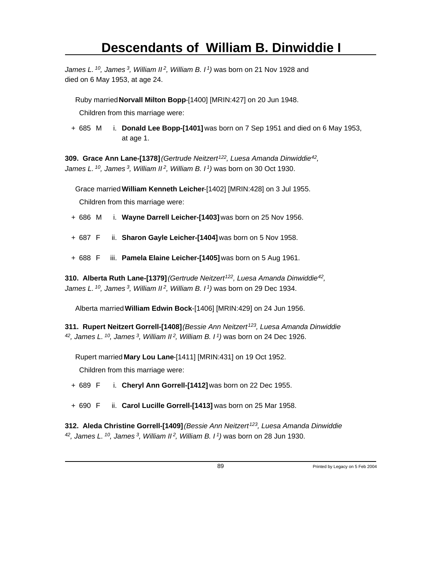*James L.<sup>10</sup>, James<sup>3</sup>, William II<sup>2</sup>, William B. I<sup>1</sup>)* was born on 21 Nov 1928 and died on 6 May 1953, at age 24.

Ruby married **Norvall Milton Bopp**-[1400] [MRIN:427] on 20 Jun 1948.

Children from this marriage were:

+ 685 M i. **Donald Lee Bopp-[1401]** was born on 7 Sep 1951 and died on 6 May 1953, at age 1.

**309. Grace Ann Lane-[1378]** *(Gertrude Neitzert<sup>122</sup>, Luesa Amanda Dinwiddie<sup>42</sup> , James L.<sup>10</sup>, James<sup>3</sup>, William II<sup>2</sup>, William B. I<sup>1</sup>)* was born on 30 Oct 1930.

Grace married **William Kenneth Leicher**-[1402] [MRIN:428] on 3 Jul 1955.

Children from this marriage were:

- + 686 M i. **Wayne Darrell Leicher-[1403]** was born on 25 Nov 1956.
- + 687 F ii. **Sharon Gayle Leicher-[1404]** was born on 5 Nov 1958.
- + 688 F iii. **Pamela Elaine Leicher-[1405]** was born on 5 Aug 1961.

**310. Alberta Ruth Lane-[1379]** *(Gertrude Neitzert<sup>122</sup>, Luesa Amanda Dinwiddie<sup>42</sup> , James L.<sup>10</sup>, James<sup>3</sup>, William II<sup>2</sup>, William B. I<sup>1</sup>)* was born on 29 Dec 1934.

Alberta married **William Edwin Bock**-[1406] [MRIN:429] on 24 Jun 1956.

**311. Rupert Neitzert Gorrell-[1408]** *(Bessie Ann Neitzert<sup>123</sup>, Luesa Amanda Dinwiddie <sup>42</sup>, James L.<sup>10</sup>, James<sup>3</sup>, William II<sup>2</sup>, William B. I<sup>1</sup>)* was born on 24 Dec 1926.

Rupert married **Mary Lou Lane**-[1411] [MRIN:431] on 19 Oct 1952.

Children from this marriage were:

- + 689 F i. **Cheryl Ann Gorrell-[1412]** was born on 22 Dec 1955.
- + 690 F ii. **Carol Lucille Gorrell-[1413]** was born on 25 Mar 1958.

**312. Aleda Christine Gorrell-[1409]** *(Bessie Ann Neitzert<sup>123</sup>, Luesa Amanda Dinwiddie 42, James L. 10, James 3, William II 2, William B. I 1)* was born on 28 Jun 1930.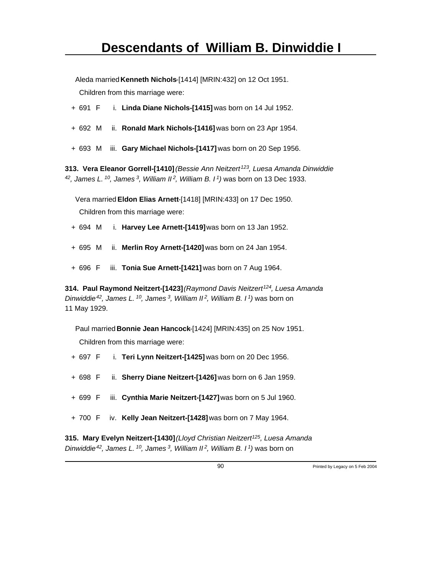Aleda married **Kenneth Nichols**-[1414] [MRIN:432] on 12 Oct 1951.

Children from this marriage were:

- + 691 F i. **Linda Diane Nichols-[1415]** was born on 14 Jul 1952.
- + 692 M ii. **Ronald Mark Nichols-[1416]** was born on 23 Apr 1954.
- + 693 M iii. **Gary Michael Nichols-[1417]** was born on 20 Sep 1956.

**313. Vera Eleanor Gorrell-[1410]** *(Bessie Ann Neitzert<sup>123</sup>, Luesa Amanda Dinwiddie <sup>42</sup>, James L.<sup>10</sup>, James<sup>3</sup>, William II<sup>2</sup>, William B. I<sup>1</sup>)* was born on 13 Dec 1933.

Vera married **Eldon Elias Arnett**-[1418] [MRIN:433] on 17 Dec 1950.

Children from this marriage were:

- + 694 M i. **Harvey Lee Arnett-[1419]** was born on 13 Jan 1952.
- + 695 M ii. **Merlin Roy Arnett-[1420]** was born on 24 Jan 1954.
- + 696 F iii. **Tonia Sue Arnett-[1421]** was born on 7 Aug 1964.

**314. Paul Raymond Neitzert-[1423]** *(Raymond Davis Neitzert<sup>124</sup>, Luesa Amanda Dinwiddie<sup>42</sup>, James L.<sup>10</sup>, James<sup>3</sup>, William II<sup>2</sup>, William B. I<sup>1</sup>)* was born on 11 May 1929.

Paul married **Bonnie Jean Hancock**-[1424] [MRIN:435] on 25 Nov 1951. Children from this marriage were:

- + 697 F i. **Teri Lynn Neitzert-[1425]** was born on 20 Dec 1956.
- + 698 F ii. **Sherry Diane Neitzert-[1426]** was born on 6 Jan 1959.
- + 699 F iii. **Cynthia Marie Neitzert-[1427]** was born on 5 Jul 1960.
- + 700 F iv. **Kelly Jean Neitzert-[1428]** was born on 7 May 1964.

**315. Mary Evelyn Neitzert-[1430]** *(Lloyd Christian Neitzert<sup>125</sup>, Luesa Amanda Dinwiddie 42, James L. 10, James 3, William II 2, William B. I 1)* was born on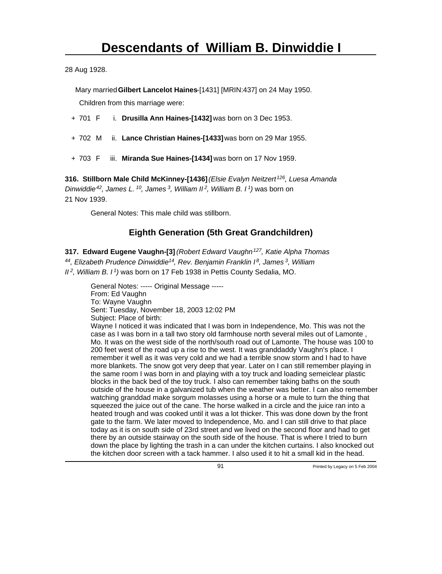28 Aug 1928.

Mary married **Gilbert Lancelot Haines**-[1431] [MRIN:437] on 24 May 1950.

Children from this marriage were:

- + 701 F i. **Drusilla Ann Haines-[1432]** was born on 3 Dec 1953.
- + 702 M ii. **Lance Christian Haines-[1433]** was born on 29 Mar 1955.
- + 703 F iii. **Miranda Sue Haines-[1434]** was born on 17 Nov 1959.

**316. Stillborn Male Child McKinney-[1436]** *(Elsie Evalyn Neitzert<sup>126</sup>, Luesa Amanda Dinwiddie<sup>42</sup>, James L.<sup>10</sup>, James<sup>3</sup>, William II<sup>2</sup>, William B. I<sup>1</sup>)* was born on 21 Nov 1939.

General Notes: This male child was stillborn.

#### **Eighth Generation (5th Great Grandchildren)**

**317. Edward Eugene Vaughn-[3]** *(Robert Edward Vaughn<sup>127</sup>, Katie Alpha Thomas <sup>44</sup>, Elizabeth Prudence Dinwiddie<sup>14</sup>, Rev. Benjamin Franklin I<sup>8</sup>, James<sup>3</sup>, William II<sup>2</sup>, William B. I<sup>1</sup>)* was born on 17 Feb 1938 in Pettis County Sedalia, MO.

General Notes: ----- Original Message ----- From: Ed Vaughn To: Wayne Vaughn Sent: Tuesday, November 18, 2003 12:02 PM Subject: Place of birth: Wayne I noticed it was indicated that I was born in Independence, Mo. This was not the case as I was born in a tall two story old farmhouse north several miles out of Lamonte , Mo. It was on the west side of the north/south road out of Lamonte. The house was 100 to 200 feet west of the road up a rise to the west. It was granddaddy Vaughn's place. I remember it well as it was very cold and we had a terrible snow storm and I had to have more blankets. The snow got very deep that year. Later on I can still remember playing in the same room I was born in and playing with a toy truck and loading semeiclear plastic blocks in the back bed of the toy truck. I also can remember taking baths on the south outside of the house in a galvanized tub when the weather was better. I can also remember watching granddad make sorgum molasses using a horse or a mule to turn the thing that squeezed the juice out of the cane. The horse walked in a circle and the juice ran into a heated trough and was cooked until it was a lot thicker. This was done down by the front gate to the farm. We later moved to Independence, Mo. and I can still drive to that place today as it is on south side of 23rd street and we lived on the second floor and had to get there by an outside stairway on the south side of the house. That is where I tried to burn down the place by lighting the trash in a can under the kitchen curtains. I also knocked out the kitchen door screen with a tack hammer. I also used it to hit a small kid in the head.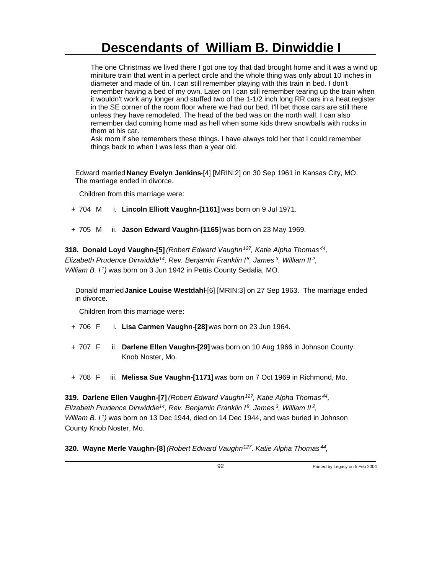The one Christmas we lived there I got one toy that dad brought home and it was a wind up miniture train that went in a perfect circle and the whole thing was only about 10 inches in diameter and made of tin. I can still remember playing with this train in bed. I don't remember having a bed of my own. Later on I can still remember tearing up the train when it wouldn't work any longer and stuffed two of the 1-1/2 inch long RR cars in a heat register in the SE corner of the room floor where we had our bed. I'll bet those cars are still there unless they have remodeled. The head of the bed was on the north wall. I can also remember dad coming home mad as hell when some kids threw snowballs with rocks in them at his car.

Ask mom if she remembers these things. I have always told her that I could remember things back to when I was less than a year old.

Edward married **Nancy Evelyn Jenkins**-[4] [MRIN:2] on 30 Sep 1961 in Kansas City, MO. The marriage ended in divorce.

Children from this marriage were:

- + 704 M i. **Lincoln Elliott Vaughn-[1161]** was born on 9 Jul 1971.
- + 705 M ii. **Jason Edward Vaughn-[1165]** was born on 23 May 1969.

**318. Donald Loyd Vaughn-[5]** *(Robert Edward Vaughn<sup>127</sup>, Katie Alpha Thomas<sup>44</sup> , Elizabeth Prudence Dinwiddie<sup>14</sup>, Rev. Benjamin Franklin I<sup>8</sup>, James<sup>3</sup>, William II<sup>2</sup> , William B. I<sup>1</sup>)* was born on 3 Jun 1942 in Pettis County Sedalia, MO.

Donald married **Janice Louise Westdahl**-[6] [MRIN:3] on 27 Sep 1963. The marriage ended in divorce.

Children from this marriage were:

- + 706 F i. **Lisa Carmen Vaughn-[28]** was born on 23 Jun 1964.
- + 707 F ii. **Darlene Ellen Vaughn-[29]** was born on 10 Aug 1966 in Johnson County Knob Noster, Mo.
- + 708 F iii. **Melissa Sue Vaughn-[1171]** was born on 7 Oct 1969 in Richmond, Mo.

**319. Darlene Ellen Vaughn-[7]** *(Robert Edward Vaughn<sup>127</sup>, Katie Alpha Thomas<sup>44</sup> , Elizabeth Prudence Dinwiddie<sup>14</sup>, Rev. Benjamin Franklin I<sup>8</sup>, James<sup>3</sup>, William II<sup>2</sup> , William B. I<sup>1</sup>)* was born on 13 Dec 1944, died on 14 Dec 1944, and was buried in Johnson County Knob Noster, Mo.

**320. Wayne Merle Vaughn-[8]** *(Robert Edward Vaughn<sup>127</sup>, Katie Alpha Thomas<sup>44</sup> ,*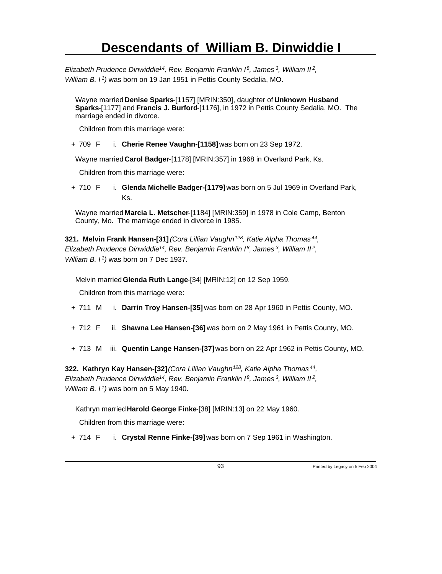*Elizabeth Prudence Dinwiddie<sup>14</sup>, Rev. Benjamin Franklin I<sup>8</sup>, James<sup>3</sup>, William II<sup>2</sup> , William B. I<sup>1</sup>)* was born on 19 Jan 1951 in Pettis County Sedalia, MO.

Wayne married **Denise Sparks**-[1157] [MRIN:350], daughter of **Unknown Husband Sparks**-[1177] and **Francis J. Burford**-[1176], in 1972 in Pettis County Sedalia, MO. The marriage ended in divorce.

Children from this marriage were:

+ 709 F i. **Cherie Renee Vaughn-[1158]** was born on 23 Sep 1972.

Wayne married **Carol Badger**-[1178] [MRIN:357] in 1968 in Overland Park, Ks.

Children from this marriage were:

+ 710 F i. **Glenda Michelle Badger-[1179]** was born on 5 Jul 1969 in Overland Park, Ks.

Wayne married **Marcia L. Metscher**-[1184] [MRIN:359] in 1978 in Cole Camp, Benton County, Mo. The marriage ended in divorce in 1985.

**321. Melvin Frank Hansen-[31]** *(Cora Lillian Vaughn<sup>128</sup>, Katie Alpha Thomas<sup>44</sup> , Elizabeth Prudence Dinwiddie<sup>14</sup>, Rev. Benjamin Franklin I<sup>8</sup>, James<sup>3</sup>, William II<sup>2</sup> , William B. I<sup>1</sup>)* was born on 7 Dec 1937.

Melvin married **Glenda Ruth Lange**-[34] [MRIN:12] on 12 Sep 1959.

Children from this marriage were:

- + 711 M i. **Darrin Troy Hansen-[35]** was born on 28 Apr 1960 in Pettis County, MO.
- + 712 F ii. **Shawna Lee Hansen-[36]** was born on 2 May 1961 in Pettis County, MO.
- + 713 M iii. **Quentin Lange Hansen-[37]** was born on 22 Apr 1962 in Pettis County, MO.

**322. Kathryn Kay Hansen-[32]** *(Cora Lillian Vaughn<sup>128</sup>, Katie Alpha Thomas<sup>44</sup> , Elizabeth Prudence Dinwiddie<sup>14</sup>, Rev. Benjamin Franklin I<sup>8</sup>, James<sup>3</sup>, William II<sup>2</sup> , William B. I<sup>1</sup>)* was born on 5 May 1940.

Kathryn married **Harold George Finke**-[38] [MRIN:13] on 22 May 1960.

Children from this marriage were:

+ 714 F i. **Crystal Renne Finke-[39]** was born on 7 Sep 1961 in Washington.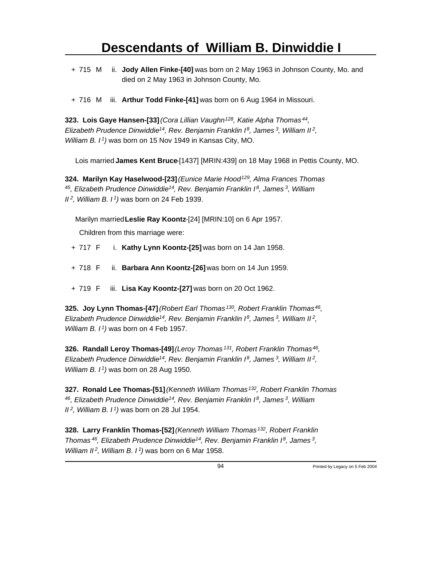- + 715 M ii. **Jody Allen Finke-[40]** was born on 2 May 1963 in Johnson County, Mo. and died on 2 May 1963 in Johnson County, Mo.
- + 716 M iii. **Arthur Todd Finke-[41]** was born on 6 Aug 1964 in Missouri.

**323. Lois Gaye Hansen-[33]** *(Cora Lillian Vaughn<sup>128</sup>, Katie Alpha Thomas<sup>44</sup> , Elizabeth Prudence Dinwiddie<sup>14</sup>, Rev. Benjamin Franklin I<sup>8</sup>, James<sup>3</sup>, William II<sup>2</sup> , William B. I<sup>1</sup>)* was born on 15 Nov 1949 in Kansas City, MO.

Lois married **James Kent Bruce**-[1437] [MRIN:439] on 18 May 1968 in Pettis County, MO.

**324. Marilyn Kay Haselwood-[23]** *(Eunice Marie Hood<sup>129</sup>, Alma Frances Thomas <sup>45</sup>, Elizabeth Prudence Dinwiddie<sup>14</sup>, Rev. Benjamin Franklin I<sup>8</sup>, James<sup>3</sup>, William II<sup>2</sup>, William B. I<sup>1</sup>)* was born on 24 Feb 1939.

Marilyn married **Leslie Ray Koontz**-[24] [MRIN:10] on 6 Apr 1957.

Children from this marriage were:

- + 717 F i. **Kathy Lynn Koontz-[25]** was born on 14 Jan 1958.
- + 718 F ii. **Barbara Ann Koontz-[26]** was born on 14 Jun 1959.
- + 719 F iii. **Lisa Kay Koontz-[27]** was born on 20 Oct 1962.

**325. Joy Lynn Thomas-[47]** *(Robert Earl Thomas<sup>130</sup>, Robert Franklin Thomas<sup>46</sup> , Elizabeth Prudence Dinwiddie<sup>14</sup>, Rev. Benjamin Franklin I<sup>8</sup>, James<sup>3</sup>, William II<sup>2</sup> , William B. I<sup>1</sup>)* was born on 4 Feb 1957.

**326. Randall Leroy Thomas-[49]** *(Leroy Thomas<sup>131</sup>, Robert Franklin Thomas<sup>46</sup> , Elizabeth Prudence Dinwiddie<sup>14</sup>, Rev. Benjamin Franklin I<sup>8</sup>, James<sup>3</sup>, William II<sup>2</sup> , William B. I<sup>1</sup>)* was born on 28 Aug 1950.

**327. Ronald Lee Thomas-[51]** *(Kenneth William Thomas<sup>132</sup>, Robert Franklin Thomas <sup>46</sup>, Elizabeth Prudence Dinwiddie<sup>14</sup>, Rev. Benjamin Franklin I<sup>8</sup>, James<sup>3</sup>, William II<sup>2</sup>, William B. I<sup>1</sup>)* was born on 28 Jul 1954.

**328. Larry Franklin Thomas-[52]** *(Kenneth William Thomas<sup>132</sup>, Robert Franklin Thomas<sup>46</sup>, Elizabeth Prudence Dinwiddie<sup>14</sup>, Rev. Benjamin Franklin I<sup>8</sup>, James<sup>3</sup> , William II<sup>2</sup>*, *William B. I<sup>1</sup>*) was born on 6 Mar 1958.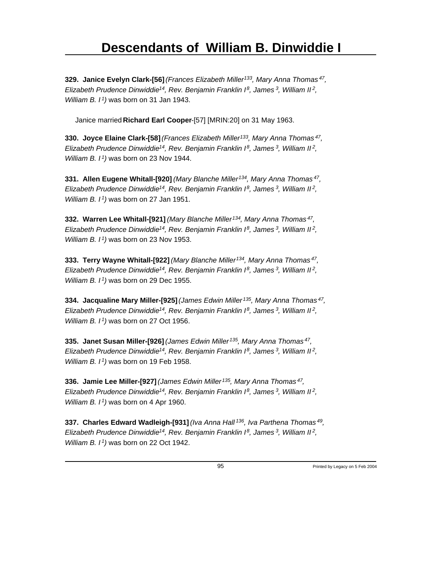**329. Janice Evelyn Clark-[56]** *(Frances Elizabeth Miller<sup>133</sup>, Mary Anna Thomas<sup>47</sup> , Elizabeth Prudence Dinwiddie<sup>14</sup>, Rev. Benjamin Franklin I<sup>8</sup>, James<sup>3</sup>, William II<sup>2</sup> , William B. I<sup>1</sup>)* was born on 31 Jan 1943.

Janice married **Richard Earl Cooper**-[57] [MRIN:20] on 31 May 1963.

**330. Joyce Elaine Clark-[58]** *(Frances Elizabeth Miller<sup>133</sup>, Mary Anna Thomas<sup>47</sup> , Elizabeth Prudence Dinwiddie<sup>14</sup>, Rev. Benjamin Franklin I<sup>8</sup>, James<sup>3</sup>, William II<sup>2</sup> , William B. I<sup>1</sup>)* was born on 23 Nov 1944.

**331. Allen Eugene Whitall-[920]** *(Mary Blanche Miller<sup>134</sup>, Mary Anna Thomas<sup>47</sup> , Elizabeth Prudence Dinwiddie<sup>14</sup>, Rev. Benjamin Franklin I<sup>8</sup>, James<sup>3</sup>, William II<sup>2</sup> , William B. I<sup>1</sup>)* was born on 27 Jan 1951.

**332. Warren Lee Whitall-[921]** *(Mary Blanche Miller<sup>134</sup>, Mary Anna Thomas<sup>47</sup> , Elizabeth Prudence Dinwiddie<sup>14</sup>, Rev. Benjamin Franklin I<sup>8</sup>, James<sup>3</sup>, William II<sup>2</sup> , William B. I<sup>1</sup>)* was born on 23 Nov 1953.

**333. Terry Wayne Whitall-[922]** *(Mary Blanche Miller<sup>134</sup>, Mary Anna Thomas<sup>47</sup> , Elizabeth Prudence Dinwiddie<sup>14</sup>, Rev. Benjamin Franklin I<sup>8</sup>, James<sup>3</sup>, William II<sup>2</sup> , William B. I<sup>1</sup>)* was born on 29 Dec 1955.

**334. Jacqualine Mary Miller-[925]** *(James Edwin Miller<sup>135</sup>, Mary Anna Thomas<sup>47</sup> , Elizabeth Prudence Dinwiddie<sup>14</sup>, Rev. Benjamin Franklin I<sup>8</sup>, James<sup>3</sup>, William II<sup>2</sup> , William B. I<sup>1</sup>)* was born on 27 Oct 1956.

**335. Janet Susan Miller-[926]** *(James Edwin Miller<sup>135</sup>, Mary Anna Thomas<sup>47</sup> , Elizabeth Prudence Dinwiddie<sup>14</sup>, Rev. Benjamin Franklin I<sup>8</sup>, James<sup>3</sup>, William II<sup>2</sup> , William B. I<sup>1</sup>)* was born on 19 Feb 1958.

**336. Jamie Lee Miller-[927]** *(James Edwin Miller<sup>135</sup>, Mary Anna Thomas<sup>47</sup> , Elizabeth Prudence Dinwiddie<sup>14</sup>, Rev. Benjamin Franklin I<sup>8</sup>, James<sup>3</sup>, William II<sup>2</sup> , William B. I<sup>1</sup>)* was born on 4 Apr 1960.

**337. Charles Edward Wadleigh-[931]** *(Iva Anna Hall<sup>136</sup>, Iva Parthena Thomas<sup>49</sup> , Elizabeth Prudence Dinwiddie<sup>14</sup>, Rev. Benjamin Franklin I<sup>8</sup>, James<sup>3</sup>, William II<sup>2</sup> , William B. I 1)* was born on 22 Oct 1942.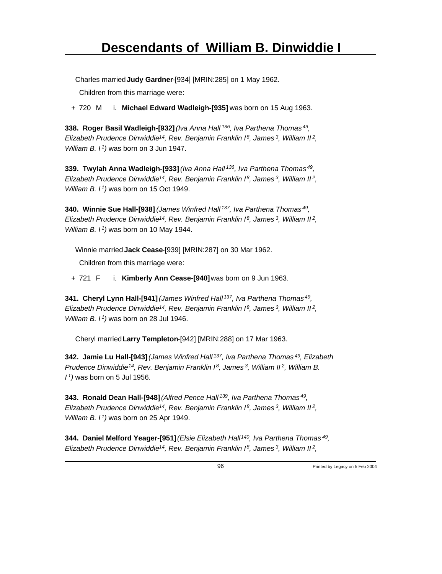Charles married **Judy Gardner**-[934] [MRIN:285] on 1 May 1962.

Children from this marriage were:

+ 720 M i. **Michael Edward Wadleigh-[935]** was born on 15 Aug 1963.

**338. Roger Basil Wadleigh-[932]** *(Iva Anna Hall<sup>136</sup>, Iva Parthena Thomas<sup>49</sup> , Elizabeth Prudence Dinwiddie<sup>14</sup>, Rev. Benjamin Franklin I<sup>8</sup>, James<sup>3</sup>, William II<sup>2</sup> , William B. I<sup>1</sup>)* was born on 3 Jun 1947.

**339. Twylah Anna Wadleigh-[933]** *(Iva Anna Hall<sup>136</sup>, Iva Parthena Thomas<sup>49</sup> , Elizabeth Prudence Dinwiddie<sup>14</sup>, Rev. Benjamin Franklin I<sup>8</sup>, James<sup>3</sup>, William II<sup>2</sup> , William B. I<sup>1</sup>)* was born on 15 Oct 1949.

**340. Winnie Sue Hall-[938]** *(James Winfred Hall<sup>137</sup>, Iva Parthena Thomas<sup>49</sup> , Elizabeth Prudence Dinwiddie<sup>14</sup>, Rev. Benjamin Franklin I<sup>8</sup>, James<sup>3</sup>, William II<sup>2</sup> , William B. I<sup>1</sup>)* was born on 10 May 1944.

Winnie married **Jack Cease**-[939] [MRIN:287] on 30 Mar 1962. Children from this marriage were:

+ 721 F i. **Kimberly Ann Cease-[940]** was born on 9 Jun 1963.

**341. Cheryl Lynn Hall-[941]** *(James Winfred Hall<sup>137</sup>, Iva Parthena Thomas<sup>49</sup> , Elizabeth Prudence Dinwiddie<sup>14</sup>, Rev. Benjamin Franklin I<sup>8</sup>, James<sup>3</sup>, William II<sup>2</sup> , William B. I<sup>1</sup>)* was born on 28 Jul 1946.

Cheryl married **Larry Templeton**-[942] [MRIN:288] on 17 Mar 1963.

**342. Jamie Lu Hall-[943]** *(James Winfred Hall<sup>137</sup>, Iva Parthena Thomas<sup>49</sup>, Elizabeth Prudence Dinwiddie<sup>14</sup>, Rev. Benjamin Franklin I<sup>8</sup>, James<sup>3</sup>, William II<sup>2</sup>, William B. I <sup>1</sup>)* was born on 5 Jul 1956.

**343. Ronald Dean Hall-[948]** *(Alfred Pence Hall<sup>139</sup>, Iva Parthena Thomas<sup>49</sup> , Elizabeth Prudence Dinwiddie<sup>14</sup>, Rev. Benjamin Franklin I<sup>8</sup>, James<sup>3</sup>, William II<sup>2</sup> , William B. I<sup>1</sup>)* was born on 25 Apr 1949.

**344. Daniel Melford Yeager-[951]** *(Elsie Elizabeth Hall<sup>140</sup>, Iva Parthena Thomas<sup>49</sup> , Elizabeth Prudence Dinwiddie<sup>14</sup>, Rev. Benjamin Franklin I<sup>8</sup>, James<sup>3</sup>, William II<sup>2</sup> ,*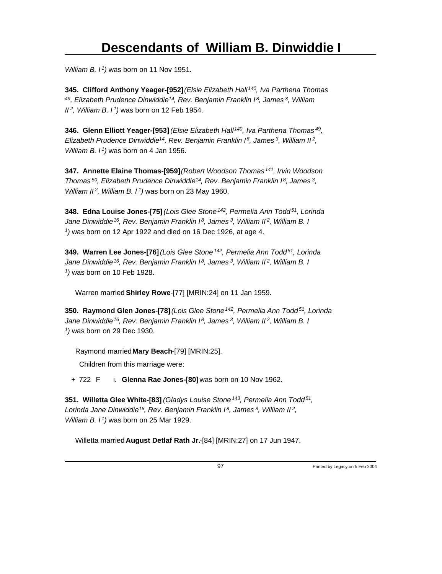*William B. I<sup>1</sup>)* was born on 11 Nov 1951.

**345. Clifford Anthony Yeager-[952]** *(Elsie Elizabeth Hall<sup>140</sup>, Iva Parthena Thomas <sup>49</sup>, Elizabeth Prudence Dinwiddie<sup>14</sup>, Rev. Benjamin Franklin I<sup>8</sup>, James<sup>3</sup>, William II<sup>2</sup>, William B. I<sup>1</sup>)* was born on 12 Feb 1954.

**346. Glenn Elliott Yeager-[953]** *(Elsie Elizabeth Hall<sup>140</sup>, Iva Parthena Thomas<sup>49</sup> , Elizabeth Prudence Dinwiddie<sup>14</sup>, Rev. Benjamin Franklin I<sup>8</sup>, James<sup>3</sup>, William II<sup>2</sup> , William B. I<sup>1</sup>)* was born on 4 Jan 1956.

**347. Annette Elaine Thomas-[959]** *(Robert Woodson Thomas<sup>141</sup>, Irvin Woodson Thomas<sup>50</sup>, Elizabeth Prudence Dinwiddie<sup>14</sup>, Rev. Benjamin Franklin I<sup>8</sup>, James<sup>3</sup> , William II<sup>2</sup>, William B. I<sup>1</sup>)* was born on 23 May 1960.

**348. Edna Louise Jones-[75]** *(Lois Glee Stone<sup>142</sup>, Permelia Ann Todd<sup>51</sup>, Lorinda Jane Dinwiddie<sup>16</sup>, Rev. Benjamin Franklin I<sup>8</sup>, James<sup>3</sup>, William II<sup>2</sup>, William B. I 1 )* was born on 12 Apr 1922 and died on 16 Dec 1926, at age 4.

**349. Warren Lee Jones-[76]** *(Lois Glee Stone<sup>142</sup>, Permelia Ann Todd<sup>51</sup>, Lorinda Jane Dinwiddie<sup>16</sup>, Rev. Benjamin Franklin I<sup>8</sup>, James<sup>3</sup>, William II<sup>2</sup>, William B. I 1 )* was born on 10 Feb 1928.

Warren married **Shirley Rowe**-[77] [MRIN:24] on 11 Jan 1959.

**350. Raymond Glen Jones-[78]** *(Lois Glee Stone<sup>142</sup>, Permelia Ann Todd<sup>51</sup>, Lorinda Jane Dinwiddie<sup>16</sup>, Rev. Benjamin Franklin I<sup>8</sup>, James<sup>3</sup>, William II<sup>2</sup>, William B. I 1 )* was born on 29 Dec 1930.

Raymond married **Mary Beach**-[79] [MRIN:25].

Children from this marriage were:

+ 722 F i. **Glenna Rae Jones-[80]** was born on 10 Nov 1962.

**351. Willetta Glee White-[83]** *(Gladys Louise Stone<sup>143</sup>, Permelia Ann Todd<sup>51</sup> , Lorinda Jane Dinwiddie<sup>16</sup>, Rev. Benjamin Franklin I<sup>8</sup>, James<sup>3</sup>, William II<sup>2</sup> , William B. I<sup>1</sup>)* was born on 25 Mar 1929.

Willetta married **August Detlaf Rath Jr.**-[84] [MRIN:27] on 17 Jun 1947.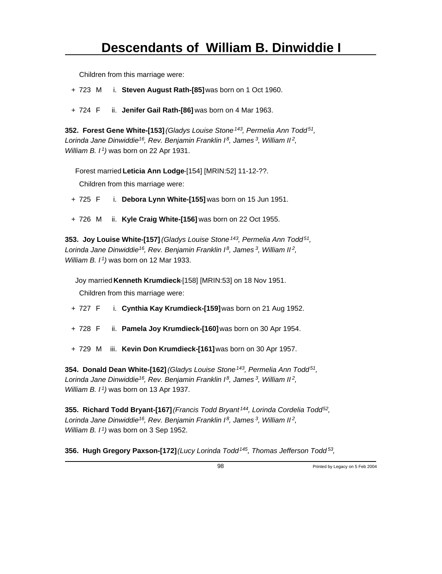Children from this marriage were:

+ 723 M i. **Steven August Rath-[85]** was born on 1 Oct 1960.

+ 724 F ii. **Jenifer Gail Rath-[86]** was born on 4 Mar 1963.

**352. Forest Gene White-[153]** *(Gladys Louise Stone<sup>143</sup>, Permelia Ann Todd<sup>51</sup> , Lorinda Jane Dinwiddie<sup>16</sup>, Rev. Benjamin Franklin I<sup>8</sup>, James<sup>3</sup>, William II<sup>2</sup> , William B. I<sup>1</sup>)* was born on 22 Apr 1931.

Forest married **Leticia Ann Lodge**-[154] [MRIN:52] 11-12-??.

Children from this marriage were:

- + 725 F i. **Debora Lynn White-[155]** was born on 15 Jun 1951.
- + 726 M ii. **Kyle Craig White-[156]** was born on 22 Oct 1955.

**353. Joy Louise White-[157]** *(Gladys Louise Stone<sup>143</sup>, Permelia Ann Todd<sup>51</sup> , Lorinda Jane Dinwiddie<sup>16</sup>, Rev. Benjamin Franklin I<sup>8</sup>, James<sup>3</sup>, William II<sup>2</sup> , William B. I<sup>1</sup>)* was born on 12 Mar 1933.

Joy married **Kenneth Krumdieck**-[158] [MRIN:53] on 18 Nov 1951.

Children from this marriage were:

- + 727 F i. **Cynthia Kay Krumdieck-[159]** was born on 21 Aug 1952.
- + 728 F ii. **Pamela Joy Krumdieck-[160]** was born on 30 Apr 1954.
- + 729 M iii. **Kevin Don Krumdieck-[161]** was born on 30 Apr 1957.

**354. Donald Dean White-[162]** *(Gladys Louise Stone<sup>143</sup>, Permelia Ann Todd<sup>51</sup> , Lorinda Jane Dinwiddie<sup>16</sup>, Rev. Benjamin Franklin I<sup>8</sup>, James<sup>3</sup>, William II<sup>2</sup> , William B. I<sup>1</sup>)* was born on 13 Apr 1937.

**355. Richard Todd Bryant-[167]** *(Francis Todd Bryant<sup>144</sup>, Lorinda Cordelia Todd<sup>52</sup> , Lorinda Jane Dinwiddie<sup>16</sup>, Rev. Benjamin Franklin I<sup>8</sup>, James<sup>3</sup>, William II<sup>2</sup> , William B. I<sup>1</sup>)* was born on 3 Sep 1952.

**356. Hugh Gregory Paxson-[172]** *(Lucy Lorinda Todd<sup>145</sup>, Thomas Jefferson Todd<sup>53</sup> ,*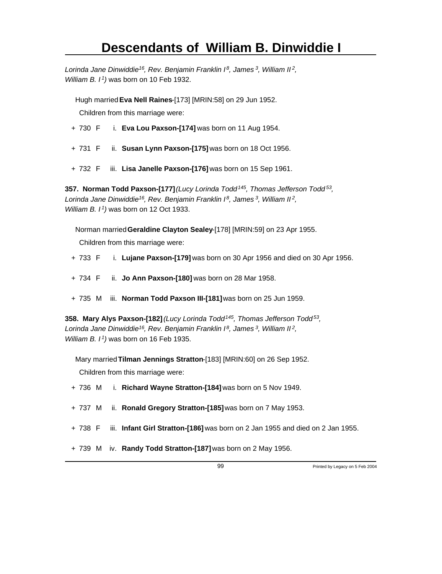*Lorinda Jane Dinwiddie<sup>16</sup>, Rev. Benjamin Franklin I<sup>8</sup>, James<sup>3</sup>, William II<sup>2</sup> , William B. I<sup>1</sup>)* was born on 10 Feb 1932.

Hugh married **Eva Nell Raines**-[173] [MRIN:58] on 29 Jun 1952.

Children from this marriage were:

- + 730 F i. **Eva Lou Paxson-[174]** was born on 11 Aug 1954.
- + 731 F ii. **Susan Lynn Paxson-[175]** was born on 18 Oct 1956.
- + 732 F iii. **Lisa Janelle Paxson-[176]** was born on 15 Sep 1961.

**357. Norman Todd Paxson-[177]** *(Lucy Lorinda Todd<sup>145</sup>, Thomas Jefferson Todd<sup>53</sup> , Lorinda Jane Dinwiddie<sup>16</sup>, Rev. Benjamin Franklin I<sup>8</sup>, James<sup>3</sup>, William II<sup>2</sup> , William B. I<sup>1</sup>)* was born on 12 Oct 1933.

Norman married **Geraldine Clayton Sealey**-[178] [MRIN:59] on 23 Apr 1955.

Children from this marriage were:

- + 733 F i. **Lujane Paxson-[179]** was born on 30 Apr 1956 and died on 30 Apr 1956.
- + 734 F ii. **Jo Ann Paxson-[180]** was born on 28 Mar 1958.
- + 735 M iii. **Norman Todd Paxson III-[181]** was born on 25 Jun 1959.

**358. Mary Alys Paxson-[182]** *(Lucy Lorinda Todd<sup>145</sup>, Thomas Jefferson Todd<sup>53</sup> , Lorinda Jane Dinwiddie<sup>16</sup>, Rev. Benjamin Franklin I<sup>8</sup>, James<sup>3</sup>, William II<sup>2</sup> , William B. I<sup>1</sup>)* was born on 16 Feb 1935.

Mary married **Tilman Jennings Stratton**-[183] [MRIN:60] on 26 Sep 1952.

- + 736 M i. **Richard Wayne Stratton-[184]** was born on 5 Nov 1949.
- + 737 M ii. **Ronald Gregory Stratton-[185]** was born on 7 May 1953.
- + 738 F iii. **Infant Girl Stratton-[186]** was born on 2 Jan 1955 and died on 2 Jan 1955.
- + 739 M iv. **Randy Todd Stratton-[187]** was born on 2 May 1956.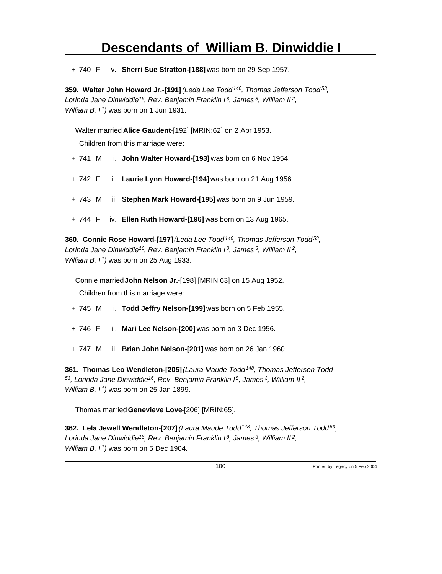+ 740 F v. **Sherri Sue Stratton-[188]** was born on 29 Sep 1957.

**359. Walter John Howard Jr.-[191]** *(Leda Lee Todd<sup>146</sup>, Thomas Jefferson Todd<sup>53</sup> , Lorinda Jane Dinwiddie<sup>16</sup>, Rev. Benjamin Franklin I<sup>8</sup>, James<sup>3</sup>, William II<sup>2</sup> , William B. I<sup>1</sup>)* was born on 1 Jun 1931.

Walter married **Alice Gaudent**-[192] [MRIN:62] on 2 Apr 1953.

Children from this marriage were:

- + 741 M i. **John Walter Howard-[193]** was born on 6 Nov 1954.
- + 742 F ii. **Laurie Lynn Howard-[194]** was born on 21 Aug 1956.
- + 743 M iii. **Stephen Mark Howard-[195]** was born on 9 Jun 1959.
- + 744 F iv. **Ellen Ruth Howard-[196]** was born on 13 Aug 1965.

**360. Connie Rose Howard-[197]** *(Leda Lee Todd<sup>146</sup>, Thomas Jefferson Todd<sup>53</sup> , Lorinda Jane Dinwiddie<sup>16</sup>, Rev. Benjamin Franklin I<sup>8</sup>, James<sup>3</sup>, William II<sup>2</sup> , William B. I<sup>1</sup>)* was born on 25 Aug 1933.

Connie married **John Nelson Jr.**-[198] [MRIN:63] on 15 Aug 1952. Children from this marriage were:

- + 745 M i. **Todd Jeffry Nelson-[199]** was born on 5 Feb 1955.
- + 746 F ii. **Mari Lee Nelson-[200]** was born on 3 Dec 1956.
- + 747 M iii. **Brian John Nelson-[201]** was born on 26 Jan 1960.

**361. Thomas Leo Wendleton-[205]** *(Laura Maude Todd<sup>148</sup>, Thomas Jefferson Todd <sup>53</sup>, Lorinda Jane Dinwiddie<sup>16</sup>, Rev. Benjamin Franklin I<sup>8</sup>, James<sup>3</sup>, William II<sup>2</sup> , William B. I<sup>1</sup>)* was born on 25 Jan 1899.

Thomas married **Genevieve Love**-[206] [MRIN:65].

**362. Lela Jewell Wendleton-[207]** *(Laura Maude Todd<sup>148</sup>, Thomas Jefferson Todd<sup>53</sup> , Lorinda Jane Dinwiddie<sup>16</sup>, Rev. Benjamin Franklin I<sup>8</sup>, James<sup>3</sup>, William II<sup>2</sup> , William B. I 1)* was born on 5 Dec 1904.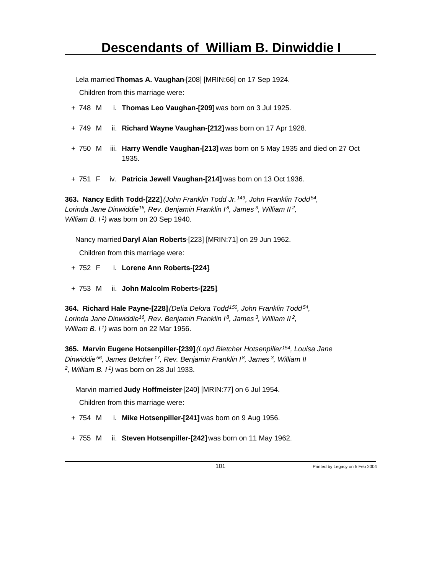Lela married **Thomas A. Vaughan**-[208] [MRIN:66] on 17 Sep 1924. Children from this marriage were:

- + 748 M i. **Thomas Leo Vaughan-[209]** was born on 3 Jul 1925.
- + 749 M ii. **Richard Wayne Vaughan-[212]** was born on 17 Apr 1928.
- + 750 M iii. **Harry Wendle Vaughan-[213]** was born on 5 May 1935 and died on 27 Oct 1935.
- + 751 F iv. **Patricia Jewell Vaughan-[214]** was born on 13 Oct 1936.

**363. Nancy Edith Todd-[222]** *(John Franklin Todd Jr.<sup>149</sup>, John Franklin Todd<sup>54</sup> , Lorinda Jane Dinwiddie<sup>16</sup>, Rev. Benjamin Franklin I<sup>8</sup>, James<sup>3</sup>, William II<sup>2</sup> , William B. I<sup>1</sup>)* was born on 20 Sep 1940.

Nancy married **Daryl Alan Roberts**-[223] [MRIN:71] on 29 Jun 1962. Children from this marriage were:

- + 752 F i. **Lorene Ann Roberts-[224]**.
- + 753 M ii. **John Malcolm Roberts-[225]**.

**364. Richard Hale Payne-[228]** *(Delia Delora Todd<sup>150</sup>, John Franklin Todd<sup>54</sup> , Lorinda Jane Dinwiddie<sup>16</sup>, Rev. Benjamin Franklin I<sup>8</sup>, James<sup>3</sup>, William II<sup>2</sup> , William B. I<sup>1</sup>)* was born on 22 Mar 1956.

**365. Marvin Eugene Hotsenpiller-[239]** *(Loyd Bletcher Hotsenpiller<sup>154</sup>, Louisa Jane Dinwiddie<sup>56</sup>, James Betcher<sup>17</sup>, Rev. Benjamin Franklin I<sup>8</sup>, James<sup>3</sup>, William II 2 , William B. I<sup>1</sup>)* was born on 28 Jul 1933.

Marvin married **Judy Hoffmeister**-[240] [MRIN:77] on 6 Jul 1954.

- + 754 M i. **Mike Hotsenpiller-[241]** was born on 9 Aug 1956.
- + 755 M ii. **Steven Hotsenpiller-[242]** was born on 11 May 1962.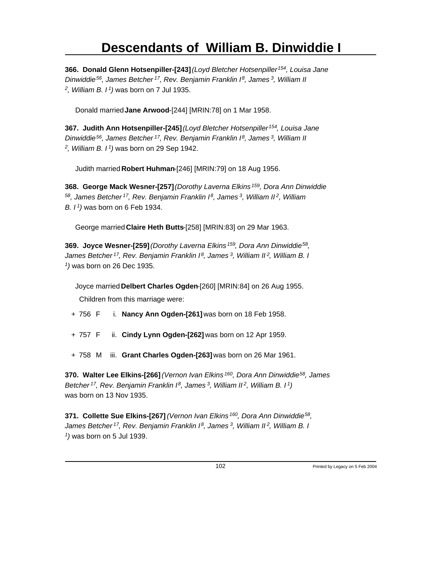**366. Donald Glenn Hotsenpiller-[243]** *(Loyd Bletcher Hotsenpiller<sup>154</sup>, Louisa Jane Dinwiddie<sup>56</sup>, James Betcher<sup>17</sup>, Rev. Benjamin Franklin I<sup>8</sup>, James<sup>3</sup>, William II 2 , William B. I<sup>1</sup>)* was born on 7 Jul 1935.

Donald married **Jane Arwood**-[244] [MRIN:78] on 1 Mar 1958.

**367. Judith Ann Hotsenpiller-[245]** *(Loyd Bletcher Hotsenpiller<sup>154</sup>, Louisa Jane Dinwiddie<sup>56</sup>, James Betcher<sup>17</sup>, Rev. Benjamin Franklin I<sup>8</sup>, James<sup>3</sup>, William II 2 , William B. I<sup>1</sup>)* was born on 29 Sep 1942.

Judith married **Robert Huhman**-[246] [MRIN:79] on 18 Aug 1956.

**368. George Mack Wesner-[257]** *(Dorothy Laverna Elkins<sup>159</sup>, Dora Ann Dinwiddie <sup>58</sup>, James Betcher<sup>17</sup>, Rev. Benjamin Franklin I<sup>8</sup>, James<sup>3</sup>, William II<sup>2</sup>, William B. I<sup>1</sup>)* was born on 6 Feb 1934.

George married **Claire Heth Butts**-[258] [MRIN:83] on 29 Mar 1963.

**369. Joyce Wesner-[259]** *(Dorothy Laverna Elkins<sup>159</sup>, Dora Ann Dinwiddie<sup>58</sup> , James Betcher<sup>17</sup>, Rev. Benjamin Franklin I<sup>8</sup>, James<sup>3</sup>, William II<sup>2</sup>, William B. I 1 )* was born on 26 Dec 1935.

Joyce married **Delbert Charles Ogden**-[260] [MRIN:84] on 26 Aug 1955. Children from this marriage were:

- + 756 F i. **Nancy Ann Ogden-[261]** was born on 18 Feb 1958.
- + 757 F ii. **Cindy Lynn Ogden-[262]** was born on 12 Apr 1959.
- + 758 M iii. **Grant Charles Ogden-[263]** was born on 26 Mar 1961.

**370. Walter Lee Elkins-[266]** *(Vernon Ivan Elkins<sup>160</sup>, Dora Ann Dinwiddie<sup>58</sup>, James Betcher<sup>17</sup>, Rev. Benjamin Franklin I<sup>8</sup>, James<sup>3</sup>, William II<sup>2</sup>, William B. I<sup>1</sup>)* was born on 13 Nov 1935.

**371. Collette Sue Elkins-[267]** *(Vernon Ivan Elkins<sup>160</sup>, Dora Ann Dinwiddie<sup>58</sup> , James Betcher<sup>17</sup>, Rev. Benjamin Franklin I<sup>8</sup>, James<sup>3</sup>, William II<sup>2</sup>, William B. I 1 )* was born on 5 Jul 1939.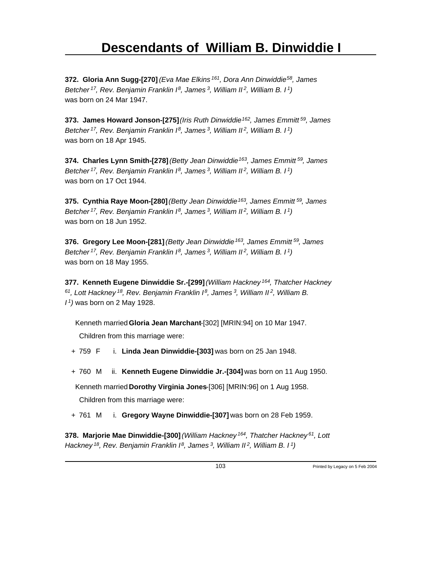**372. Gloria Ann Sugg-[270]** *(Eva Mae Elkins<sup>161</sup>, Dora Ann Dinwiddie<sup>58</sup>, James Betcher<sup>17</sup>, Rev. Benjamin Franklin I<sup>8</sup>, James<sup>3</sup>, William II<sup>2</sup>, William B. I<sup>1</sup>)* was born on 24 Mar 1947.

**373. James Howard Jonson-[275]** *(Iris Ruth Dinwiddie<sup>162</sup>, James Emmitt<sup>59</sup>, James Betcher<sup>17</sup>, Rev. Benjamin Franklin I<sup>8</sup>, James<sup>3</sup>, William II<sup>2</sup>, William B. I<sup>1</sup>)* was born on 18 Apr 1945.

**374. Charles Lynn Smith-[278]** *(Betty Jean Dinwiddie<sup>163</sup>, James Emmitt<sup>59</sup>, James Betcher<sup>17</sup>, Rev. Benjamin Franklin I<sup>8</sup>, James<sup>3</sup>, William II<sup>2</sup>, William B. I<sup>1</sup>)* was born on 17 Oct 1944.

**375. Cynthia Raye Moon-[280]** *(Betty Jean Dinwiddie<sup>163</sup>, James Emmitt<sup>59</sup>, James Betcher<sup>17</sup>, Rev. Benjamin Franklin I<sup>8</sup>, James<sup>3</sup>, William II<sup>2</sup>, William B. I<sup>1</sup>)* was born on 18 Jun 1952.

**376. Gregory Lee Moon-[281]** *(Betty Jean Dinwiddie<sup>163</sup>, James Emmitt<sup>59</sup>, James Betcher<sup>17</sup>, Rev. Benjamin Franklin I<sup>8</sup>, James<sup>3</sup>, William II<sup>2</sup>, William B. I<sup>1</sup>)* was born on 18 May 1955.

**377. Kenneth Eugene Dinwiddie Sr.-[299]** *(William Hackney<sup>164</sup>, Thatcher Hackney <sup>61</sup>, Lott Hackney<sup>18</sup>, Rev. Benjamin Franklin I<sup>8</sup>, James<sup>3</sup>, William II<sup>2</sup>, William B. I <sup>1</sup>)* was born on 2 May 1928.

Kenneth married **Gloria Jean Marchant**-[302] [MRIN:94] on 10 Mar 1947.

Children from this marriage were:

- + 759 F i. **Linda Jean Dinwiddie-[303]** was born on 25 Jan 1948.
- + 760 M ii. **Kenneth Eugene Dinwiddie Jr.-[304]** was born on 11 Aug 1950.

Kenneth married **Dorothy Virginia Jones**-[306] [MRIN:96] on 1 Aug 1958.

Children from this marriage were:

+ 761 M i. **Gregory Wayne Dinwiddie-[307]** was born on 28 Feb 1959.

**378. Marjorie Mae Dinwiddie-[300]** *(William Hackney<sup>164</sup>, Thatcher Hackney<sup>61</sup>, Lott Hackney 18, Rev. Benjamin Franklin I 8, James 3, William II 2, William B. I 1)*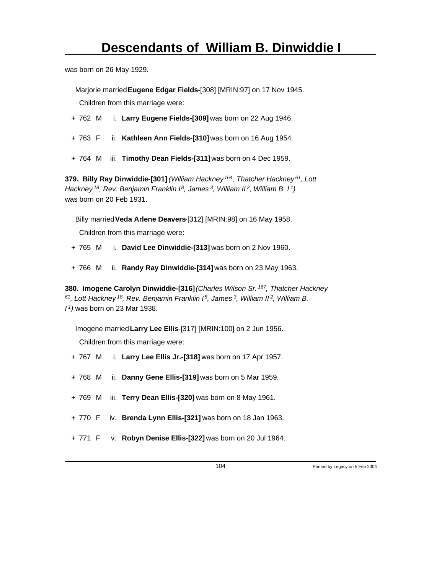was born on 26 May 1929.

Marjorie married **Eugene Edgar Fields**-[308] [MRIN:97] on 17 Nov 1945. Children from this marriage were:

- + 762 M i. **Larry Eugene Fields-[309]** was born on 22 Aug 1946.
- + 763 F ii. **Kathleen Ann Fields-[310]** was born on 16 Aug 1954.
- + 764 M iii. **Timothy Dean Fields-[311]** was born on 4 Dec 1959.

**379. Billy Ray Dinwiddie-[301]** *(William Hackney<sup>164</sup>, Thatcher Hackney<sup>61</sup>, Lott Hackney<sup>18</sup>, Rev. Benjamin Franklin I<sup>8</sup>, James<sup>3</sup>, William II<sup>2</sup>, William B. I<sup>1</sup>)* was born on 20 Feb 1931.

Billy married **Veda Arlene Deavers**-[312] [MRIN:98] on 16 May 1958.

Children from this marriage were:

- + 765 M i. **David Lee Dinwiddie-[313]** was born on 2 Nov 1960.
- + 766 M ii. **Randy Ray Dinwiddie-[314]** was born on 23 May 1963.

**380. Imogene Carolyn Dinwiddie-[316]** *(Charles Wilson Sr.<sup>167</sup>, Thatcher Hackney <sup>61</sup>, Lott Hackney<sup>18</sup>, Rev. Benjamin Franklin I<sup>8</sup>, James<sup>3</sup>, William II<sup>2</sup>, William B. I <sup>1</sup>)* was born on 23 Mar 1938.

Imogene married **Larry Lee Ellis**-[317] [MRIN:100] on 2 Jun 1956. Children from this marriage were:

- + 767 M i. **Larry Lee Ellis Jr.-[318]** was born on 17 Apr 1957.
- + 768 M ii. **Danny Gene Ellis-[319]** was born on 5 Mar 1959.
- + 769 M iii. **Terry Dean Ellis-[320]** was born on 8 May 1961.
- + 770 F iv. **Brenda Lynn Ellis-[321]** was born on 18 Jan 1963.
- + 771 F v. **Robyn Denise Ellis-[322]** was born on 20 Jul 1964.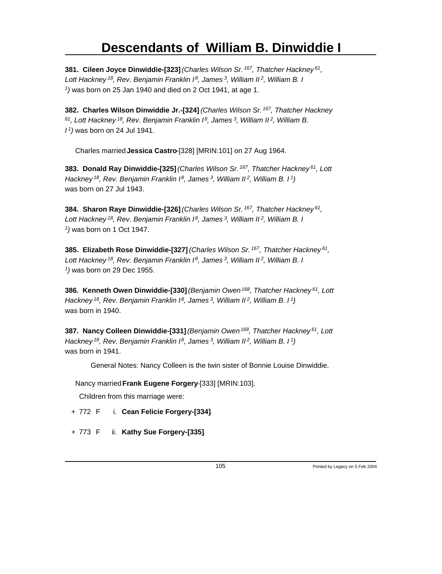**381. Cileen Joyce Dinwiddie-[323]** *(Charles Wilson Sr.<sup>167</sup>, Thatcher Hackney<sup>61</sup> , Lott Hackney<sup>18</sup>, Rev. Benjamin Franklin I<sup>8</sup>, James<sup>3</sup>, William II<sup>2</sup>, William B. I 1 )* was born on 25 Jan 1940 and died on 2 Oct 1941, at age 1.

**382. Charles Wilson Dinwiddie Jr.-[324]** *(Charles Wilson Sr.<sup>167</sup>, Thatcher Hackney <sup>61</sup>, Lott Hackney<sup>18</sup>, Rev. Benjamin Franklin I<sup>8</sup>, James<sup>3</sup>, William II<sup>2</sup>, William B. I <sup>1</sup>)* was born on 24 Jul 1941.

Charles married **Jessica Castro**-[328] [MRIN:101] on 27 Aug 1964.

**383. Donald Ray Dinwiddie-[325]** *(Charles Wilson Sr.<sup>167</sup>, Thatcher Hackney<sup>61</sup>, Lott Hackney<sup>18</sup>, Rev. Benjamin Franklin I<sup>8</sup>, James<sup>3</sup>, William II<sup>2</sup>, William B. I<sup>1</sup>)* was born on 27 Jul 1943.

**384. Sharon Raye Dinwiddie-[326]** *(Charles Wilson Sr.<sup>167</sup>, Thatcher Hackney<sup>61</sup> , Lott Hackney<sup>18</sup>, Rev. Benjamin Franklin I<sup>8</sup>, James<sup>3</sup>, William II<sup>2</sup>, William B. I 1 )* was born on 1 Oct 1947.

**385. Elizabeth Rose Dinwiddie-[327]** *(Charles Wilson Sr.<sup>167</sup>, Thatcher Hackney<sup>61</sup> , Lott Hackney<sup>18</sup>, Rev. Benjamin Franklin I<sup>8</sup>, James<sup>3</sup>, William II<sup>2</sup>, William B. I 1 )* was born on 29 Dec 1955.

**386. Kenneth Owen Dinwiddie-[330]** *(Benjamin Owen<sup>168</sup>, Thatcher Hackney<sup>61</sup>, Lott Hackney<sup>18</sup>, Rev. Benjamin Franklin I<sup>8</sup>, James<sup>3</sup>, William II<sup>2</sup>, William B. I<sup>1</sup>)* was born in 1940.

**387. Nancy Colleen Dinwiddie-[331]** *(Benjamin Owen<sup>168</sup>, Thatcher Hackney<sup>61</sup>, Lott Hackney<sup>18</sup>, Rev. Benjamin Franklin I<sup>8</sup>, James<sup>3</sup>, William II<sup>2</sup>, William B. I<sup>1</sup>)* was born in 1941.

General Notes: Nancy Colleen is the twin sister of Bonnie Louise Dinwiddie.

Nancy married **Frank Eugene Forgery**-[333] [MRIN:103].

- + 772 F i. **Cean Felicie Forgery-[334]**.
- + 773 F ii. **Kathy Sue Forgery-[335]**.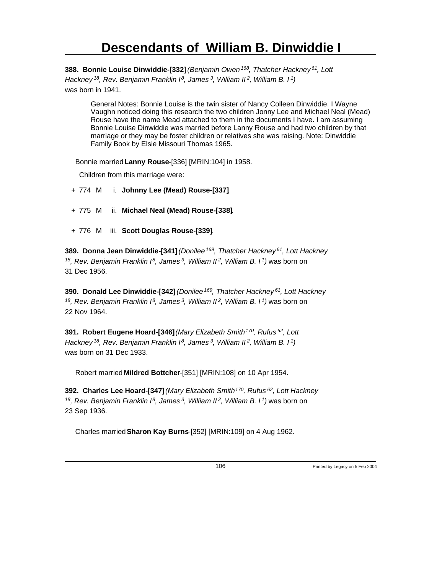**388. Bonnie Louise Dinwiddie-[332]** *(Benjamin Owen<sup>168</sup>, Thatcher Hackney<sup>61</sup>, Lott Hackney<sup>18</sup>, Rev. Benjamin Franklin I<sup>8</sup>, James<sup>3</sup>, William II<sup>2</sup>, William B. I<sup>1</sup>)* was born in 1941.

General Notes: Bonnie Louise is the twin sister of Nancy Colleen Dinwiddie. I Wayne Vaughn noticed doing this research the two children Jonny Lee and Michael Neal (Mead) Rouse have the name Mead attached to them in the documents I have. I am assuming Bonnie Louise Dinwiddie was married before Lanny Rouse and had two children by that marriage or they may be foster children or relatives she was raising. Note: Dinwiddie Family Book by Elsie Missouri Thomas 1965.

Bonnie married **Lanny Rouse**-[336] [MRIN:104] in 1958.

Children from this marriage were:

- + 774 M i. **Johnny Lee (Mead) Rouse-[337]**.
- + 775 M ii. **Michael Neal (Mead) Rouse-[338]**.
- + 776 M iii. **Scott Douglas Rouse-[339]**.

**389. Donna Jean Dinwiddie-[341]** *(Donilee<sup>169</sup>, Thatcher Hackney<sup>61</sup>, Lott Hackney <sup>18</sup>, Rev. Benjamin Franklin I<sup>8</sup>, James<sup>3</sup>, William II<sup>2</sup>, William B. I<sup>1</sup>)* was born on 31 Dec 1956.

**390. Donald Lee Dinwiddie-[342]** *(Donilee<sup>169</sup>, Thatcher Hackney<sup>61</sup>, Lott Hackney <sup>18</sup>, Rev. Benjamin Franklin I<sup>8</sup>, James<sup>3</sup>, William II<sup>2</sup>, William B. I<sup>1</sup>)* was born on 22 Nov 1964.

**391. Robert Eugene Hoard-[346]** *(Mary Elizabeth Smith<sup>170</sup>, Rufus<sup>62</sup>, Lott Hackney<sup>18</sup>, Rev. Benjamin Franklin I<sup>8</sup>, James<sup>3</sup>, William II<sup>2</sup>, William B. I<sup>1</sup>)* was born on 31 Dec 1933.

Robert married **Mildred Bottcher**-[351] [MRIN:108] on 10 Apr 1954.

**392. Charles Lee Hoard-[347]** *(Mary Elizabeth Smith<sup>170</sup>, Rufus<sup>62</sup>, Lott Hackney <sup>18</sup>, Rev. Benjamin Franklin I<sup>8</sup>, James<sup>3</sup>, William II<sup>2</sup>, William B. I<sup>1</sup>)* was born on 23 Sep 1936.

Charles married **Sharon Kay Burns**-[352] [MRIN:109] on 4 Aug 1962.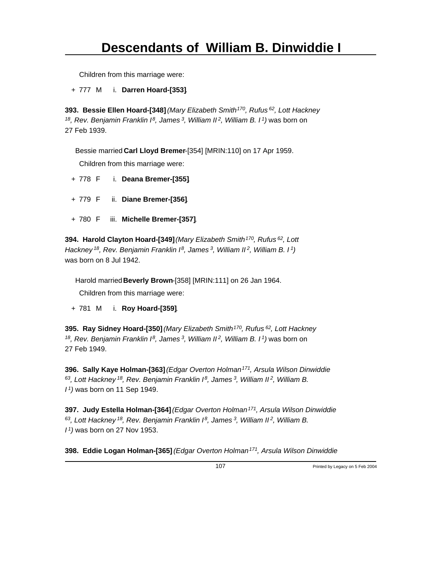Children from this marriage were:

+ 777 M i. **Darren Hoard-[353]**.

**393. Bessie Ellen Hoard-[348]** *(Mary Elizabeth Smith<sup>170</sup>, Rufus<sup>62</sup>, Lott Hackney <sup>18</sup>, Rev. Benjamin Franklin I<sup>8</sup>, James<sup>3</sup>, William II<sup>2</sup>, William B. I<sup>1</sup>)* was born on 27 Feb 1939.

Bessie married **Carl Lloyd Bremer**-[354] [MRIN:110] on 17 Apr 1959.

Children from this marriage were:

- + 778 F i. **Deana Bremer-[355]**.
- + 779 F ii. **Diane Bremer-[356]**.
- + 780 F iii. **Michelle Bremer-[357]**.

**394. Harold Clayton Hoard-[349]** *(Mary Elizabeth Smith<sup>170</sup>, Rufus<sup>62</sup>, Lott Hackney<sup>18</sup>, Rev. Benjamin Franklin I<sup>8</sup>, James<sup>3</sup>, William II<sup>2</sup>, William B. I<sup>1</sup>)* was born on 8 Jul 1942.

Harold married **Beverly Brown**-[358] [MRIN:111] on 26 Jan 1964.

Children from this marriage were:

+ 781 M i. **Roy Hoard-[359]**.

**395. Ray Sidney Hoard-[350]** *(Mary Elizabeth Smith<sup>170</sup>, Rufus<sup>62</sup>, Lott Hackney <sup>18</sup>, Rev. Benjamin Franklin I<sup>8</sup>, James<sup>3</sup>, William II<sup>2</sup>, William B. I<sup>1</sup>)* was born on 27 Feb 1949.

**396. Sally Kaye Holman-[363]** *(Edgar Overton Holman<sup>171</sup>, Arsula Wilson Dinwiddie <sup>63</sup>, Lott Hackney<sup>18</sup>, Rev. Benjamin Franklin I<sup>8</sup>, James<sup>3</sup>, William II<sup>2</sup>, William B. I <sup>1</sup>)* was born on 11 Sep 1949.

**397. Judy Estella Holman-[364]** *(Edgar Overton Holman<sup>171</sup>, Arsula Wilson Dinwiddie <sup>63</sup>, Lott Hackney<sup>18</sup>, Rev. Benjamin Franklin I<sup>8</sup>, James<sup>3</sup>, William II<sup>2</sup>, William B. I <sup>1</sup>)* was born on 27 Nov 1953.

**398. Eddie Logan Holman-[365]** *(Edgar Overton Holman 171, Arsula Wilson Dinwiddie*

107 Printed by Legacy on 5 Feb 2004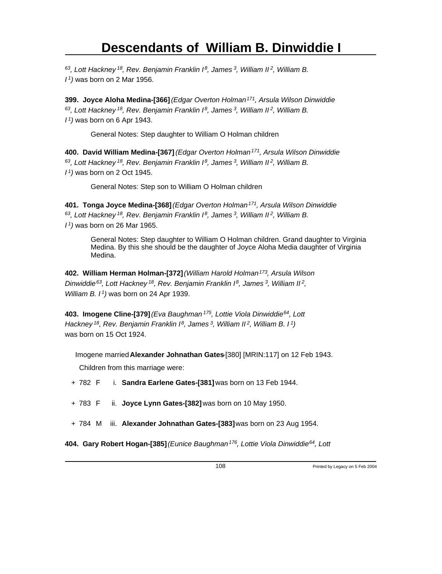*<sup>63</sup>, Lott Hackney<sup>18</sup>, Rev. Benjamin Franklin I<sup>8</sup>, James<sup>3</sup>, William II<sup>2</sup>, William B. I <sup>1</sup>)* was born on 2 Mar 1956.

**399. Joyce Aloha Medina-[366]** *(Edgar Overton Holman<sup>171</sup>, Arsula Wilson Dinwiddie <sup>63</sup>, Lott Hackney<sup>18</sup>, Rev. Benjamin Franklin I<sup>8</sup>, James<sup>3</sup>, William II<sup>2</sup>, William B. I <sup>1</sup>)* was born on 6 Apr 1943.

General Notes: Step daughter to William O Holman children

**400. David William Medina-[367]** *(Edgar Overton Holman<sup>171</sup>, Arsula Wilson Dinwiddie <sup>63</sup>, Lott Hackney<sup>18</sup>, Rev. Benjamin Franklin I<sup>8</sup>, James<sup>3</sup>, William II<sup>2</sup>, William B. I <sup>1</sup>)* was born on 2 Oct 1945.

General Notes: Step son to William O Holman children

**401. Tonga Joyce Medina-[368]** *(Edgar Overton Holman<sup>171</sup>, Arsula Wilson Dinwiddie <sup>63</sup>, Lott Hackney<sup>18</sup>, Rev. Benjamin Franklin I<sup>8</sup>, James<sup>3</sup>, William II<sup>2</sup>, William B. I <sup>1</sup>)* was born on 26 Mar 1965.

General Notes: Step daughter to William O Holman children. Grand daughter to Virginia Medina. By this she should be the daughter of Joyce Aloha Media daughter of Virginia Medina.

**402. William Herman Holman-[372]** *(William Harold Holman<sup>173</sup>, Arsula Wilson Dinwiddie<sup>63</sup>, Lott Hackney<sup>18</sup>, Rev. Benjamin Franklin I<sup>8</sup>, James<sup>3</sup>, William II<sup>2</sup> , William B. I<sup>1</sup>)* was born on 24 Apr 1939.

**403. Imogene Cline-[379]** *(Eva Baughman<sup>175</sup>, Lottie Viola Dinwiddie<sup>64</sup>, Lott Hackney<sup>18</sup>, Rev. Benjamin Franklin I<sup>8</sup>, James<sup>3</sup>, William II<sup>2</sup>, William B. I<sup>1</sup>)* was born on 15 Oct 1924.

Imogene married **Alexander Johnathan Gates**-[380] [MRIN:117] on 12 Feb 1943.

Children from this marriage were:

+ 782 F i. **Sandra Earlene Gates-[381]** was born on 13 Feb 1944.

+ 783 F ii. **Joyce Lynn Gates-[382]** was born on 10 May 1950.

+ 784 M iii. **Alexander Johnathan Gates-[383]** was born on 23 Aug 1954.

**404. Gary Robert Hogan-[385]** *(Eunice Baughman 176, Lottie Viola Dinwiddie 64, Lott*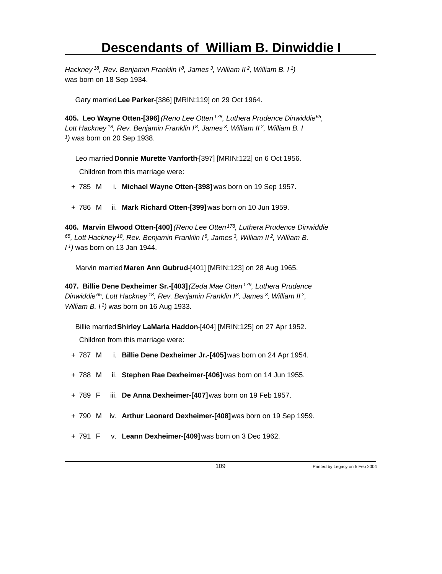*Hackney<sup>18</sup>, Rev. Benjamin Franklin I<sup>8</sup>, James<sup>3</sup>, William II<sup>2</sup>, William B. I<sup>1</sup>)* was born on 18 Sep 1934.

Gary married **Lee Parker**-[386] [MRIN:119] on 29 Oct 1964.

**405. Leo Wayne Otten-[396]** *(Reno Lee Otten<sup>178</sup>, Luthera Prudence Dinwiddie<sup>65</sup> , Lott Hackney<sup>18</sup>, Rev. Benjamin Franklin I<sup>8</sup>, James<sup>3</sup>, William II<sup>2</sup>, William B. I 1 )* was born on 20 Sep 1938.

Leo married **Donnie Murette Vanforth**-[397] [MRIN:122] on 6 Oct 1956.

Children from this marriage were:

- + 785 M i. **Michael Wayne Otten-[398]** was born on 19 Sep 1957.
- + 786 M ii. **Mark Richard Otten-[399]** was born on 10 Jun 1959.

**406. Marvin Elwood Otten-[400]** *(Reno Lee Otten<sup>178</sup>, Luthera Prudence Dinwiddie <sup>65</sup>, Lott Hackney<sup>18</sup>, Rev. Benjamin Franklin I<sup>8</sup>, James<sup>3</sup>, William II<sup>2</sup>, William B. I <sup>1</sup>)* was born on 13 Jan 1944.

Marvin married **Maren Ann Gubrud**-[401] [MRIN:123] on 28 Aug 1965.

**407. Billie Dene Dexheimer Sr.-[403]** *(Zeda Mae Otten<sup>179</sup>, Luthera Prudence Dinwiddie<sup>65</sup>, Lott Hackney<sup>18</sup>, Rev. Benjamin Franklin I<sup>8</sup>, James<sup>3</sup>, William II<sup>2</sup> , William B. I<sup>1</sup>)* was born on 16 Aug 1933.

Billie married **Shirley LaMaria Haddon**-[404] [MRIN:125] on 27 Apr 1952. Children from this marriage were:

- + 787 M i. **Billie Dene Dexheimer Jr.-[405]** was born on 24 Apr 1954.
- + 788 M ii. **Stephen Rae Dexheimer-[406]** was born on 14 Jun 1955.
- + 789 F iii. **De Anna Dexheimer-[407]** was born on 19 Feb 1957.
- + 790 M iv. **Arthur Leonard Dexheimer-[408]** was born on 19 Sep 1959.
- + 791 F v. **Leann Dexheimer-[409]** was born on 3 Dec 1962.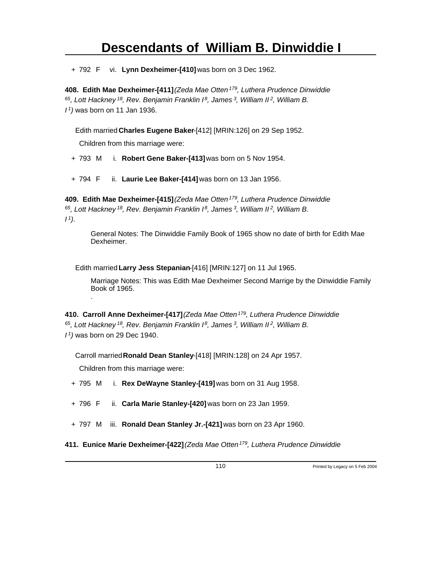+ 792 F vi. **Lynn Dexheimer-[410]** was born on 3 Dec 1962.

**408. Edith Mae Dexheimer-[411]** *(Zeda Mae Otten<sup>179</sup>, Luthera Prudence Dinwiddie <sup>65</sup>, Lott Hackney<sup>18</sup>, Rev. Benjamin Franklin I<sup>8</sup>, James<sup>3</sup>, William II<sup>2</sup>, William B. I <sup>1</sup>)* was born on 11 Jan 1936.

Edith married **Charles Eugene Baker**-[412] [MRIN:126] on 29 Sep 1952.

Children from this marriage were:

+ 793 M i. **Robert Gene Baker-[413]** was born on 5 Nov 1954.

+ 794 F ii. **Laurie Lee Baker-[414]** was born on 13 Jan 1956.

**409. Edith Mae Dexheimer-[415]** *(Zeda Mae Otten<sup>179</sup>, Luthera Prudence Dinwiddie <sup>65</sup>, Lott Hackney<sup>18</sup>, Rev. Benjamin Franklin I<sup>8</sup>, James<sup>3</sup>, William II<sup>2</sup>, William B. I <sup>1</sup>)*.

General Notes: The Dinwiddie Family Book of 1965 show no date of birth for Edith Mae Dexheimer.

Edith married **Larry Jess Stepanian**-[416] [MRIN:127] on 11 Jul 1965.

Marriage Notes: This was Edith Mae Dexheimer Second Marrige by the Dinwiddie Family Book of 1965. .

**410. Carroll Anne Dexheimer-[417]** *(Zeda Mae Otten<sup>179</sup>, Luthera Prudence Dinwiddie <sup>65</sup>, Lott Hackney<sup>18</sup>, Rev. Benjamin Franklin I<sup>8</sup>, James<sup>3</sup>, William II<sup>2</sup>, William B. I <sup>1</sup>)* was born on 29 Dec 1940.

Carroll married **Ronald Dean Stanley**-[418] [MRIN:128] on 24 Apr 1957.

Children from this marriage were:

+ 795 M i. **Rex DeWayne Stanley-[419]** was born on 31 Aug 1958.

+ 796 F ii. **Carla Marie Stanley-[420]** was born on 23 Jan 1959.

+ 797 M iii. **Ronald Dean Stanley Jr.-[421]** was born on 23 Apr 1960.

**411. Eunice Marie Dexheimer-[422]** *(Zeda Mae Otten 179, Luthera Prudence Dinwiddie*

110 Printed by Legacy on 5 Feb 2004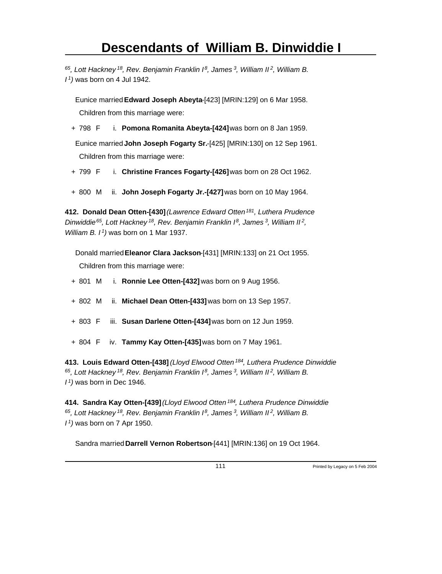*<sup>65</sup>, Lott Hackney<sup>18</sup>, Rev. Benjamin Franklin I<sup>8</sup>, James<sup>3</sup>, William II<sup>2</sup>, William B. I <sup>1</sup>)* was born on 4 Jul 1942.

Eunice married **Edward Joseph Abeyta**-[423] [MRIN:129] on 6 Mar 1958. Children from this marriage were:

+ 798 F i. **Pomona Romanita Abeyta-[424]** was born on 8 Jan 1959.

Eunice married **John Joseph Fogarty Sr.**-[425] [MRIN:130] on 12 Sep 1961. Children from this marriage were:

- + 799 F i. **Christine Frances Fogarty-[426]** was born on 28 Oct 1962.
- + 800 M ii. **John Joseph Fogarty Jr.-[427]** was born on 10 May 1964.

**412. Donald Dean Otten-[430]** *(Lawrence Edward Otten<sup>181</sup>, Luthera Prudence Dinwiddie<sup>65</sup>, Lott Hackney<sup>18</sup>, Rev. Benjamin Franklin I<sup>8</sup>, James<sup>3</sup>, William II<sup>2</sup> , William B. I<sup>1</sup>)* was born on 1 Mar 1937.

Donald married **Eleanor Clara Jackson**-[431] [MRIN:133] on 21 Oct 1955. Children from this marriage were:

- + 801 M i. **Ronnie Lee Otten-[432]** was born on 9 Aug 1956.
- + 802 M ii. **Michael Dean Otten-[433]** was born on 13 Sep 1957.
- + 803 F iii. **Susan Darlene Otten-[434]** was born on 12 Jun 1959.
- + 804 F iv. **Tammy Kay Otten-[435]** was born on 7 May 1961.

**413. Louis Edward Otten-[438]** *(Lloyd Elwood Otten<sup>184</sup>, Luthera Prudence Dinwiddie <sup>65</sup>, Lott Hackney<sup>18</sup>, Rev. Benjamin Franklin I<sup>8</sup>, James<sup>3</sup>, William II<sup>2</sup>, William B. I <sup>1</sup>)* was born in Dec 1946.

**414. Sandra Kay Otten-[439]** *(Lloyd Elwood Otten<sup>184</sup>, Luthera Prudence Dinwiddie <sup>65</sup>, Lott Hackney<sup>18</sup>, Rev. Benjamin Franklin I<sup>8</sup>, James<sup>3</sup>, William II<sup>2</sup>, William B. I <sup>1</sup>)* was born on 7 Apr 1950.

Sandra married **Darrell Vernon Robertson**-[441] [MRIN:136] on 19 Oct 1964.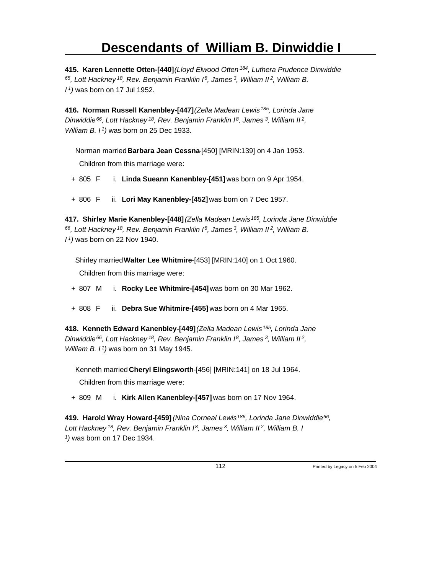**415. Karen Lennette Otten-[440]** *(Lloyd Elwood Otten<sup>184</sup>, Luthera Prudence Dinwiddie <sup>65</sup>, Lott Hackney<sup>18</sup>, Rev. Benjamin Franklin I<sup>8</sup>, James<sup>3</sup>, William II<sup>2</sup>, William B. I <sup>1</sup>)* was born on 17 Jul 1952.

**416. Norman Russell Kanenbley-[447]** *(Zella Madean Lewis<sup>185</sup>, Lorinda Jane Dinwiddie<sup>66</sup>, Lott Hackney<sup>18</sup>, Rev. Benjamin Franklin I<sup>8</sup>, James<sup>3</sup>, William II<sup>2</sup> , William B. I<sup>1</sup>)* was born on 25 Dec 1933.

Norman married **Barbara Jean Cessna**-[450] [MRIN:139] on 4 Jan 1953.

Children from this marriage were:

+ 805 F i. **Linda Sueann Kanenbley-[451]** was born on 9 Apr 1954.

+ 806 F ii. **Lori May Kanenbley-[452]** was born on 7 Dec 1957.

**417. Shirley Marie Kanenbley-[448]** *(Zella Madean Lewis<sup>185</sup>, Lorinda Jane Dinwiddie <sup>66</sup>, Lott Hackney<sup>18</sup>, Rev. Benjamin Franklin I<sup>8</sup>, James<sup>3</sup>, William II<sup>2</sup>, William B. I <sup>1</sup>)* was born on 22 Nov 1940.

Shirley married **Walter Lee Whitmire**-[453] [MRIN:140] on 1 Oct 1960.

Children from this marriage were:

- + 807 M i. **Rocky Lee Whitmire-[454]** was born on 30 Mar 1962.
- + 808 F ii. **Debra Sue Whitmire-[455]** was born on 4 Mar 1965.

**418. Kenneth Edward Kanenbley-[449]** *(Zella Madean Lewis<sup>185</sup>, Lorinda Jane Dinwiddie<sup>66</sup>, Lott Hackney<sup>18</sup>, Rev. Benjamin Franklin I<sup>8</sup>, James<sup>3</sup>, William II<sup>2</sup> , William B. I<sup>1</sup>)* was born on 31 May 1945.

Kenneth married **Cheryl Elingsworth**-[456] [MRIN:141] on 18 Jul 1964.

Children from this marriage were:

+ 809 M i. **Kirk Allen Kanenbley-[457]** was born on 17 Nov 1964.

**419. Harold Wray Howard-[459]** *(Nina Corneal Lewis<sup>186</sup>, Lorinda Jane Dinwiddie<sup>66</sup> , Lott Hackney<sup>18</sup>, Rev. Benjamin Franklin I<sup>8</sup>, James<sup>3</sup>, William II<sup>2</sup>, William B. I 1 )* was born on 17 Dec 1934.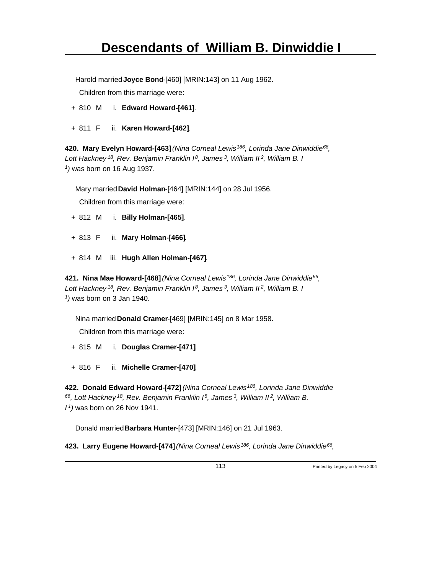Harold married **Joyce Bond**-[460] [MRIN:143] on 11 Aug 1962.

Children from this marriage were:

- + 810 M i. **Edward Howard-[461]**.
- + 811 F ii. **Karen Howard-[462]**.

**420. Mary Evelyn Howard-[463]** *(Nina Corneal Lewis<sup>186</sup>, Lorinda Jane Dinwiddie<sup>66</sup> , Lott Hackney<sup>18</sup>, Rev. Benjamin Franklin I<sup>8</sup>, James<sup>3</sup>, William II<sup>2</sup>, William B. I 1 )* was born on 16 Aug 1937.

Mary married **David Holman**-[464] [MRIN:144] on 28 Jul 1956.

Children from this marriage were:

- + 812 M i. **Billy Holman-[465]**.
- + 813 F ii. **Mary Holman-[466]**.
- + 814 M iii. **Hugh Allen Holman-[467]**.

**421. Nina Mae Howard-[468]** *(Nina Corneal Lewis<sup>186</sup>, Lorinda Jane Dinwiddie<sup>66</sup> , Lott Hackney<sup>18</sup>, Rev. Benjamin Franklin I<sup>8</sup>, James<sup>3</sup>, William II<sup>2</sup>, William B. I 1 )* was born on 3 Jan 1940.

Nina married **Donald Cramer**-[469] [MRIN:145] on 8 Mar 1958.

Children from this marriage were:

+ 815 M i. **Douglas Cramer-[471]**.

+ 816 F ii. **Michelle Cramer-[470]**.

**422. Donald Edward Howard-[472]** *(Nina Corneal Lewis<sup>186</sup>, Lorinda Jane Dinwiddie <sup>66</sup>, Lott Hackney<sup>18</sup>, Rev. Benjamin Franklin I<sup>8</sup>, James<sup>3</sup>, William II<sup>2</sup>, William B. I <sup>1</sup>)* was born on 26 Nov 1941.

Donald married **Barbara Hunter**-[473] [MRIN:146] on 21 Jul 1963.

**423. Larry Eugene Howard-[474]** *(Nina Corneal Lewis<sup>186</sup>, Lorinda Jane Dinwiddie<sup>66</sup> ,*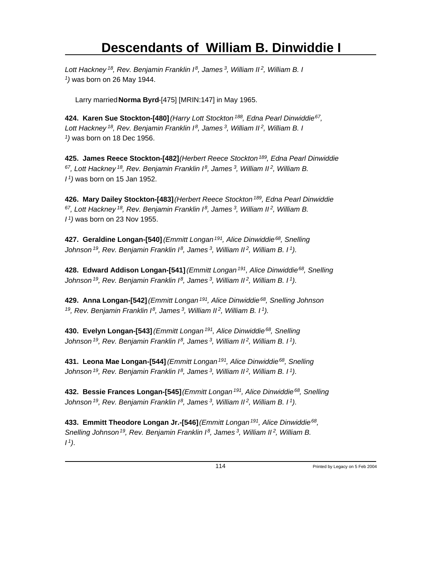*Lott Hackney<sup>18</sup>, Rev. Benjamin Franklin I<sup>8</sup>, James<sup>3</sup>, William II<sup>2</sup>, William B. I 1 )* was born on 26 May 1944.

Larry married **Norma Byrd**-[475] [MRIN:147] in May 1965.

**424. Karen Sue Stockton-[480]** *(Harry Lott Stockton<sup>188</sup>, Edna Pearl Dinwiddie<sup>67</sup> , Lott Hackney<sup>18</sup>, Rev. Benjamin Franklin I<sup>8</sup>, James<sup>3</sup>, William II<sup>2</sup>, William B. I 1 )* was born on 18 Dec 1956.

**425. James Reece Stockton-[482]** *(Herbert Reece Stockton<sup>189</sup>, Edna Pearl Dinwiddie <sup>67</sup>, Lott Hackney<sup>18</sup>, Rev. Benjamin Franklin I<sup>8</sup>, James<sup>3</sup>, William II<sup>2</sup>, William B. I <sup>1</sup>)* was born on 15 Jan 1952.

**426. Mary Dailey Stockton-[483]** *(Herbert Reece Stockton<sup>189</sup>, Edna Pearl Dinwiddie <sup>67</sup>, Lott Hackney<sup>18</sup>, Rev. Benjamin Franklin I<sup>8</sup>, James<sup>3</sup>, William II<sup>2</sup>, William B. I <sup>1</sup>)* was born on 23 Nov 1955.

**427. Geraldine Longan-[540]** *(Emmitt Longan<sup>191</sup>, Alice Dinwiddie<sup>68</sup>, Snelling Johnson<sup>19</sup>, Rev. Benjamin Franklin I<sup>8</sup>, James<sup>3</sup>, William II<sup>2</sup>, William B. I<sup>1</sup>)*.

**428. Edward Addison Longan-[541]** *(Emmitt Longan<sup>191</sup>, Alice Dinwiddie<sup>68</sup>, Snelling Johnson<sup>19</sup>, Rev. Benjamin Franklin I<sup>8</sup>, James<sup>3</sup>, William II<sup>2</sup>, William B. I<sup>1</sup>)*.

**429. Anna Longan-[542]** *(Emmitt Longan<sup>191</sup>, Alice Dinwiddie<sup>68</sup>, Snelling Johnson <sup>19</sup>, Rev. Benjamin Franklin I<sup>8</sup>, James<sup>3</sup>, William II<sup>2</sup>, William B. I<sup>1</sup>)*.

**430. Evelyn Longan-[543]** *(Emmitt Longan<sup>191</sup>, Alice Dinwiddie<sup>68</sup>, Snelling Johnson<sup>19</sup>, Rev. Benjamin Franklin I<sup>8</sup>, James<sup>3</sup>, William II<sup>2</sup>, William B. I<sup>1</sup>)*.

**431. Leona Mae Longan-[544]** *(Emmitt Longan<sup>191</sup>, Alice Dinwiddie<sup>68</sup>, Snelling Johnson<sup>19</sup>, Rev. Benjamin Franklin I<sup>8</sup>, James<sup>3</sup>, William II<sup>2</sup>, William B. I<sup>1</sup>)*.

**432. Bessie Frances Longan-[545]** *(Emmitt Longan<sup>191</sup>, Alice Dinwiddie<sup>68</sup>, Snelling Johnson<sup>19</sup>, Rev. Benjamin Franklin I<sup>8</sup>, James<sup>3</sup>, William II<sup>2</sup>, William B. I<sup>1</sup>)*.

**433. Emmitt Theodore Longan Jr.-[546]** *(Emmitt Longan<sup>191</sup>, Alice Dinwiddie<sup>68</sup> , Snelling Johnson<sup>19</sup>, Rev. Benjamin Franklin I<sup>8</sup>, James<sup>3</sup>, William II<sup>2</sup>, William B. I 1)*.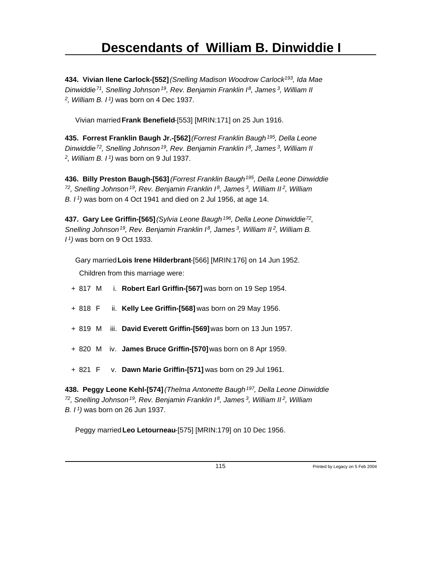**434. Vivian Ilene Carlock-[552]** *(Snelling Madison Woodrow Carlock<sup>193</sup>, Ida Mae Dinwiddie<sup>71</sup>, Snelling Johnson<sup>19</sup>, Rev. Benjamin Franklin I<sup>8</sup>, James<sup>3</sup>, William II 2 , William B. I<sup>1</sup>)* was born on 4 Dec 1937.

Vivian married **Frank Benefield**-[553] [MRIN:171] on 25 Jun 1916.

**435. Forrest Franklin Baugh Jr.-[562]** *(Forrest Franklin Baugh<sup>195</sup>, Della Leone Dinwiddie<sup>72</sup>, Snelling Johnson<sup>19</sup>, Rev. Benjamin Franklin I<sup>8</sup>, James<sup>3</sup>, William II 2 , William B. I<sup>1</sup>)* was born on 9 Jul 1937.

**436. Billy Preston Baugh-[563]** *(Forrest Franklin Baugh<sup>195</sup>, Della Leone Dinwiddie <sup>72</sup>, Snelling Johnson<sup>19</sup>, Rev. Benjamin Franklin I<sup>8</sup>, James<sup>3</sup>, William II<sup>2</sup>, William B. I<sup>1</sup>)* was born on 4 Oct 1941 and died on 2 Jul 1956, at age 14.

**437. Gary Lee Griffin-[565]** *(Sylvia Leone Baugh<sup>196</sup>, Della Leone Dinwiddie<sup>72</sup> , Snelling Johnson<sup>19</sup>, Rev. Benjamin Franklin I<sup>8</sup>, James<sup>3</sup>, William II<sup>2</sup>, William B. I <sup>1</sup>)* was born on 9 Oct 1933.

Gary married **Lois Irene Hilderbrant**-[566] [MRIN:176] on 14 Jun 1952.

Children from this marriage were:

- + 817 M i. **Robert Earl Griffin-[567]** was born on 19 Sep 1954.
- + 818 F ii. **Kelly Lee Griffin-[568]** was born on 29 May 1956.
- + 819 M iii. **David Everett Griffin-[569]** was born on 13 Jun 1957.
- + 820 M iv. **James Bruce Griffin-[570]** was born on 8 Apr 1959.
- + 821 F v. **Dawn Marie Griffin-[571]** was born on 29 Jul 1961.

**438. Peggy Leone Kehl-[574]** *(Thelma Antonette Baugh<sup>197</sup>, Della Leone Dinwiddie <sup>72</sup>, Snelling Johnson<sup>19</sup>, Rev. Benjamin Franklin I<sup>8</sup>, James<sup>3</sup>, William II<sup>2</sup>, William B. I<sup>1</sup>)* was born on 26 Jun 1937.

Peggy married **Leo Letourneau**-[575] [MRIN:179] on 10 Dec 1956.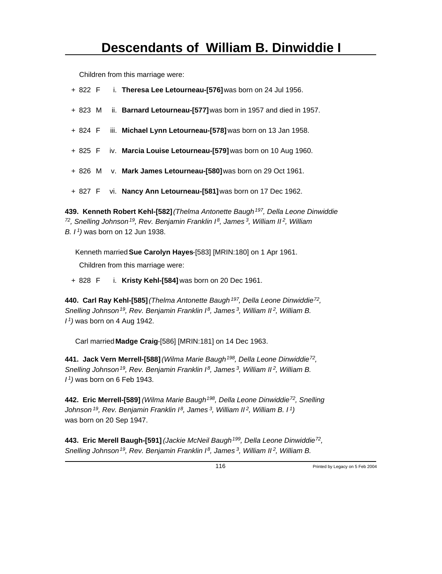Children from this marriage were:

|  | + 822 F i. Theresa Lee Letourneau-[576] was born on 24 Jul 1956. |
|--|------------------------------------------------------------------|
|  |                                                                  |

- + 823 M ii. **Barnard Letourneau-[577]** was born in 1957 and died in 1957.
- + 824 F iii. **Michael Lynn Letourneau-[578]** was born on 13 Jan 1958.
- + 825 F iv. **Marcia Louise Letourneau-[579]** was born on 10 Aug 1960.
- + 826 M v. **Mark James Letourneau-[580]** was born on 29 Oct 1961.
- + 827 F vi. **Nancy Ann Letourneau-[581]** was born on 17 Dec 1962.

**439. Kenneth Robert Kehl-[582]** *(Thelma Antonette Baugh<sup>197</sup>, Della Leone Dinwiddie <sup>72</sup>, Snelling Johnson<sup>19</sup>, Rev. Benjamin Franklin I<sup>8</sup>, James<sup>3</sup>, William II<sup>2</sup>, William B. I<sup>1</sup>)* was born on 12 Jun 1938.

Kenneth married **Sue Carolyn Hayes**-[583] [MRIN:180] on 1 Apr 1961. Children from this marriage were:

+ 828 F i. **Kristy Kehl-[584]** was born on 20 Dec 1961.

**440. Carl Ray Kehl-[585]** *(Thelma Antonette Baugh<sup>197</sup>, Della Leone Dinwiddie<sup>72</sup> , Snelling Johnson<sup>19</sup>, Rev. Benjamin Franklin I<sup>8</sup>, James<sup>3</sup>, William II<sup>2</sup>, William B. I <sup>1</sup>)* was born on 4 Aug 1942.

Carl married **Madge Craig**-[586] [MRIN:181] on 14 Dec 1963.

**441. Jack Vern Merrell-[588]** *(Wilma Marie Baugh<sup>198</sup>, Della Leone Dinwiddie<sup>72</sup> , Snelling Johnson<sup>19</sup>, Rev. Benjamin Franklin I<sup>8</sup>, James<sup>3</sup>, William II<sup>2</sup>, William B. I <sup>1</sup>)* was born on 6 Feb 1943.

**442. Eric Merrell-[589]** *(Wilma Marie Baugh<sup>198</sup>, Della Leone Dinwiddie<sup>72</sup>, Snelling Johnson<sup>19</sup>, Rev. Benjamin Franklin I<sup>8</sup>, James<sup>3</sup>, William II<sup>2</sup>, William B. I<sup>1</sup>)* was born on 20 Sep 1947.

**443. Eric Merell Baugh-[591]** *(Jackie McNeil Baugh<sup>199</sup>, Della Leone Dinwiddie<sup>72</sup> , Snelling Johnson 19, Rev. Benjamin Franklin I 8, James 3, William II 2, William B.*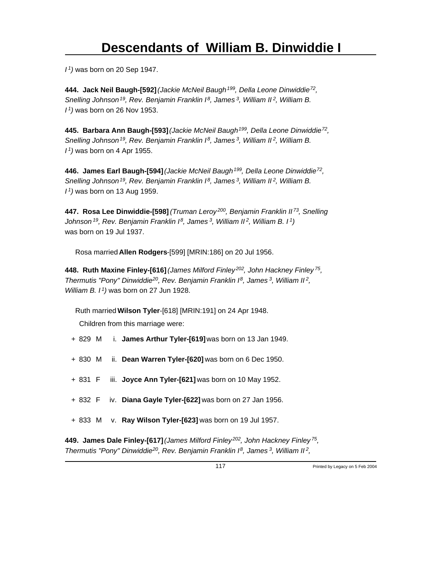*I <sup>1</sup>)* was born on 20 Sep 1947.

**444. Jack Neil Baugh-[592]** *(Jackie McNeil Baugh<sup>199</sup>, Della Leone Dinwiddie<sup>72</sup> , Snelling Johnson<sup>19</sup>, Rev. Benjamin Franklin I<sup>8</sup>, James<sup>3</sup>, William II<sup>2</sup>, William B. I <sup>1</sup>)* was born on 26 Nov 1953.

**445. Barbara Ann Baugh-[593]** *(Jackie McNeil Baugh<sup>199</sup>, Della Leone Dinwiddie<sup>72</sup> , Snelling Johnson<sup>19</sup>, Rev. Benjamin Franklin I<sup>8</sup>, James<sup>3</sup>, William II<sup>2</sup>, William B. I <sup>1</sup>)* was born on 4 Apr 1955.

**446. James Earl Baugh-[594]** *(Jackie McNeil Baugh<sup>199</sup>, Della Leone Dinwiddie<sup>72</sup> , Snelling Johnson<sup>19</sup>, Rev. Benjamin Franklin I<sup>8</sup>, James<sup>3</sup>, William II<sup>2</sup>, William B. I <sup>1</sup>)* was born on 13 Aug 1959.

**447. Rosa Lee Dinwiddie-[598]** *(Truman Leroy<sup>200</sup>, Benjamin Franklin II<sup>73</sup>, Snelling Johnson<sup>19</sup>, Rev. Benjamin Franklin I<sup>8</sup>, James<sup>3</sup>, William II<sup>2</sup>, William B. I<sup>1</sup>)* was born on 19 Jul 1937.

Rosa married **Allen Rodgers**-[599] [MRIN:186] on 20 Jul 1956.

**448. Ruth Maxine Finley-[616]** *(James Milford Finley<sup>202</sup>, John Hackney Finley<sup>75</sup> , Thermutis "Pony" Dinwiddie<sup>20</sup>, Rev. Benjamin Franklin I<sup>8</sup>, James<sup>3</sup>, William II<sup>2</sup> , William B. I<sup>1</sup>)* was born on 27 Jun 1928.

Ruth married **Wilson Tyler**-[618] [MRIN:191] on 24 Apr 1948.

Children from this marriage were:

- + 829 M i. **James Arthur Tyler-[619]** was born on 13 Jan 1949.
- + 830 M ii. **Dean Warren Tyler-[620]** was born on 6 Dec 1950.
- + 831 F iii. **Joyce Ann Tyler-[621]** was born on 10 May 1952.
- + 832 F iv. **Diana Gayle Tyler-[622]** was born on 27 Jan 1956.
- + 833 M v. **Ray Wilson Tyler-[623]** was born on 19 Jul 1957.

**449. James Dale Finley-[617]** *(James Milford Finley<sup>202</sup>, John Hackney Finley<sup>75</sup> , Thermutis "Pony" Dinwiddie<sup>20</sup>, Rev. Benjamin Franklin I<sup>8</sup>, James<sup>3</sup>, William II<sup>2</sup> ,*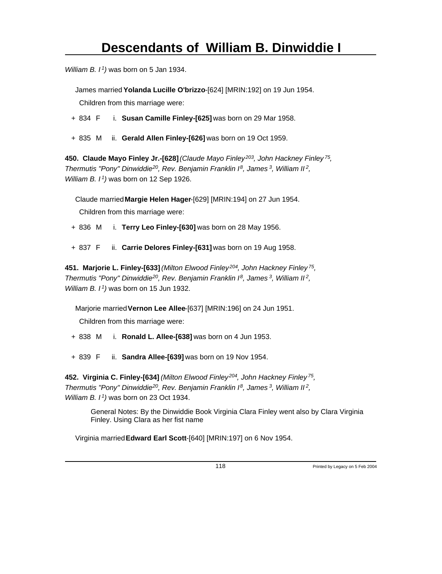*William B. I<sup>1</sup>)* was born on 5 Jan 1934.

James married **Yolanda Lucille O'brizzo**-[624] [MRIN:192] on 19 Jun 1954.

Children from this marriage were:

- + 834 F i. **Susan Camille Finley-[625]** was born on 29 Mar 1958.
- + 835 M ii. **Gerald Allen Finley-[626]** was born on 19 Oct 1959.

**450. Claude Mayo Finley Jr.-[628]** *(Claude Mayo Finley<sup>203</sup>, John Hackney Finley<sup>75</sup> , Thermutis "Pony" Dinwiddie<sup>20</sup>, Rev. Benjamin Franklin I<sup>8</sup>, James<sup>3</sup>, William II<sup>2</sup> , William B. I<sup>1</sup>)* was born on 12 Sep 1926.

Claude married **Margie Helen Hager**-[629] [MRIN:194] on 27 Jun 1954.

Children from this marriage were:

- + 836 M i. **Terry Leo Finley-[630]** was born on 28 May 1956.
- + 837 F ii. **Carrie Delores Finley-[631]** was born on 19 Aug 1958.

**451. Marjorie L. Finley-[633]** *(Milton Elwood Finley<sup>204</sup>, John Hackney Finley<sup>75</sup> , Thermutis "Pony" Dinwiddie<sup>20</sup>, Rev. Benjamin Franklin I<sup>8</sup>, James<sup>3</sup>, William II<sup>2</sup> , William B. I<sup>1</sup>)* was born on 15 Jun 1932.

Marjorie married **Vernon Lee Allee**-[637] [MRIN:196] on 24 Jun 1951.

Children from this marriage were:

- + 838 M i. **Ronald L. Allee-[638]** was born on 4 Jun 1953.
- + 839 F ii. **Sandra Allee-[639]** was born on 19 Nov 1954.

**452. Virginia C. Finley-[634]** *(Milton Elwood Finley<sup>204</sup>, John Hackney Finley<sup>75</sup> , Thermutis "Pony" Dinwiddie<sup>20</sup>, Rev. Benjamin Franklin I<sup>8</sup>, James<sup>3</sup>, William II<sup>2</sup> , William B. I<sup>1</sup>)* was born on 23 Oct 1934.

> General Notes: By the Dinwiddie Book Virginia Clara Finley went also by Clara Virginia Finley. Using Clara as her fist name

Virginia married **Edward Earl Scott**-[640] [MRIN:197] on 6 Nov 1954.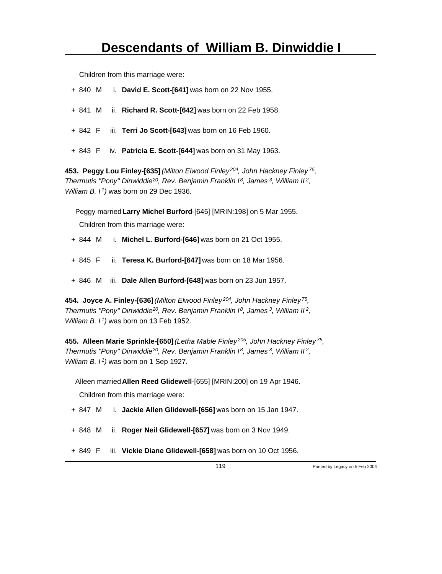Children from this marriage were:

- + 840 M i. **David E. Scott-[641]** was born on 22 Nov 1955.
- + 841 M ii. **Richard R. Scott-[642]** was born on 22 Feb 1958.
- + 842 F iii. **Terri Jo Scott-[643]** was born on 16 Feb 1960.
- + 843 F iv. **Patricia E. Scott-[644]** was born on 31 May 1963.

**453. Peggy Lou Finley-[635]** *(Milton Elwood Finley<sup>204</sup>, John Hackney Finley<sup>75</sup> , Thermutis "Pony" Dinwiddie<sup>20</sup>, Rev. Benjamin Franklin I<sup>8</sup>, James<sup>3</sup>, William II<sup>2</sup> , William B. I<sup>1</sup>)* was born on 29 Dec 1936.

Peggy married **Larry Michel Burford**-[645] [MRIN:198] on 5 Mar 1955.

Children from this marriage were:

- + 844 M i. **Michel L. Burford-[646]** was born on 21 Oct 1955.
- + 845 F ii. **Teresa K. Burford-[647]** was born on 18 Mar 1956.
- + 846 M iii. **Dale Allen Burford-[648]** was born on 23 Jun 1957.

**454. Joyce A. Finley-[636]** *(Milton Elwood Finley<sup>204</sup>, John Hackney Finley<sup>75</sup> , Thermutis "Pony" Dinwiddie<sup>20</sup>, Rev. Benjamin Franklin I<sup>8</sup>, James<sup>3</sup>, William II<sup>2</sup> , William B. I<sup>1</sup>)* was born on 13 Feb 1952.

**455. Alleen Marie Sprinkle-[650]** *(Letha Mable Finley<sup>205</sup>, John Hackney Finley<sup>75</sup> , Thermutis "Pony" Dinwiddie<sup>20</sup>, Rev. Benjamin Franklin I<sup>8</sup>, James<sup>3</sup>, William II<sup>2</sup> , William B. I<sup>1</sup>)* was born on 1 Sep 1927.

Alleen married **Allen Reed Glidewell**-[655] [MRIN:200] on 19 Apr 1946. Children from this marriage were:

- + 847 M i. **Jackie Allen Glidewell-[656]** was born on 15 Jan 1947.
- + 848 M ii. **Roger Neil Glidewell-[657]** was born on 3 Nov 1949.
- + 849 F iii. **Vickie Diane Glidewell-[658]** was born on 10 Oct 1956.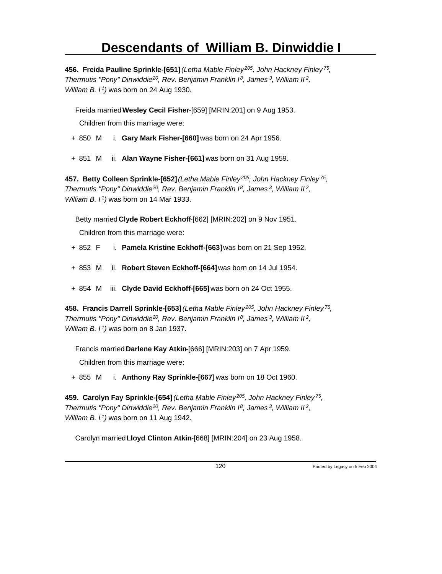**456. Freida Pauline Sprinkle-[651]** *(Letha Mable Finley<sup>205</sup>, John Hackney Finley<sup>75</sup> , Thermutis "Pony" Dinwiddie<sup>20</sup>, Rev. Benjamin Franklin I<sup>8</sup>, James<sup>3</sup>, William II<sup>2</sup> , William B. I<sup>1</sup>)* was born on 24 Aug 1930.

Freida married **Wesley Cecil Fisher**-[659] [MRIN:201] on 9 Aug 1953. Children from this marriage were:

- + 850 M i. **Gary Mark Fisher-[660]** was born on 24 Apr 1956.
- + 851 M ii. **Alan Wayne Fisher-[661]** was born on 31 Aug 1959.

**457. Betty Colleen Sprinkle-[652]** *(Letha Mable Finley<sup>205</sup>, John Hackney Finley<sup>75</sup> , Thermutis "Pony" Dinwiddie<sup>20</sup>, Rev. Benjamin Franklin I<sup>8</sup>, James<sup>3</sup>, William II<sup>2</sup> , William B. I<sup>1</sup>)* was born on 14 Mar 1933.

Betty married **Clyde Robert Eckhoff**-[662] [MRIN:202] on 9 Nov 1951.

Children from this marriage were:

- + 852 F i. **Pamela Kristine Eckhoff-[663]** was born on 21 Sep 1952.
- + 853 M ii. **Robert Steven Eckhoff-[664]** was born on 14 Jul 1954.
- + 854 M iii. **Clyde David Eckhoff-[665]** was born on 24 Oct 1955.

**458. Francis Darrell Sprinkle-[653]** *(Letha Mable Finley<sup>205</sup>, John Hackney Finley<sup>75</sup> , Thermutis "Pony" Dinwiddie<sup>20</sup>, Rev. Benjamin Franklin I<sup>8</sup>, James<sup>3</sup>, William II<sup>2</sup> , William B. I<sup>1</sup>)* was born on 8 Jan 1937.

Francis married **Darlene Kay Atkin**-[666] [MRIN:203] on 7 Apr 1959.

Children from this marriage were:

+ 855 M i. **Anthony Ray Sprinkle-[667]** was born on 18 Oct 1960.

**459. Carolyn Fay Sprinkle-[654]** *(Letha Mable Finley<sup>205</sup>, John Hackney Finley<sup>75</sup> , Thermutis "Pony" Dinwiddie<sup>20</sup>, Rev. Benjamin Franklin I<sup>8</sup>, James<sup>3</sup>, William II<sup>2</sup> , William B. I<sup>1</sup>)* was born on 11 Aug 1942.

Carolyn married **Lloyd Clinton Atkin**-[668] [MRIN:204] on 23 Aug 1958.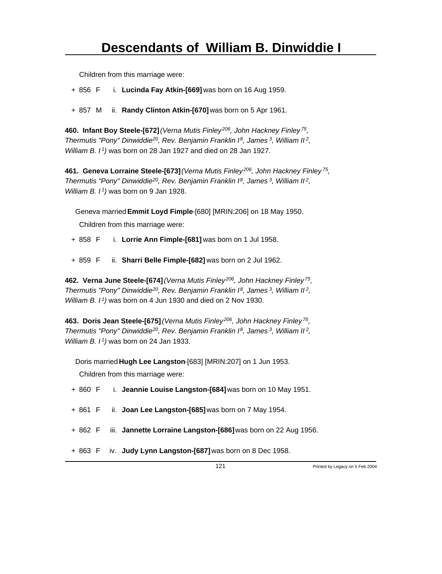Children from this marriage were:

- + 856 F i. **Lucinda Fay Atkin-[669]** was born on 16 Aug 1959.
- + 857 M ii. **Randy Clinton Atkin-[670]** was born on 5 Apr 1961.

**460. Infant Boy Steele-[672]** *(Verna Mutis Finley<sup>206</sup>, John Hackney Finley<sup>75</sup> , Thermutis "Pony" Dinwiddie<sup>20</sup>, Rev. Benjamin Franklin I<sup>8</sup>, James<sup>3</sup>, William II<sup>2</sup> , William B. I<sup>1</sup>)* was born on 28 Jan 1927 and died on 28 Jan 1927.

**461. Geneva Lorraine Steele-[673]** *(Verna Mutis Finley<sup>206</sup>, John Hackney Finley<sup>75</sup> , Thermutis "Pony" Dinwiddie<sup>20</sup>, Rev. Benjamin Franklin I<sup>8</sup>, James<sup>3</sup>, William II<sup>2</sup> , William B. I<sup>1</sup>)* was born on 9 Jan 1928.

Geneva married **Emmit Loyd Fimple**-[680] [MRIN:206] on 18 May 1950.

Children from this marriage were:

- + 858 F i. **Lorrie Ann Fimple-[681]** was born on 1 Jul 1958.
- + 859 F ii. **Sharri Belle Fimple-[682]** was born on 2 Jul 1962.

**462. Verna June Steele-[674]** *(Verna Mutis Finley<sup>206</sup>, John Hackney Finley<sup>75</sup> , Thermutis "Pony" Dinwiddie<sup>20</sup>, Rev. Benjamin Franklin I<sup>8</sup>, James<sup>3</sup>, William II<sup>2</sup> , William B. I<sup>1</sup>)* was born on 4 Jun 1930 and died on 2 Nov 1930.

**463. Doris Jean Steele-[675]** *(Verna Mutis Finley<sup>206</sup>, John Hackney Finley<sup>75</sup> , Thermutis "Pony" Dinwiddie<sup>20</sup>, Rev. Benjamin Franklin I<sup>8</sup>, James<sup>3</sup>, William II<sup>2</sup> , William B. I<sup>1</sup>)* was born on 24 Jan 1933.

Doris married **Hugh Lee Langston**-[683] [MRIN:207] on 1 Jun 1953.

Children from this marriage were:

- + 860 F i. **Jeannie Louise Langston-[684]** was born on 10 May 1951.
- + 861 F ii. **Joan Lee Langston-[685]** was born on 7 May 1954.
- + 862 F iii. **Jannette Lorraine Langston-[686]** was born on 22 Aug 1956.
- + 863 F iv. **Judy Lynn Langston-[687]** was born on 8 Dec 1958.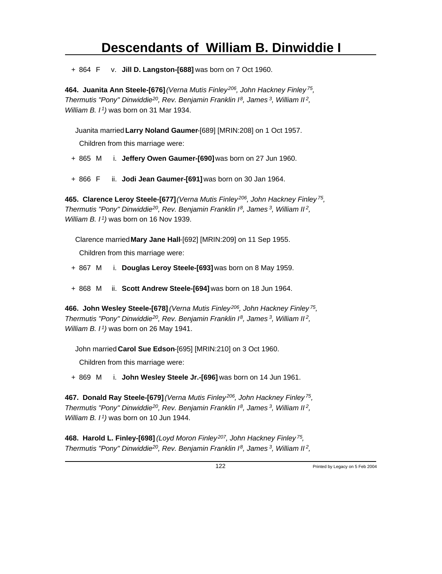+ 864 F v. **Jill D. Langston-[688]** was born on 7 Oct 1960.

**464. Juanita Ann Steele-[676]** *(Verna Mutis Finley<sup>206</sup>, John Hackney Finley<sup>75</sup> , Thermutis "Pony" Dinwiddie<sup>20</sup>, Rev. Benjamin Franklin I<sup>8</sup>, James<sup>3</sup>, William II<sup>2</sup> , William B. I<sup>1</sup>)* was born on 31 Mar 1934.

Juanita married **Larry Noland Gaumer**-[689] [MRIN:208] on 1 Oct 1957.

Children from this marriage were:

- + 865 M i. **Jeffery Owen Gaumer-[690]** was born on 27 Jun 1960.
- + 866 F ii. **Jodi Jean Gaumer-[691]** was born on 30 Jan 1964.

**465. Clarence Leroy Steele-[677]** *(Verna Mutis Finley<sup>206</sup>, John Hackney Finley<sup>75</sup> , Thermutis "Pony" Dinwiddie<sup>20</sup>, Rev. Benjamin Franklin I<sup>8</sup>, James<sup>3</sup>, William II<sup>2</sup> , William B. I<sup>1</sup>)* was born on 16 Nov 1939.

Clarence married **Mary Jane Hall**-[692] [MRIN:209] on 11 Sep 1955. Children from this marriage were:

- + 867 M i. **Douglas Leroy Steele-[693]** was born on 8 May 1959.
- + 868 M ii. **Scott Andrew Steele-[694]** was born on 18 Jun 1964.

**466. John Wesley Steele-[678]** *(Verna Mutis Finley<sup>206</sup>, John Hackney Finley<sup>75</sup> , Thermutis "Pony" Dinwiddie<sup>20</sup>, Rev. Benjamin Franklin I<sup>8</sup>, James<sup>3</sup>, William II<sup>2</sup> , William B. I<sup>1</sup>)* was born on 26 May 1941.

John married **Carol Sue Edson**-[695] [MRIN:210] on 3 Oct 1960.

Children from this marriage were:

+ 869 M i. **John Wesley Steele Jr.-[696]** was born on 14 Jun 1961.

**467. Donald Ray Steele-[679]** *(Verna Mutis Finley<sup>206</sup>, John Hackney Finley<sup>75</sup> , Thermutis "Pony" Dinwiddie<sup>20</sup>, Rev. Benjamin Franklin I<sup>8</sup>, James<sup>3</sup>, William II<sup>2</sup> , William B. I<sup>1</sup>)* was born on 10 Jun 1944.

**468. Harold L. Finley-[698]** *(Loyd Moron Finley<sup>207</sup>, John Hackney Finley<sup>75</sup> , Thermutis "Pony" Dinwiddie<sup>20</sup>, Rev. Benjamin Franklin I<sup>8</sup>, James<sup>3</sup>, William II<sup>2</sup> ,*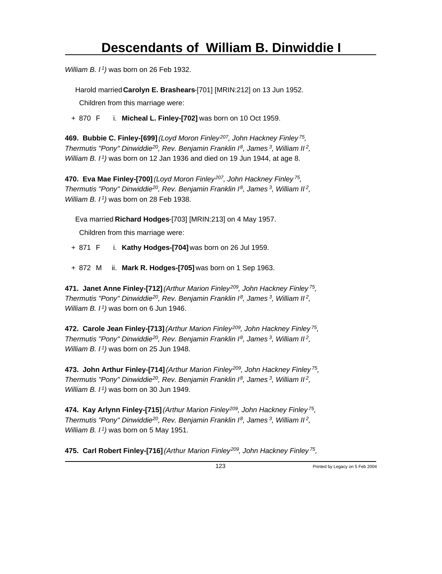*William B. I<sup>1</sup>)* was born on 26 Feb 1932.

Harold married **Carolyn E. Brashears**-[701] [MRIN:212] on 13 Jun 1952.

Children from this marriage were:

+ 870 F i. **Micheal L. Finley-[702]** was born on 10 Oct 1959.

**469. Bubbie C. Finley-[699]** *(Loyd Moron Finley<sup>207</sup>, John Hackney Finley<sup>75</sup> , Thermutis "Pony" Dinwiddie<sup>20</sup>, Rev. Benjamin Franklin I<sup>8</sup>, James<sup>3</sup>, William II<sup>2</sup> , William B. I<sup>1</sup>)* was born on 12 Jan 1936 and died on 19 Jun 1944, at age 8.

**470. Eva Mae Finley-[700]** *(Loyd Moron Finley<sup>207</sup>, John Hackney Finley<sup>75</sup> , Thermutis "Pony" Dinwiddie<sup>20</sup>, Rev. Benjamin Franklin I<sup>8</sup>, James<sup>3</sup>, William II<sup>2</sup> , William B. I<sup>1</sup>)* was born on 28 Feb 1938.

Eva married **Richard Hodges**-[703] [MRIN:213] on 4 May 1957.

Children from this marriage were:

+ 871 F i. **Kathy Hodges-[704]** was born on 26 Jul 1959.

+ 872 M ii. **Mark R. Hodges-[705]** was born on 1 Sep 1963.

**471. Janet Anne Finley-[712]** *(Arthur Marion Finley<sup>209</sup>, John Hackney Finley<sup>75</sup> , Thermutis "Pony" Dinwiddie<sup>20</sup>, Rev. Benjamin Franklin I<sup>8</sup>, James<sup>3</sup>, William II<sup>2</sup> , William B. I<sup>1</sup>)* was born on 6 Jun 1946.

**472. Carole Jean Finley-[713]** *(Arthur Marion Finley<sup>209</sup>, John Hackney Finley<sup>75</sup> , Thermutis "Pony" Dinwiddie<sup>20</sup>, Rev. Benjamin Franklin I<sup>8</sup>, James<sup>3</sup>, William II<sup>2</sup> , William B. I<sup>1</sup>)* was born on 25 Jun 1948.

**473. John Arthur Finley-[714]** *(Arthur Marion Finley<sup>209</sup>, John Hackney Finley<sup>75</sup> , Thermutis "Pony" Dinwiddie<sup>20</sup>, Rev. Benjamin Franklin I<sup>8</sup>, James<sup>3</sup>, William II<sup>2</sup> , William B. I<sup>1</sup>)* was born on 30 Jun 1949.

**474. Kay Arlynn Finley-[715]** *(Arthur Marion Finley<sup>209</sup>, John Hackney Finley<sup>75</sup> , Thermutis "Pony" Dinwiddie<sup>20</sup>, Rev. Benjamin Franklin I<sup>8</sup>, James<sup>3</sup>, William II<sup>2</sup> , William B. I<sup>1</sup>)* was born on 5 May 1951.

**475. Carl Robert Finley-[716]** *(Arthur Marion Finley<sup>209</sup>, John Hackney Finley<sup>75</sup> ,*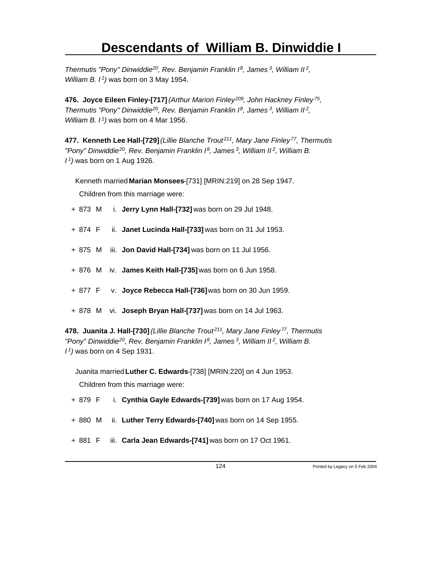*Thermutis "Pony" Dinwiddie<sup>20</sup>, Rev. Benjamin Franklin I<sup>8</sup>, James<sup>3</sup>, William II<sup>2</sup> , William B. I<sup>1</sup>)* was born on 3 May 1954.

**476. Joyce Eileen Finley-[717]** *(Arthur Marion Finley<sup>209</sup>, John Hackney Finley<sup>75</sup> , Thermutis "Pony" Dinwiddie<sup>20</sup>, Rev. Benjamin Franklin I<sup>8</sup>, James<sup>3</sup>, William II<sup>2</sup> , William B. I<sup>1</sup>)* was born on 4 Mar 1956.

**477. Kenneth Lee Hall-[729]** *(Lillie Blanche Trout<sup>211</sup>, Mary Jane Finley<sup>77</sup>, Thermutis "Pony" Dinwiddie<sup>20</sup>, Rev. Benjamin Franklin I<sup>8</sup>, James<sup>3</sup>, William II<sup>2</sup>, William B. I <sup>1</sup>)* was born on 1 Aug 1926.

Kenneth married **Marian Monsees**-[731] [MRIN:219] on 28 Sep 1947.

Children from this marriage were:

- + 873 M i. **Jerry Lynn Hall-[732]** was born on 29 Jul 1948.
- + 874 F ii. **Janet Lucinda Hall-[733]** was born on 31 Jul 1953.
- + 875 M iii. **Jon David Hall-[734]** was born on 11 Jul 1956.
- + 876 M iv. **James Keith Hall-[735]** was born on 6 Jun 1958.
- + 877 F v. **Joyce Rebecca Hall-[736]** was born on 30 Jun 1959.
- + 878 M vi. **Joseph Bryan Hall-[737]** was born on 14 Jul 1963.

**478. Juanita J. Hall-[730]** *(Lillie Blanche Trout<sup>211</sup>, Mary Jane Finley<sup>77</sup>, Thermutis "Pony" Dinwiddie<sup>20</sup>, Rev. Benjamin Franklin I<sup>8</sup>, James<sup>3</sup>, William II<sup>2</sup>, William B. I <sup>1</sup>)* was born on 4 Sep 1931.

Juanita married **Luther C. Edwards**-[738] [MRIN:220] on 4 Jun 1953. Children from this marriage were:

- + 879 F i. **Cynthia Gayle Edwards-[739]** was born on 17 Aug 1954.
- + 880 M ii. **Luther Terry Edwards-[740]** was born on 14 Sep 1955.
- + 881 F iii. **Carla Jean Edwards-[741]** was born on 17 Oct 1961.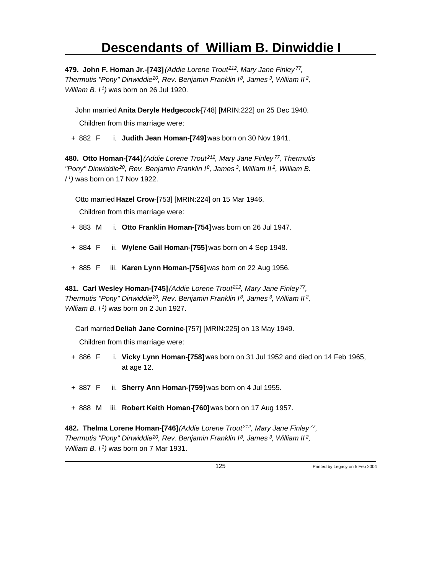**479. John F. Homan Jr.-[743]** *(Addie Lorene Trout<sup>212</sup>, Mary Jane Finley<sup>77</sup> , Thermutis "Pony" Dinwiddie<sup>20</sup>, Rev. Benjamin Franklin I<sup>8</sup>, James<sup>3</sup>, William II<sup>2</sup> , William B. I<sup>1</sup>)* was born on 26 Jul 1920.

John married **Anita Deryle Hedgecock**-[748] [MRIN:222] on 25 Dec 1940. Children from this marriage were:

+ 882 F i. **Judith Jean Homan-[749]** was born on 30 Nov 1941.

**480. Otto Homan-[744]** *(Addie Lorene Trout<sup>212</sup>, Mary Jane Finley<sup>77</sup>, Thermutis "Pony" Dinwiddie<sup>20</sup>, Rev. Benjamin Franklin I<sup>8</sup>, James<sup>3</sup>, William II<sup>2</sup>, William B. I <sup>1</sup>)* was born on 17 Nov 1922.

Otto married **Hazel Crow**-[753] [MRIN:224] on 15 Mar 1946.

Children from this marriage were:

- + 883 M i. **Otto Franklin Homan-[754]** was born on 26 Jul 1947.
- + 884 F ii. **Wylene Gail Homan-[755]** was born on 4 Sep 1948.
- + 885 F iii. **Karen Lynn Homan-[756]** was born on 22 Aug 1956.

**481. Carl Wesley Homan-[745]** *(Addie Lorene Trout<sup>212</sup>, Mary Jane Finley<sup>77</sup> , Thermutis "Pony" Dinwiddie<sup>20</sup>, Rev. Benjamin Franklin I<sup>8</sup>, James<sup>3</sup>, William II<sup>2</sup> , William B. I<sup>1</sup>)* was born on 2 Jun 1927.

Carl married **Deliah Jane Cornine**-[757] [MRIN:225] on 13 May 1949.

Children from this marriage were:

- + 886 F i. **Vicky Lynn Homan-[758]** was born on 31 Jul 1952 and died on 14 Feb 1965, at age 12.
- + 887 F ii. **Sherry Ann Homan-[759]** was born on 4 Jul 1955.
- + 888 M iii. **Robert Keith Homan-[760]** was born on 17 Aug 1957.

**482. Thelma Lorene Homan-[746]** *(Addie Lorene Trout<sup>212</sup>, Mary Jane Finley<sup>77</sup> , Thermutis "Pony" Dinwiddie<sup>20</sup>, Rev. Benjamin Franklin I<sup>8</sup>, James<sup>3</sup>, William II<sup>2</sup> , William B. I 1)* was born on 7 Mar 1931.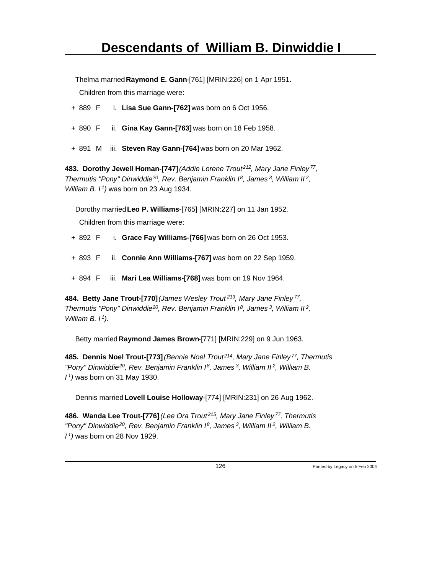Thelma married **Raymond E. Gann**-[761] [MRIN:226] on 1 Apr 1951.

Children from this marriage were:

- + 889 F i. **Lisa Sue Gann-[762]** was born on 6 Oct 1956.
- + 890 F ii. **Gina Kay Gann-[763]** was born on 18 Feb 1958.
- + 891 M iii. **Steven Ray Gann-[764]** was born on 20 Mar 1962.

**483. Dorothy Jewell Homan-[747]** *(Addie Lorene Trout<sup>212</sup>, Mary Jane Finley<sup>77</sup> , Thermutis "Pony" Dinwiddie<sup>20</sup>, Rev. Benjamin Franklin I<sup>8</sup>, James<sup>3</sup>, William II<sup>2</sup> , William B. I<sup>1</sup>)* was born on 23 Aug 1934.

Dorothy married **Leo P. Williams**-[765] [MRIN:227] on 11 Jan 1952.

Children from this marriage were:

- + 892 F i. **Grace Fay Williams-[766]** was born on 26 Oct 1953.
- + 893 F ii. **Connie Ann Williams-[767]** was born on 22 Sep 1959.
- + 894 F iii. **Mari Lea Williams-[768]** was born on 19 Nov 1964.

**484. Betty Jane Trout-[770]** *(James Wesley Trout<sup>213</sup>, Mary Jane Finley<sup>77</sup> , Thermutis "Pony" Dinwiddie<sup>20</sup>, Rev. Benjamin Franklin I<sup>8</sup>, James<sup>3</sup>, William II<sup>2</sup> , William B. I<sup>1</sup>)*.

Betty married **Raymond James Brown**-[771] [MRIN:229] on 9 Jun 1963.

**485. Dennis Noel Trout-[773]** *(Bennie Noel Trout<sup>214</sup>, Mary Jane Finley<sup>77</sup>, Thermutis "Pony" Dinwiddie<sup>20</sup>, Rev. Benjamin Franklin I<sup>8</sup>, James<sup>3</sup>, William II<sup>2</sup>, William B. I <sup>1</sup>)* was born on 31 May 1930.

Dennis married **Lovell Louise Holloway**-[774] [MRIN:231] on 26 Aug 1962.

**486. Wanda Lee Trout-[776]** *(Lee Ora Trout<sup>215</sup>, Mary Jane Finley<sup>77</sup>, Thermutis "Pony" Dinwiddie<sup>20</sup>, Rev. Benjamin Franklin I<sup>8</sup>, James<sup>3</sup>, William II<sup>2</sup>, William B. I 1)* was born on 28 Nov 1929.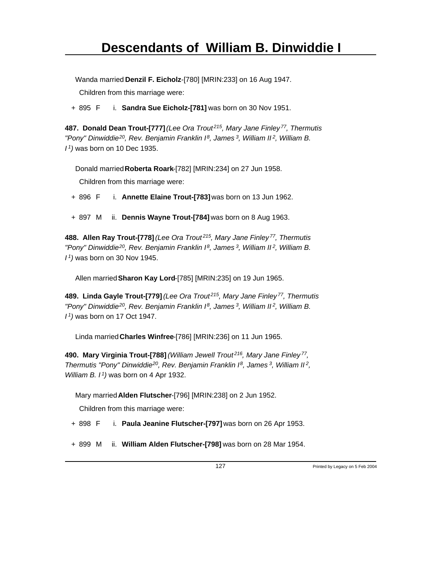Wanda married **Denzil F. Eicholz**-[780] [MRIN:233] on 16 Aug 1947.

Children from this marriage were:

+ 895 F i. **Sandra Sue Eicholz-[781]** was born on 30 Nov 1951.

**487. Donald Dean Trout-[777]** *(Lee Ora Trout<sup>215</sup>, Mary Jane Finley<sup>77</sup>, Thermutis "Pony" Dinwiddie<sup>20</sup>, Rev. Benjamin Franklin I<sup>8</sup>, James<sup>3</sup>, William II<sup>2</sup>, William B. I <sup>1</sup>)* was born on 10 Dec 1935.

Donald married **Roberta Roark**-[782] [MRIN:234] on 27 Jun 1958.

Children from this marriage were:

+ 896 F i. **Annette Elaine Trout-[783]** was born on 13 Jun 1962.

+ 897 M ii. **Dennis Wayne Trout-[784]** was born on 8 Aug 1963.

**488. Allen Ray Trout-[778]** *(Lee Ora Trout<sup>215</sup>, Mary Jane Finley<sup>77</sup>, Thermutis "Pony" Dinwiddie<sup>20</sup>, Rev. Benjamin Franklin I<sup>8</sup>, James<sup>3</sup>, William II<sup>2</sup>, William B. I <sup>1</sup>)* was born on 30 Nov 1945.

Allen married **Sharon Kay Lord**-[785] [MRIN:235] on 19 Jun 1965.

**489. Linda Gayle Trout-[779]** *(Lee Ora Trout<sup>215</sup>, Mary Jane Finley<sup>77</sup>, Thermutis "Pony" Dinwiddie<sup>20</sup>, Rev. Benjamin Franklin I<sup>8</sup>, James<sup>3</sup>, William II<sup>2</sup>, William B. I <sup>1</sup>)* was born on 17 Oct 1947.

Linda married **Charles Winfree**-[786] [MRIN:236] on 11 Jun 1965.

**490. Mary Virginia Trout-[788]** *(William Jewell Trout<sup>216</sup>, Mary Jane Finley<sup>77</sup> , Thermutis "Pony" Dinwiddie<sup>20</sup>, Rev. Benjamin Franklin I<sup>8</sup>, James<sup>3</sup>, William II<sup>2</sup> , William B. I<sup>1</sup>)* was born on 4 Apr 1932.

Mary married **Alden Flutscher**-[796] [MRIN:238] on 2 Jun 1952.

Children from this marriage were:

- + 898 F i. **Paula Jeanine Flutscher-[797]** was born on 26 Apr 1953.
- + 899 M ii. **William Alden Flutscher-[798]** was born on 28 Mar 1954.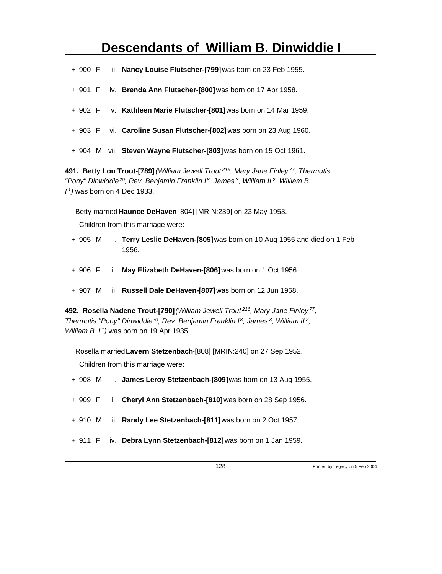- + 900 F iii. **Nancy Louise Flutscher-[799]** was born on 23 Feb 1955.
- + 901 F iv. **Brenda Ann Flutscher-[800]** was born on 17 Apr 1958.
- + 902 F v. **Kathleen Marie Flutscher-[801]** was born on 14 Mar 1959.
- + 903 F vi. **Caroline Susan Flutscher-[802]** was born on 23 Aug 1960.
- + 904 M vii. **Steven Wayne Flutscher-[803]** was born on 15 Oct 1961.

**491. Betty Lou Trout-[789]** *(William Jewell Trout<sup>216</sup>, Mary Jane Finley<sup>77</sup>, Thermutis "Pony" Dinwiddie<sup>20</sup>, Rev. Benjamin Franklin I<sup>8</sup>, James<sup>3</sup>, William II<sup>2</sup>, William B. I <sup>1</sup>)* was born on 4 Dec 1933.

Betty married **Haunce DeHaven**-[804] [MRIN:239] on 23 May 1953.

Children from this marriage were:

- + 905 M i. **Terry Leslie DeHaven-[805]** was born on 10 Aug 1955 and died on 1 Feb 1956.
- + 906 F ii. **May Elizabeth DeHaven-[806]** was born on 1 Oct 1956.
- + 907 M iii. **Russell Dale DeHaven-[807]** was born on 12 Jun 1958.

**492. Rosella Nadene Trout-[790]** *(William Jewell Trout<sup>216</sup>, Mary Jane Finley<sup>77</sup> , Thermutis "Pony" Dinwiddie<sup>20</sup>, Rev. Benjamin Franklin I<sup>8</sup>, James<sup>3</sup>, William II<sup>2</sup> , William B. I<sup>1</sup>)* was born on 19 Apr 1935.

Rosella married **Lavern Stetzenbach**-[808] [MRIN:240] on 27 Sep 1952. Children from this marriage were:

- + 908 M i. **James Leroy Stetzenbach-[809]** was born on 13 Aug 1955.
- + 909 F ii. **Cheryl Ann Stetzenbach-[810]** was born on 28 Sep 1956.
- + 910 M iii. **Randy Lee Stetzenbach-[811]** was born on 2 Oct 1957.
- + 911 F iv. **Debra Lynn Stetzenbach-[812]** was born on 1 Jan 1959.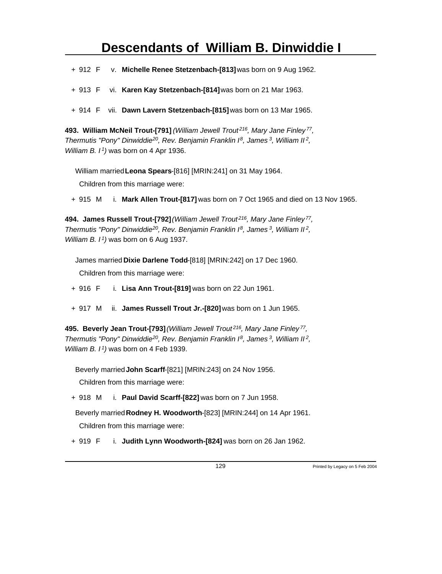+ 912 F v. **Michelle Renee Stetzenbach-[813]** was born on 9 Aug 1962.

+ 913 F vi. **Karen Kay Stetzenbach-[814]** was born on 21 Mar 1963.

+ 914 F vii. **Dawn Lavern Stetzenbach-[815]** was born on 13 Mar 1965.

**493. William McNeil Trout-[791]** *(William Jewell Trout<sup>216</sup>, Mary Jane Finley<sup>77</sup> , Thermutis "Pony" Dinwiddie<sup>20</sup>, Rev. Benjamin Franklin I<sup>8</sup>, James<sup>3</sup>, William II<sup>2</sup> , William B. I<sup>1</sup>)* was born on 4 Apr 1936.

William married **Leona Spears**-[816] [MRIN:241] on 31 May 1964.

Children from this marriage were:

+ 915 M i. **Mark Allen Trout-[817]** was born on 7 Oct 1965 and died on 13 Nov 1965.

**494. James Russell Trout-[792]** *(William Jewell Trout<sup>216</sup>, Mary Jane Finley<sup>77</sup> , Thermutis "Pony" Dinwiddie<sup>20</sup>, Rev. Benjamin Franklin I<sup>8</sup>, James<sup>3</sup>, William II<sup>2</sup> , William B. I<sup>1</sup>)* was born on 6 Aug 1937.

James married **Dixie Darlene Todd**-[818] [MRIN:242] on 17 Dec 1960.

Children from this marriage were:

+ 916 F i. **Lisa Ann Trout-[819]** was born on 22 Jun 1961.

+ 917 M ii. **James Russell Trout Jr.-[820]** was born on 1 Jun 1965.

**495. Beverly Jean Trout-[793]** *(William Jewell Trout<sup>216</sup>, Mary Jane Finley<sup>77</sup> , Thermutis "Pony" Dinwiddie<sup>20</sup>, Rev. Benjamin Franklin I<sup>8</sup>, James<sup>3</sup>, William II<sup>2</sup> , William B. I<sup>1</sup>)* was born on 4 Feb 1939.

Beverly married **John Scarff**-[821] [MRIN:243] on 24 Nov 1956.

Children from this marriage were:

+ 918 M i. **Paul David Scarff-[822]** was born on 7 Jun 1958.

Beverly married **Rodney H. Woodworth**-[823] [MRIN:244] on 14 Apr 1961.

Children from this marriage were:

+ 919 F i. **Judith Lynn Woodworth-[824]** was born on 26 Jan 1962.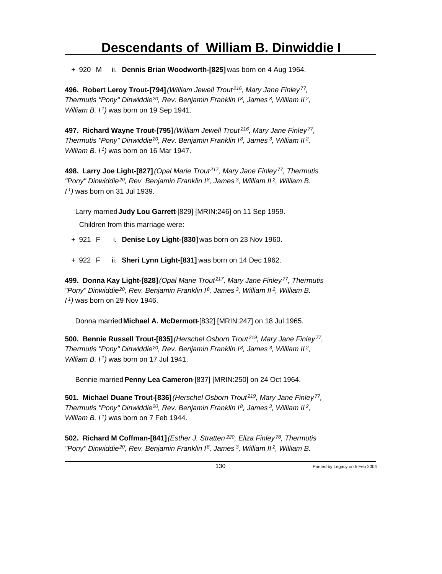+ 920 M ii. **Dennis Brian Woodworth-[825]** was born on 4 Aug 1964.

**496. Robert Leroy Trout-[794]** *(William Jewell Trout<sup>216</sup>, Mary Jane Finley<sup>77</sup> , Thermutis "Pony" Dinwiddie<sup>20</sup>, Rev. Benjamin Franklin I<sup>8</sup>, James<sup>3</sup>, William II<sup>2</sup> , William B. I<sup>1</sup>)* was born on 19 Sep 1941.

**497. Richard Wayne Trout-[795]** *(William Jewell Trout<sup>216</sup>, Mary Jane Finley<sup>77</sup> , Thermutis "Pony" Dinwiddie<sup>20</sup>, Rev. Benjamin Franklin I<sup>8</sup>, James<sup>3</sup>, William II<sup>2</sup> , William B. I<sup>1</sup>)* was born on 16 Mar 1947.

**498. Larry Joe Light-[827]** *(Opal Marie Trout<sup>217</sup>, Mary Jane Finley<sup>77</sup>, Thermutis "Pony" Dinwiddie<sup>20</sup>, Rev. Benjamin Franklin I<sup>8</sup>, James<sup>3</sup>, William II<sup>2</sup>, William B. I <sup>1</sup>)* was born on 31 Jul 1939.

Larry married **Judy Lou Garrett**-[829] [MRIN:246] on 11 Sep 1959.

Children from this marriage were:

+ 921 F i. **Denise Loy Light-[830]** was born on 23 Nov 1960.

+ 922 F ii. **Sheri Lynn Light-[831]** was born on 14 Dec 1962.

**499. Donna Kay Light-[828]** *(Opal Marie Trout<sup>217</sup>, Mary Jane Finley<sup>77</sup>, Thermutis "Pony" Dinwiddie<sup>20</sup>, Rev. Benjamin Franklin I<sup>8</sup>, James<sup>3</sup>, William II<sup>2</sup>, William B. I <sup>1</sup>)* was born on 29 Nov 1946.

Donna married **Michael A. McDermott**-[832] [MRIN:247] on 18 Jul 1965.

**500. Bennie Russell Trout-[835]** *(Herschel Osborn Trout<sup>219</sup>, Mary Jane Finley<sup>77</sup> , Thermutis "Pony" Dinwiddie<sup>20</sup>, Rev. Benjamin Franklin I<sup>8</sup>, James<sup>3</sup>, William II<sup>2</sup> , William B. I<sup>1</sup>)* was born on 17 Jul 1941.

Bennie married **Penny Lea Cameron**-[837] [MRIN:250] on 24 Oct 1964.

**501. Michael Duane Trout-[836]** *(Herschel Osborn Trout<sup>219</sup>, Mary Jane Finley<sup>77</sup> , Thermutis "Pony" Dinwiddie<sup>20</sup>, Rev. Benjamin Franklin I<sup>8</sup>, James<sup>3</sup>, William II<sup>2</sup> , William B. I<sup>1</sup>)* was born on 7 Feb 1944.

**502. Richard M Coffman-[841]** *(Esther J. Stratten<sup>220</sup>, Eliza Finley<sup>78</sup>, Thermutis "Pony" Dinwiddie 20, Rev. Benjamin Franklin I 8, James 3, William II 2, William B.*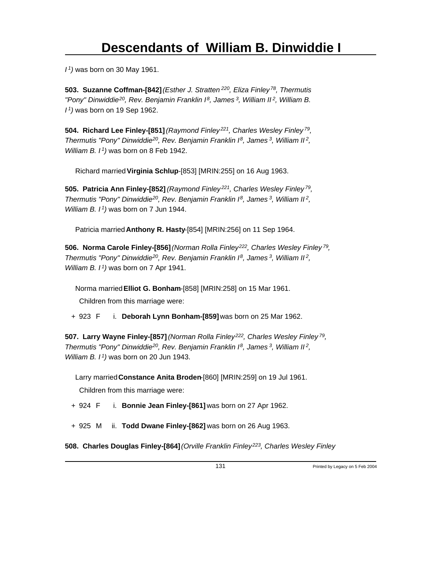*I <sup>1</sup>)* was born on 30 May 1961.

**503. Suzanne Coffman-[842]** *(Esther J. Stratten<sup>220</sup>, Eliza Finley<sup>78</sup>, Thermutis "Pony" Dinwiddie<sup>20</sup>, Rev. Benjamin Franklin I<sup>8</sup>, James<sup>3</sup>, William II<sup>2</sup>, William B. I <sup>1</sup>)* was born on 19 Sep 1962.

**504. Richard Lee Finley-[851]** *(Raymond Finley<sup>221</sup>, Charles Wesley Finley<sup>79</sup> , Thermutis "Pony" Dinwiddie<sup>20</sup>, Rev. Benjamin Franklin I<sup>8</sup>, James<sup>3</sup>, William II<sup>2</sup> , William B. I<sup>1</sup>)* was born on 8 Feb 1942.

Richard married **Virginia Schlup**-[853] [MRIN:255] on 16 Aug 1963.

**505. Patricia Ann Finley-[852]** *(Raymond Finley<sup>221</sup>, Charles Wesley Finley<sup>79</sup> , Thermutis "Pony" Dinwiddie<sup>20</sup>, Rev. Benjamin Franklin I<sup>8</sup>, James<sup>3</sup>, William II<sup>2</sup> , William B. I<sup>1</sup>)* was born on 7 Jun 1944.

Patricia married **Anthony R. Hasty**-[854] [MRIN:256] on 11 Sep 1964.

**506. Norma Carole Finley-[856]** *(Norman Rolla Finley<sup>222</sup>, Charles Wesley Finley<sup>79</sup> , Thermutis "Pony" Dinwiddie<sup>20</sup>, Rev. Benjamin Franklin I<sup>8</sup>, James<sup>3</sup>, William II<sup>2</sup> , William B. I<sup>1</sup>)* was born on 7 Apr 1941.

Norma married **Elliot G. Bonham**-[858] [MRIN:258] on 15 Mar 1961. Children from this marriage were:

+ 923 F i. **Deborah Lynn Bonham-[859]** was born on 25 Mar 1962.

**507. Larry Wayne Finley-[857]** *(Norman Rolla Finley<sup>222</sup>, Charles Wesley Finley<sup>79</sup> , Thermutis "Pony" Dinwiddie<sup>20</sup>, Rev. Benjamin Franklin I<sup>8</sup>, James<sup>3</sup>, William II<sup>2</sup> , William B. I<sup>1</sup>)* was born on 20 Jun 1943.

Larry married **Constance Anita Broden**-[860] [MRIN:259] on 19 Jul 1961. Children from this marriage were:

+ 924 F i. **Bonnie Jean Finley-[861]** was born on 27 Apr 1962.

+ 925 M ii. **Todd Dwane Finley-[862]** was born on 26 Aug 1963.

**508. Charles Douglas Finley-[864]** *(Orville Franklin Finley 223, Charles Wesley Finley*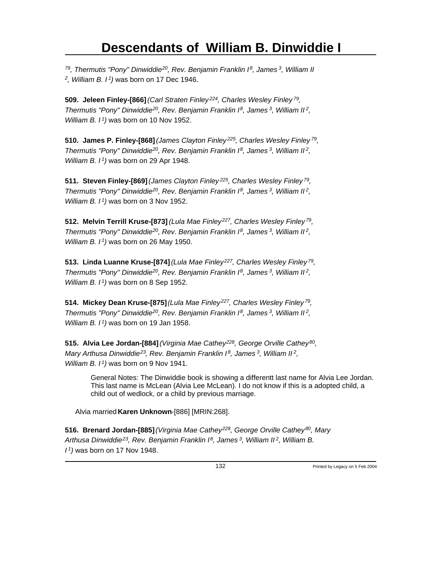*<sup>79</sup>, Thermutis "Pony" Dinwiddie<sup>20</sup>, Rev. Benjamin Franklin I<sup>8</sup>, James<sup>3</sup>, William II 2 , William B. I<sup>1</sup>)* was born on 17 Dec 1946.

**509. Jeleen Finley-[866]** *(Carl Straten Finley<sup>224</sup>, Charles Wesley Finley<sup>79</sup> , Thermutis "Pony" Dinwiddie<sup>20</sup>, Rev. Benjamin Franklin I<sup>8</sup>, James<sup>3</sup>, William II<sup>2</sup> , William B. I<sup>1</sup>)* was born on 10 Nov 1952.

**510. James P. Finley-[868]** *(James Clayton Finley<sup>225</sup>, Charles Wesley Finley<sup>79</sup> , Thermutis "Pony" Dinwiddie<sup>20</sup>, Rev. Benjamin Franklin I<sup>8</sup>, James<sup>3</sup>, William II<sup>2</sup> , William B. I<sup>1</sup>)* was born on 29 Apr 1948.

**511. Steven Finley-[869]** *(James Clayton Finley<sup>225</sup>, Charles Wesley Finley<sup>79</sup> , Thermutis "Pony" Dinwiddie<sup>20</sup>, Rev. Benjamin Franklin I<sup>8</sup>, James<sup>3</sup>, William II<sup>2</sup> , William B. I<sup>1</sup>)* was born on 3 Nov 1952.

**512. Melvin Terrill Kruse-[873]** *(Lula Mae Finley<sup>227</sup>, Charles Wesley Finley<sup>79</sup> , Thermutis "Pony" Dinwiddie<sup>20</sup>, Rev. Benjamin Franklin I<sup>8</sup>, James<sup>3</sup>, William II<sup>2</sup> , William B. I<sup>1</sup>)* was born on 26 May 1950.

**513. Linda Luanne Kruse-[874]** *(Lula Mae Finley<sup>227</sup>, Charles Wesley Finley<sup>79</sup> , Thermutis "Pony" Dinwiddie<sup>20</sup>, Rev. Benjamin Franklin I<sup>8</sup>, James<sup>3</sup>, William II<sup>2</sup> , William B. I<sup>1</sup>)* was born on 8 Sep 1952.

**514. Mickey Dean Kruse-[875]** *(Lula Mae Finley<sup>227</sup>, Charles Wesley Finley<sup>79</sup> , Thermutis "Pony" Dinwiddie<sup>20</sup>, Rev. Benjamin Franklin I<sup>8</sup>, James<sup>3</sup>, William II<sup>2</sup> , William B. I<sup>1</sup>)* was born on 19 Jan 1958.

**515. Alvia Lee Jordan-[884]** *(Virginia Mae Cathey<sup>228</sup>, George Orville Cathey<sup>80</sup> , Mary Arthusa Dinwiddie<sup>23</sup>, Rev. Benjamin Franklin I<sup>8</sup>, James<sup>3</sup>, William II<sup>2</sup> , William B. I<sup>1</sup>)* was born on 9 Nov 1941.

General Notes: The Dinwiddie book is showing a differentt last name for Alvia Lee Jordan. This last name is McLean (Alvia Lee McLean). I do not know if this is a adopted child, a child out of wedlock, or a child by previous marriage.

Alvia married **Karen Unknown**-[886] [MRIN:268].

**516. Brenard Jordan-[885]** *(Virginia Mae Cathey<sup>228</sup>, George Orville Cathey<sup>80</sup>, Mary Arthusa Dinwiddie<sup>23</sup>, Rev. Benjamin Franklin I<sup>8</sup>, James<sup>3</sup>, William II<sup>2</sup>, William B. I 1)* was born on 17 Nov 1948.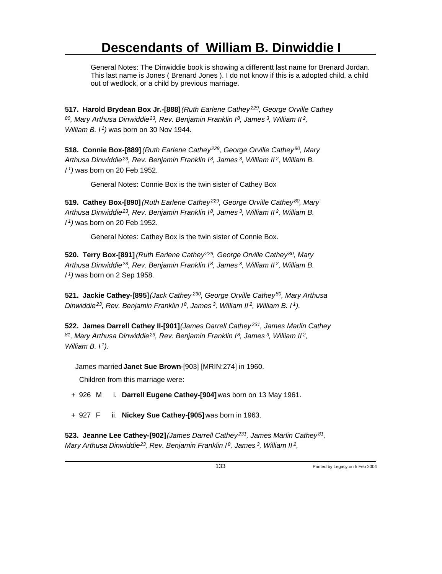General Notes: The Dinwiddie book is showing a differentt last name for Brenard Jordan. This last name is Jones ( Brenard Jones ). I do not know if this is a adopted child, a child out of wedlock, or a child by previous marriage.

**517. Harold Brydean Box Jr.-[888]** *(Ruth Earlene Cathey<sup>229</sup>, George Orville Cathey <sup>80</sup>, Mary Arthusa Dinwiddie<sup>23</sup>, Rev. Benjamin Franklin I<sup>8</sup>, James<sup>3</sup>, William II<sup>2</sup> , William B. I<sup>1</sup>)* was born on 30 Nov 1944.

**518. Connie Box-[889]** *(Ruth Earlene Cathey<sup>229</sup>, George Orville Cathey<sup>80</sup>, Mary Arthusa Dinwiddie<sup>23</sup>, Rev. Benjamin Franklin I<sup>8</sup>, James<sup>3</sup>, William II<sup>2</sup>, William B. I <sup>1</sup>)* was born on 20 Feb 1952.

General Notes: Connie Box is the twin sister of Cathey Box

**519. Cathey Box-[890]** *(Ruth Earlene Cathey<sup>229</sup>, George Orville Cathey<sup>80</sup>, Mary Arthusa Dinwiddie<sup>23</sup>, Rev. Benjamin Franklin I<sup>8</sup>, James<sup>3</sup>, William II<sup>2</sup>, William B. I <sup>1</sup>)* was born on 20 Feb 1952.

General Notes: Cathey Box is the twin sister of Connie Box.

**520. Terry Box-[891]** *(Ruth Earlene Cathey<sup>229</sup>, George Orville Cathey<sup>80</sup>, Mary Arthusa Dinwiddie<sup>23</sup>, Rev. Benjamin Franklin I<sup>8</sup>, James<sup>3</sup>, William II<sup>2</sup>, William B. I <sup>1</sup>)* was born on 2 Sep 1958.

**521. Jackie Cathey-[895]** *(Jack Cathey<sup>230</sup>, George Orville Cathey<sup>80</sup>, Mary Arthusa Dinwiddie<sup>23</sup>, Rev. Benjamin Franklin I<sup>8</sup>, James<sup>3</sup>, William II<sup>2</sup>, William B. I<sup>1</sup>)*.

**522. James Darrell Cathey II-[901]** *(James Darrell Cathey<sup>231</sup>, James Marlin Cathey <sup>81</sup>, Mary Arthusa Dinwiddie<sup>23</sup>, Rev. Benjamin Franklin I<sup>8</sup>, James<sup>3</sup>, William II<sup>2</sup> , William B. I<sup>1</sup>)*.

James married **Janet Sue Brown**-[903] [MRIN:274] in 1960.

Children from this marriage were:

+ 926 M i. **Darrell Eugene Cathey-[904]** was born on 13 May 1961.

+ 927 F ii. **Nickey Sue Cathey-[905]** was born in 1963.

**523. Jeanne Lee Cathey-[902]** *(James Darrell Cathey<sup>231</sup>, James Marlin Cathey<sup>81</sup> , Mary Arthusa Dinwiddie<sup>23</sup>, Rev. Benjamin Franklin I<sup>8</sup>, James<sup>3</sup>, William II<sup>2</sup> ,*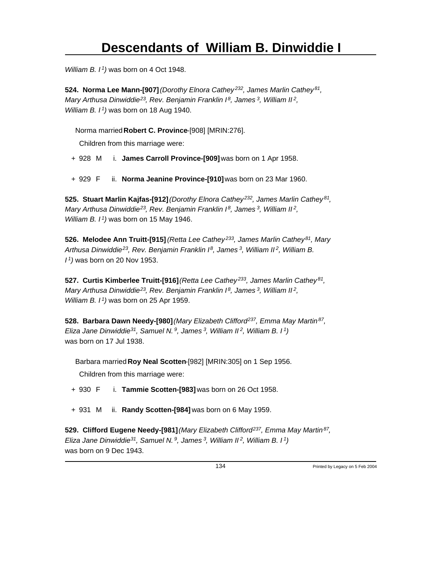*William B. I<sup>1</sup>)* was born on 4 Oct 1948.

**524. Norma Lee Mann-[907]** *(Dorothy Elnora Cathey<sup>232</sup>, James Marlin Cathey<sup>81</sup> , Mary Arthusa Dinwiddie<sup>23</sup>, Rev. Benjamin Franklin I<sup>8</sup>, James<sup>3</sup>, William II<sup>2</sup> , William B. I<sup>1</sup>)* was born on 18 Aug 1940.

Norma married **Robert C. Province**-[908] [MRIN:276].

Children from this marriage were:

+ 928 M i. **James Carroll Province-[909]** was born on 1 Apr 1958.

+ 929 F ii. **Norma Jeanine Province-[910]** was born on 23 Mar 1960.

**525. Stuart Marlin Kajfas-[912]** *(Dorothy Elnora Cathey<sup>232</sup>, James Marlin Cathey<sup>81</sup> , Mary Arthusa Dinwiddie<sup>23</sup>, Rev. Benjamin Franklin I<sup>8</sup>, James<sup>3</sup>, William II<sup>2</sup> , William B. I<sup>1</sup>)* was born on 15 May 1946.

**526. Melodee Ann Truitt-[915]** *(Retta Lee Cathey<sup>233</sup>, James Marlin Cathey<sup>81</sup>, Mary Arthusa Dinwiddie<sup>23</sup>, Rev. Benjamin Franklin I<sup>8</sup>, James<sup>3</sup>, William II<sup>2</sup>, William B. I <sup>1</sup>)* was born on 20 Nov 1953.

**527. Curtis Kimberlee Truitt-[916]** *(Retta Lee Cathey<sup>233</sup>, James Marlin Cathey<sup>81</sup> , Mary Arthusa Dinwiddie<sup>23</sup>, Rev. Benjamin Franklin I<sup>8</sup>, James<sup>3</sup>, William II<sup>2</sup> , William B. I<sup>1</sup>)* was born on 25 Apr 1959.

**528. Barbara Dawn Needy-[980]** *(Mary Elizabeth Clifford<sup>237</sup>, Emma May Martin<sup>87</sup> , Eliza Jane Dinwiddie<sup>31</sup>, Samuel N.<sup>9</sup>, James<sup>3</sup>, William II<sup>2</sup>, William B. I<sup>1</sup>)* was born on 17 Jul 1938.

Barbara married **Roy Neal Scotten**-[982] [MRIN:305] on 1 Sep 1956.

Children from this marriage were:

+ 930 F i. **Tammie Scotten-[983]** was born on 26 Oct 1958.

+ 931 M ii. **Randy Scotten-[984]** was born on 6 May 1959.

**529. Clifford Eugene Needy-[981]** *(Mary Elizabeth Clifford<sup>237</sup>, Emma May Martin<sup>87</sup> , Eliza Jane Dinwiddie<sup>31</sup>, Samuel N.<sup>9</sup>, James<sup>3</sup>, William II<sup>2</sup>, William B. I<sup>1</sup>)* was born on 9 Dec 1943.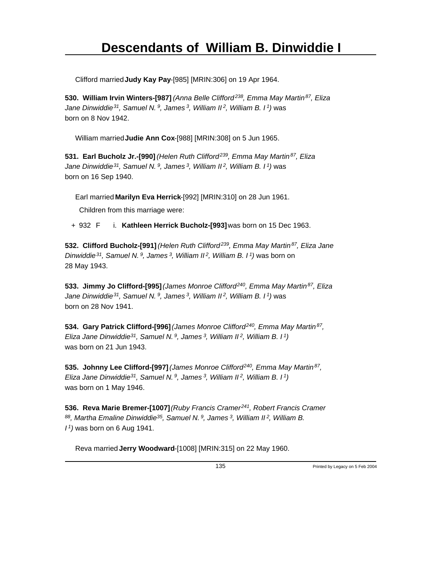Clifford married **Judy Kay Pay**-[985] [MRIN:306] on 19 Apr 1964.

**530. William Irvin Winters-[987]** *(Anna Belle Clifford<sup>238</sup>, Emma May Martin<sup>87</sup>, Eliza Jane Dinwiddie<sup>31</sup>, Samuel N.<sup>9</sup>, James<sup>3</sup>, William II<sup>2</sup>, William B. I<sup>1</sup>)* was born on 8 Nov 1942.

William married **Judie Ann Cox**-[988] [MRIN:308] on 5 Jun 1965.

**531. Earl Bucholz Jr.-[990]** *(Helen Ruth Clifford<sup>239</sup>, Emma May Martin<sup>87</sup>, Eliza Jane Dinwiddie<sup>31</sup>, Samuel N.<sup>9</sup>, James<sup>3</sup>, William II<sup>2</sup>, William B. I<sup>1</sup>)* was born on 16 Sep 1940.

Earl married **Marilyn Eva Herrick**-[992] [MRIN:310] on 28 Jun 1961.

Children from this marriage were:

+ 932 F i. **Kathleen Herrick Bucholz-[993]** was born on 15 Dec 1963.

**532. Clifford Bucholz-[991]** *(Helen Ruth Clifford<sup>239</sup>, Emma May Martin<sup>87</sup>, Eliza Jane Dinwiddie<sup>31</sup>, Samuel N.<sup>9</sup>, James<sup>3</sup>, William II<sup>2</sup>, William B. I<sup>1</sup>)* was born on 28 May 1943.

**533. Jimmy Jo Clifford-[995]** *(James Monroe Clifford<sup>240</sup>, Emma May Martin<sup>87</sup>, Eliza Jane Dinwiddie<sup>31</sup>, Samuel N.<sup>9</sup>, James<sup>3</sup>, William II<sup>2</sup>, William B. I<sup>1</sup>)* was born on 28 Nov 1941.

**534. Gary Patrick Clifford-[996]** *(James Monroe Clifford<sup>240</sup>, Emma May Martin<sup>87</sup> , Eliza Jane Dinwiddie<sup>31</sup>, Samuel N.<sup>9</sup>, James<sup>3</sup>, William II<sup>2</sup>, William B. I<sup>1</sup>)* was born on 21 Jun 1943.

**535. Johnny Lee Clifford-[997]** *(James Monroe Clifford<sup>240</sup>, Emma May Martin<sup>87</sup> , Eliza Jane Dinwiddie<sup>31</sup>, Samuel N.<sup>9</sup>, James<sup>3</sup>, William II<sup>2</sup>, William B. I<sup>1</sup>)* was born on 1 May 1946.

**536. Reva Marie Bremer-[1007]** *(Ruby Francis Cramer<sup>241</sup>, Robert Francis Cramer <sup>88</sup>, Martha Emaline Dinwiddie<sup>35</sup>, Samuel N.<sup>9</sup>, James<sup>3</sup>, William II<sup>2</sup>, William B. I <sup>1</sup>)* was born on 6 Aug 1941.

Reva married **Jerry Woodward**-[1008] [MRIN:315] on 22 May 1960.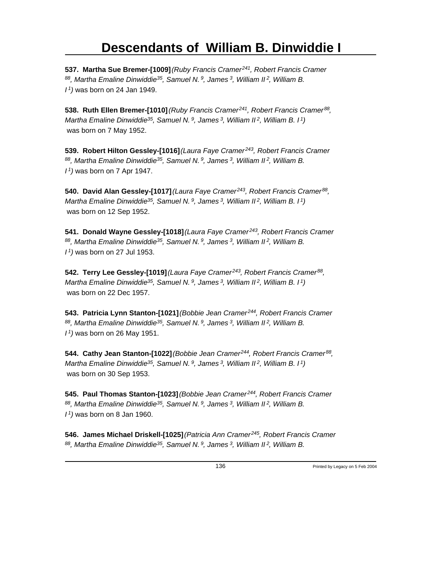**537. Martha Sue Bremer-[1009]** *(Ruby Francis Cramer<sup>241</sup>, Robert Francis Cramer <sup>88</sup>, Martha Emaline Dinwiddie<sup>35</sup>, Samuel N.<sup>9</sup>, James<sup>3</sup>, William II<sup>2</sup>, William B. I <sup>1</sup>)* was born on 24 Jan 1949.

**538. Ruth Ellen Bremer-[1010]** *(Ruby Francis Cramer<sup>241</sup>, Robert Francis Cramer<sup>88</sup> , Martha Emaline Dinwiddie<sup>35</sup>, Samuel N.<sup>9</sup>, James<sup>3</sup>, William II<sup>2</sup>, William B. I<sup>1</sup>)* was born on 7 May 1952.

**539. Robert Hilton Gessley-[1016]** *(Laura Faye Cramer<sup>243</sup>, Robert Francis Cramer <sup>88</sup>, Martha Emaline Dinwiddie<sup>35</sup>, Samuel N.<sup>9</sup>, James<sup>3</sup>, William II<sup>2</sup>, William B. I <sup>1</sup>)* was born on 7 Apr 1947.

**540. David Alan Gessley-[1017]** *(Laura Faye Cramer<sup>243</sup>, Robert Francis Cramer<sup>88</sup> , Martha Emaline Dinwiddie<sup>35</sup>, Samuel N.<sup>9</sup>, James<sup>3</sup>, William II<sup>2</sup>, William B. I<sup>1</sup>)* was born on 12 Sep 1952.

**541. Donald Wayne Gessley-[1018]** *(Laura Faye Cramer<sup>243</sup>, Robert Francis Cramer <sup>88</sup>, Martha Emaline Dinwiddie<sup>35</sup>, Samuel N.<sup>9</sup>, James<sup>3</sup>, William II<sup>2</sup>, William B. I <sup>1</sup>)* was born on 27 Jul 1953.

**542. Terry Lee Gessley-[1019]** *(Laura Faye Cramer<sup>243</sup>, Robert Francis Cramer<sup>88</sup> , Martha Emaline Dinwiddie<sup>35</sup>, Samuel N.<sup>9</sup>, James<sup>3</sup>, William II<sup>2</sup>, William B. I<sup>1</sup>)* was born on 22 Dec 1957.

**543. Patricia Lynn Stanton-[1021]** *(Bobbie Jean Cramer<sup>244</sup>, Robert Francis Cramer <sup>88</sup>, Martha Emaline Dinwiddie<sup>35</sup>, Samuel N.<sup>9</sup>, James<sup>3</sup>, William II<sup>2</sup>, William B. I <sup>1</sup>)* was born on 26 May 1951.

**544. Cathy Jean Stanton-[1022]** *(Bobbie Jean Cramer<sup>244</sup>, Robert Francis Cramer<sup>88</sup> , Martha Emaline Dinwiddie<sup>35</sup>, Samuel N.<sup>9</sup>, James<sup>3</sup>, William II<sup>2</sup>, William B. I<sup>1</sup>)* was born on 30 Sep 1953.

**545. Paul Thomas Stanton-[1023]** *(Bobbie Jean Cramer<sup>244</sup>, Robert Francis Cramer <sup>88</sup>, Martha Emaline Dinwiddie<sup>35</sup>, Samuel N.<sup>9</sup>, James<sup>3</sup>, William II<sup>2</sup>, William B. I <sup>1</sup>)* was born on 8 Jan 1960.

**546. James Michael Driskell-[1025]** *(Patricia Ann Cramer<sup>245</sup>, Robert Francis Cramer 88, Martha Emaline Dinwiddie 35, Samuel N. 9, James 3, William II 2, William B.*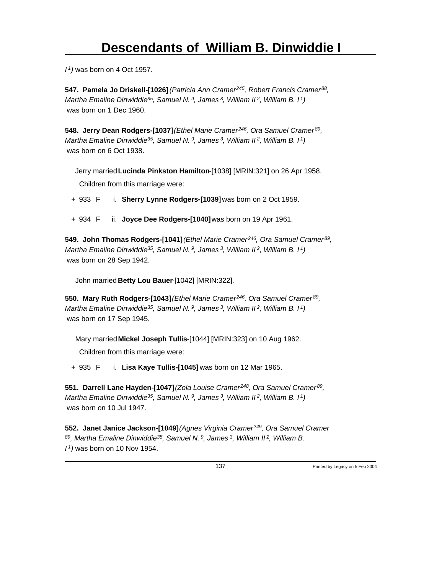*I <sup>1</sup>)* was born on 4 Oct 1957.

**547. Pamela Jo Driskell-[1026]** *(Patricia Ann Cramer<sup>245</sup>, Robert Francis Cramer<sup>88</sup> , Martha Emaline Dinwiddie<sup>35</sup>, Samuel N.<sup>9</sup>, James<sup>3</sup>, William II<sup>2</sup>, William B. I<sup>1</sup>)* was born on 1 Dec 1960.

**548. Jerry Dean Rodgers-[1037]** *(Ethel Marie Cramer<sup>246</sup>, Ora Samuel Cramer<sup>89</sup> , Martha Emaline Dinwiddie<sup>35</sup>, Samuel N.<sup>9</sup>, James<sup>3</sup>, William II<sup>2</sup>, William B. I<sup>1</sup>)* was born on 6 Oct 1938.

Jerry married **Lucinda Pinkston Hamilton**-[1038] [MRIN:321] on 26 Apr 1958.

Children from this marriage were:

- + 933 F i. **Sherry Lynne Rodgers-[1039]** was born on 2 Oct 1959.
- + 934 F ii. **Joyce Dee Rodgers-[1040]** was born on 19 Apr 1961.

**549. John Thomas Rodgers-[1041]** *(Ethel Marie Cramer<sup>246</sup>, Ora Samuel Cramer<sup>89</sup> , Martha Emaline Dinwiddie<sup>35</sup>, Samuel N.<sup>9</sup>, James<sup>3</sup>, William II<sup>2</sup>, William B. I<sup>1</sup>)* was born on 28 Sep 1942.

John married **Betty Lou Bauer**-[1042] [MRIN:322].

**550. Mary Ruth Rodgers-[1043]** *(Ethel Marie Cramer<sup>246</sup>, Ora Samuel Cramer<sup>89</sup> , Martha Emaline Dinwiddie<sup>35</sup>, Samuel N.<sup>9</sup>, James<sup>3</sup>, William II<sup>2</sup>, William B. I<sup>1</sup>)* was born on 17 Sep 1945.

Mary married **Mickel Joseph Tullis**-[1044] [MRIN:323] on 10 Aug 1962.

Children from this marriage were:

+ 935 F i. **Lisa Kaye Tullis-[1045]** was born on 12 Mar 1965.

**551. Darrell Lane Hayden-[1047]** *(Zola Louise Cramer<sup>248</sup>, Ora Samuel Cramer<sup>89</sup> , Martha Emaline Dinwiddie<sup>35</sup>, Samuel N.<sup>9</sup>, James<sup>3</sup>, William II<sup>2</sup>, William B. I<sup>1</sup>)* was born on 10 Jul 1947.

**552. Janet Janice Jackson-[1049]** *(Agnes Virginia Cramer<sup>249</sup>, Ora Samuel Cramer <sup>89</sup>, Martha Emaline Dinwiddie<sup>35</sup>, Samuel N.<sup>9</sup>, James<sup>3</sup>, William II<sup>2</sup>, William B. I 1)* was born on 10 Nov 1954.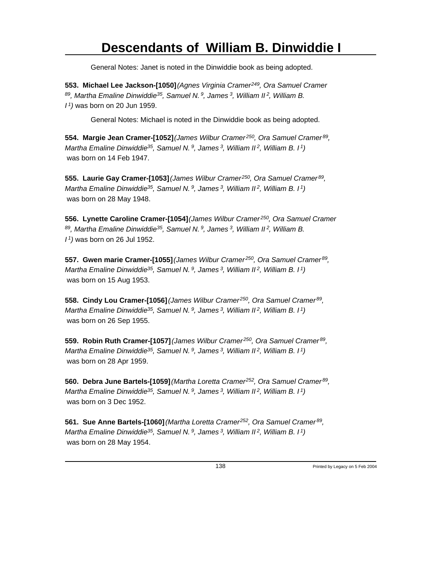General Notes: Janet is noted in the Dinwiddie book as being adopted.

**553. Michael Lee Jackson-[1050]** *(Agnes Virginia Cramer<sup>249</sup>, Ora Samuel Cramer <sup>89</sup>, Martha Emaline Dinwiddie<sup>35</sup>, Samuel N.<sup>9</sup>, James<sup>3</sup>, William II<sup>2</sup>, William B. I <sup>1</sup>)* was born on 20 Jun 1959.

General Notes: Michael is noted in the Dinwiddie book as being adopted.

**554. Margie Jean Cramer-[1052]** *(James Wilbur Cramer<sup>250</sup>, Ora Samuel Cramer<sup>89</sup> , Martha Emaline Dinwiddie<sup>35</sup>, Samuel N.<sup>9</sup>, James<sup>3</sup>, William II<sup>2</sup>, William B. I<sup>1</sup>)* was born on 14 Feb 1947.

**555. Laurie Gay Cramer-[1053]** *(James Wilbur Cramer<sup>250</sup>, Ora Samuel Cramer<sup>89</sup> , Martha Emaline Dinwiddie<sup>35</sup>, Samuel N.<sup>9</sup>, James<sup>3</sup>, William II<sup>2</sup>, William B. I<sup>1</sup>)* was born on 28 May 1948.

**556. Lynette Caroline Cramer-[1054]** *(James Wilbur Cramer<sup>250</sup>, Ora Samuel Cramer <sup>89</sup>, Martha Emaline Dinwiddie<sup>35</sup>, Samuel N.<sup>9</sup>, James<sup>3</sup>, William II<sup>2</sup>, William B. I <sup>1</sup>)* was born on 26 Jul 1952.

**557. Gwen marie Cramer-[1055]** *(James Wilbur Cramer<sup>250</sup>, Ora Samuel Cramer<sup>89</sup> , Martha Emaline Dinwiddie<sup>35</sup>, Samuel N.<sup>9</sup>, James<sup>3</sup>, William II<sup>2</sup>, William B. I<sup>1</sup>)* was born on 15 Aug 1953.

**558. Cindy Lou Cramer-[1056]** *(James Wilbur Cramer<sup>250</sup>, Ora Samuel Cramer<sup>89</sup> , Martha Emaline Dinwiddie<sup>35</sup>, Samuel N.<sup>9</sup>, James<sup>3</sup>, William II<sup>2</sup>, William B. I<sup>1</sup>)* was born on 26 Sep 1955.

**559. Robin Ruth Cramer-[1057]** *(James Wilbur Cramer<sup>250</sup>, Ora Samuel Cramer<sup>89</sup> , Martha Emaline Dinwiddie<sup>35</sup>, Samuel N.<sup>9</sup>, James<sup>3</sup>, William II<sup>2</sup>, William B. I<sup>1</sup>)* was born on 28 Apr 1959.

**560. Debra June Bartels-[1059]** *(Martha Loretta Cramer<sup>252</sup>, Ora Samuel Cramer<sup>89</sup> , Martha Emaline Dinwiddie<sup>35</sup>, Samuel N.<sup>9</sup>, James<sup>3</sup>, William II<sup>2</sup>, William B. I<sup>1</sup>)* was born on 3 Dec 1952.

**561. Sue Anne Bartels-[1060]** *(Martha Loretta Cramer<sup>252</sup>, Ora Samuel Cramer<sup>89</sup> , Martha Emaline Dinwiddie<sup>35</sup>, Samuel N.<sup>9</sup>, James<sup>3</sup>, William II<sup>2</sup>, William B. I<sup>1</sup>)* was born on 28 May 1954.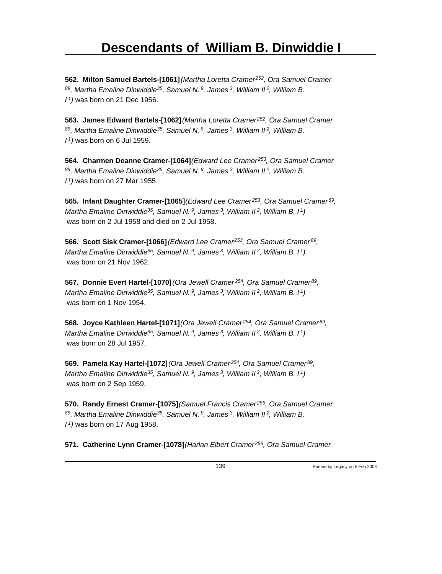**562. Milton Samuel Bartels-[1061]** *(Martha Loretta Cramer<sup>252</sup>, Ora Samuel Cramer <sup>89</sup>, Martha Emaline Dinwiddie<sup>35</sup>, Samuel N.<sup>9</sup>, James<sup>3</sup>, William II<sup>2</sup>, William B. I <sup>1</sup>)* was born on 21 Dec 1956.

**563. James Edward Bartels-[1062]** *(Martha Loretta Cramer<sup>252</sup>, Ora Samuel Cramer <sup>89</sup>, Martha Emaline Dinwiddie<sup>35</sup>, Samuel N.<sup>9</sup>, James<sup>3</sup>, William II<sup>2</sup>, William B. I <sup>1</sup>)* was born on 6 Jul 1959.

**564. Charmen Deanne Cramer-[1064]** *(Edward Lee Cramer<sup>253</sup>, Ora Samuel Cramer <sup>89</sup>, Martha Emaline Dinwiddie<sup>35</sup>, Samuel N.<sup>9</sup>, James<sup>3</sup>, William II<sup>2</sup>, William B. I <sup>1</sup>)* was born on 27 Mar 1955.

**565. Infant Daughter Cramer-[1065]** *(Edward Lee Cramer<sup>253</sup>, Ora Samuel Cramer<sup>89</sup> , Martha Emaline Dinwiddie<sup>35</sup>, Samuel N.<sup>9</sup>, James<sup>3</sup>, William II<sup>2</sup>, William B. I<sup>1</sup>)* was born on 2 Jul 1958 and died on 2 Jul 1958.

**566. Scott Sisk Cramer-[1066]** *(Edward Lee Cramer<sup>253</sup>, Ora Samuel Cramer<sup>89</sup> , Martha Emaline Dinwiddie<sup>35</sup>, Samuel N.<sup>9</sup>, James<sup>3</sup>, William II<sup>2</sup>, William B. I<sup>1</sup>)* was born on 21 Nov 1962.

**567. Donnie Evert Hartel-[1070]** *(Ora Jewell Cramer<sup>254</sup>, Ora Samuel Cramer<sup>89</sup> , Martha Emaline Dinwiddie<sup>35</sup>, Samuel N.<sup>9</sup>, James<sup>3</sup>, William II<sup>2</sup>, William B. I<sup>1</sup>)* was born on 1 Nov 1954.

**568. Joyce Kathleen Hartel-[1071]** *(Ora Jewell Cramer<sup>254</sup>, Ora Samuel Cramer<sup>89</sup> , Martha Emaline Dinwiddie<sup>35</sup>, Samuel N.<sup>9</sup>, James<sup>3</sup>, William II<sup>2</sup>, William B. I<sup>1</sup>)* was born on 28 Jul 1957.

**569. Pamela Kay Hartel-[1072]** *(Ora Jewell Cramer<sup>254</sup>, Ora Samuel Cramer<sup>89</sup> , Martha Emaline Dinwiddie<sup>35</sup>, Samuel N.<sup>9</sup>, James<sup>3</sup>, William II<sup>2</sup>, William B. I<sup>1</sup>)* was born on 2 Sep 1959.

**570. Randy Ernest Cramer-[1075]** *(Samuel Francis Cramer<sup>255</sup>, Ora Samuel Cramer <sup>89</sup>, Martha Emaline Dinwiddie<sup>35</sup>, Samuel N.<sup>9</sup>, James<sup>3</sup>, William II<sup>2</sup>, William B. I <sup>1</sup>)* was born on 17 Aug 1958.

**571. Catherine Lynn Cramer-[1078]** *(Harlan Elbert Cramer 256, Ora Samuel Cramer*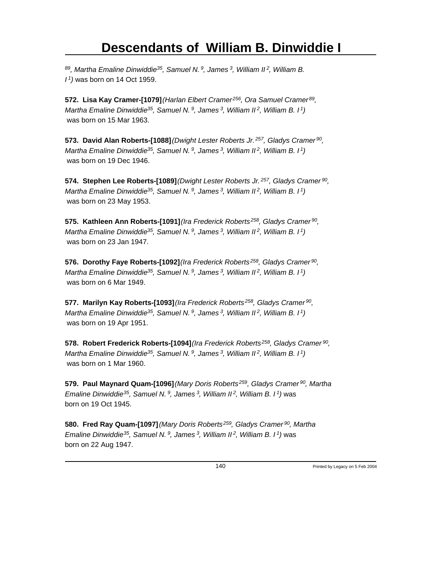*<sup>89</sup>, Martha Emaline Dinwiddie<sup>35</sup>, Samuel N.<sup>9</sup>, James<sup>3</sup>, William II<sup>2</sup>, William B. I <sup>1</sup>)* was born on 14 Oct 1959.

**572. Lisa Kay Cramer-[1079]** *(Harlan Elbert Cramer<sup>256</sup>, Ora Samuel Cramer<sup>89</sup> , Martha Emaline Dinwiddie<sup>35</sup>, Samuel N.<sup>9</sup>, James<sup>3</sup>, William II<sup>2</sup>, William B. I<sup>1</sup>)* was born on 15 Mar 1963.

**573. David Alan Roberts-[1088]** *(Dwight Lester Roberts Jr.<sup>257</sup>, Gladys Cramer<sup>90</sup> , Martha Emaline Dinwiddie<sup>35</sup>, Samuel N.<sup>9</sup>, James<sup>3</sup>, William II<sup>2</sup>, William B. I<sup>1</sup>)* was born on 19 Dec 1946.

**574. Stephen Lee Roberts-[1089]** *(Dwight Lester Roberts Jr.<sup>257</sup>, Gladys Cramer<sup>90</sup> , Martha Emaline Dinwiddie<sup>35</sup>, Samuel N.<sup>9</sup>, James<sup>3</sup>, William II<sup>2</sup>, William B. I<sup>1</sup>)* was born on 23 May 1953.

**575. Kathleen Ann Roberts-[1091]** *(Ira Frederick Roberts<sup>258</sup>, Gladys Cramer<sup>90</sup> , Martha Emaline Dinwiddie<sup>35</sup>, Samuel N.<sup>9</sup>, James<sup>3</sup>, William II<sup>2</sup>, William B. I<sup>1</sup>)* was born on 23 Jan 1947.

**576. Dorothy Faye Roberts-[1092]** *(Ira Frederick Roberts<sup>258</sup>, Gladys Cramer<sup>90</sup> , Martha Emaline Dinwiddie<sup>35</sup>, Samuel N.<sup>9</sup>, James<sup>3</sup>, William II<sup>2</sup>, William B. I<sup>1</sup>)* was born on 6 Mar 1949.

**577. Marilyn Kay Roberts-[1093]** *(Ira Frederick Roberts<sup>258</sup>, Gladys Cramer<sup>90</sup> , Martha Emaline Dinwiddie<sup>35</sup>, Samuel N.<sup>9</sup>, James<sup>3</sup>, William II<sup>2</sup>, William B. I<sup>1</sup>)* was born on 19 Apr 1951.

**578. Robert Frederick Roberts-[1094]** *(Ira Frederick Roberts<sup>258</sup>, Gladys Cramer<sup>90</sup> , Martha Emaline Dinwiddie<sup>35</sup>, Samuel N.<sup>9</sup>, James<sup>3</sup>, William II<sup>2</sup>, William B. I<sup>1</sup>)* was born on 1 Mar 1960.

**579. Paul Maynard Quam-[1096]** *(Mary Doris Roberts<sup>259</sup>, Gladys Cramer<sup>90</sup>, Martha Emaline Dinwiddie<sup>35</sup>, Samuel N.<sup>9</sup>, James<sup>3</sup>, William II<sup>2</sup>, William B. I<sup>1</sup>)* was born on 19 Oct 1945.

**580. Fred Ray Quam-[1097]** *(Mary Doris Roberts<sup>259</sup>, Gladys Cramer<sup>90</sup>, Martha Emaline Dinwiddie<sup>35</sup>, Samuel N.<sup>9</sup>, James<sup>3</sup>, William II<sup>2</sup>, William B. I<sup>1</sup>)* was born on 22 Aug 1947.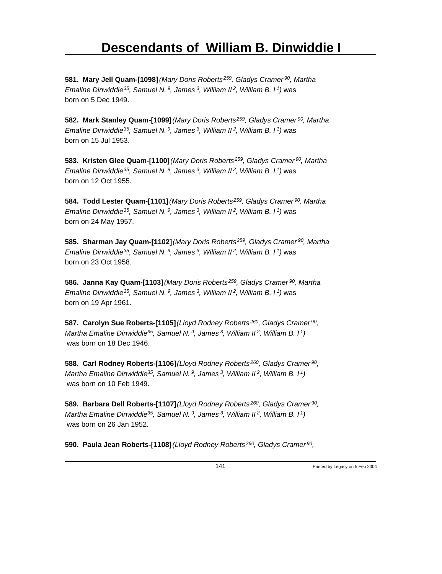**581. Mary Jell Quam-[1098]** *(Mary Doris Roberts<sup>259</sup>, Gladys Cramer<sup>90</sup>, Martha Emaline Dinwiddie<sup>35</sup>, Samuel N.<sup>9</sup>, James<sup>3</sup>, William II<sup>2</sup>, William B. I<sup>1</sup>)* was born on 5 Dec 1949.

**582. Mark Stanley Quam-[1099]** *(Mary Doris Roberts<sup>259</sup>, Gladys Cramer<sup>90</sup>, Martha Emaline Dinwiddie<sup>35</sup>, Samuel N.<sup>9</sup>, James<sup>3</sup>, William II<sup>2</sup>, William B. I<sup>1</sup>)* was born on 15 Jul 1953.

**583. Kristen Glee Quam-[1100]** *(Mary Doris Roberts<sup>259</sup>, Gladys Cramer<sup>90</sup>, Martha Emaline Dinwiddie<sup>35</sup>, Samuel N.<sup>9</sup>, James<sup>3</sup>, William II<sup>2</sup>, William B. I<sup>1</sup>)* was born on 12 Oct 1955.

**584. Todd Lester Quam-[1101]** *(Mary Doris Roberts<sup>259</sup>, Gladys Cramer<sup>90</sup>, Martha Emaline Dinwiddie<sup>35</sup>, Samuel N.<sup>9</sup>, James<sup>3</sup>, William II<sup>2</sup>, William B. I<sup>1</sup>)* was born on 24 May 1957.

**585. Sharman Jay Quam-[1102]** *(Mary Doris Roberts<sup>259</sup>, Gladys Cramer<sup>90</sup>, Martha Emaline Dinwiddie<sup>35</sup>, Samuel N.<sup>9</sup>, James<sup>3</sup>, William II<sup>2</sup>, William B. I<sup>1</sup>)* was born on 23 Oct 1958.

**586. Janna Kay Quam-[1103]** *(Mary Doris Roberts<sup>259</sup>, Gladys Cramer<sup>90</sup>, Martha Emaline Dinwiddie<sup>35</sup>, Samuel N.<sup>9</sup>, James<sup>3</sup>, William II<sup>2</sup>, William B. I<sup>1</sup>)* was born on 19 Apr 1961.

**587. Carolyn Sue Roberts-[1105]** *(Lloyd Rodney Roberts<sup>260</sup>, Gladys Cramer<sup>90</sup> , Martha Emaline Dinwiddie<sup>35</sup>, Samuel N.<sup>9</sup>, James<sup>3</sup>, William II<sup>2</sup>, William B. I<sup>1</sup>)* was born on 18 Dec 1946.

**588. Carl Rodney Roberts-[1106]** *(Lloyd Rodney Roberts<sup>260</sup>, Gladys Cramer<sup>90</sup> , Martha Emaline Dinwiddie<sup>35</sup>, Samuel N.<sup>9</sup>, James<sup>3</sup>, William II<sup>2</sup>, William B. I<sup>1</sup>)* was born on 10 Feb 1949.

**589. Barbara Dell Roberts-[1107]** *(Lloyd Rodney Roberts<sup>260</sup>, Gladys Cramer<sup>90</sup> , Martha Emaline Dinwiddie<sup>35</sup>, Samuel N.<sup>9</sup>, James<sup>3</sup>, William II<sup>2</sup>, William B. I<sup>1</sup>)* was born on 26 Jan 1952.

**590. Paula Jean Roberts-[1108]** *(Lloyd Rodney Roberts<sup>260</sup>, Gladys Cramer<sup>90</sup> ,*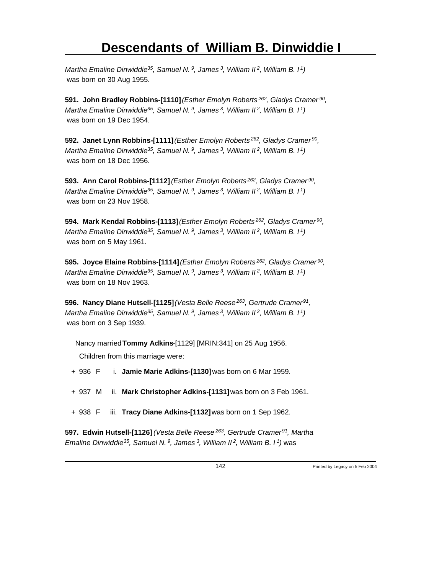*Martha Emaline Dinwiddie<sup>35</sup>, Samuel N.<sup>9</sup>, James<sup>3</sup>, William II<sup>2</sup>, William B. I<sup>1</sup>)* was born on 30 Aug 1955.

**591. John Bradley Robbins-[1110]** *(Esther Emolyn Roberts<sup>262</sup>, Gladys Cramer<sup>90</sup> , Martha Emaline Dinwiddie<sup>35</sup>, Samuel N.<sup>9</sup>, James<sup>3</sup>, William II<sup>2</sup>, William B. I<sup>1</sup>)* was born on 19 Dec 1954.

**592. Janet Lynn Robbins-[1111]** *(Esther Emolyn Roberts<sup>262</sup>, Gladys Cramer<sup>90</sup> , Martha Emaline Dinwiddie<sup>35</sup>, Samuel N.<sup>9</sup>, James<sup>3</sup>, William II<sup>2</sup>, William B. I<sup>1</sup>)* was born on 18 Dec 1956.

**593. Ann Carol Robbins-[1112]** *(Esther Emolyn Roberts<sup>262</sup>, Gladys Cramer<sup>90</sup> , Martha Emaline Dinwiddie<sup>35</sup>, Samuel N.<sup>9</sup>, James<sup>3</sup>, William II<sup>2</sup>, William B. I<sup>1</sup>)* was born on 23 Nov 1958.

**594. Mark Kendal Robbins-[1113]** *(Esther Emolyn Roberts<sup>262</sup>, Gladys Cramer<sup>90</sup> , Martha Emaline Dinwiddie<sup>35</sup>, Samuel N.<sup>9</sup>, James<sup>3</sup>, William II<sup>2</sup>, William B. I<sup>1</sup>)* was born on 5 May 1961.

**595. Joyce Elaine Robbins-[1114]** *(Esther Emolyn Roberts<sup>262</sup>, Gladys Cramer<sup>90</sup> , Martha Emaline Dinwiddie<sup>35</sup>, Samuel N.<sup>9</sup>, James<sup>3</sup>, William II<sup>2</sup>, William B. I<sup>1</sup>)* was born on 18 Nov 1963.

**596. Nancy Diane Hutsell-[1125]** *(Vesta Belle Reese<sup>263</sup>, Gertrude Cramer<sup>91</sup> , Martha Emaline Dinwiddie<sup>35</sup>, Samuel N.<sup>9</sup>, James<sup>3</sup>, William II<sup>2</sup>, William B. I<sup>1</sup>)* was born on 3 Sep 1939.

Nancy married **Tommy Adkins**-[1129] [MRIN:341] on 25 Aug 1956.

Children from this marriage were:

- + 936 F i. **Jamie Marie Adkins-[1130]** was born on 6 Mar 1959.
- + 937 M ii. **Mark Christopher Adkins-[1131]** was born on 3 Feb 1961.
- + 938 F iii. **Tracy Diane Adkins-[1132]** was born on 1 Sep 1962.

**597. Edwin Hutsell-[1126]** *(Vesta Belle Reese<sup>263</sup>, Gertrude Cramer<sup>91</sup>, Martha Emaline Dinwiddie 35, Samuel N. 9, James 3, William II 2, William B. I 1)* was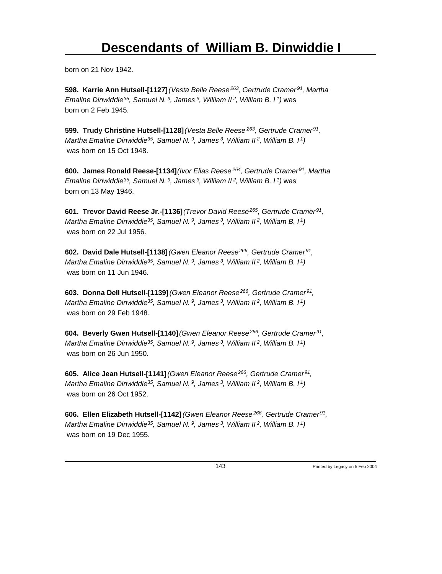born on 21 Nov 1942.

**598. Karrie Ann Hutsell-[1127]** *(Vesta Belle Reese<sup>263</sup>, Gertrude Cramer<sup>91</sup>, Martha Emaline Dinwiddie<sup>35</sup>, Samuel N.<sup>9</sup>, James<sup>3</sup>, William II<sup>2</sup>, William B. I<sup>1</sup>)* was born on 2 Feb 1945.

**599. Trudy Christine Hutsell-[1128]** *(Vesta Belle Reese<sup>263</sup>, Gertrude Cramer<sup>91</sup> , Martha Emaline Dinwiddie<sup>35</sup>, Samuel N.<sup>9</sup>, James<sup>3</sup>, William II<sup>2</sup>, William B. I<sup>1</sup>)* was born on 15 Oct 1948.

**600. James Ronald Reese-[1134]** *(Ivor Elias Reese<sup>264</sup>, Gertrude Cramer<sup>91</sup>, Martha Emaline Dinwiddie<sup>35</sup>, Samuel N.<sup>9</sup>, James<sup>3</sup>, William II<sup>2</sup>, William B. I<sup>1</sup>)* was born on 13 May 1946.

**601. Trevor David Reese Jr.-[1136]** *(Trevor David Reese<sup>265</sup>, Gertrude Cramer<sup>91</sup> , Martha Emaline Dinwiddie<sup>35</sup>, Samuel N.<sup>9</sup>, James<sup>3</sup>, William II<sup>2</sup>, William B. I<sup>1</sup>)* was born on 22 Jul 1956.

**602. David Dale Hutsell-[1138]** *(Gwen Eleanor Reese<sup>266</sup>, Gertrude Cramer<sup>91</sup> , Martha Emaline Dinwiddie<sup>35</sup>, Samuel N.<sup>9</sup>, James<sup>3</sup>, William II<sup>2</sup>, William B. I<sup>1</sup>)* was born on 11 Jun 1946.

**603. Donna Dell Hutsell-[1139]** *(Gwen Eleanor Reese<sup>266</sup>, Gertrude Cramer<sup>91</sup> , Martha Emaline Dinwiddie<sup>35</sup>, Samuel N.<sup>9</sup>, James<sup>3</sup>, William II<sup>2</sup>, William B. I<sup>1</sup>)* was born on 29 Feb 1948.

**604. Beverly Gwen Hutsell-[1140]** *(Gwen Eleanor Reese<sup>266</sup>, Gertrude Cramer<sup>91</sup> , Martha Emaline Dinwiddie<sup>35</sup>, Samuel N.<sup>9</sup>, James<sup>3</sup>, William II<sup>2</sup>, William B. I<sup>1</sup>)* was born on 26 Jun 1950.

**605. Alice Jean Hutsell-[1141]** *(Gwen Eleanor Reese<sup>266</sup>, Gertrude Cramer<sup>91</sup> , Martha Emaline Dinwiddie<sup>35</sup>, Samuel N.<sup>9</sup>, James<sup>3</sup>, William II<sup>2</sup>, William B. I<sup>1</sup>)* was born on 26 Oct 1952.

**606. Ellen Elizabeth Hutsell-[1142]** *(Gwen Eleanor Reese<sup>266</sup>, Gertrude Cramer<sup>91</sup> , Martha Emaline Dinwiddie<sup>35</sup>, Samuel N.<sup>9</sup>, James<sup>3</sup>, William II<sup>2</sup>, William B. I<sup>1</sup>)* was born on 19 Dec 1955.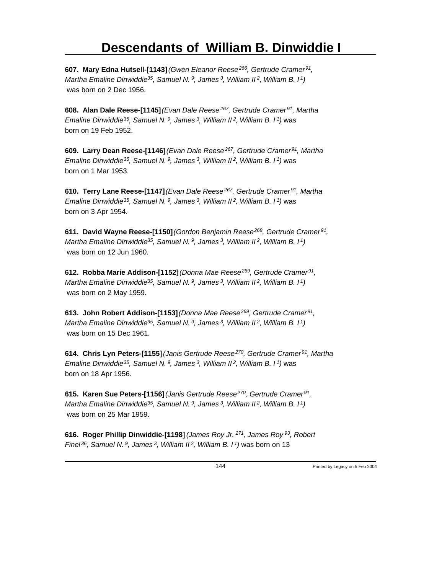**607. Mary Edna Hutsell-[1143]** *(Gwen Eleanor Reese<sup>266</sup>, Gertrude Cramer<sup>91</sup> , Martha Emaline Dinwiddie<sup>35</sup>, Samuel N.<sup>9</sup>, James<sup>3</sup>, William II<sup>2</sup>, William B. I<sup>1</sup>)* was born on 2 Dec 1956.

**608. Alan Dale Reese-[1145]** *(Evan Dale Reese<sup>267</sup>, Gertrude Cramer<sup>91</sup>, Martha Emaline Dinwiddie<sup>35</sup>, Samuel N.<sup>9</sup>, James<sup>3</sup>, William II<sup>2</sup>, William B. I<sup>1</sup>)* was born on 19 Feb 1952.

**609. Larry Dean Reese-[1146]** *(Evan Dale Reese<sup>267</sup>, Gertrude Cramer<sup>91</sup>, Martha Emaline Dinwiddie<sup>35</sup>, Samuel N.<sup>9</sup>, James<sup>3</sup>, William II<sup>2</sup>, William B. I<sup>1</sup>)* was born on 1 Mar 1953.

**610. Terry Lane Reese-[1147]** *(Evan Dale Reese<sup>267</sup>, Gertrude Cramer<sup>91</sup>, Martha Emaline Dinwiddie<sup>35</sup>, Samuel N.<sup>9</sup>, James<sup>3</sup>, William II<sup>2</sup>, William B. I<sup>1</sup>)* was born on 3 Apr 1954.

**611. David Wayne Reese-[1150]** *(Gordon Benjamin Reese<sup>268</sup>, Gertrude Cramer<sup>91</sup> , Martha Emaline Dinwiddie<sup>35</sup>, Samuel N.<sup>9</sup>, James<sup>3</sup>, William II<sup>2</sup>, William B. I<sup>1</sup>)* was born on 12 Jun 1960.

**612. Robba Marie Addison-[1152]** *(Donna Mae Reese<sup>269</sup>, Gertrude Cramer<sup>91</sup> , Martha Emaline Dinwiddie<sup>35</sup>, Samuel N.<sup>9</sup>, James<sup>3</sup>, William II<sup>2</sup>, William B. I<sup>1</sup>)* was born on 2 May 1959.

**613. John Robert Addison-[1153]** *(Donna Mae Reese<sup>269</sup>, Gertrude Cramer<sup>91</sup> , Martha Emaline Dinwiddie<sup>35</sup>, Samuel N.<sup>9</sup>, James<sup>3</sup>, William II<sup>2</sup>, William B. I<sup>1</sup>)* was born on 15 Dec 1961.

**614. Chris Lyn Peters-[1155]** *(Janis Gertrude Reese<sup>270</sup>, Gertrude Cramer<sup>91</sup>, Martha Emaline Dinwiddie<sup>35</sup>, Samuel N.<sup>9</sup>, James<sup>3</sup>, William II<sup>2</sup>, William B. I<sup>1</sup>)* was born on 18 Apr 1956.

**615. Karen Sue Peters-[1156]** *(Janis Gertrude Reese<sup>270</sup>, Gertrude Cramer<sup>91</sup> , Martha Emaline Dinwiddie<sup>35</sup>, Samuel N.<sup>9</sup>, James<sup>3</sup>, William II<sup>2</sup>, William B. I<sup>1</sup>)* was born on 25 Mar 1959.

**616. Roger Phillip Dinwiddie-[1198]** *(James Roy Jr.<sup>271</sup>, James Roy<sup>93</sup>, Robert Finel 36, Samuel N. 9, James 3, William II 2, William B. I 1)* was born on 13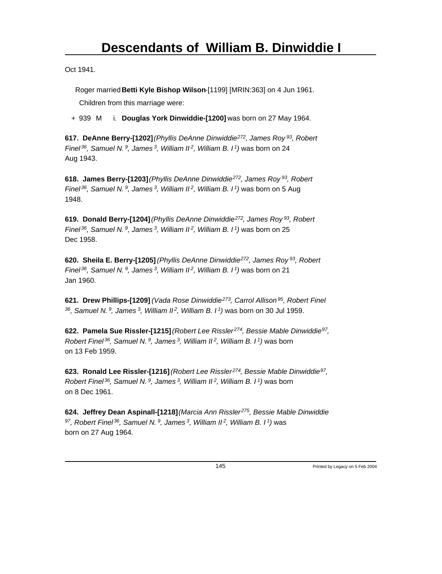Oct 1941.

Roger married **Betti Kyle Bishop Wilson**-[1199] [MRIN:363] on 4 Jun 1961.

Children from this marriage were:

+ 939 M i. **Douglas York Dinwiddie-[1200]** was born on 27 May 1964.

**617. DeAnne Berry-[1202]** *(Phyllis DeAnne Dinwiddie<sup>272</sup>, James Roy<sup>93</sup>, Robert Finel<sup>36</sup>, Samuel N.<sup>9</sup>, James<sup>3</sup>, William II<sup>2</sup>, William B. I<sup>1</sup>)* was born on 24 Aug 1943.

**618. James Berry-[1203]** *(Phyllis DeAnne Dinwiddie<sup>272</sup>, James Roy<sup>93</sup>, Robert Finel<sup>36</sup>, Samuel N.<sup>9</sup>, James<sup>3</sup>, William II<sup>2</sup>, William B. I<sup>1</sup>)* was born on 5 Aug 1948.

**619. Donald Berry-[1204]** *(Phyllis DeAnne Dinwiddie<sup>272</sup>, James Roy<sup>93</sup>, Robert Finel<sup>36</sup>, Samuel N.<sup>9</sup>, James<sup>3</sup>, William II<sup>2</sup>, William B. I<sup>1</sup>)* was born on 25 Dec 1958.

**620. Sheila E. Berry-[1205]** *(Phyllis DeAnne Dinwiddie<sup>272</sup>, James Roy<sup>93</sup>, Robert Finel<sup>36</sup>, Samuel N.<sup>9</sup>, James<sup>3</sup>, William II<sup>2</sup>, William B. I<sup>1</sup>)* was born on 21 Jan 1960.

**621. Drew Phillips-[1209]** *(Vada Rose Dinwiddie<sup>273</sup>, Carrol Allison<sup>95</sup>, Robert Finel <sup>36</sup>, Samuel N.<sup>9</sup>, James<sup>3</sup>, William II<sup>2</sup>, William B. I<sup>1</sup>)* was born on 30 Jul 1959.

**622. Pamela Sue Rissler-[1215]** *(Robert Lee Rissler<sup>274</sup>, Bessie Mable Dinwiddie<sup>97</sup> , Robert Finel<sup>36</sup>, Samuel N.<sup>9</sup>, James<sup>3</sup>, William II<sup>2</sup>, William B. I<sup>1</sup>)* was born on 13 Feb 1959.

**623. Ronald Lee Rissler-[1216]** *(Robert Lee Rissler<sup>274</sup>, Bessie Mable Dinwiddie<sup>97</sup> , Robert Finel<sup>36</sup>, Samuel N.<sup>9</sup>, James<sup>3</sup>, William II<sup>2</sup>, William B. I<sup>1</sup>)* was born on 8 Dec 1961.

**624. Jeffrey Dean Aspinall-[1218]** *(Marcia Ann Rissler<sup>275</sup>, Bessie Mable Dinwiddie <sup>97</sup>, Robert Finel<sup>36</sup>, Samuel N.<sup>9</sup>, James<sup>3</sup>, William II<sup>2</sup>, William B. I<sup>1</sup>)* was born on 27 Aug 1964.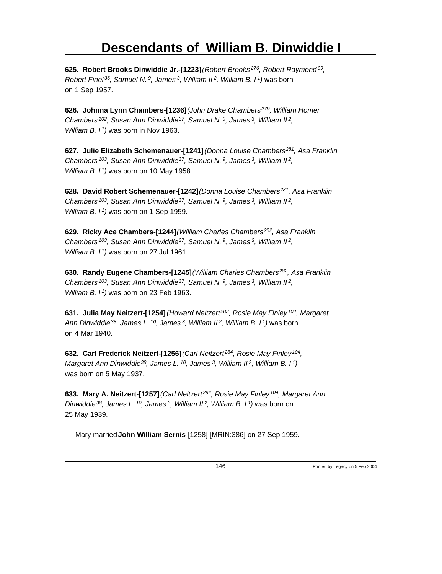**625. Robert Brooks Dinwiddie Jr.-[1223]** *(Robert Brooks<sup>276</sup>, Robert Raymond<sup>99</sup> , Robert Finel<sup>36</sup>, Samuel N.<sup>9</sup>, James<sup>3</sup>, William II<sup>2</sup>, William B. I<sup>1</sup>)* was born on 1 Sep 1957.

**626. Johnna Lynn Chambers-[1236]** *(John Drake Chambers<sup>279</sup>, William Homer Chambers<sup>102</sup>, Susan Ann Dinwiddie<sup>37</sup>, Samuel N.<sup>9</sup>, James<sup>3</sup>, William II<sup>2</sup> , William B. I<sup>1</sup>)* was born in Nov 1963.

**627. Julie Elizabeth Schemenauer-[1241]** *(Donna Louise Chambers<sup>281</sup>, Asa Franklin Chambers<sup>103</sup>, Susan Ann Dinwiddie<sup>37</sup>, Samuel N.<sup>9</sup>, James<sup>3</sup>, William II<sup>2</sup> , William B. I<sup>1</sup>)* was born on 10 May 1958.

**628. David Robert Schemenauer-[1242]** *(Donna Louise Chambers<sup>281</sup>, Asa Franklin Chambers<sup>103</sup>, Susan Ann Dinwiddie<sup>37</sup>, Samuel N.<sup>9</sup>, James<sup>3</sup>, William II<sup>2</sup> , William B. I<sup>1</sup>)* was born on 1 Sep 1959.

**629. Ricky Ace Chambers-[1244]** *(William Charles Chambers<sup>282</sup>, Asa Franklin Chambers<sup>103</sup>, Susan Ann Dinwiddie<sup>37</sup>, Samuel N.<sup>9</sup>, James<sup>3</sup>, William II<sup>2</sup> , William B. I<sup>1</sup>)* was born on 27 Jul 1961.

**630. Randy Eugene Chambers-[1245]** *(William Charles Chambers<sup>282</sup>, Asa Franklin Chambers<sup>103</sup>, Susan Ann Dinwiddie<sup>37</sup>, Samuel N.<sup>9</sup>, James<sup>3</sup>, William II<sup>2</sup> , William B. I<sup>1</sup>)* was born on 23 Feb 1963.

**631. Julia May Neitzert-[1254]** *(Howard Neitzert<sup>283</sup>, Rosie May Finley<sup>104</sup>, Margaret Ann Dinwiddie<sup>38</sup>, James L.<sup>10</sup>, James<sup>3</sup>, William II<sup>2</sup>, William B. I<sup>1</sup>)* was born on 4 Mar 1940.

**632. Carl Frederick Neitzert-[1256]** *(Carl Neitzert<sup>284</sup>, Rosie May Finley<sup>104</sup> , Margaret Ann Dinwiddie<sup>38</sup>, James L.<sup>10</sup>, James<sup>3</sup>, William II<sup>2</sup>, William B. I<sup>1</sup>)* was born on 5 May 1937.

**633. Mary A. Neitzert-[1257]** *(Carl Neitzert<sup>284</sup>, Rosie May Finley<sup>104</sup>, Margaret Ann Dinwiddie<sup>38</sup>, James L.<sup>10</sup>, James<sup>3</sup>, William II<sup>2</sup>, William B. I<sup>1</sup>)* was born on 25 May 1939.

Mary married **John William Sernis**-[1258] [MRIN:386] on 27 Sep 1959.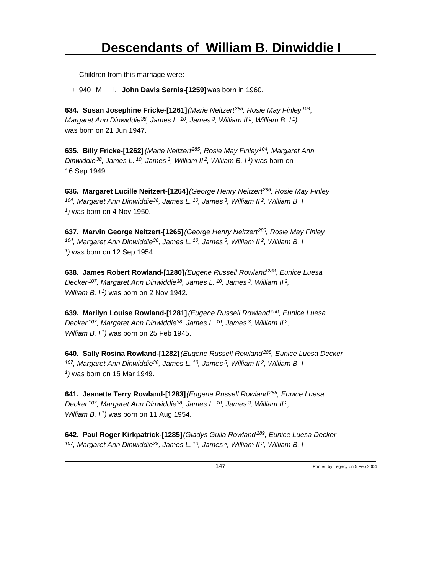Children from this marriage were:

+ 940 M i. **John Davis Sernis-[1259]** was born in 1960.

**634. Susan Josephine Fricke-[1261]** *(Marie Neitzert<sup>285</sup>, Rosie May Finley<sup>104</sup> , Margaret Ann Dinwiddie<sup>38</sup>, James L.<sup>10</sup>, James<sup>3</sup>, William II<sup>2</sup>, William B. I<sup>1</sup>)* was born on 21 Jun 1947.

**635. Billy Fricke-[1262]** *(Marie Neitzert<sup>285</sup>, Rosie May Finley<sup>104</sup>, Margaret Ann Dinwiddie<sup>38</sup>, James L.<sup>10</sup>, James<sup>3</sup>, William II<sup>2</sup>, William B. I<sup>1</sup>)* was born on 16 Sep 1949.

**636. Margaret Lucille Neitzert-[1264]** *(George Henry Neitzert<sup>286</sup>, Rosie May Finley <sup>104</sup>, Margaret Ann Dinwiddie<sup>38</sup>, James L.<sup>10</sup>, James<sup>3</sup>, William II<sup>2</sup>, William B. I 1 )* was born on 4 Nov 1950.

**637. Marvin George Neitzert-[1265]** *(George Henry Neitzert<sup>286</sup>, Rosie May Finley <sup>104</sup>, Margaret Ann Dinwiddie<sup>38</sup>, James L.<sup>10</sup>, James<sup>3</sup>, William II<sup>2</sup>, William B. I 1 )* was born on 12 Sep 1954.

**638. James Robert Rowland-[1280]** *(Eugene Russell Rowland<sup>288</sup>, Eunice Luesa Decker<sup>107</sup>, Margaret Ann Dinwiddie<sup>38</sup>, James L.<sup>10</sup>, James<sup>3</sup>, William II<sup>2</sup> , William B. I<sup>1</sup>)* was born on 2 Nov 1942.

**639. Marilyn Louise Rowland-[1281]** *(Eugene Russell Rowland<sup>288</sup>, Eunice Luesa Decker<sup>107</sup>, Margaret Ann Dinwiddie<sup>38</sup>, James L.<sup>10</sup>, James<sup>3</sup>, William II<sup>2</sup> , William B. I<sup>1</sup>)* was born on 25 Feb 1945.

**640. Sally Rosina Rowland-[1282]** *(Eugene Russell Rowland<sup>288</sup>, Eunice Luesa Decker <sup>107</sup>, Margaret Ann Dinwiddie<sup>38</sup>, James L.<sup>10</sup>, James<sup>3</sup>, William II<sup>2</sup>, William B. I 1 )* was born on 15 Mar 1949.

**641. Jeanette Terry Rowland-[1283]** *(Eugene Russell Rowland<sup>288</sup>, Eunice Luesa Decker<sup>107</sup>, Margaret Ann Dinwiddie<sup>38</sup>, James L.<sup>10</sup>, James<sup>3</sup>, William II<sup>2</sup> , William B. I<sup>1</sup>)* was born on 11 Aug 1954.

**642. Paul Roger Kirkpatrick-[1285]** *(Gladys Guila Rowland<sup>289</sup>, Eunice Luesa Decker 107, Margaret Ann Dinwiddie 38, James L. 10, James 3, William II 2, William B. I*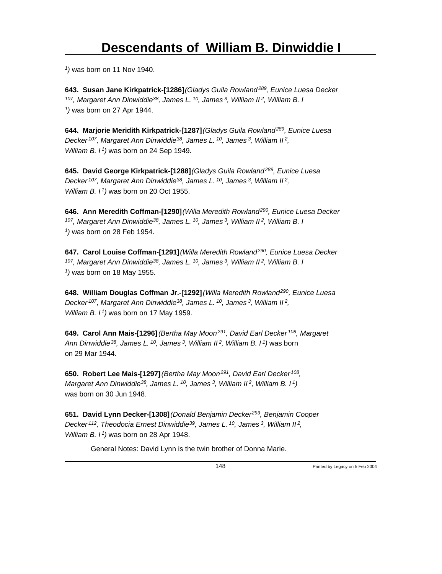*1 )* was born on 11 Nov 1940.

**643. Susan Jane Kirkpatrick-[1286]** *(Gladys Guila Rowland<sup>289</sup>, Eunice Luesa Decker <sup>107</sup>, Margaret Ann Dinwiddie<sup>38</sup>, James L.<sup>10</sup>, James<sup>3</sup>, William II<sup>2</sup>, William B. I 1 )* was born on 27 Apr 1944.

**644. Marjorie Meridith Kirkpatrick-[1287]** *(Gladys Guila Rowland<sup>289</sup>, Eunice Luesa Decker<sup>107</sup>, Margaret Ann Dinwiddie<sup>38</sup>, James L.<sup>10</sup>, James<sup>3</sup>, William II<sup>2</sup> , William B. I<sup>1</sup>)* was born on 24 Sep 1949.

**645. David George Kirkpatrick-[1288]** *(Gladys Guila Rowland<sup>289</sup>, Eunice Luesa Decker<sup>107</sup>, Margaret Ann Dinwiddie<sup>38</sup>, James L.<sup>10</sup>, James<sup>3</sup>, William II<sup>2</sup> , William B. I<sup>1</sup>)* was born on 20 Oct 1955.

**646. Ann Meredith Coffman-[1290]** *(Willa Meredith Rowland<sup>290</sup>, Eunice Luesa Decker <sup>107</sup>, Margaret Ann Dinwiddie<sup>38</sup>, James L.<sup>10</sup>, James<sup>3</sup>, William II<sup>2</sup>, William B. I 1 )* was born on 28 Feb 1954.

**647. Carol Louise Coffman-[1291]** *(Willa Meredith Rowland<sup>290</sup>, Eunice Luesa Decker <sup>107</sup>, Margaret Ann Dinwiddie<sup>38</sup>, James L.<sup>10</sup>, James<sup>3</sup>, William II<sup>2</sup>, William B. I 1 )* was born on 18 May 1955.

**648. William Douglas Coffman Jr.-[1292]** *(Willa Meredith Rowland<sup>290</sup>, Eunice Luesa Decker<sup>107</sup>, Margaret Ann Dinwiddie<sup>38</sup>, James L.<sup>10</sup>, James<sup>3</sup>, William II<sup>2</sup> , William B. I<sup>1</sup>)* was born on 17 May 1959.

**649. Carol Ann Mais-[1296]** *(Bertha May Moon<sup>291</sup>, David Earl Decker<sup>108</sup>, Margaret Ann Dinwiddie<sup>38</sup>, James L.<sup>10</sup>, James<sup>3</sup>, William II<sup>2</sup>, William B. I<sup>1</sup>)* was born on 29 Mar 1944.

**650. Robert Lee Mais-[1297]** *(Bertha May Moon<sup>291</sup>, David Earl Decker<sup>108</sup> , Margaret Ann Dinwiddie<sup>38</sup>, James L.<sup>10</sup>, James<sup>3</sup>, William II<sup>2</sup>, William B. I<sup>1</sup>)* was born on 30 Jun 1948.

**651. David Lynn Decker-[1308]** *(Donald Benjamin Decker<sup>293</sup>, Benjamin Cooper Decker<sup>112</sup>, Theodocia Ernest Dinwiddie<sup>39</sup>, James L.<sup>10</sup>, James<sup>3</sup>, William II<sup>2</sup> , William B. I<sup>1</sup>)* was born on 28 Apr 1948.

General Notes: David Lynn is the twin brother of Donna Marie.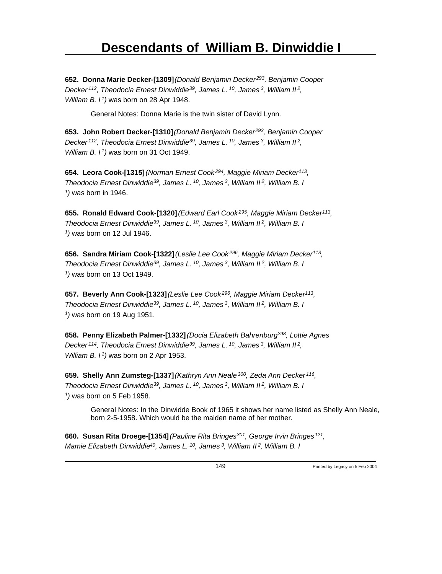**652. Donna Marie Decker-[1309]** *(Donald Benjamin Decker<sup>293</sup>, Benjamin Cooper Decker<sup>112</sup>, Theodocia Ernest Dinwiddie<sup>39</sup>, James L.<sup>10</sup>, James<sup>3</sup>, William II<sup>2</sup> , William B. I<sup>1</sup>)* was born on 28 Apr 1948.

General Notes: Donna Marie is the twin sister of David Lynn.

**653. John Robert Decker-[1310]** *(Donald Benjamin Decker<sup>293</sup>, Benjamin Cooper Decker<sup>112</sup>, Theodocia Ernest Dinwiddie<sup>39</sup>, James L.<sup>10</sup>, James<sup>3</sup>, William II<sup>2</sup> , William B. I<sup>1</sup>)* was born on 31 Oct 1949.

**654. Leora Cook-[1315]** *(Norman Ernest Cook<sup>294</sup>, Maggie Miriam Decker<sup>113</sup> , Theodocia Ernest Dinwiddie<sup>39</sup>, James L.<sup>10</sup>, James<sup>3</sup>, William II<sup>2</sup>, William B. I 1 )* was born in 1946.

**655. Ronald Edward Cook-[1320]** *(Edward Earl Cook<sup>295</sup>, Maggie Miriam Decker<sup>113</sup> , Theodocia Ernest Dinwiddie<sup>39</sup>, James L.<sup>10</sup>, James<sup>3</sup>, William II<sup>2</sup>, William B. I 1 )* was born on 12 Jul 1946.

**656. Sandra Miriam Cook-[1322]** *(Leslie Lee Cook<sup>296</sup>, Maggie Miriam Decker<sup>113</sup> , Theodocia Ernest Dinwiddie<sup>39</sup>, James L.<sup>10</sup>, James<sup>3</sup>, William II<sup>2</sup>, William B. I 1 )* was born on 13 Oct 1949.

**657. Beverly Ann Cook-[1323]** *(Leslie Lee Cook<sup>296</sup>, Maggie Miriam Decker<sup>113</sup> , Theodocia Ernest Dinwiddie<sup>39</sup>, James L.<sup>10</sup>, James<sup>3</sup>, William II<sup>2</sup>, William B. I 1 )* was born on 19 Aug 1951.

**658. Penny Elizabeth Palmer-[1332]** *(Docia Elizabeth Bahrenburg<sup>298</sup>, Lottie Agnes Decker<sup>114</sup>, Theodocia Ernest Dinwiddie<sup>39</sup>, James L.<sup>10</sup>, James<sup>3</sup>, William II<sup>2</sup> , William B. I<sup>1</sup>)* was born on 2 Apr 1953.

**659. Shelly Ann Zumsteg-[1337]** *(Kathryn Ann Neale<sup>300</sup>, Zeda Ann Decker<sup>116</sup> , Theodocia Ernest Dinwiddie<sup>39</sup>, James L.<sup>10</sup>, James<sup>3</sup>, William II<sup>2</sup>, William B. I 1 )* was born on 5 Feb 1958.

General Notes: In the Dinwidde Book of 1965 it shows her name listed as Shelly Ann Neale, born 2-5-1958. Which would be the maiden name of her mother.

**660. Susan Rita Droege-[1354]** *(Pauline Rita Bringes<sup>301</sup>, George Irvin Bringes<sup>121</sup> , Mamie Elizabeth Dinwiddie 40, James L. 10, James 3, William II 2, William B. I*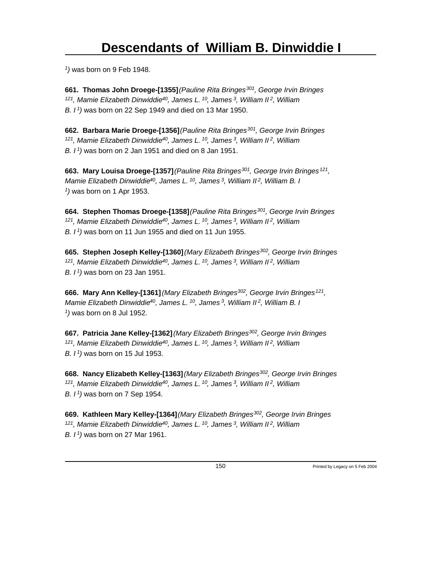*1 )* was born on 9 Feb 1948.

**661. Thomas John Droege-[1355]** *(Pauline Rita Bringes<sup>301</sup>, George Irvin Bringes <sup>121</sup>, Mamie Elizabeth Dinwiddie<sup>40</sup>, James L.<sup>10</sup>, James<sup>3</sup>, William II<sup>2</sup>, William B. I<sup>1</sup>)* was born on 22 Sep 1949 and died on 13 Mar 1950.

**662. Barbara Marie Droege-[1356]** *(Pauline Rita Bringes<sup>301</sup>, George Irvin Bringes <sup>121</sup>, Mamie Elizabeth Dinwiddie<sup>40</sup>, James L.<sup>10</sup>, James<sup>3</sup>, William II<sup>2</sup>, William B. I<sup>1</sup>)* was born on 2 Jan 1951 and died on 8 Jan 1951.

**663. Mary Louisa Droege-[1357]** *(Pauline Rita Bringes<sup>301</sup>, George Irvin Bringes<sup>121</sup> , Mamie Elizabeth Dinwiddie<sup>40</sup>, James L.<sup>10</sup>, James<sup>3</sup>, William II<sup>2</sup>, William B. I 1 )* was born on 1 Apr 1953.

**664. Stephen Thomas Droege-[1358]** *(Pauline Rita Bringes<sup>301</sup>, George Irvin Bringes <sup>121</sup>, Mamie Elizabeth Dinwiddie<sup>40</sup>, James L.<sup>10</sup>, James<sup>3</sup>, William II<sup>2</sup>, William B. I<sup>1</sup>)* was born on 11 Jun 1955 and died on 11 Jun 1955.

**665. Stephen Joseph Kelley-[1360]** *(Mary Elizabeth Bringes<sup>302</sup>, George Irvin Bringes <sup>121</sup>, Mamie Elizabeth Dinwiddie<sup>40</sup>, James L.<sup>10</sup>, James<sup>3</sup>, William II<sup>2</sup>, William B. I<sup>1</sup>)* was born on 23 Jan 1951.

**666. Mary Ann Kelley-[1361]** *(Mary Elizabeth Bringes<sup>302</sup>, George Irvin Bringes<sup>121</sup> , Mamie Elizabeth Dinwiddie<sup>40</sup>, James L.<sup>10</sup>, James<sup>3</sup>, William II<sup>2</sup>, William B. I 1 )* was born on 8 Jul 1952.

**667. Patricia Jane Kelley-[1362]** *(Mary Elizabeth Bringes<sup>302</sup>, George Irvin Bringes <sup>121</sup>, Mamie Elizabeth Dinwiddie<sup>40</sup>, James L.<sup>10</sup>, James<sup>3</sup>, William II<sup>2</sup>, William B. I<sup>1</sup>)* was born on 15 Jul 1953.

**668. Nancy Elizabeth Kelley-[1363]** *(Mary Elizabeth Bringes<sup>302</sup>, George Irvin Bringes <sup>121</sup>, Mamie Elizabeth Dinwiddie<sup>40</sup>, James L.<sup>10</sup>, James<sup>3</sup>, William II<sup>2</sup>, William B. I<sup>1</sup>)* was born on 7 Sep 1954.

**669. Kathleen Mary Kelley-[1364]** *(Mary Elizabeth Bringes<sup>302</sup>, George Irvin Bringes <sup>121</sup>, Mamie Elizabeth Dinwiddie<sup>40</sup>, James L.<sup>10</sup>, James<sup>3</sup>, William II<sup>2</sup>, William B. I 1)* was born on 27 Mar 1961.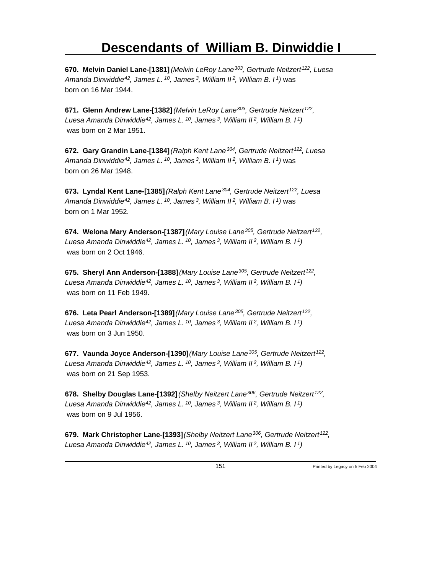**670. Melvin Daniel Lane-[1381]** *(Melvin LeRoy Lane<sup>303</sup>, Gertrude Neitzert<sup>122</sup>, Luesa Amanda Dinwiddie<sup>42</sup>, James L.<sup>10</sup>, James<sup>3</sup>, William II<sup>2</sup>, William B. I<sup>1</sup>)* was born on 16 Mar 1944.

**671. Glenn Andrew Lane-[1382]** *(Melvin LeRoy Lane<sup>303</sup>, Gertrude Neitzert<sup>122</sup> , Luesa Amanda Dinwiddie<sup>42</sup>, James L.<sup>10</sup>, James<sup>3</sup>, William II<sup>2</sup>, William B. I<sup>1</sup>)* was born on 2 Mar 1951.

**672. Gary Grandin Lane-[1384]** *(Ralph Kent Lane<sup>304</sup>, Gertrude Neitzert<sup>122</sup>, Luesa Amanda Dinwiddie<sup>42</sup>, James L.<sup>10</sup>, James<sup>3</sup>, William II<sup>2</sup>, William B. I<sup>1</sup>)* was born on 26 Mar 1948.

**673. Lyndal Kent Lane-[1385]** *(Ralph Kent Lane<sup>304</sup>, Gertrude Neitzert<sup>122</sup>, Luesa Amanda Dinwiddie<sup>42</sup>, James L.<sup>10</sup>, James<sup>3</sup>, William II<sup>2</sup>, William B. I<sup>1</sup>)* was born on 1 Mar 1952.

**674. Welona Mary Anderson-[1387]** *(Mary Louise Lane<sup>305</sup>, Gertrude Neitzert<sup>122</sup> , Luesa Amanda Dinwiddie<sup>42</sup>, James L.<sup>10</sup>, James<sup>3</sup>, William II<sup>2</sup>, William B. I<sup>1</sup>)* was born on 2 Oct 1946.

**675. Sheryl Ann Anderson-[1388]** *(Mary Louise Lane<sup>305</sup>, Gertrude Neitzert<sup>122</sup> , Luesa Amanda Dinwiddie<sup>42</sup>, James L.<sup>10</sup>, James<sup>3</sup>, William II<sup>2</sup>, William B. I<sup>1</sup>)* was born on 11 Feb 1949.

**676. Leta Pearl Anderson-[1389]** *(Mary Louise Lane<sup>305</sup>, Gertrude Neitzert<sup>122</sup> , Luesa Amanda Dinwiddie<sup>42</sup>, James L.<sup>10</sup>, James<sup>3</sup>, William II<sup>2</sup>, William B. I<sup>1</sup>)* was born on 3 Jun 1950.

**677. Vaunda Joyce Anderson-[1390]** *(Mary Louise Lane<sup>305</sup>, Gertrude Neitzert<sup>122</sup> , Luesa Amanda Dinwiddie<sup>42</sup>, James L.<sup>10</sup>, James<sup>3</sup>, William II<sup>2</sup>, William B. I<sup>1</sup>)* was born on 21 Sep 1953.

**678. Shelby Douglas Lane-[1392]** *(Shelby Neitzert Lane<sup>306</sup>, Gertrude Neitzert<sup>122</sup> , Luesa Amanda Dinwiddie<sup>42</sup>, James L.<sup>10</sup>, James<sup>3</sup>, William II<sup>2</sup>, William B. I<sup>1</sup>)* was born on 9 Jul 1956.

**679. Mark Christopher Lane-[1393]** *(Shelby Neitzert Lane<sup>306</sup>, Gertrude Neitzert<sup>122</sup> , Luesa Amanda Dinwiddie 42, James L. 10, James 3, William II 2, William B. I 1)*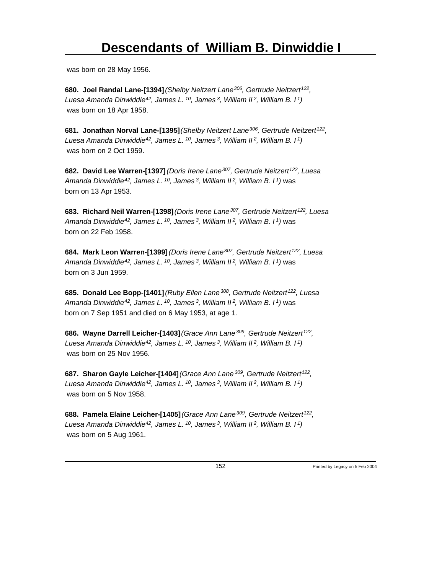was born on 28 May 1956.

**680. Joel Randal Lane-[1394]** *(Shelby Neitzert Lane<sup>306</sup>, Gertrude Neitzert<sup>122</sup> , Luesa Amanda Dinwiddie<sup>42</sup>, James L.<sup>10</sup>, James<sup>3</sup>, William II<sup>2</sup>, William B. I<sup>1</sup>)* was born on 18 Apr 1958.

**681. Jonathan Norval Lane-[1395]** *(Shelby Neitzert Lane<sup>306</sup>, Gertrude Neitzert<sup>122</sup> , Luesa Amanda Dinwiddie<sup>42</sup>, James L.<sup>10</sup>, James<sup>3</sup>, William II<sup>2</sup>, William B. I<sup>1</sup>)* was born on 2 Oct 1959.

**682. David Lee Warren-[1397]** *(Doris Irene Lane<sup>307</sup>, Gertrude Neitzert<sup>122</sup>, Luesa Amanda Dinwiddie<sup>42</sup>, James L.<sup>10</sup>, James<sup>3</sup>, William II<sup>2</sup>, William B. I<sup>1</sup>)* was born on 13 Apr 1953.

**683. Richard Neil Warren-[1398]** *(Doris Irene Lane<sup>307</sup>, Gertrude Neitzert<sup>122</sup>, Luesa Amanda Dinwiddie<sup>42</sup>, James L.<sup>10</sup>, James<sup>3</sup>, William II<sup>2</sup>, William B. I<sup>1</sup>)* was born on 22 Feb 1958.

**684. Mark Leon Warren-[1399]** *(Doris Irene Lane<sup>307</sup>, Gertrude Neitzert<sup>122</sup>, Luesa Amanda Dinwiddie<sup>42</sup>, James L.<sup>10</sup>, James<sup>3</sup>, William II<sup>2</sup>, William B. I<sup>1</sup>)* was born on 3 Jun 1959.

**685. Donald Lee Bopp-[1401]** *(Ruby Ellen Lane<sup>308</sup>, Gertrude Neitzert<sup>122</sup>, Luesa Amanda Dinwiddie<sup>42</sup>, James L.<sup>10</sup>, James<sup>3</sup>, William II<sup>2</sup>, William B. I<sup>1</sup>)* was born on 7 Sep 1951 and died on 6 May 1953, at age 1.

**686. Wayne Darrell Leicher-[1403]** *(Grace Ann Lane<sup>309</sup>, Gertrude Neitzert<sup>122</sup> , Luesa Amanda Dinwiddie<sup>42</sup>, James L.<sup>10</sup>, James<sup>3</sup>, William II<sup>2</sup>, William B. I<sup>1</sup>)* was born on 25 Nov 1956.

**687. Sharon Gayle Leicher-[1404]** *(Grace Ann Lane<sup>309</sup>, Gertrude Neitzert<sup>122</sup> , Luesa Amanda Dinwiddie<sup>42</sup>, James L.<sup>10</sup>, James<sup>3</sup>, William II<sup>2</sup>, William B. I<sup>1</sup>)* was born on 5 Nov 1958.

**688. Pamela Elaine Leicher-[1405]** *(Grace Ann Lane<sup>309</sup>, Gertrude Neitzert<sup>122</sup> , Luesa Amanda Dinwiddie<sup>42</sup>, James L.<sup>10</sup>, James<sup>3</sup>, William II<sup>2</sup>, William B. I<sup>1</sup>)* was born on 5 Aug 1961.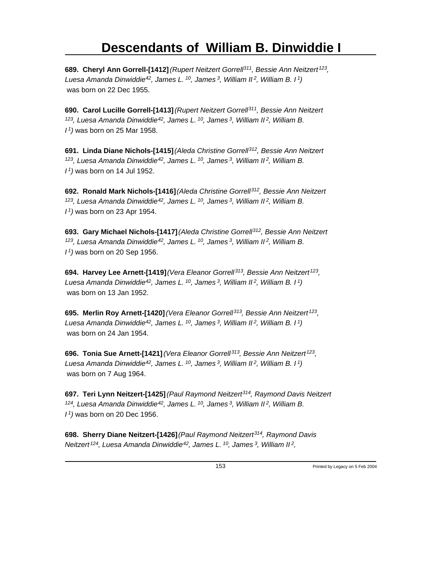**689. Cheryl Ann Gorrell-[1412]** *(Rupert Neitzert Gorrell<sup>311</sup>, Bessie Ann Neitzert<sup>123</sup> , Luesa Amanda Dinwiddie<sup>42</sup>, James L.<sup>10</sup>, James<sup>3</sup>, William II<sup>2</sup>, William B. I<sup>1</sup>)* was born on 22 Dec 1955.

**690. Carol Lucille Gorrell-[1413]** *(Rupert Neitzert Gorrell<sup>311</sup>, Bessie Ann Neitzert <sup>123</sup>, Luesa Amanda Dinwiddie<sup>42</sup>, James L.<sup>10</sup>, James<sup>3</sup>, William II<sup>2</sup>, William B. I <sup>1</sup>)* was born on 25 Mar 1958.

**691. Linda Diane Nichols-[1415]** *(Aleda Christine Gorrell<sup>312</sup>, Bessie Ann Neitzert <sup>123</sup>, Luesa Amanda Dinwiddie<sup>42</sup>, James L.<sup>10</sup>, James<sup>3</sup>, William II<sup>2</sup>, William B. I <sup>1</sup>)* was born on 14 Jul 1952.

**692. Ronald Mark Nichols-[1416]** *(Aleda Christine Gorrell<sup>312</sup>, Bessie Ann Neitzert <sup>123</sup>, Luesa Amanda Dinwiddie<sup>42</sup>, James L.<sup>10</sup>, James<sup>3</sup>, William II<sup>2</sup>, William B. I <sup>1</sup>)* was born on 23 Apr 1954.

**693. Gary Michael Nichols-[1417]** *(Aleda Christine Gorrell<sup>312</sup>, Bessie Ann Neitzert <sup>123</sup>, Luesa Amanda Dinwiddie<sup>42</sup>, James L.<sup>10</sup>, James<sup>3</sup>, William II<sup>2</sup>, William B. I <sup>1</sup>)* was born on 20 Sep 1956.

**694. Harvey Lee Arnett-[1419]** *(Vera Eleanor Gorrell<sup>313</sup>, Bessie Ann Neitzert<sup>123</sup> , Luesa Amanda Dinwiddie<sup>42</sup>, James L.<sup>10</sup>, James<sup>3</sup>, William II<sup>2</sup>, William B. I<sup>1</sup>)* was born on 13 Jan 1952.

**695. Merlin Roy Arnett-[1420]** *(Vera Eleanor Gorrell<sup>313</sup>, Bessie Ann Neitzert<sup>123</sup> , Luesa Amanda Dinwiddie<sup>42</sup>, James L.<sup>10</sup>, James<sup>3</sup>, William II<sup>2</sup>, William B. I<sup>1</sup>)* was born on 24 Jan 1954.

**696. Tonia Sue Arnett-[1421]** *(Vera Eleanor Gorrell<sup>313</sup>, Bessie Ann Neitzert<sup>123</sup> , Luesa Amanda Dinwiddie<sup>42</sup>, James L.<sup>10</sup>, James<sup>3</sup>, William II<sup>2</sup>, William B. I<sup>1</sup>)* was born on 7 Aug 1964.

**697. Teri Lynn Neitzert-[1425]** *(Paul Raymond Neitzert<sup>314</sup>, Raymond Davis Neitzert <sup>124</sup>, Luesa Amanda Dinwiddie<sup>42</sup>, James L.<sup>10</sup>, James<sup>3</sup>, William II<sup>2</sup>, William B. I <sup>1</sup>)* was born on 20 Dec 1956.

**698. Sherry Diane Neitzert-[1426]** *(Paul Raymond Neitzert<sup>314</sup>, Raymond Davis Neitzert<sup>124</sup>, Luesa Amanda Dinwiddie<sup>42</sup>, James L.<sup>10</sup>, James<sup>3</sup>, William II<sup>2</sup> ,*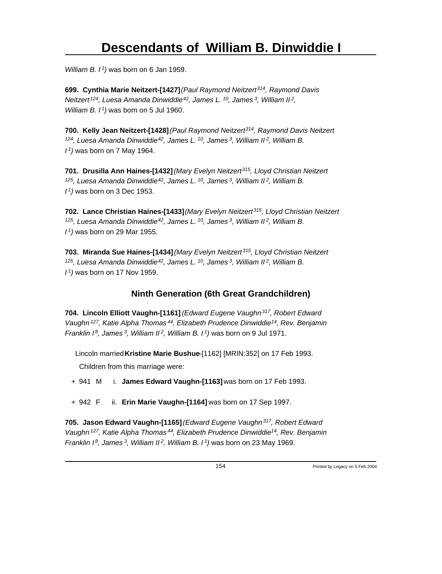*William B. I<sup>1</sup>)* was born on 6 Jan 1959.

**699. Cynthia Marie Neitzert-[1427]** *(Paul Raymond Neitzert<sup>314</sup>, Raymond Davis Neitzert<sup>124</sup>, Luesa Amanda Dinwiddie<sup>42</sup>, James L.<sup>10</sup>, James<sup>3</sup>, William II<sup>2</sup> , William B. I<sup>1</sup>)* was born on 5 Jul 1960.

**700. Kelly Jean Neitzert-[1428]** *(Paul Raymond Neitzert<sup>314</sup>, Raymond Davis Neitzert <sup>124</sup>, Luesa Amanda Dinwiddie<sup>42</sup>, James L.<sup>10</sup>, James<sup>3</sup>, William II<sup>2</sup>, William B. I <sup>1</sup>)* was born on 7 May 1964.

**701. Drusilla Ann Haines-[1432]** *(Mary Evelyn Neitzert<sup>315</sup>, Lloyd Christian Neitzert <sup>125</sup>, Luesa Amanda Dinwiddie<sup>42</sup>, James L.<sup>10</sup>, James<sup>3</sup>, William II<sup>2</sup>, William B. I <sup>1</sup>)* was born on 3 Dec 1953.

**702. Lance Christian Haines-[1433]** *(Mary Evelyn Neitzert<sup>315</sup>, Lloyd Christian Neitzert <sup>125</sup>, Luesa Amanda Dinwiddie<sup>42</sup>, James L.<sup>10</sup>, James<sup>3</sup>, William II<sup>2</sup>, William B. I <sup>1</sup>)* was born on 29 Mar 1955.

**703. Miranda Sue Haines-[1434]** *(Mary Evelyn Neitzert<sup>315</sup>, Lloyd Christian Neitzert <sup>125</sup>, Luesa Amanda Dinwiddie<sup>42</sup>, James L.<sup>10</sup>, James<sup>3</sup>, William II<sup>2</sup>, William B. I <sup>1</sup>)* was born on 17 Nov 1959.

#### **Ninth Generation (6th Great Grandchildren)**

**704. Lincoln Elliott Vaughn-[1161]** *(Edward Eugene Vaughn<sup>317</sup>, Robert Edward Vaughn<sup>127</sup>, Katie Alpha Thomas<sup>44</sup>, Elizabeth Prudence Dinwiddie<sup>14</sup>, Rev. Benjamin Franklin I<sup>8</sup>, James<sup>3</sup>, William II<sup>2</sup>, William B. I<sup>1</sup>)* was born on 9 Jul 1971.

Lincoln married **Kristine Marie Bushue**-[1162] [MRIN:352] on 17 Feb 1993.

Children from this marriage were:

+ 941 M i. **James Edward Vaughn-[1163]** was born on 17 Feb 1993.

+ 942 F ii. **Erin Marie Vaughn-[1164]** was born on 17 Sep 1997.

**705. Jason Edward Vaughn-[1165]** *(Edward Eugene Vaughn<sup>317</sup>, Robert Edward Vaughn<sup>127</sup>, Katie Alpha Thomas<sup>44</sup>, Elizabeth Prudence Dinwiddie<sup>14</sup>, Rev. Benjamin Franklin I 8, James 3, William II 2, William B. I 1)* was born on 23 May 1969.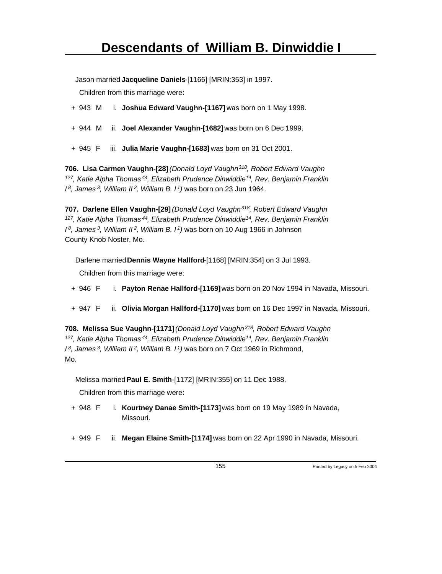Jason married **Jacqueline Daniels**-[1166] [MRIN:353] in 1997.

Children from this marriage were:

- + 943 M i. **Joshua Edward Vaughn-[1167]** was born on 1 May 1998.
- + 944 M ii. **Joel Alexander Vaughn-[1682]** was born on 6 Dec 1999.
- + 945 F iii. **Julia Marie Vaughn-[1683]** was born on 31 Oct 2001.

**706. Lisa Carmen Vaughn-[28]** *(Donald Loyd Vaughn<sup>318</sup>, Robert Edward Vaughn <sup>127</sup>, Katie Alpha Thomas<sup>44</sup>, Elizabeth Prudence Dinwiddie<sup>14</sup>, Rev. Benjamin Franklin I <sup>8</sup>, James<sup>3</sup>, William II<sup>2</sup>, William B. I<sup>1</sup>)* was born on 23 Jun 1964.

**707. Darlene Ellen Vaughn-[29]** *(Donald Loyd Vaughn<sup>318</sup>, Robert Edward Vaughn <sup>127</sup>, Katie Alpha Thomas<sup>44</sup>, Elizabeth Prudence Dinwiddie<sup>14</sup>, Rev. Benjamin Franklin I <sup>8</sup>, James<sup>3</sup>, William II<sup>2</sup>, William B. I<sup>1</sup>)* was born on 10 Aug 1966 in Johnson County Knob Noster, Mo.

Darlene married **Dennis Wayne Hallford**-[1168] [MRIN:354] on 3 Jul 1993.

Children from this marriage were:

- + 946 F i. **Payton Renae Hallford-[1169]** was born on 20 Nov 1994 in Navada, Missouri.
- + 947 F ii. **Olivia Morgan Hallford-[1170]** was born on 16 Dec 1997 in Navada, Missouri.

**708. Melissa Sue Vaughn-[1171]** *(Donald Loyd Vaughn<sup>318</sup>, Robert Edward Vaughn <sup>127</sup>, Katie Alpha Thomas<sup>44</sup>, Elizabeth Prudence Dinwiddie<sup>14</sup>, Rev. Benjamin Franklin I <sup>8</sup>, James<sup>3</sup>, William II<sup>2</sup>, William B. I<sup>1</sup>)* was born on 7 Oct 1969 in Richmond, Mo.

Melissa married **Paul E. Smith**-[1172] [MRIN:355] on 11 Dec 1988.

Children from this marriage were:

- + 948 F i. **Kourtney Danae Smith-[1173]** was born on 19 May 1989 in Navada, Missouri.
- + 949 F ii. **Megan Elaine Smith-[1174]** was born on 22 Apr 1990 in Navada, Missouri.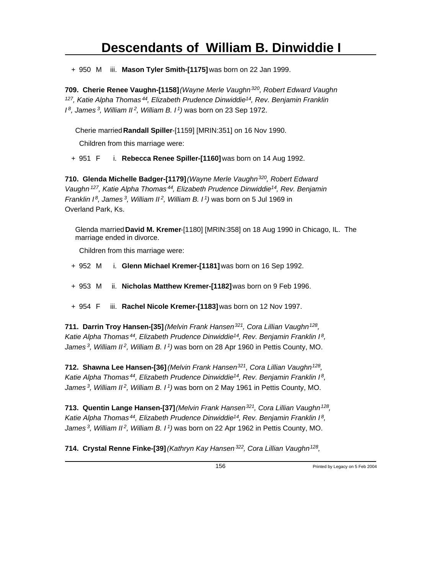+ 950 M iii. **Mason Tyler Smith-[1175]** was born on 22 Jan 1999.

**709. Cherie Renee Vaughn-[1158]** *(Wayne Merle Vaughn<sup>320</sup>, Robert Edward Vaughn <sup>127</sup>, Katie Alpha Thomas<sup>44</sup>, Elizabeth Prudence Dinwiddie<sup>14</sup>, Rev. Benjamin Franklin I <sup>8</sup>, James<sup>3</sup>, William II<sup>2</sup>, William B. I<sup>1</sup>)* was born on 23 Sep 1972.

Cherie married **Randall Spiller**-[1159] [MRIN:351] on 16 Nov 1990.

Children from this marriage were:

+ 951 F i. **Rebecca Renee Spiller-[1160]** was born on 14 Aug 1992.

**710. Glenda Michelle Badger-[1179]** *(Wayne Merle Vaughn<sup>320</sup>, Robert Edward Vaughn<sup>127</sup>, Katie Alpha Thomas<sup>44</sup>, Elizabeth Prudence Dinwiddie<sup>14</sup>, Rev. Benjamin Franklin I<sup>8</sup>, James<sup>3</sup>, William II<sup>2</sup>, William B. I<sup>1</sup>)* was born on 5 Jul 1969 in Overland Park, Ks.

Glenda married **David M. Kremer**-[1180] [MRIN:358] on 18 Aug 1990 in Chicago, IL. The marriage ended in divorce.

Children from this marriage were:

- + 952 M i. **Glenn Michael Kremer-[1181]** was born on 16 Sep 1992.
- + 953 M ii. **Nicholas Matthew Kremer-[1182]** was born on 9 Feb 1996.
- + 954 F iii. **Rachel Nicole Kremer-[1183]** was born on 12 Nov 1997.

**711. Darrin Troy Hansen-[35]** *(Melvin Frank Hansen<sup>321</sup>, Cora Lillian Vaughn<sup>128</sup> , Katie Alpha Thomas<sup>44</sup>, Elizabeth Prudence Dinwiddie<sup>14</sup>, Rev. Benjamin Franklin I<sup>8</sup> , James<sup>3</sup>, William II<sup>2</sup>, William B. I<sup>1</sup>)* was born on 28 Apr 1960 in Pettis County, MO.

**712. Shawna Lee Hansen-[36]** *(Melvin Frank Hansen<sup>321</sup>, Cora Lillian Vaughn<sup>128</sup> , Katie Alpha Thomas<sup>44</sup>, Elizabeth Prudence Dinwiddie<sup>14</sup>, Rev. Benjamin Franklin I<sup>8</sup> , James<sup>3</sup>, William II<sup>2</sup>, William B. I<sup>1</sup>)* was born on 2 May 1961 in Pettis County, MO.

**713. Quentin Lange Hansen-[37]** *(Melvin Frank Hansen<sup>321</sup>, Cora Lillian Vaughn<sup>128</sup> , Katie Alpha Thomas<sup>44</sup>, Elizabeth Prudence Dinwiddie<sup>14</sup>, Rev. Benjamin Franklin I<sup>8</sup> , James<sup>3</sup>, William II<sup>2</sup>, William B. I<sup>1</sup>)* was born on 22 Apr 1962 in Pettis County, MO.

**714. Crystal Renne Finke-[39]** *(Kathryn Kay Hansen<sup>322</sup>, Cora Lillian Vaughn<sup>128</sup> ,*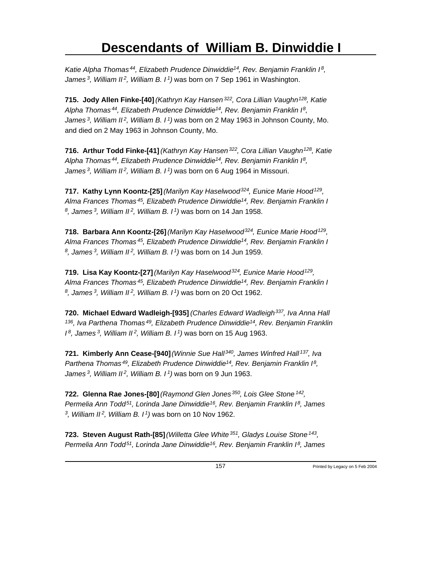*Katie Alpha Thomas<sup>44</sup>, Elizabeth Prudence Dinwiddie<sup>14</sup>, Rev. Benjamin Franklin I<sup>8</sup> , James<sup>3</sup>, William II<sup>2</sup>, William B. I<sup>1</sup>)* was born on 7 Sep 1961 in Washington.

**715. Jody Allen Finke-[40]** *(Kathryn Kay Hansen<sup>322</sup>, Cora Lillian Vaughn<sup>128</sup>, Katie Alpha Thomas<sup>44</sup>, Elizabeth Prudence Dinwiddie<sup>14</sup>, Rev. Benjamin Franklin I<sup>8</sup> , James<sup>3</sup>, William II<sup>2</sup>, William B. I<sup>1</sup>)* was born on 2 May 1963 in Johnson County, Mo. and died on 2 May 1963 in Johnson County, Mo.

**716. Arthur Todd Finke-[41]** *(Kathryn Kay Hansen<sup>322</sup>, Cora Lillian Vaughn<sup>128</sup>, Katie Alpha Thomas<sup>44</sup>, Elizabeth Prudence Dinwiddie<sup>14</sup>, Rev. Benjamin Franklin I<sup>8</sup> , James<sup>3</sup>, William II<sup>2</sup>, William B. I<sup>1</sup>)* was born on 6 Aug 1964 in Missouri.

**717. Kathy Lynn Koontz-[25]** *(Marilyn Kay Haselwood<sup>324</sup>, Eunice Marie Hood<sup>129</sup> , Alma Frances Thomas<sup>45</sup>, Elizabeth Prudence Dinwiddie<sup>14</sup>, Rev. Benjamin Franklin I 8 , James<sup>3</sup>, William II<sup>2</sup>, William B. I<sup>1</sup>)* was born on 14 Jan 1958.

**718. Barbara Ann Koontz-[26]** *(Marilyn Kay Haselwood<sup>324</sup>, Eunice Marie Hood<sup>129</sup> , Alma Frances Thomas<sup>45</sup>, Elizabeth Prudence Dinwiddie<sup>14</sup>, Rev. Benjamin Franklin I 8 , James<sup>3</sup>, William II<sup>2</sup>, William B. I<sup>1</sup>)* was born on 14 Jun 1959.

**719. Lisa Kay Koontz-[27]** *(Marilyn Kay Haselwood<sup>324</sup>, Eunice Marie Hood<sup>129</sup> , Alma Frances Thomas<sup>45</sup>, Elizabeth Prudence Dinwiddie<sup>14</sup>, Rev. Benjamin Franklin I 8 , James<sup>3</sup>, William II<sup>2</sup>, William B. I<sup>1</sup>)* was born on 20 Oct 1962.

**720. Michael Edward Wadleigh-[935]** *(Charles Edward Wadleigh<sup>337</sup>, Iva Anna Hall <sup>136</sup>, Iva Parthena Thomas<sup>49</sup>, Elizabeth Prudence Dinwiddie<sup>14</sup>, Rev. Benjamin Franklin I <sup>8</sup>, James<sup>3</sup>, William II<sup>2</sup>, William B. I<sup>1</sup>)* was born on 15 Aug 1963.

**721. Kimberly Ann Cease-[940]** *(Winnie Sue Hall<sup>340</sup>, James Winfred Hall<sup>137</sup>, Iva Parthena Thomas<sup>49</sup>, Elizabeth Prudence Dinwiddie<sup>14</sup>, Rev. Benjamin Franklin I<sup>8</sup> , James<sup>3</sup>, William II<sup>2</sup>, William B. I<sup>1</sup>)* was born on 9 Jun 1963.

**722. Glenna Rae Jones-[80]** *(Raymond Glen Jones<sup>350</sup>, Lois Glee Stone<sup>142</sup> , Permelia Ann Todd<sup>51</sup>, Lorinda Jane Dinwiddie<sup>16</sup>, Rev. Benjamin Franklin I<sup>8</sup>, James 3 , William II<sup>2</sup>, William B. I<sup>1</sup>)* was born on 10 Nov 1962.

**723. Steven August Rath-[85]** *(Willetta Glee White<sup>351</sup>, Gladys Louise Stone<sup>143</sup> , Permelia Ann Todd 51, Lorinda Jane Dinwiddie 16, Rev. Benjamin Franklin I 8, James*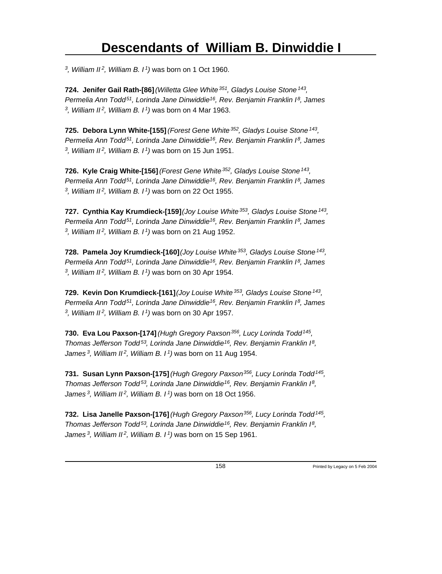*3 , William II<sup>2</sup>, William B. I<sup>1</sup>)* was born on 1 Oct 1960.

**724. Jenifer Gail Rath-[86]** *(Willetta Glee White<sup>351</sup>, Gladys Louise Stone<sup>143</sup> , Permelia Ann Todd<sup>51</sup>, Lorinda Jane Dinwiddie<sup>16</sup>, Rev. Benjamin Franklin I<sup>8</sup>, James 3 , William II<sup>2</sup>, William B. I<sup>1</sup>)* was born on 4 Mar 1963.

**725. Debora Lynn White-[155]** *(Forest Gene White<sup>352</sup>, Gladys Louise Stone<sup>143</sup> , Permelia Ann Todd<sup>51</sup>, Lorinda Jane Dinwiddie<sup>16</sup>, Rev. Benjamin Franklin I<sup>8</sup>, James 3 , William II<sup>2</sup>, William B. I<sup>1</sup>)* was born on 15 Jun 1951.

**726. Kyle Craig White-[156]** *(Forest Gene White<sup>352</sup>, Gladys Louise Stone<sup>143</sup> , Permelia Ann Todd<sup>51</sup>, Lorinda Jane Dinwiddie<sup>16</sup>, Rev. Benjamin Franklin I<sup>8</sup>, James 3 , William II<sup>2</sup>, William B. I<sup>1</sup>)* was born on 22 Oct 1955.

**727. Cynthia Kay Krumdieck-[159]** *(Joy Louise White<sup>353</sup>, Gladys Louise Stone<sup>143</sup> , Permelia Ann Todd<sup>51</sup>, Lorinda Jane Dinwiddie<sup>16</sup>, Rev. Benjamin Franklin I<sup>8</sup>, James 3 , William II<sup>2</sup>, William B. I<sup>1</sup>)* was born on 21 Aug 1952.

**728. Pamela Joy Krumdieck-[160]** *(Joy Louise White<sup>353</sup>, Gladys Louise Stone<sup>143</sup> , Permelia Ann Todd<sup>51</sup>, Lorinda Jane Dinwiddie<sup>16</sup>, Rev. Benjamin Franklin I<sup>8</sup>, James 3 , William II<sup>2</sup>, William B. I<sup>1</sup>)* was born on 30 Apr 1954.

**729. Kevin Don Krumdieck-[161]** *(Joy Louise White<sup>353</sup>, Gladys Louise Stone<sup>143</sup> , Permelia Ann Todd<sup>51</sup>, Lorinda Jane Dinwiddie<sup>16</sup>, Rev. Benjamin Franklin I<sup>8</sup>, James 3 , William II<sup>2</sup>, William B. I<sup>1</sup>)* was born on 30 Apr 1957.

**730. Eva Lou Paxson-[174]** *(Hugh Gregory Paxson<sup>356</sup>, Lucy Lorinda Todd<sup>145</sup> , Thomas Jefferson Todd<sup>53</sup>, Lorinda Jane Dinwiddie<sup>16</sup>, Rev. Benjamin Franklin I<sup>8</sup> , James<sup>3</sup>, William II<sup>2</sup>, William B. I<sup>1</sup>)* was born on 11 Aug 1954.

**731. Susan Lynn Paxson-[175]** *(Hugh Gregory Paxson<sup>356</sup>, Lucy Lorinda Todd<sup>145</sup> , Thomas Jefferson Todd<sup>53</sup>, Lorinda Jane Dinwiddie<sup>16</sup>, Rev. Benjamin Franklin I<sup>8</sup> , James<sup>3</sup>, William II<sup>2</sup>, William B. I<sup>1</sup>)* was born on 18 Oct 1956.

**732. Lisa Janelle Paxson-[176]** *(Hugh Gregory Paxson<sup>356</sup>, Lucy Lorinda Todd<sup>145</sup> , Thomas Jefferson Todd<sup>53</sup>, Lorinda Jane Dinwiddie<sup>16</sup>, Rev. Benjamin Franklin I<sup>8</sup> , James 3, William II 2, William B. I 1)* was born on 15 Sep 1961.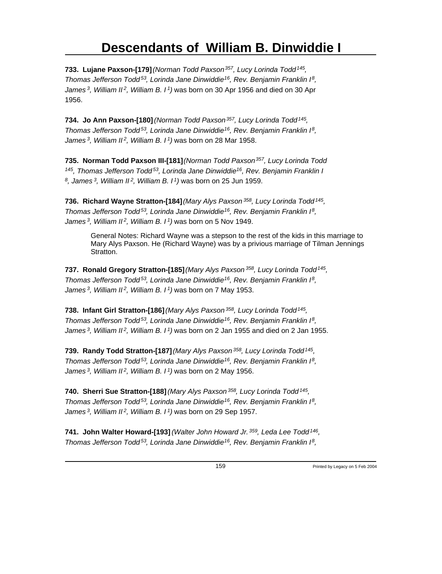**733. Lujane Paxson-[179]** *(Norman Todd Paxson<sup>357</sup>, Lucy Lorinda Todd<sup>145</sup> , Thomas Jefferson Todd<sup>53</sup>, Lorinda Jane Dinwiddie<sup>16</sup>, Rev. Benjamin Franklin I<sup>8</sup> , James<sup>3</sup>, William II<sup>2</sup>, William B. I<sup>1</sup>)* was born on 30 Apr 1956 and died on 30 Apr 1956.

**734. Jo Ann Paxson-[180]** *(Norman Todd Paxson<sup>357</sup>, Lucy Lorinda Todd<sup>145</sup> , Thomas Jefferson Todd<sup>53</sup>, Lorinda Jane Dinwiddie<sup>16</sup>, Rev. Benjamin Franklin I<sup>8</sup> , James<sup>3</sup>, William II<sup>2</sup>, William B. I<sup>1</sup>)* was born on 28 Mar 1958.

**735. Norman Todd Paxson III-[181]** *(Norman Todd Paxson<sup>357</sup>, Lucy Lorinda Todd <sup>145</sup>, Thomas Jefferson Todd<sup>53</sup>, Lorinda Jane Dinwiddie<sup>16</sup>, Rev. Benjamin Franklin I 8 , James<sup>3</sup>, William II<sup>2</sup>, William B. I<sup>1</sup>)* was born on 25 Jun 1959.

**736. Richard Wayne Stratton-[184]** *(Mary Alys Paxson<sup>358</sup>, Lucy Lorinda Todd<sup>145</sup> , Thomas Jefferson Todd<sup>53</sup>, Lorinda Jane Dinwiddie<sup>16</sup>, Rev. Benjamin Franklin I<sup>8</sup> , James<sup>3</sup>, William II<sup>2</sup>, William B. I<sup>1</sup>)* was born on 5 Nov 1949.

General Notes: Richard Wayne was a stepson to the rest of the kids in this marriage to Mary Alys Paxson. He (Richard Wayne) was by a privious marriage of Tilman Jennings Stratton.

**737. Ronald Gregory Stratton-[185]** *(Mary Alys Paxson<sup>358</sup>, Lucy Lorinda Todd<sup>145</sup> , Thomas Jefferson Todd<sup>53</sup>, Lorinda Jane Dinwiddie<sup>16</sup>, Rev. Benjamin Franklin I<sup>8</sup> , James<sup>3</sup>, William II<sup>2</sup>, William B. I<sup>1</sup>)* was born on 7 May 1953.

**738. Infant Girl Stratton-[186]** *(Mary Alys Paxson<sup>358</sup>, Lucy Lorinda Todd<sup>145</sup> , Thomas Jefferson Todd<sup>53</sup>, Lorinda Jane Dinwiddie<sup>16</sup>, Rev. Benjamin Franklin I<sup>8</sup> , James<sup>3</sup>, William II<sup>2</sup>, William B. I<sup>1</sup>)* was born on 2 Jan 1955 and died on 2 Jan 1955.

**739. Randy Todd Stratton-[187]** *(Mary Alys Paxson<sup>358</sup>, Lucy Lorinda Todd<sup>145</sup> , Thomas Jefferson Todd<sup>53</sup>, Lorinda Jane Dinwiddie<sup>16</sup>, Rev. Benjamin Franklin I<sup>8</sup> , James<sup>3</sup>, William II<sup>2</sup>, William B. I<sup>1</sup>)* was born on 2 May 1956.

**740. Sherri Sue Stratton-[188]** *(Mary Alys Paxson<sup>358</sup>, Lucy Lorinda Todd<sup>145</sup> , Thomas Jefferson Todd<sup>53</sup>, Lorinda Jane Dinwiddie<sup>16</sup>, Rev. Benjamin Franklin I<sup>8</sup> , James<sup>3</sup>, William II<sup>2</sup>, William B. I<sup>1</sup>)* was born on 29 Sep 1957.

**741. John Walter Howard-[193]** *(Walter John Howard Jr.<sup>359</sup>, Leda Lee Todd<sup>146</sup> , Thomas Jefferson Todd<sup>53</sup>, Lorinda Jane Dinwiddie<sup>16</sup>, Rev. Benjamin Franklin I<sup>8</sup> ,*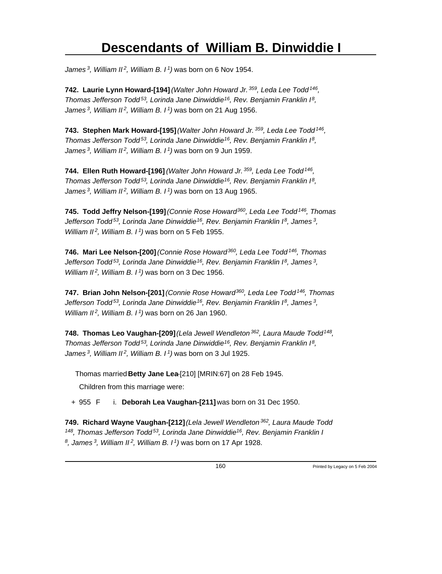*James<sup>3</sup>, William II<sup>2</sup>, William B. I<sup>1</sup>)* was born on 6 Nov 1954.

**742. Laurie Lynn Howard-[194]** *(Walter John Howard Jr.<sup>359</sup>, Leda Lee Todd<sup>146</sup> , Thomas Jefferson Todd<sup>53</sup>, Lorinda Jane Dinwiddie<sup>16</sup>, Rev. Benjamin Franklin I<sup>8</sup> , James<sup>3</sup>, William II<sup>2</sup>, William B. I<sup>1</sup>)* was born on 21 Aug 1956.

**743. Stephen Mark Howard-[195]** *(Walter John Howard Jr.<sup>359</sup>, Leda Lee Todd<sup>146</sup> , Thomas Jefferson Todd<sup>53</sup>, Lorinda Jane Dinwiddie<sup>16</sup>, Rev. Benjamin Franklin I<sup>8</sup> , James<sup>3</sup>, William II<sup>2</sup>, William B. I<sup>1</sup>)* was born on 9 Jun 1959.

**744. Ellen Ruth Howard-[196]** *(Walter John Howard Jr.<sup>359</sup>, Leda Lee Todd<sup>146</sup> , Thomas Jefferson Todd<sup>53</sup>, Lorinda Jane Dinwiddie<sup>16</sup>, Rev. Benjamin Franklin I<sup>8</sup> , James<sup>3</sup>, William II<sup>2</sup>, William B. I<sup>1</sup>)* was born on 13 Aug 1965.

**745. Todd Jeffry Nelson-[199]** *(Connie Rose Howard<sup>360</sup>, Leda Lee Todd<sup>146</sup>, Thomas Jefferson Todd<sup>53</sup>, Lorinda Jane Dinwiddie<sup>16</sup>, Rev. Benjamin Franklin I<sup>8</sup>, James<sup>3</sup> , William II<sup>2</sup>, William B. I<sup>1</sup>)* was born on 5 Feb 1955.

**746. Mari Lee Nelson-[200]** *(Connie Rose Howard<sup>360</sup>, Leda Lee Todd<sup>146</sup>, Thomas Jefferson Todd<sup>53</sup>, Lorinda Jane Dinwiddie<sup>16</sup>, Rev. Benjamin Franklin I<sup>8</sup>, James<sup>3</sup> , William II<sup>2</sup>, William B. I<sup>1</sup>)* was born on 3 Dec 1956.

**747. Brian John Nelson-[201]** *(Connie Rose Howard<sup>360</sup>, Leda Lee Todd<sup>146</sup>, Thomas Jefferson Todd<sup>53</sup>, Lorinda Jane Dinwiddie<sup>16</sup>, Rev. Benjamin Franklin I<sup>8</sup>, James<sup>3</sup> , William II<sup>2</sup>, William B. I<sup>1</sup>)* was born on 26 Jan 1960.

**748. Thomas Leo Vaughan-[209]** *(Lela Jewell Wendleton<sup>362</sup>, Laura Maude Todd<sup>148</sup> , Thomas Jefferson Todd<sup>53</sup>, Lorinda Jane Dinwiddie<sup>16</sup>, Rev. Benjamin Franklin I<sup>8</sup> , James<sup>3</sup>, William II<sup>2</sup>, William B. I<sup>1</sup>)* was born on 3 Jul 1925.

Thomas married **Betty Jane Lea**-[210] [MRIN:67] on 28 Feb 1945.

Children from this marriage were:

+ 955 F i. **Deborah Lea Vaughan-[211]** was born on 31 Dec 1950.

**749. Richard Wayne Vaughan-[212]** *(Lela Jewell Wendleton<sup>362</sup>, Laura Maude Todd <sup>148</sup>, Thomas Jefferson Todd<sup>53</sup>, Lorinda Jane Dinwiddie<sup>16</sup>, Rev. Benjamin Franklin I 8 , James 3, William II 2, William B. I 1)* was born on 17 Apr 1928.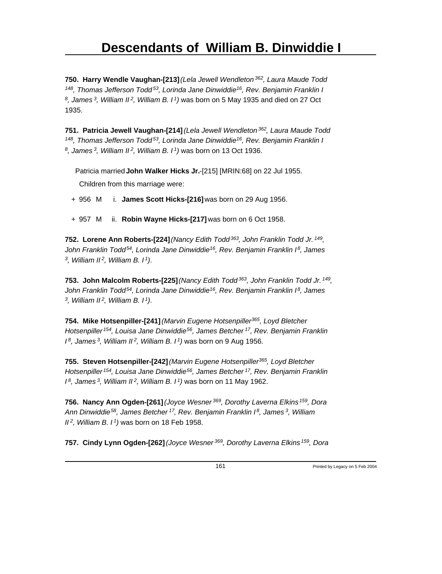**750. Harry Wendle Vaughan-[213]** *(Lela Jewell Wendleton<sup>362</sup>, Laura Maude Todd <sup>148</sup>, Thomas Jefferson Todd<sup>53</sup>, Lorinda Jane Dinwiddie<sup>16</sup>, Rev. Benjamin Franklin I 8 , James<sup>3</sup>, William II<sup>2</sup>, William B. I<sup>1</sup>)* was born on 5 May 1935 and died on 27 Oct 1935.

**751. Patricia Jewell Vaughan-[214]** *(Lela Jewell Wendleton<sup>362</sup>, Laura Maude Todd <sup>148</sup>, Thomas Jefferson Todd<sup>53</sup>, Lorinda Jane Dinwiddie<sup>16</sup>, Rev. Benjamin Franklin I 8 , James<sup>3</sup>, William II<sup>2</sup>, William B. I<sup>1</sup>)* was born on 13 Oct 1936.

Patricia married **John Walker Hicks Jr.**-[215] [MRIN:68] on 22 Jul 1955.

Children from this marriage were:

- + 956 M i. **James Scott Hicks-[216]** was born on 29 Aug 1956.
- + 957 M ii. **Robin Wayne Hicks-[217]** was born on 6 Oct 1958.

**752. Lorene Ann Roberts-[224]** *(Nancy Edith Todd<sup>363</sup>, John Franklin Todd Jr.<sup>149</sup> , John Franklin Todd<sup>54</sup>, Lorinda Jane Dinwiddie<sup>16</sup>, Rev. Benjamin Franklin I<sup>8</sup>, James 3 , William II<sup>2</sup>, William B. I<sup>1</sup>)*.

**753. John Malcolm Roberts-[225]** *(Nancy Edith Todd<sup>363</sup>, John Franklin Todd Jr.<sup>149</sup> , John Franklin Todd<sup>54</sup>, Lorinda Jane Dinwiddie<sup>16</sup>, Rev. Benjamin Franklin I<sup>8</sup>, James 3 , William II<sup>2</sup>, William B. I<sup>1</sup>)*.

**754. Mike Hotsenpiller-[241]** *(Marvin Eugene Hotsenpiller<sup>365</sup>, Loyd Bletcher Hotsenpiller<sup>154</sup>, Louisa Jane Dinwiddie<sup>56</sup>, James Betcher<sup>17</sup>, Rev. Benjamin Franklin I <sup>8</sup>, James<sup>3</sup>, William II<sup>2</sup>, William B. I<sup>1</sup>)* was born on 9 Aug 1956.

**755. Steven Hotsenpiller-[242]** *(Marvin Eugene Hotsenpiller<sup>365</sup>, Loyd Bletcher Hotsenpiller<sup>154</sup>, Louisa Jane Dinwiddie<sup>56</sup>, James Betcher<sup>17</sup>, Rev. Benjamin Franklin I <sup>8</sup>, James<sup>3</sup>, William II<sup>2</sup>, William B. I<sup>1</sup>)* was born on 11 May 1962.

**756. Nancy Ann Ogden-[261]** *(Joyce Wesner<sup>369</sup>, Dorothy Laverna Elkins<sup>159</sup>, Dora Ann Dinwiddie<sup>58</sup>, James Betcher<sup>17</sup>, Rev. Benjamin Franklin I<sup>8</sup>, James<sup>3</sup>, William II<sup>2</sup>, William B. I<sup>1</sup>)* was born on 18 Feb 1958.

**757. Cindy Lynn Ogden-[262]** *(Joyce Wesner 369, Dorothy Laverna Elkins 159, Dora*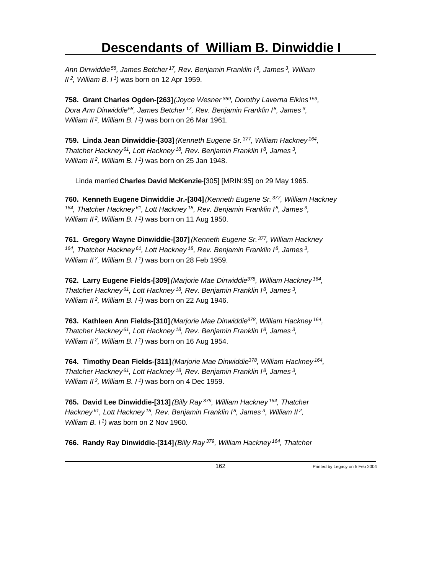*Ann Dinwiddie<sup>58</sup>, James Betcher<sup>17</sup>, Rev. Benjamin Franklin I<sup>8</sup>, James<sup>3</sup>, William II<sup>2</sup>, William B. I<sup>1</sup>)* was born on 12 Apr 1959.

**758. Grant Charles Ogden-[263]** *(Joyce Wesner<sup>369</sup>, Dorothy Laverna Elkins<sup>159</sup> , Dora Ann Dinwiddie<sup>58</sup>, James Betcher<sup>17</sup>, Rev. Benjamin Franklin I<sup>8</sup>, James<sup>3</sup> , William II<sup>2</sup>, William B. I<sup>1</sup>)* was born on 26 Mar 1961.

**759. Linda Jean Dinwiddie-[303]** *(Kenneth Eugene Sr.<sup>377</sup>, William Hackney<sup>164</sup> , Thatcher Hackney<sup>61</sup>, Lott Hackney<sup>18</sup>, Rev. Benjamin Franklin I<sup>8</sup>, James<sup>3</sup> , William II<sup>2</sup>, William B. I<sup>1</sup>)* was born on 25 Jan 1948.

Linda married **Charles David McKenzie**-[305] [MRIN:95] on 29 May 1965.

**760. Kenneth Eugene Dinwiddie Jr.-[304]** *(Kenneth Eugene Sr.<sup>377</sup>, William Hackney <sup>164</sup>, Thatcher Hackney<sup>61</sup>, Lott Hackney<sup>18</sup>, Rev. Benjamin Franklin I<sup>8</sup>, James<sup>3</sup> , William II<sup>2</sup>, William B. I<sup>1</sup>)* was born on 11 Aug 1950.

**761. Gregory Wayne Dinwiddie-[307]** *(Kenneth Eugene Sr.<sup>377</sup>, William Hackney <sup>164</sup>, Thatcher Hackney<sup>61</sup>, Lott Hackney<sup>18</sup>, Rev. Benjamin Franklin I<sup>8</sup>, James<sup>3</sup> , William II<sup>2</sup>, William B. I<sup>1</sup>)* was born on 28 Feb 1959.

**762. Larry Eugene Fields-[309]** *(Marjorie Mae Dinwiddie<sup>378</sup>, William Hackney<sup>164</sup> , Thatcher Hackney<sup>61</sup>, Lott Hackney<sup>18</sup>, Rev. Benjamin Franklin I<sup>8</sup>, James<sup>3</sup> , William II<sup>2</sup>, William B. I<sup>1</sup>)* was born on 22 Aug 1946.

**763. Kathleen Ann Fields-[310]** *(Marjorie Mae Dinwiddie<sup>378</sup>, William Hackney<sup>164</sup> , Thatcher Hackney<sup>61</sup>, Lott Hackney<sup>18</sup>, Rev. Benjamin Franklin I<sup>8</sup>, James<sup>3</sup> , William II<sup>2</sup>, William B. I<sup>1</sup>)* was born on 16 Aug 1954.

**764. Timothy Dean Fields-[311]** *(Marjorie Mae Dinwiddie<sup>378</sup>, William Hackney<sup>164</sup> , Thatcher Hackney<sup>61</sup>, Lott Hackney<sup>18</sup>, Rev. Benjamin Franklin I<sup>8</sup>, James<sup>3</sup> , William II<sup>2</sup>, William B. I<sup>1</sup>)* was born on 4 Dec 1959.

**765. David Lee Dinwiddie-[313]** *(Billy Ray<sup>379</sup>, William Hackney<sup>164</sup>, Thatcher Hackney<sup>61</sup>, Lott Hackney<sup>18</sup>, Rev. Benjamin Franklin I<sup>8</sup>, James<sup>3</sup>, William II<sup>2</sup> , William B. I<sup>1</sup>)* was born on 2 Nov 1960.

**766. Randy Ray Dinwiddie-[314]** *(Billy Ray 379, William Hackney 164, Thatcher*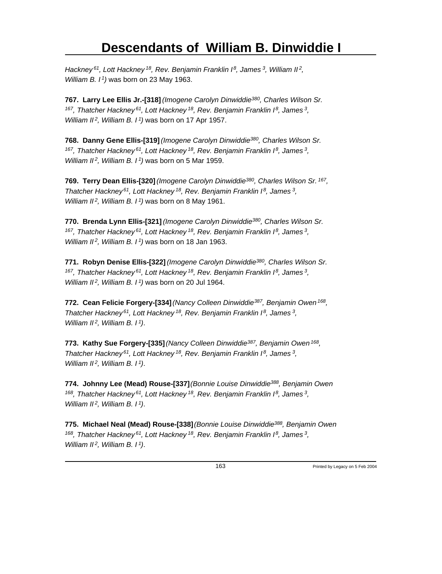*Hackney<sup>61</sup>, Lott Hackney<sup>18</sup>, Rev. Benjamin Franklin I<sup>8</sup>, James<sup>3</sup>, William II<sup>2</sup> , William B. I<sup>1</sup>)* was born on 23 May 1963.

**767. Larry Lee Ellis Jr.-[318]** *(Imogene Carolyn Dinwiddie<sup>380</sup>, Charles Wilson Sr. <sup>167</sup>, Thatcher Hackney<sup>61</sup>, Lott Hackney<sup>18</sup>, Rev. Benjamin Franklin I<sup>8</sup>, James<sup>3</sup> , William II<sup>2</sup>, William B. I<sup>1</sup>)* was born on 17 Apr 1957.

**768. Danny Gene Ellis-[319]** *(Imogene Carolyn Dinwiddie<sup>380</sup>, Charles Wilson Sr. <sup>167</sup>, Thatcher Hackney<sup>61</sup>, Lott Hackney<sup>18</sup>, Rev. Benjamin Franklin I<sup>8</sup>, James<sup>3</sup> , William II<sup>2</sup>, William B. I<sup>1</sup>)* was born on 5 Mar 1959.

**769. Terry Dean Ellis-[320]** *(Imogene Carolyn Dinwiddie<sup>380</sup>, Charles Wilson Sr.<sup>167</sup> , Thatcher Hackney<sup>61</sup>, Lott Hackney<sup>18</sup>, Rev. Benjamin Franklin I<sup>8</sup>, James<sup>3</sup> , William II<sup>2</sup>, William B. I<sup>1</sup>)* was born on 8 May 1961.

**770. Brenda Lynn Ellis-[321]** *(Imogene Carolyn Dinwiddie<sup>380</sup>, Charles Wilson Sr. <sup>167</sup>, Thatcher Hackney<sup>61</sup>, Lott Hackney<sup>18</sup>, Rev. Benjamin Franklin I<sup>8</sup>, James<sup>3</sup> , William II<sup>2</sup>, William B. I<sup>1</sup>)* was born on 18 Jan 1963.

**771. Robyn Denise Ellis-[322]** *(Imogene Carolyn Dinwiddie<sup>380</sup>, Charles Wilson Sr. <sup>167</sup>, Thatcher Hackney<sup>61</sup>, Lott Hackney<sup>18</sup>, Rev. Benjamin Franklin I<sup>8</sup>, James<sup>3</sup> , William II<sup>2</sup>, William B. I<sup>1</sup>)* was born on 20 Jul 1964.

**772. Cean Felicie Forgery-[334]** *(Nancy Colleen Dinwiddie<sup>387</sup>, Benjamin Owen<sup>168</sup> , Thatcher Hackney<sup>61</sup>, Lott Hackney<sup>18</sup>, Rev. Benjamin Franklin I<sup>8</sup>, James<sup>3</sup> , William II<sup>2</sup>, William B. I<sup>1</sup>)*.

**773. Kathy Sue Forgery-[335]** *(Nancy Colleen Dinwiddie<sup>387</sup>, Benjamin Owen<sup>168</sup> , Thatcher Hackney<sup>61</sup>, Lott Hackney<sup>18</sup>, Rev. Benjamin Franklin I<sup>8</sup>, James<sup>3</sup> , William II<sup>2</sup>, William B. I<sup>1</sup>)*.

**774. Johnny Lee (Mead) Rouse-[337]** *(Bonnie Louise Dinwiddie<sup>388</sup>, Benjamin Owen <sup>168</sup>, Thatcher Hackney<sup>61</sup>, Lott Hackney<sup>18</sup>, Rev. Benjamin Franklin I<sup>8</sup>, James<sup>3</sup> , William II<sup>2</sup>, William B. I<sup>1</sup>)*.

**775. Michael Neal (Mead) Rouse-[338]** *(Bonnie Louise Dinwiddie<sup>388</sup>, Benjamin Owen <sup>168</sup>, Thatcher Hackney<sup>61</sup>, Lott Hackney<sup>18</sup>, Rev. Benjamin Franklin I<sup>8</sup>, James<sup>3</sup> , William II 2, William B. I 1)*.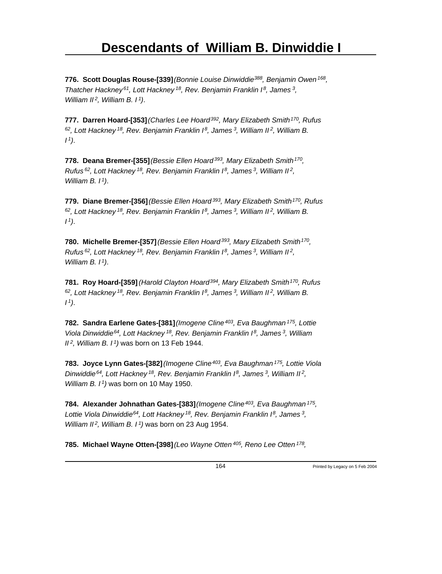**776. Scott Douglas Rouse-[339]** *(Bonnie Louise Dinwiddie<sup>388</sup>, Benjamin Owen<sup>168</sup> , Thatcher Hackney<sup>61</sup>, Lott Hackney<sup>18</sup>, Rev. Benjamin Franklin I<sup>8</sup>, James<sup>3</sup> , William II<sup>2</sup>, William B. I<sup>1</sup>)*.

**777. Darren Hoard-[353]** *(Charles Lee Hoard<sup>392</sup>, Mary Elizabeth Smith<sup>170</sup>, Rufus <sup>62</sup>, Lott Hackney<sup>18</sup>, Rev. Benjamin Franklin I<sup>8</sup>, James<sup>3</sup>, William II<sup>2</sup>, William B. I <sup>1</sup>)*.

**778. Deana Bremer-[355]** *(Bessie Ellen Hoard<sup>393</sup>, Mary Elizabeth Smith<sup>170</sup> , Rufus<sup>62</sup>, Lott Hackney<sup>18</sup>, Rev. Benjamin Franklin I<sup>8</sup>, James<sup>3</sup>, William II<sup>2</sup> , William B. I<sup>1</sup>)*.

**779. Diane Bremer-[356]** *(Bessie Ellen Hoard<sup>393</sup>, Mary Elizabeth Smith<sup>170</sup>, Rufus <sup>62</sup>, Lott Hackney<sup>18</sup>, Rev. Benjamin Franklin I<sup>8</sup>, James<sup>3</sup>, William II<sup>2</sup>, William B. I <sup>1</sup>)*.

**780. Michelle Bremer-[357]** *(Bessie Ellen Hoard<sup>393</sup>, Mary Elizabeth Smith<sup>170</sup> , Rufus<sup>62</sup>, Lott Hackney<sup>18</sup>, Rev. Benjamin Franklin I<sup>8</sup>, James<sup>3</sup>, William II<sup>2</sup> , William B. I<sup>1</sup>)*.

**781. Roy Hoard-[359]** *(Harold Clayton Hoard<sup>394</sup>, Mary Elizabeth Smith<sup>170</sup>, Rufus <sup>62</sup>, Lott Hackney<sup>18</sup>, Rev. Benjamin Franklin I<sup>8</sup>, James<sup>3</sup>, William II<sup>2</sup>, William B. I <sup>1</sup>)*.

**782. Sandra Earlene Gates-[381]** *(Imogene Cline<sup>403</sup>, Eva Baughman<sup>175</sup>, Lottie Viola Dinwiddie<sup>64</sup>, Lott Hackney<sup>18</sup>, Rev. Benjamin Franklin I<sup>8</sup>, James<sup>3</sup>, William II<sup>2</sup>, William B. I<sup>1</sup>)* was born on 13 Feb 1944.

**783. Joyce Lynn Gates-[382]** *(Imogene Cline<sup>403</sup>, Eva Baughman<sup>175</sup>, Lottie Viola Dinwiddie<sup>64</sup>, Lott Hackney<sup>18</sup>, Rev. Benjamin Franklin I<sup>8</sup>, James<sup>3</sup>, William II<sup>2</sup> , William B. I<sup>1</sup>)* was born on 10 May 1950.

**784. Alexander Johnathan Gates-[383]** *(Imogene Cline<sup>403</sup>, Eva Baughman<sup>175</sup> , Lottie Viola Dinwiddie<sup>64</sup>, Lott Hackney<sup>18</sup>, Rev. Benjamin Franklin I<sup>8</sup>, James<sup>3</sup> , William II<sup>2</sup>, William B. I<sup>1</sup>)* was born on 23 Aug 1954.

**785. Michael Wayne Otten-[398]** *(Leo Wayne Otten<sup>405</sup>, Reno Lee Otten<sup>178</sup> ,*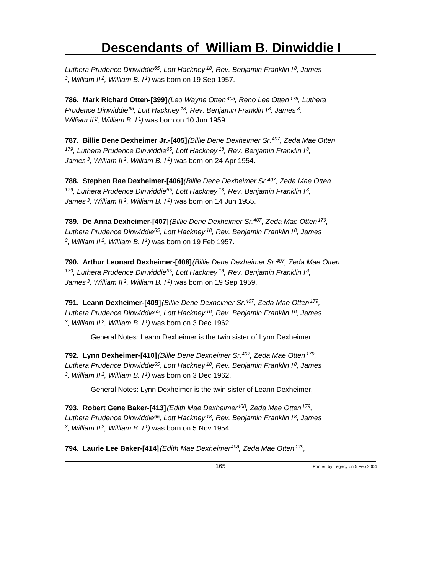*Luthera Prudence Dinwiddie<sup>65</sup>, Lott Hackney<sup>18</sup>, Rev. Benjamin Franklin I<sup>8</sup>, James 3 , William II<sup>2</sup>, William B. I<sup>1</sup>)* was born on 19 Sep 1957.

**786. Mark Richard Otten-[399]** *(Leo Wayne Otten<sup>405</sup>, Reno Lee Otten<sup>178</sup>, Luthera Prudence Dinwiddie<sup>65</sup>, Lott Hackney<sup>18</sup>, Rev. Benjamin Franklin I<sup>8</sup>, James<sup>3</sup> , William II<sup>2</sup>, William B. I<sup>1</sup>)* was born on 10 Jun 1959.

**787. Billie Dene Dexheimer Jr.-[405]** *(Billie Dene Dexheimer Sr.<sup>407</sup>, Zeda Mae Otten <sup>179</sup>, Luthera Prudence Dinwiddie<sup>65</sup>, Lott Hackney<sup>18</sup>, Rev. Benjamin Franklin I<sup>8</sup> , James<sup>3</sup>, William II<sup>2</sup>, William B. I<sup>1</sup>)* was born on 24 Apr 1954.

**788. Stephen Rae Dexheimer-[406]** *(Billie Dene Dexheimer Sr.<sup>407</sup>, Zeda Mae Otten <sup>179</sup>, Luthera Prudence Dinwiddie<sup>65</sup>, Lott Hackney<sup>18</sup>, Rev. Benjamin Franklin I<sup>8</sup> , James<sup>3</sup>, William II<sup>2</sup>, William B. I<sup>1</sup>)* was born on 14 Jun 1955.

**789. De Anna Dexheimer-[407]** *(Billie Dene Dexheimer Sr.<sup>407</sup>, Zeda Mae Otten<sup>179</sup> , Luthera Prudence Dinwiddie<sup>65</sup>, Lott Hackney<sup>18</sup>, Rev. Benjamin Franklin I<sup>8</sup>, James 3 , William II<sup>2</sup>, William B. I<sup>1</sup>)* was born on 19 Feb 1957.

**790. Arthur Leonard Dexheimer-[408]** *(Billie Dene Dexheimer Sr.<sup>407</sup>, Zeda Mae Otten <sup>179</sup>, Luthera Prudence Dinwiddie<sup>65</sup>, Lott Hackney<sup>18</sup>, Rev. Benjamin Franklin I<sup>8</sup> , James<sup>3</sup>, William II<sup>2</sup>, William B. I<sup>1</sup>)* was born on 19 Sep 1959.

**791. Leann Dexheimer-[409]** *(Billie Dene Dexheimer Sr.<sup>407</sup>, Zeda Mae Otten<sup>179</sup> , Luthera Prudence Dinwiddie<sup>65</sup>, Lott Hackney<sup>18</sup>, Rev. Benjamin Franklin I<sup>8</sup>, James 3 , William II<sup>2</sup>, William B. I<sup>1</sup>)* was born on 3 Dec 1962.

General Notes: Leann Dexheimer is the twin sister of Lynn Dexheimer.

**792. Lynn Dexheimer-[410]** *(Billie Dene Dexheimer Sr.<sup>407</sup>, Zeda Mae Otten<sup>179</sup> , Luthera Prudence Dinwiddie<sup>65</sup>, Lott Hackney<sup>18</sup>, Rev. Benjamin Franklin I<sup>8</sup>, James 3 , William II<sup>2</sup>, William B. I<sup>1</sup>)* was born on 3 Dec 1962.

General Notes: Lynn Dexheimer is the twin sister of Leann Dexheimer.

**793. Robert Gene Baker-[413]** *(Edith Mae Dexheimer<sup>408</sup>, Zeda Mae Otten<sup>179</sup> , Luthera Prudence Dinwiddie<sup>65</sup>, Lott Hackney<sup>18</sup>, Rev. Benjamin Franklin I<sup>8</sup>, James 3 , William II<sup>2</sup>, William B. I<sup>1</sup>)* was born on 5 Nov 1954.

**794. Laurie Lee Baker-[414]** *(Edith Mae Dexheimer<sup>408</sup>, Zeda Mae Otten<sup>179</sup> ,*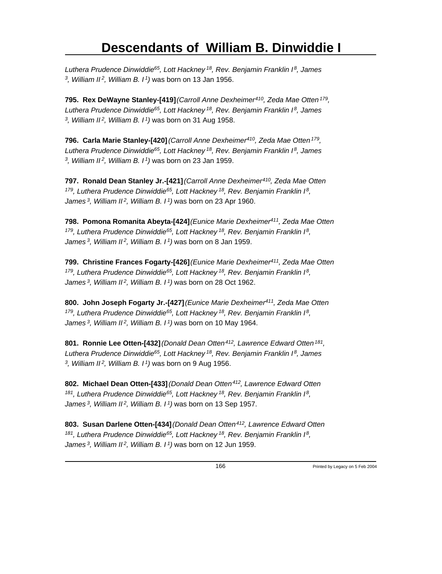*Luthera Prudence Dinwiddie<sup>65</sup>, Lott Hackney<sup>18</sup>, Rev. Benjamin Franklin I<sup>8</sup>, James 3 , William II<sup>2</sup>, William B. I<sup>1</sup>)* was born on 13 Jan 1956.

**795. Rex DeWayne Stanley-[419]** *(Carroll Anne Dexheimer<sup>410</sup>, Zeda Mae Otten<sup>179</sup> , Luthera Prudence Dinwiddie<sup>65</sup>, Lott Hackney<sup>18</sup>, Rev. Benjamin Franklin I<sup>8</sup>, James 3 , William II<sup>2</sup>, William B. I<sup>1</sup>)* was born on 31 Aug 1958.

**796. Carla Marie Stanley-[420]** *(Carroll Anne Dexheimer<sup>410</sup>, Zeda Mae Otten<sup>179</sup> , Luthera Prudence Dinwiddie<sup>65</sup>, Lott Hackney<sup>18</sup>, Rev. Benjamin Franklin I<sup>8</sup>, James 3 , William II<sup>2</sup>, William B. I<sup>1</sup>)* was born on 23 Jan 1959.

**797. Ronald Dean Stanley Jr.-[421]** *(Carroll Anne Dexheimer<sup>410</sup>, Zeda Mae Otten <sup>179</sup>, Luthera Prudence Dinwiddie<sup>65</sup>, Lott Hackney<sup>18</sup>, Rev. Benjamin Franklin I<sup>8</sup> , James<sup>3</sup>, William II<sup>2</sup>, William B. I<sup>1</sup>)* was born on 23 Apr 1960.

**798. Pomona Romanita Abeyta-[424]** *(Eunice Marie Dexheimer<sup>411</sup>, Zeda Mae Otten <sup>179</sup>, Luthera Prudence Dinwiddie<sup>65</sup>, Lott Hackney<sup>18</sup>, Rev. Benjamin Franklin I<sup>8</sup> , James<sup>3</sup>, William II<sup>2</sup>, William B. I<sup>1</sup>)* was born on 8 Jan 1959.

**799. Christine Frances Fogarty-[426]** *(Eunice Marie Dexheimer<sup>411</sup>, Zeda Mae Otten <sup>179</sup>, Luthera Prudence Dinwiddie<sup>65</sup>, Lott Hackney<sup>18</sup>, Rev. Benjamin Franklin I<sup>8</sup> , James<sup>3</sup>, William II<sup>2</sup>, William B. I<sup>1</sup>)* was born on 28 Oct 1962.

**800. John Joseph Fogarty Jr.-[427]** *(Eunice Marie Dexheimer<sup>411</sup>, Zeda Mae Otten <sup>179</sup>, Luthera Prudence Dinwiddie<sup>65</sup>, Lott Hackney<sup>18</sup>, Rev. Benjamin Franklin I<sup>8</sup> , James<sup>3</sup>, William II<sup>2</sup>, William B. I<sup>1</sup>)* was born on 10 May 1964.

**801. Ronnie Lee Otten-[432]** *(Donald Dean Otten<sup>412</sup>, Lawrence Edward Otten<sup>181</sup> , Luthera Prudence Dinwiddie<sup>65</sup>, Lott Hackney<sup>18</sup>, Rev. Benjamin Franklin I<sup>8</sup>, James 3 , William II<sup>2</sup>, William B. I<sup>1</sup>)* was born on 9 Aug 1956.

**802. Michael Dean Otten-[433]** *(Donald Dean Otten<sup>412</sup>, Lawrence Edward Otten <sup>181</sup>, Luthera Prudence Dinwiddie<sup>65</sup>, Lott Hackney<sup>18</sup>, Rev. Benjamin Franklin I<sup>8</sup> , James<sup>3</sup>, William II<sup>2</sup>, William B. I<sup>1</sup>)* was born on 13 Sep 1957.

**803. Susan Darlene Otten-[434]** *(Donald Dean Otten<sup>412</sup>, Lawrence Edward Otten <sup>181</sup>, Luthera Prudence Dinwiddie<sup>65</sup>, Lott Hackney<sup>18</sup>, Rev. Benjamin Franklin I<sup>8</sup> , James 3, William II 2, William B. I 1)* was born on 12 Jun 1959.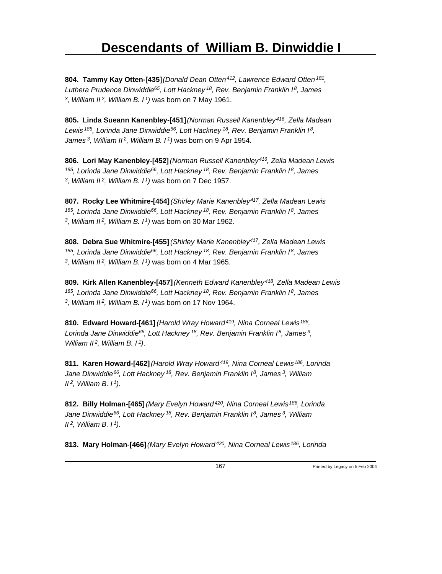**804. Tammy Kay Otten-[435]** *(Donald Dean Otten<sup>412</sup>, Lawrence Edward Otten<sup>181</sup> , Luthera Prudence Dinwiddie<sup>65</sup>, Lott Hackney<sup>18</sup>, Rev. Benjamin Franklin I<sup>8</sup>, James 3 , William II<sup>2</sup>, William B. I<sup>1</sup>)* was born on 7 May 1961.

**805. Linda Sueann Kanenbley-[451]** *(Norman Russell Kanenbley<sup>416</sup>, Zella Madean Lewis<sup>185</sup>, Lorinda Jane Dinwiddie<sup>66</sup>, Lott Hackney<sup>18</sup>, Rev. Benjamin Franklin I<sup>8</sup> , James<sup>3</sup>, William II<sup>2</sup>, William B. I<sup>1</sup>)* was born on 9 Apr 1954.

**806. Lori May Kanenbley-[452]** *(Norman Russell Kanenbley<sup>416</sup>, Zella Madean Lewis <sup>185</sup>, Lorinda Jane Dinwiddie<sup>66</sup>, Lott Hackney<sup>18</sup>, Rev. Benjamin Franklin I<sup>8</sup>, James 3 , William II<sup>2</sup>, William B. I<sup>1</sup>)* was born on 7 Dec 1957.

**807. Rocky Lee Whitmire-[454]** *(Shirley Marie Kanenbley<sup>417</sup>, Zella Madean Lewis <sup>185</sup>, Lorinda Jane Dinwiddie<sup>66</sup>, Lott Hackney<sup>18</sup>, Rev. Benjamin Franklin I<sup>8</sup>, James 3 , William II<sup>2</sup>, William B. I<sup>1</sup>)* was born on 30 Mar 1962.

**808. Debra Sue Whitmire-[455]** *(Shirley Marie Kanenbley<sup>417</sup>, Zella Madean Lewis <sup>185</sup>, Lorinda Jane Dinwiddie<sup>66</sup>, Lott Hackney<sup>18</sup>, Rev. Benjamin Franklin I<sup>8</sup>, James 3 , William II<sup>2</sup>, William B. I<sup>1</sup>)* was born on 4 Mar 1965.

**809. Kirk Allen Kanenbley-[457]** *(Kenneth Edward Kanenbley<sup>418</sup>, Zella Madean Lewis <sup>185</sup>, Lorinda Jane Dinwiddie<sup>66</sup>, Lott Hackney<sup>18</sup>, Rev. Benjamin Franklin I<sup>8</sup>, James 3 , William II<sup>2</sup>, William B. I<sup>1</sup>)* was born on 17 Nov 1964.

**810. Edward Howard-[461]** *(Harold Wray Howard<sup>419</sup>, Nina Corneal Lewis<sup>186</sup> , Lorinda Jane Dinwiddie<sup>66</sup>, Lott Hackney<sup>18</sup>, Rev. Benjamin Franklin I<sup>8</sup>, James<sup>3</sup> , William II<sup>2</sup>, William B. I<sup>1</sup>)*.

**811. Karen Howard-[462]** *(Harold Wray Howard<sup>419</sup>, Nina Corneal Lewis<sup>186</sup>, Lorinda Jane Dinwiddie<sup>66</sup>, Lott Hackney<sup>18</sup>, Rev. Benjamin Franklin I<sup>8</sup>, James<sup>3</sup>, William II<sup>2</sup>, William B. I<sup>1</sup>)*.

**812. Billy Holman-[465]** *(Mary Evelyn Howard<sup>420</sup>, Nina Corneal Lewis<sup>186</sup>, Lorinda Jane Dinwiddie<sup>66</sup>, Lott Hackney<sup>18</sup>, Rev. Benjamin Franklin I<sup>8</sup>, James<sup>3</sup>, William II<sup>2</sup>, William B. I<sup>1</sup>)*.

**813. Mary Holman-[466]** *(Mary Evelyn Howard 420, Nina Corneal Lewis 186, Lorinda*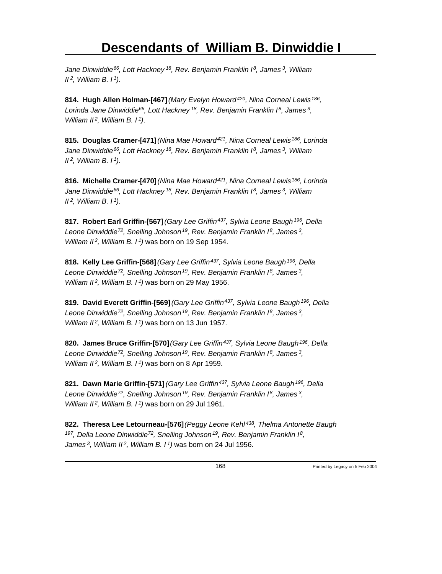*Jane Dinwiddie<sup>66</sup>, Lott Hackney<sup>18</sup>, Rev. Benjamin Franklin I<sup>8</sup>, James<sup>3</sup>, William II<sup>2</sup>, William B. I<sup>1</sup>)*.

**814. Hugh Allen Holman-[467]** *(Mary Evelyn Howard<sup>420</sup>, Nina Corneal Lewis<sup>186</sup> , Lorinda Jane Dinwiddie<sup>66</sup>, Lott Hackney<sup>18</sup>, Rev. Benjamin Franklin I<sup>8</sup>, James<sup>3</sup> , William II<sup>2</sup>, William B. I<sup>1</sup>)*.

**815. Douglas Cramer-[471]** *(Nina Mae Howard<sup>421</sup>, Nina Corneal Lewis<sup>186</sup>, Lorinda Jane Dinwiddie<sup>66</sup>, Lott Hackney<sup>18</sup>, Rev. Benjamin Franklin I<sup>8</sup>, James<sup>3</sup>, William II<sup>2</sup>, William B. I<sup>1</sup>)*.

**816. Michelle Cramer-[470]** *(Nina Mae Howard<sup>421</sup>, Nina Corneal Lewis<sup>186</sup>, Lorinda Jane Dinwiddie<sup>66</sup>, Lott Hackney<sup>18</sup>, Rev. Benjamin Franklin I<sup>8</sup>, James<sup>3</sup>, William II<sup>2</sup>, William B. I<sup>1</sup>)*.

**817. Robert Earl Griffin-[567]** *(Gary Lee Griffin<sup>437</sup>, Sylvia Leone Baugh<sup>196</sup>, Della Leone Dinwiddie<sup>72</sup>, Snelling Johnson<sup>19</sup>, Rev. Benjamin Franklin I<sup>8</sup>, James<sup>3</sup> , William II<sup>2</sup>, William B. I<sup>1</sup>)* was born on 19 Sep 1954.

**818. Kelly Lee Griffin-[568]** *(Gary Lee Griffin<sup>437</sup>, Sylvia Leone Baugh<sup>196</sup>, Della Leone Dinwiddie<sup>72</sup>, Snelling Johnson<sup>19</sup>, Rev. Benjamin Franklin I<sup>8</sup>, James<sup>3</sup> , William II<sup>2</sup>, William B. I<sup>1</sup>)* was born on 29 May 1956.

**819. David Everett Griffin-[569]** *(Gary Lee Griffin<sup>437</sup>, Sylvia Leone Baugh<sup>196</sup>, Della Leone Dinwiddie<sup>72</sup>, Snelling Johnson<sup>19</sup>, Rev. Benjamin Franklin I<sup>8</sup>, James<sup>3</sup> , William II<sup>2</sup>, William B. I<sup>1</sup>)* was born on 13 Jun 1957.

**820. James Bruce Griffin-[570]** *(Gary Lee Griffin<sup>437</sup>, Sylvia Leone Baugh<sup>196</sup>, Della Leone Dinwiddie<sup>72</sup>, Snelling Johnson<sup>19</sup>, Rev. Benjamin Franklin I<sup>8</sup>, James<sup>3</sup> , William II<sup>2</sup>, William B. I<sup>1</sup>)* was born on 8 Apr 1959.

**821. Dawn Marie Griffin-[571]** *(Gary Lee Griffin<sup>437</sup>, Sylvia Leone Baugh<sup>196</sup>, Della Leone Dinwiddie<sup>72</sup>, Snelling Johnson<sup>19</sup>, Rev. Benjamin Franklin I<sup>8</sup>, James<sup>3</sup> , William II<sup>2</sup>, William B. I<sup>1</sup>)* was born on 29 Jul 1961.

**822. Theresa Lee Letourneau-[576]** *(Peggy Leone Kehl<sup>438</sup>, Thelma Antonette Baugh <sup>197</sup>, Della Leone Dinwiddie<sup>72</sup>, Snelling Johnson<sup>19</sup>, Rev. Benjamin Franklin I<sup>8</sup> , James 3, William II 2, William B. I 1)* was born on 24 Jul 1956.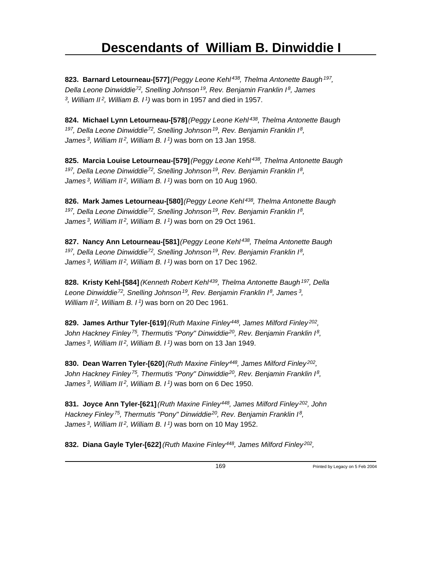**823. Barnard Letourneau-[577]** *(Peggy Leone Kehl<sup>438</sup>, Thelma Antonette Baugh<sup>197</sup> , Della Leone Dinwiddie<sup>72</sup>, Snelling Johnson<sup>19</sup>, Rev. Benjamin Franklin I<sup>8</sup>, James 3 , William II<sup>2</sup>, William B. I<sup>1</sup>)* was born in 1957 and died in 1957.

**824. Michael Lynn Letourneau-[578]** *(Peggy Leone Kehl<sup>438</sup>, Thelma Antonette Baugh <sup>197</sup>, Della Leone Dinwiddie<sup>72</sup>, Snelling Johnson<sup>19</sup>, Rev. Benjamin Franklin I<sup>8</sup> , James<sup>3</sup>, William II<sup>2</sup>, William B. I<sup>1</sup>)* was born on 13 Jan 1958.

**825. Marcia Louise Letourneau-[579]** *(Peggy Leone Kehl<sup>438</sup>, Thelma Antonette Baugh <sup>197</sup>, Della Leone Dinwiddie<sup>72</sup>, Snelling Johnson<sup>19</sup>, Rev. Benjamin Franklin I<sup>8</sup> , James<sup>3</sup>, William II<sup>2</sup>, William B. I<sup>1</sup>)* was born on 10 Aug 1960.

**826. Mark James Letourneau-[580]** *(Peggy Leone Kehl<sup>438</sup>, Thelma Antonette Baugh <sup>197</sup>, Della Leone Dinwiddie<sup>72</sup>, Snelling Johnson<sup>19</sup>, Rev. Benjamin Franklin I<sup>8</sup> , James<sup>3</sup>, William II<sup>2</sup>, William B. I<sup>1</sup>)* was born on 29 Oct 1961.

**827. Nancy Ann Letourneau-[581]** *(Peggy Leone Kehl<sup>438</sup>, Thelma Antonette Baugh <sup>197</sup>, Della Leone Dinwiddie<sup>72</sup>, Snelling Johnson<sup>19</sup>, Rev. Benjamin Franklin I<sup>8</sup> , James<sup>3</sup>, William II<sup>2</sup>, William B. I<sup>1</sup>)* was born on 17 Dec 1962.

**828. Kristy Kehl-[584]** *(Kenneth Robert Kehl<sup>439</sup>, Thelma Antonette Baugh<sup>197</sup>, Della Leone Dinwiddie<sup>72</sup>, Snelling Johnson<sup>19</sup>, Rev. Benjamin Franklin I<sup>8</sup>, James<sup>3</sup> , William II<sup>2</sup>, William B. I<sup>1</sup>)* was born on 20 Dec 1961.

**829. James Arthur Tyler-[619]** *(Ruth Maxine Finley<sup>448</sup>, James Milford Finley<sup>202</sup> , John Hackney Finley<sup>75</sup>, Thermutis "Pony" Dinwiddie<sup>20</sup>, Rev. Benjamin Franklin I<sup>8</sup> , James<sup>3</sup>, William II<sup>2</sup>, William B. I<sup>1</sup>)* was born on 13 Jan 1949.

**830. Dean Warren Tyler-[620]** *(Ruth Maxine Finley<sup>448</sup>, James Milford Finley<sup>202</sup> , John Hackney Finley<sup>75</sup>, Thermutis "Pony" Dinwiddie<sup>20</sup>, Rev. Benjamin Franklin I<sup>8</sup> , James<sup>3</sup>, William II<sup>2</sup>, William B. I<sup>1</sup>)* was born on 6 Dec 1950.

**831. Joyce Ann Tyler-[621]** *(Ruth Maxine Finley<sup>448</sup>, James Milford Finley<sup>202</sup>, John Hackney Finley<sup>75</sup>, Thermutis "Pony" Dinwiddie<sup>20</sup>, Rev. Benjamin Franklin I<sup>8</sup> , James<sup>3</sup>, William II<sup>2</sup>, William B. I<sup>1</sup>)* was born on 10 May 1952.

**832. Diana Gayle Tyler-[622]** *(Ruth Maxine Finley<sup>448</sup>, James Milford Finley<sup>202</sup> ,*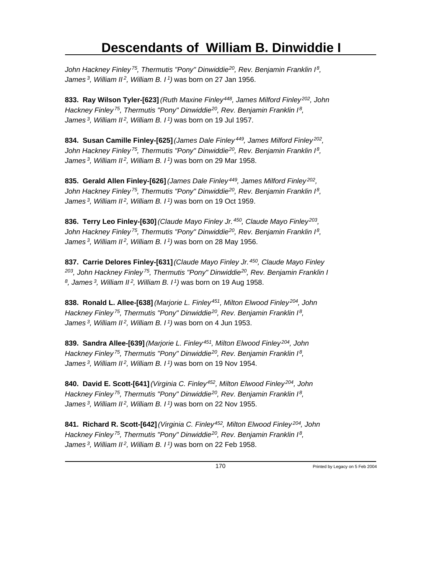*John Hackney Finley<sup>75</sup>, Thermutis "Pony" Dinwiddie<sup>20</sup>, Rev. Benjamin Franklin I<sup>8</sup> , James<sup>3</sup>, William II<sup>2</sup>, William B. I<sup>1</sup>)* was born on 27 Jan 1956.

**833. Ray Wilson Tyler-[623]** *(Ruth Maxine Finley<sup>448</sup>, James Milford Finley<sup>202</sup>, John Hackney Finley<sup>75</sup>, Thermutis "Pony" Dinwiddie<sup>20</sup>, Rev. Benjamin Franklin I<sup>8</sup> , James<sup>3</sup>, William II<sup>2</sup>, William B. I<sup>1</sup>)* was born on 19 Jul 1957.

**834. Susan Camille Finley-[625]** *(James Dale Finley<sup>449</sup>, James Milford Finley<sup>202</sup> , John Hackney Finley<sup>75</sup>, Thermutis "Pony" Dinwiddie<sup>20</sup>, Rev. Benjamin Franklin I<sup>8</sup> , James<sup>3</sup>, William II<sup>2</sup>, William B. I<sup>1</sup>)* was born on 29 Mar 1958.

**835. Gerald Allen Finley-[626]** *(James Dale Finley<sup>449</sup>, James Milford Finley<sup>202</sup> , John Hackney Finley<sup>75</sup>, Thermutis "Pony" Dinwiddie<sup>20</sup>, Rev. Benjamin Franklin I<sup>8</sup> , James<sup>3</sup>, William II<sup>2</sup>, William B. I<sup>1</sup>)* was born on 19 Oct 1959.

**836. Terry Leo Finley-[630]** *(Claude Mayo Finley Jr.<sup>450</sup>, Claude Mayo Finley<sup>203</sup> , John Hackney Finley<sup>75</sup>, Thermutis "Pony" Dinwiddie<sup>20</sup>, Rev. Benjamin Franklin I<sup>8</sup> , James<sup>3</sup>, William II<sup>2</sup>, William B. I<sup>1</sup>)* was born on 28 May 1956.

**837. Carrie Delores Finley-[631]** *(Claude Mayo Finley Jr.<sup>450</sup>, Claude Mayo Finley <sup>203</sup>, John Hackney Finley<sup>75</sup>, Thermutis "Pony" Dinwiddie<sup>20</sup>, Rev. Benjamin Franklin I 8 , James<sup>3</sup>, William II<sup>2</sup>, William B. I<sup>1</sup>)* was born on 19 Aug 1958.

**838. Ronald L. Allee-[638]** *(Marjorie L. Finley<sup>451</sup>, Milton Elwood Finley<sup>204</sup>, John Hackney Finley<sup>75</sup>, Thermutis "Pony" Dinwiddie<sup>20</sup>, Rev. Benjamin Franklin I<sup>8</sup> , James<sup>3</sup>, William II<sup>2</sup>, William B. I<sup>1</sup>)* was born on 4 Jun 1953.

**839. Sandra Allee-[639]** *(Marjorie L. Finley<sup>451</sup>, Milton Elwood Finley<sup>204</sup>, John Hackney Finley<sup>75</sup>, Thermutis "Pony" Dinwiddie<sup>20</sup>, Rev. Benjamin Franklin I<sup>8</sup> , James<sup>3</sup>, William II<sup>2</sup>, William B. I<sup>1</sup>)* was born on 19 Nov 1954.

**840. David E. Scott-[641]** *(Virginia C. Finley<sup>452</sup>, Milton Elwood Finley<sup>204</sup>, John Hackney Finley<sup>75</sup>, Thermutis "Pony" Dinwiddie<sup>20</sup>, Rev. Benjamin Franklin I<sup>8</sup> , James<sup>3</sup>, William II<sup>2</sup>, William B. I<sup>1</sup>)* was born on 22 Nov 1955.

**841. Richard R. Scott-[642]** *(Virginia C. Finley<sup>452</sup>, Milton Elwood Finley<sup>204</sup>, John Hackney Finley<sup>75</sup>, Thermutis "Pony" Dinwiddie<sup>20</sup>, Rev. Benjamin Franklin I<sup>8</sup> , James 3, William II 2, William B. I 1)* was born on 22 Feb 1958.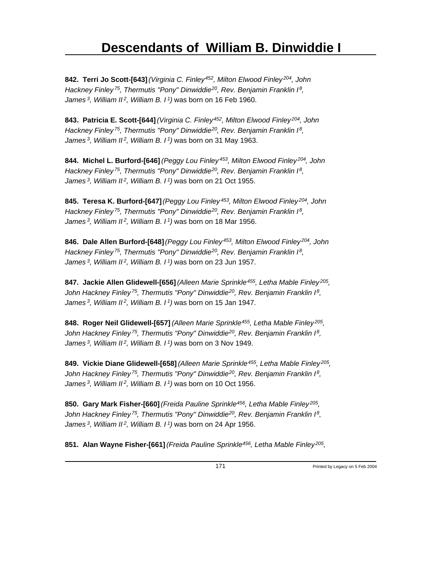**842. Terri Jo Scott-[643]** *(Virginia C. Finley<sup>452</sup>, Milton Elwood Finley<sup>204</sup>, John Hackney Finley<sup>75</sup>, Thermutis "Pony" Dinwiddie<sup>20</sup>, Rev. Benjamin Franklin I<sup>8</sup> , James<sup>3</sup>, William II<sup>2</sup>, William B. I<sup>1</sup>)* was born on 16 Feb 1960.

**843. Patricia E. Scott-[644]** *(Virginia C. Finley<sup>452</sup>, Milton Elwood Finley<sup>204</sup>, John Hackney Finley<sup>75</sup>, Thermutis "Pony" Dinwiddie<sup>20</sup>, Rev. Benjamin Franklin I<sup>8</sup> , James<sup>3</sup>, William II<sup>2</sup>, William B. I<sup>1</sup>)* was born on 31 May 1963.

**844. Michel L. Burford-[646]** *(Peggy Lou Finley<sup>453</sup>, Milton Elwood Finley<sup>204</sup>, John Hackney Finley<sup>75</sup>, Thermutis "Pony" Dinwiddie<sup>20</sup>, Rev. Benjamin Franklin I<sup>8</sup> , James<sup>3</sup>, William II<sup>2</sup>, William B. I<sup>1</sup>)* was born on 21 Oct 1955.

**845. Teresa K. Burford-[647]** *(Peggy Lou Finley<sup>453</sup>, Milton Elwood Finley<sup>204</sup>, John Hackney Finley<sup>75</sup>, Thermutis "Pony" Dinwiddie<sup>20</sup>, Rev. Benjamin Franklin I<sup>8</sup> , James<sup>3</sup>, William II<sup>2</sup>, William B. I<sup>1</sup>)* was born on 18 Mar 1956.

**846. Dale Allen Burford-[648]** *(Peggy Lou Finley<sup>453</sup>, Milton Elwood Finley<sup>204</sup>, John Hackney Finley<sup>75</sup>, Thermutis "Pony" Dinwiddie<sup>20</sup>, Rev. Benjamin Franklin I<sup>8</sup> , James<sup>3</sup>, William II<sup>2</sup>, William B. I<sup>1</sup>)* was born on 23 Jun 1957.

**847. Jackie Allen Glidewell-[656]** *(Alleen Marie Sprinkle<sup>455</sup>, Letha Mable Finley<sup>205</sup> , John Hackney Finley<sup>75</sup>, Thermutis "Pony" Dinwiddie<sup>20</sup>, Rev. Benjamin Franklin I<sup>8</sup> , James<sup>3</sup>, William II<sup>2</sup>, William B. I<sup>1</sup>)* was born on 15 Jan 1947.

**848. Roger Neil Glidewell-[657]** *(Alleen Marie Sprinkle<sup>455</sup>, Letha Mable Finley<sup>205</sup> , John Hackney Finley<sup>75</sup>, Thermutis "Pony" Dinwiddie<sup>20</sup>, Rev. Benjamin Franklin I<sup>8</sup> , James<sup>3</sup>, William II<sup>2</sup>, William B. I<sup>1</sup>)* was born on 3 Nov 1949.

**849. Vickie Diane Glidewell-[658]** *(Alleen Marie Sprinkle<sup>455</sup>, Letha Mable Finley<sup>205</sup> , John Hackney Finley<sup>75</sup>, Thermutis "Pony" Dinwiddie<sup>20</sup>, Rev. Benjamin Franklin I<sup>8</sup> , James<sup>3</sup>, William II<sup>2</sup>, William B. I<sup>1</sup>)* was born on 10 Oct 1956.

**850. Gary Mark Fisher-[660]** *(Freida Pauline Sprinkle<sup>456</sup>, Letha Mable Finley<sup>205</sup> , John Hackney Finley<sup>75</sup>, Thermutis "Pony" Dinwiddie<sup>20</sup>, Rev. Benjamin Franklin I<sup>8</sup> , James<sup>3</sup>, William II<sup>2</sup>, William B. I<sup>1</sup>)* was born on 24 Apr 1956.

**851. Alan Wayne Fisher-[661]** *(Freida Pauline Sprinkle<sup>456</sup>, Letha Mable Finley<sup>205</sup> ,*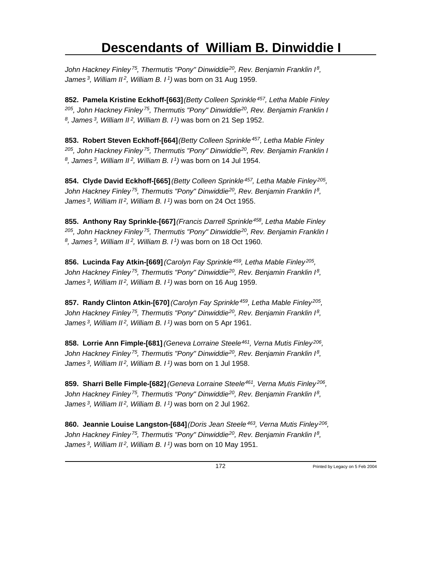*John Hackney Finley<sup>75</sup>, Thermutis "Pony" Dinwiddie<sup>20</sup>, Rev. Benjamin Franklin I<sup>8</sup> , James<sup>3</sup>, William II<sup>2</sup>, William B. I<sup>1</sup>)* was born on 31 Aug 1959.

**852. Pamela Kristine Eckhoff-[663]** *(Betty Colleen Sprinkle<sup>457</sup>, Letha Mable Finley <sup>205</sup>, John Hackney Finley<sup>75</sup>, Thermutis "Pony" Dinwiddie<sup>20</sup>, Rev. Benjamin Franklin I 8 , James<sup>3</sup>, William II<sup>2</sup>, William B. I<sup>1</sup>)* was born on 21 Sep 1952.

**853. Robert Steven Eckhoff-[664]** *(Betty Colleen Sprinkle<sup>457</sup>, Letha Mable Finley <sup>205</sup>, John Hackney Finley<sup>75</sup>, Thermutis "Pony" Dinwiddie<sup>20</sup>, Rev. Benjamin Franklin I 8 , James<sup>3</sup>, William II<sup>2</sup>, William B. I<sup>1</sup>)* was born on 14 Jul 1954.

**854. Clyde David Eckhoff-[665]** *(Betty Colleen Sprinkle<sup>457</sup>, Letha Mable Finley<sup>205</sup> , John Hackney Finley<sup>75</sup>, Thermutis "Pony" Dinwiddie<sup>20</sup>, Rev. Benjamin Franklin I<sup>8</sup> , James<sup>3</sup>, William II<sup>2</sup>, William B. I<sup>1</sup>)* was born on 24 Oct 1955.

**855. Anthony Ray Sprinkle-[667]** *(Francis Darrell Sprinkle<sup>458</sup>, Letha Mable Finley <sup>205</sup>, John Hackney Finley<sup>75</sup>, Thermutis "Pony" Dinwiddie<sup>20</sup>, Rev. Benjamin Franklin I 8 , James<sup>3</sup>, William II<sup>2</sup>, William B. I<sup>1</sup>)* was born on 18 Oct 1960.

**856. Lucinda Fay Atkin-[669]** *(Carolyn Fay Sprinkle<sup>459</sup>, Letha Mable Finley<sup>205</sup> , John Hackney Finley<sup>75</sup>, Thermutis "Pony" Dinwiddie<sup>20</sup>, Rev. Benjamin Franklin I<sup>8</sup> , James<sup>3</sup>, William II<sup>2</sup>, William B. I<sup>1</sup>)* was born on 16 Aug 1959.

**857. Randy Clinton Atkin-[670]** *(Carolyn Fay Sprinkle<sup>459</sup>, Letha Mable Finley<sup>205</sup> , John Hackney Finley<sup>75</sup>, Thermutis "Pony" Dinwiddie<sup>20</sup>, Rev. Benjamin Franklin I<sup>8</sup> , James<sup>3</sup>, William II<sup>2</sup>, William B. I<sup>1</sup>)* was born on 5 Apr 1961.

**858. Lorrie Ann Fimple-[681]** *(Geneva Lorraine Steele<sup>461</sup>, Verna Mutis Finley<sup>206</sup> , John Hackney Finley<sup>75</sup>, Thermutis "Pony" Dinwiddie<sup>20</sup>, Rev. Benjamin Franklin I<sup>8</sup> , James<sup>3</sup>, William II<sup>2</sup>, William B. I<sup>1</sup>)* was born on 1 Jul 1958.

**859. Sharri Belle Fimple-[682]** *(Geneva Lorraine Steele<sup>461</sup>, Verna Mutis Finley<sup>206</sup> , John Hackney Finley<sup>75</sup>, Thermutis "Pony" Dinwiddie<sup>20</sup>, Rev. Benjamin Franklin I<sup>8</sup> , James<sup>3</sup>, William II<sup>2</sup>, William B. I<sup>1</sup>)* was born on 2 Jul 1962.

**860. Jeannie Louise Langston-[684]** *(Doris Jean Steele<sup>463</sup>, Verna Mutis Finley<sup>206</sup> , John Hackney Finley<sup>75</sup>, Thermutis "Pony" Dinwiddie<sup>20</sup>, Rev. Benjamin Franklin I<sup>8</sup> , James 3, William II 2, William B. I 1)* was born on 10 May 1951.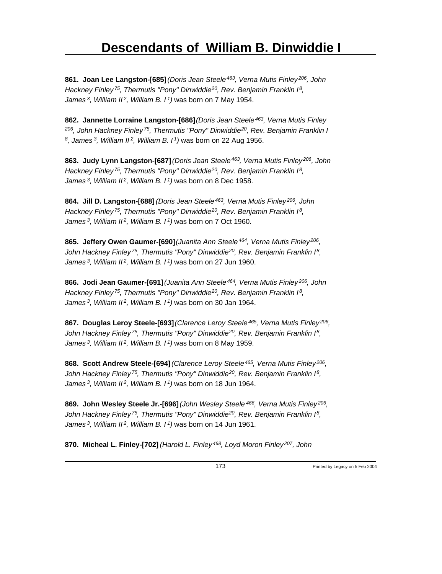**861. Joan Lee Langston-[685]** *(Doris Jean Steele<sup>463</sup>, Verna Mutis Finley<sup>206</sup>, John Hackney Finley<sup>75</sup>, Thermutis "Pony" Dinwiddie<sup>20</sup>, Rev. Benjamin Franklin I<sup>8</sup> , James<sup>3</sup>, William II<sup>2</sup>, William B. I<sup>1</sup>)* was born on 7 May 1954.

**862. Jannette Lorraine Langston-[686]** *(Doris Jean Steele<sup>463</sup>, Verna Mutis Finley <sup>206</sup>, John Hackney Finley<sup>75</sup>, Thermutis "Pony" Dinwiddie<sup>20</sup>, Rev. Benjamin Franklin I 8 , James<sup>3</sup>, William II<sup>2</sup>, William B. I<sup>1</sup>)* was born on 22 Aug 1956.

**863. Judy Lynn Langston-[687]** *(Doris Jean Steele<sup>463</sup>, Verna Mutis Finley<sup>206</sup>, John Hackney Finley<sup>75</sup>, Thermutis "Pony" Dinwiddie<sup>20</sup>, Rev. Benjamin Franklin I<sup>8</sup> , James<sup>3</sup>, William II<sup>2</sup>, William B. I<sup>1</sup>)* was born on 8 Dec 1958.

**864. Jill D. Langston-[688]** *(Doris Jean Steele<sup>463</sup>, Verna Mutis Finley<sup>206</sup>, John Hackney Finley<sup>75</sup>, Thermutis "Pony" Dinwiddie<sup>20</sup>, Rev. Benjamin Franklin I<sup>8</sup> , James<sup>3</sup>, William II<sup>2</sup>, William B. I<sup>1</sup>)* was born on 7 Oct 1960.

**865. Jeffery Owen Gaumer-[690]** *(Juanita Ann Steele<sup>464</sup>, Verna Mutis Finley<sup>206</sup> , John Hackney Finley<sup>75</sup>, Thermutis "Pony" Dinwiddie<sup>20</sup>, Rev. Benjamin Franklin I<sup>8</sup> , James<sup>3</sup>, William II<sup>2</sup>, William B. I<sup>1</sup>)* was born on 27 Jun 1960.

**866. Jodi Jean Gaumer-[691]** *(Juanita Ann Steele<sup>464</sup>, Verna Mutis Finley<sup>206</sup>, John Hackney Finley<sup>75</sup>, Thermutis "Pony" Dinwiddie<sup>20</sup>, Rev. Benjamin Franklin I<sup>8</sup> , James<sup>3</sup>, William II<sup>2</sup>, William B. I<sup>1</sup>)* was born on 30 Jan 1964.

**867. Douglas Leroy Steele-[693]** *(Clarence Leroy Steele<sup>465</sup>, Verna Mutis Finley<sup>206</sup> , John Hackney Finley<sup>75</sup>, Thermutis "Pony" Dinwiddie<sup>20</sup>, Rev. Benjamin Franklin I<sup>8</sup> , James<sup>3</sup>, William II<sup>2</sup>, William B. I<sup>1</sup>)* was born on 8 May 1959.

**868. Scott Andrew Steele-[694]** *(Clarence Leroy Steele<sup>465</sup>, Verna Mutis Finley<sup>206</sup> , John Hackney Finley<sup>75</sup>, Thermutis "Pony" Dinwiddie<sup>20</sup>, Rev. Benjamin Franklin I<sup>8</sup> , James<sup>3</sup>, William II<sup>2</sup>, William B. I<sup>1</sup>)* was born on 18 Jun 1964.

**869. John Wesley Steele Jr.-[696]** *(John Wesley Steele<sup>466</sup>, Verna Mutis Finley<sup>206</sup> , John Hackney Finley<sup>75</sup>, Thermutis "Pony" Dinwiddie<sup>20</sup>, Rev. Benjamin Franklin I<sup>8</sup> , James<sup>3</sup>, William II<sup>2</sup>, William B. I<sup>1</sup>)* was born on 14 Jun 1961.

**870. Micheal L. Finley-[702]** *(Harold L. Finley 468, Loyd Moron Finley 207, John*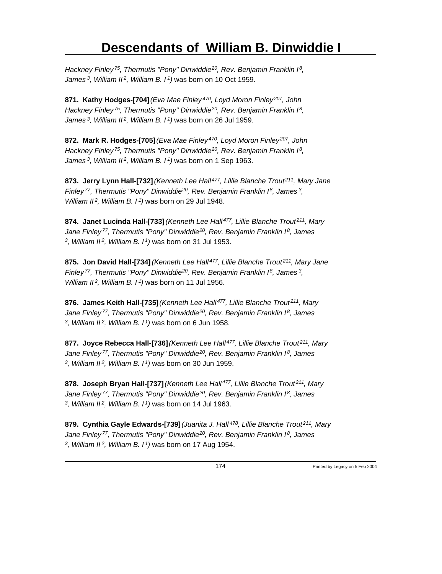*Hackney Finley<sup>75</sup>, Thermutis "Pony" Dinwiddie<sup>20</sup>, Rev. Benjamin Franklin I<sup>8</sup> , James<sup>3</sup>, William II<sup>2</sup>, William B. I<sup>1</sup>)* was born on 10 Oct 1959.

**871. Kathy Hodges-[704]** *(Eva Mae Finley<sup>470</sup>, Loyd Moron Finley<sup>207</sup>, John Hackney Finley<sup>75</sup>, Thermutis "Pony" Dinwiddie<sup>20</sup>, Rev. Benjamin Franklin I<sup>8</sup> , James<sup>3</sup>, William II<sup>2</sup>, William B. I<sup>1</sup>)* was born on 26 Jul 1959.

**872. Mark R. Hodges-[705]** *(Eva Mae Finley<sup>470</sup>, Loyd Moron Finley<sup>207</sup>, John Hackney Finley<sup>75</sup>, Thermutis "Pony" Dinwiddie<sup>20</sup>, Rev. Benjamin Franklin I<sup>8</sup> , James<sup>3</sup>, William II<sup>2</sup>, William B. I<sup>1</sup>)* was born on 1 Sep 1963.

**873. Jerry Lynn Hall-[732]** *(Kenneth Lee Hall<sup>477</sup>, Lillie Blanche Trout<sup>211</sup>, Mary Jane Finley<sup>77</sup>, Thermutis "Pony" Dinwiddie<sup>20</sup>, Rev. Benjamin Franklin I<sup>8</sup>, James<sup>3</sup> , William II<sup>2</sup>, William B. I<sup>1</sup>)* was born on 29 Jul 1948.

**874. Janet Lucinda Hall-[733]** *(Kenneth Lee Hall<sup>477</sup>, Lillie Blanche Trout<sup>211</sup>, Mary Jane Finley<sup>77</sup>, Thermutis "Pony" Dinwiddie<sup>20</sup>, Rev. Benjamin Franklin I<sup>8</sup>, James 3 , William II<sup>2</sup>, William B. I<sup>1</sup>)* was born on 31 Jul 1953.

**875. Jon David Hall-[734]** *(Kenneth Lee Hall<sup>477</sup>, Lillie Blanche Trout<sup>211</sup>, Mary Jane Finley<sup>77</sup>, Thermutis "Pony" Dinwiddie<sup>20</sup>, Rev. Benjamin Franklin I<sup>8</sup>, James<sup>3</sup> , William II<sup>2</sup>, William B. I<sup>1</sup>)* was born on 11 Jul 1956.

**876. James Keith Hall-[735]** *(Kenneth Lee Hall<sup>477</sup>, Lillie Blanche Trout<sup>211</sup>, Mary Jane Finley<sup>77</sup>, Thermutis "Pony" Dinwiddie<sup>20</sup>, Rev. Benjamin Franklin I<sup>8</sup>, James 3 , William II<sup>2</sup>, William B. I<sup>1</sup>)* was born on 6 Jun 1958.

**877. Joyce Rebecca Hall-[736]** *(Kenneth Lee Hall<sup>477</sup>, Lillie Blanche Trout<sup>211</sup>, Mary Jane Finley<sup>77</sup>, Thermutis "Pony" Dinwiddie<sup>20</sup>, Rev. Benjamin Franklin I<sup>8</sup>, James 3 , William II<sup>2</sup>, William B. I<sup>1</sup>)* was born on 30 Jun 1959.

**878. Joseph Bryan Hall-[737]** *(Kenneth Lee Hall<sup>477</sup>, Lillie Blanche Trout<sup>211</sup>, Mary Jane Finley<sup>77</sup>, Thermutis "Pony" Dinwiddie<sup>20</sup>, Rev. Benjamin Franklin I<sup>8</sup>, James 3 , William II<sup>2</sup>, William B. I<sup>1</sup>)* was born on 14 Jul 1963.

**879. Cynthia Gayle Edwards-[739]** *(Juanita J. Hall<sup>478</sup>, Lillie Blanche Trout<sup>211</sup>, Mary Jane Finley<sup>77</sup>, Thermutis "Pony" Dinwiddie<sup>20</sup>, Rev. Benjamin Franklin I<sup>8</sup>, James 3 , William II 2, William B. I 1)* was born on 17 Aug 1954.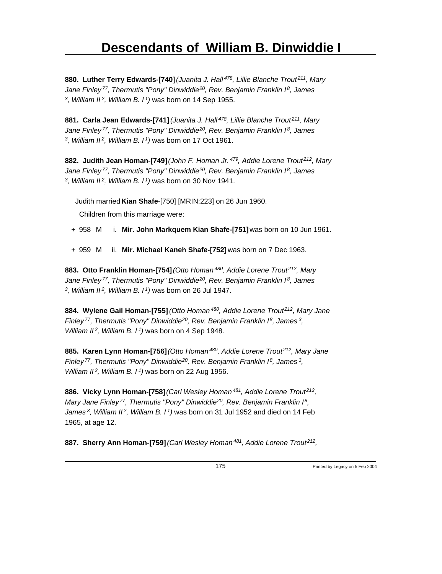**880. Luther Terry Edwards-[740]** *(Juanita J. Hall<sup>478</sup>, Lillie Blanche Trout<sup>211</sup>, Mary Jane Finley<sup>77</sup>, Thermutis "Pony" Dinwiddie<sup>20</sup>, Rev. Benjamin Franklin I<sup>8</sup>, James 3 , William II<sup>2</sup>, William B. I<sup>1</sup>)* was born on 14 Sep 1955.

**881. Carla Jean Edwards-[741]** *(Juanita J. Hall<sup>478</sup>, Lillie Blanche Trout<sup>211</sup>, Mary Jane Finley<sup>77</sup>, Thermutis "Pony" Dinwiddie<sup>20</sup>, Rev. Benjamin Franklin I<sup>8</sup>, James 3 , William II<sup>2</sup>, William B. I<sup>1</sup>)* was born on 17 Oct 1961.

**882. Judith Jean Homan-[749]** *(John F. Homan Jr.<sup>479</sup>, Addie Lorene Trout<sup>212</sup>, Mary Jane Finley<sup>77</sup>, Thermutis "Pony" Dinwiddie<sup>20</sup>, Rev. Benjamin Franklin I<sup>8</sup>, James 3 , William II<sup>2</sup>, William B. I<sup>1</sup>)* was born on 30 Nov 1941.

Judith married **Kian Shafe**-[750] [MRIN:223] on 26 Jun 1960.

Children from this marriage were:

- + 958 M i. **Mir. John Markquem Kian Shafe-[751]** was born on 10 Jun 1961.
- + 959 M ii. **Mir. Michael Kaneh Shafe-[752]** was born on 7 Dec 1963.

**883. Otto Franklin Homan-[754]** *(Otto Homan<sup>480</sup>, Addie Lorene Trout<sup>212</sup>, Mary Jane Finley<sup>77</sup>, Thermutis "Pony" Dinwiddie<sup>20</sup>, Rev. Benjamin Franklin I<sup>8</sup>, James 3 , William II<sup>2</sup>, William B. I<sup>1</sup>)* was born on 26 Jul 1947.

**884. Wylene Gail Homan-[755]** *(Otto Homan<sup>480</sup>, Addie Lorene Trout<sup>212</sup>, Mary Jane Finley<sup>77</sup>, Thermutis "Pony" Dinwiddie<sup>20</sup>, Rev. Benjamin Franklin I<sup>8</sup>, James<sup>3</sup> , William II<sup>2</sup>, William B. I<sup>1</sup>)* was born on 4 Sep 1948.

**885. Karen Lynn Homan-[756]** *(Otto Homan<sup>480</sup>, Addie Lorene Trout<sup>212</sup>, Mary Jane Finley<sup>77</sup>, Thermutis "Pony" Dinwiddie<sup>20</sup>, Rev. Benjamin Franklin I<sup>8</sup>, James<sup>3</sup> , William II<sup>2</sup>, William B. I<sup>1</sup>)* was born on 22 Aug 1956.

**886. Vicky Lynn Homan-[758]** *(Carl Wesley Homan<sup>481</sup>, Addie Lorene Trout<sup>212</sup> , Mary Jane Finley<sup>77</sup>, Thermutis "Pony" Dinwiddie<sup>20</sup>, Rev. Benjamin Franklin I<sup>8</sup> , James<sup>3</sup>, William II<sup>2</sup>, William B. I<sup>1</sup>)* was born on 31 Jul 1952 and died on 14 Feb 1965, at age 12.

**887. Sherry Ann Homan-[759]** *(Carl Wesley Homan<sup>481</sup>, Addie Lorene Trout<sup>212</sup> ,*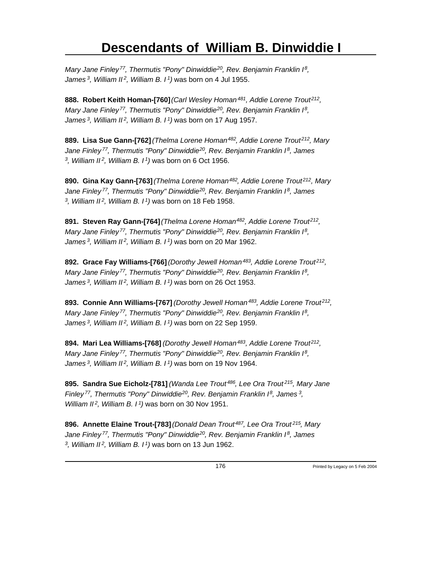*Mary Jane Finley<sup>77</sup>, Thermutis "Pony" Dinwiddie<sup>20</sup>, Rev. Benjamin Franklin I<sup>8</sup> , James<sup>3</sup>, William II<sup>2</sup>, William B. I<sup>1</sup>)* was born on 4 Jul 1955.

**888. Robert Keith Homan-[760]** *(Carl Wesley Homan<sup>481</sup>, Addie Lorene Trout<sup>212</sup> , Mary Jane Finley<sup>77</sup>, Thermutis "Pony" Dinwiddie<sup>20</sup>, Rev. Benjamin Franklin I<sup>8</sup> , James<sup>3</sup>, William II<sup>2</sup>, William B. I<sup>1</sup>)* was born on 17 Aug 1957.

**889. Lisa Sue Gann-[762]** *(Thelma Lorene Homan<sup>482</sup>, Addie Lorene Trout<sup>212</sup>, Mary Jane Finley<sup>77</sup>, Thermutis "Pony" Dinwiddie<sup>20</sup>, Rev. Benjamin Franklin I<sup>8</sup>, James 3 , William II<sup>2</sup>, William B. I<sup>1</sup>)* was born on 6 Oct 1956.

**890. Gina Kay Gann-[763]** *(Thelma Lorene Homan<sup>482</sup>, Addie Lorene Trout<sup>212</sup>, Mary Jane Finley<sup>77</sup>, Thermutis "Pony" Dinwiddie<sup>20</sup>, Rev. Benjamin Franklin I<sup>8</sup>, James 3 , William II<sup>2</sup>, William B. I<sup>1</sup>)* was born on 18 Feb 1958.

**891. Steven Ray Gann-[764]** *(Thelma Lorene Homan<sup>482</sup>, Addie Lorene Trout<sup>212</sup> , Mary Jane Finley<sup>77</sup>, Thermutis "Pony" Dinwiddie<sup>20</sup>, Rev. Benjamin Franklin I<sup>8</sup> , James<sup>3</sup>, William II<sup>2</sup>, William B. I<sup>1</sup>)* was born on 20 Mar 1962.

**892. Grace Fay Williams-[766]** *(Dorothy Jewell Homan<sup>483</sup>, Addie Lorene Trout<sup>212</sup> , Mary Jane Finley<sup>77</sup>, Thermutis "Pony" Dinwiddie<sup>20</sup>, Rev. Benjamin Franklin I<sup>8</sup> , James<sup>3</sup>, William II<sup>2</sup>, William B. I<sup>1</sup>)* was born on 26 Oct 1953.

**893. Connie Ann Williams-[767]** *(Dorothy Jewell Homan<sup>483</sup>, Addie Lorene Trout<sup>212</sup> , Mary Jane Finley<sup>77</sup>, Thermutis "Pony" Dinwiddie<sup>20</sup>, Rev. Benjamin Franklin I<sup>8</sup> , James<sup>3</sup>, William II<sup>2</sup>, William B. I<sup>1</sup>)* was born on 22 Sep 1959.

**894. Mari Lea Williams-[768]** *(Dorothy Jewell Homan<sup>483</sup>, Addie Lorene Trout<sup>212</sup> , Mary Jane Finley<sup>77</sup>, Thermutis "Pony" Dinwiddie<sup>20</sup>, Rev. Benjamin Franklin I<sup>8</sup> , James<sup>3</sup>, William II<sup>2</sup>, William B. I<sup>1</sup>)* was born on 19 Nov 1964.

**895. Sandra Sue Eicholz-[781]** *(Wanda Lee Trout<sup>486</sup>, Lee Ora Trout<sup>215</sup>, Mary Jane Finley<sup>77</sup>, Thermutis "Pony" Dinwiddie<sup>20</sup>, Rev. Benjamin Franklin I<sup>8</sup>, James<sup>3</sup> , William II<sup>2</sup>, William B. I<sup>1</sup>)* was born on 30 Nov 1951.

**896. Annette Elaine Trout-[783]** *(Donald Dean Trout<sup>487</sup>, Lee Ora Trout<sup>215</sup>, Mary Jane Finley<sup>77</sup>, Thermutis "Pony" Dinwiddie<sup>20</sup>, Rev. Benjamin Franklin I<sup>8</sup>, James 3 , William II 2, William B. I 1)* was born on 13 Jun 1962.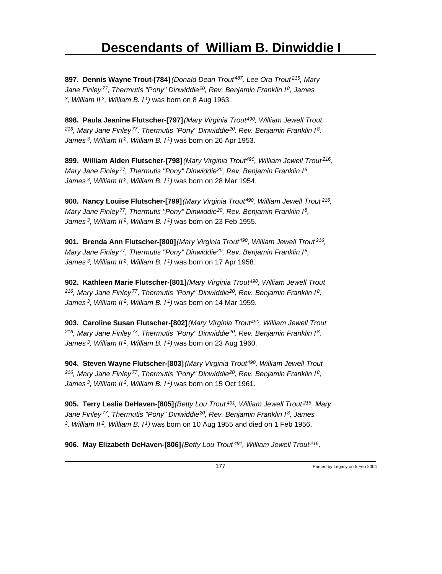**897. Dennis Wayne Trout-[784]** *(Donald Dean Trout<sup>487</sup>, Lee Ora Trout<sup>215</sup>, Mary Jane Finley<sup>77</sup>, Thermutis "Pony" Dinwiddie<sup>20</sup>, Rev. Benjamin Franklin I<sup>8</sup>, James 3 , William II<sup>2</sup>, William B. I<sup>1</sup>)* was born on 8 Aug 1963.

**898. Paula Jeanine Flutscher-[797]** *(Mary Virginia Trout<sup>490</sup>, William Jewell Trout <sup>216</sup>, Mary Jane Finley<sup>77</sup>, Thermutis "Pony" Dinwiddie<sup>20</sup>, Rev. Benjamin Franklin I<sup>8</sup> , James<sup>3</sup>, William II<sup>2</sup>, William B. I<sup>1</sup>)* was born on 26 Apr 1953.

**899. William Alden Flutscher-[798]** *(Mary Virginia Trout<sup>490</sup>, William Jewell Trout<sup>216</sup> , Mary Jane Finley<sup>77</sup>, Thermutis "Pony" Dinwiddie<sup>20</sup>, Rev. Benjamin Franklin I<sup>8</sup> , James<sup>3</sup>, William II<sup>2</sup>, William B. I<sup>1</sup>)* was born on 28 Mar 1954.

**900. Nancy Louise Flutscher-[799]** *(Mary Virginia Trout<sup>490</sup>, William Jewell Trout<sup>216</sup> , Mary Jane Finley<sup>77</sup>, Thermutis "Pony" Dinwiddie<sup>20</sup>, Rev. Benjamin Franklin I<sup>8</sup> , James<sup>3</sup>, William II<sup>2</sup>, William B. I<sup>1</sup>)* was born on 23 Feb 1955.

**901. Brenda Ann Flutscher-[800]** *(Mary Virginia Trout<sup>490</sup>, William Jewell Trout<sup>216</sup> , Mary Jane Finley<sup>77</sup>, Thermutis "Pony" Dinwiddie<sup>20</sup>, Rev. Benjamin Franklin I<sup>8</sup> , James<sup>3</sup>, William II<sup>2</sup>, William B. I<sup>1</sup>)* was born on 17 Apr 1958.

**902. Kathleen Marie Flutscher-[801]** *(Mary Virginia Trout<sup>490</sup>, William Jewell Trout <sup>216</sup>, Mary Jane Finley<sup>77</sup>, Thermutis "Pony" Dinwiddie<sup>20</sup>, Rev. Benjamin Franklin I<sup>8</sup> , James<sup>3</sup>, William II<sup>2</sup>, William B. I<sup>1</sup>)* was born on 14 Mar 1959.

**903. Caroline Susan Flutscher-[802]** *(Mary Virginia Trout<sup>490</sup>, William Jewell Trout <sup>216</sup>, Mary Jane Finley<sup>77</sup>, Thermutis "Pony" Dinwiddie<sup>20</sup>, Rev. Benjamin Franklin I<sup>8</sup> , James<sup>3</sup>, William II<sup>2</sup>, William B. I<sup>1</sup>)* was born on 23 Aug 1960.

**904. Steven Wayne Flutscher-[803]** *(Mary Virginia Trout<sup>490</sup>, William Jewell Trout <sup>216</sup>, Mary Jane Finley<sup>77</sup>, Thermutis "Pony" Dinwiddie<sup>20</sup>, Rev. Benjamin Franklin I<sup>8</sup> , James<sup>3</sup>, William II<sup>2</sup>, William B. I<sup>1</sup>)* was born on 15 Oct 1961.

**905. Terry Leslie DeHaven-[805]** *(Betty Lou Trout<sup>491</sup>, William Jewell Trout<sup>216</sup>, Mary Jane Finley<sup>77</sup>, Thermutis "Pony" Dinwiddie<sup>20</sup>, Rev. Benjamin Franklin I<sup>8</sup>, James 3 , William II<sup>2</sup>, William B. I<sup>1</sup>)* was born on 10 Aug 1955 and died on 1 Feb 1956.

**906. May Elizabeth DeHaven-[806]** *(Betty Lou Trout<sup>491</sup>, William Jewell Trout<sup>216</sup> ,*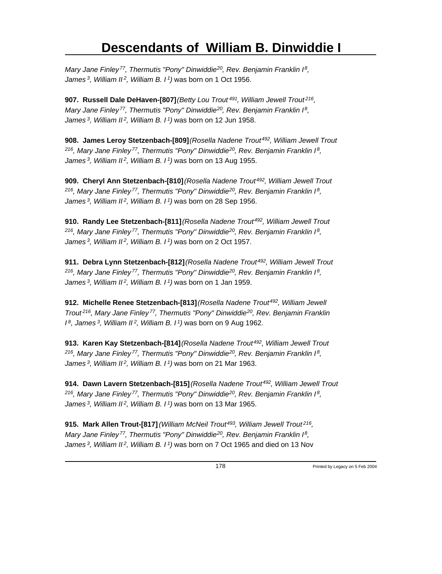*Mary Jane Finley<sup>77</sup>, Thermutis "Pony" Dinwiddie<sup>20</sup>, Rev. Benjamin Franklin I<sup>8</sup> , James<sup>3</sup>, William II<sup>2</sup>, William B. I<sup>1</sup>)* was born on 1 Oct 1956.

**907. Russell Dale DeHaven-[807]** *(Betty Lou Trout<sup>491</sup>, William Jewell Trout<sup>216</sup> , Mary Jane Finley<sup>77</sup>, Thermutis "Pony" Dinwiddie<sup>20</sup>, Rev. Benjamin Franklin I<sup>8</sup> , James<sup>3</sup>, William II<sup>2</sup>, William B. I<sup>1</sup>)* was born on 12 Jun 1958.

**908. James Leroy Stetzenbach-[809]** *(Rosella Nadene Trout<sup>492</sup>, William Jewell Trout <sup>216</sup>, Mary Jane Finley<sup>77</sup>, Thermutis "Pony" Dinwiddie<sup>20</sup>, Rev. Benjamin Franklin I<sup>8</sup> , James<sup>3</sup>, William II<sup>2</sup>, William B. I<sup>1</sup>)* was born on 13 Aug 1955.

**909. Cheryl Ann Stetzenbach-[810]** *(Rosella Nadene Trout<sup>492</sup>, William Jewell Trout <sup>216</sup>, Mary Jane Finley<sup>77</sup>, Thermutis "Pony" Dinwiddie<sup>20</sup>, Rev. Benjamin Franklin I<sup>8</sup> , James<sup>3</sup>, William II<sup>2</sup>, William B. I<sup>1</sup>)* was born on 28 Sep 1956.

**910. Randy Lee Stetzenbach-[811]** *(Rosella Nadene Trout<sup>492</sup>, William Jewell Trout <sup>216</sup>, Mary Jane Finley<sup>77</sup>, Thermutis "Pony" Dinwiddie<sup>20</sup>, Rev. Benjamin Franklin I<sup>8</sup> , James<sup>3</sup>, William II<sup>2</sup>, William B. I<sup>1</sup>)* was born on 2 Oct 1957.

**911. Debra Lynn Stetzenbach-[812]** *(Rosella Nadene Trout<sup>492</sup>, William Jewell Trout <sup>216</sup>, Mary Jane Finley<sup>77</sup>, Thermutis "Pony" Dinwiddie<sup>20</sup>, Rev. Benjamin Franklin I<sup>8</sup> , James<sup>3</sup>, William II<sup>2</sup>, William B. I<sup>1</sup>)* was born on 1 Jan 1959.

**912. Michelle Renee Stetzenbach-[813]** *(Rosella Nadene Trout<sup>492</sup>, William Jewell Trout<sup>216</sup>, Mary Jane Finley<sup>77</sup>, Thermutis "Pony" Dinwiddie<sup>20</sup>, Rev. Benjamin Franklin I <sup>8</sup>, James<sup>3</sup>, William II<sup>2</sup>, William B. I<sup>1</sup>)* was born on 9 Aug 1962.

**913. Karen Kay Stetzenbach-[814]** *(Rosella Nadene Trout<sup>492</sup>, William Jewell Trout <sup>216</sup>, Mary Jane Finley<sup>77</sup>, Thermutis "Pony" Dinwiddie<sup>20</sup>, Rev. Benjamin Franklin I<sup>8</sup> , James<sup>3</sup>, William II<sup>2</sup>, William B. I<sup>1</sup>)* was born on 21 Mar 1963.

**914. Dawn Lavern Stetzenbach-[815]** *(Rosella Nadene Trout<sup>492</sup>, William Jewell Trout <sup>216</sup>, Mary Jane Finley<sup>77</sup>, Thermutis "Pony" Dinwiddie<sup>20</sup>, Rev. Benjamin Franklin I<sup>8</sup> , James<sup>3</sup>, William II<sup>2</sup>, William B. I<sup>1</sup>)* was born on 13 Mar 1965.

**915. Mark Allen Trout-[817]** *(William McNeil Trout<sup>493</sup>, William Jewell Trout<sup>216</sup> , Mary Jane Finley<sup>77</sup>, Thermutis "Pony" Dinwiddie<sup>20</sup>, Rev. Benjamin Franklin I<sup>8</sup> , James 3, William II 2, William B. I 1)* was born on 7 Oct 1965 and died on 13 Nov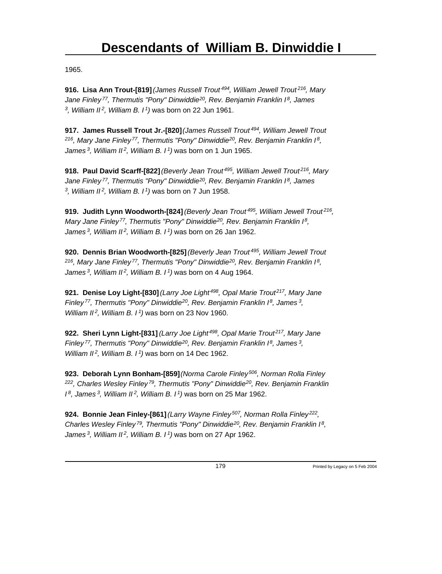1965.

**916. Lisa Ann Trout-[819]** *(James Russell Trout<sup>494</sup>, William Jewell Trout<sup>216</sup>, Mary Jane Finley<sup>77</sup>, Thermutis "Pony" Dinwiddie<sup>20</sup>, Rev. Benjamin Franklin I<sup>8</sup>, James 3 , William II<sup>2</sup>, William B. I<sup>1</sup>)* was born on 22 Jun 1961.

**917. James Russell Trout Jr.-[820]** *(James Russell Trout<sup>494</sup>, William Jewell Trout <sup>216</sup>, Mary Jane Finley<sup>77</sup>, Thermutis "Pony" Dinwiddie<sup>20</sup>, Rev. Benjamin Franklin I<sup>8</sup> , James<sup>3</sup>, William II<sup>2</sup>, William B. I<sup>1</sup>)* was born on 1 Jun 1965.

**918. Paul David Scarff-[822]** *(Beverly Jean Trout<sup>495</sup>, William Jewell Trout<sup>216</sup>, Mary Jane Finley<sup>77</sup>, Thermutis "Pony" Dinwiddie<sup>20</sup>, Rev. Benjamin Franklin I<sup>8</sup>, James 3 , William II<sup>2</sup>, William B. I<sup>1</sup>)* was born on 7 Jun 1958.

**919. Judith Lynn Woodworth-[824]** *(Beverly Jean Trout<sup>495</sup>, William Jewell Trout<sup>216</sup> , Mary Jane Finley<sup>77</sup>, Thermutis "Pony" Dinwiddie<sup>20</sup>, Rev. Benjamin Franklin I<sup>8</sup> , James<sup>3</sup>, William II<sup>2</sup>, William B. I<sup>1</sup>)* was born on 26 Jan 1962.

**920. Dennis Brian Woodworth-[825]** *(Beverly Jean Trout<sup>495</sup>, William Jewell Trout <sup>216</sup>, Mary Jane Finley<sup>77</sup>, Thermutis "Pony" Dinwiddie<sup>20</sup>, Rev. Benjamin Franklin I<sup>8</sup> , James<sup>3</sup>, William II<sup>2</sup>, William B. I<sup>1</sup>)* was born on 4 Aug 1964.

**921. Denise Loy Light-[830]** *(Larry Joe Light<sup>498</sup>, Opal Marie Trout<sup>217</sup>, Mary Jane Finley<sup>77</sup>, Thermutis "Pony" Dinwiddie<sup>20</sup>, Rev. Benjamin Franklin I<sup>8</sup>, James<sup>3</sup> , William II<sup>2</sup>, William B. I<sup>1</sup>)* was born on 23 Nov 1960.

**922. Sheri Lynn Light-[831]** *(Larry Joe Light<sup>498</sup>, Opal Marie Trout<sup>217</sup>, Mary Jane Finley<sup>77</sup>, Thermutis "Pony" Dinwiddie<sup>20</sup>, Rev. Benjamin Franklin I<sup>8</sup>, James<sup>3</sup> , William II<sup>2</sup>, William B. I<sup>1</sup>)* was born on 14 Dec 1962.

**923. Deborah Lynn Bonham-[859]** *(Norma Carole Finley<sup>506</sup>, Norman Rolla Finley <sup>222</sup>, Charles Wesley Finley<sup>79</sup>, Thermutis "Pony" Dinwiddie<sup>20</sup>, Rev. Benjamin Franklin I <sup>8</sup>, James<sup>3</sup>, William II<sup>2</sup>, William B. I<sup>1</sup>)* was born on 25 Mar 1962.

**924. Bonnie Jean Finley-[861]** *(Larry Wayne Finley<sup>507</sup>, Norman Rolla Finley<sup>222</sup> , Charles Wesley Finley<sup>79</sup>, Thermutis "Pony" Dinwiddie<sup>20</sup>, Rev. Benjamin Franklin I<sup>8</sup> , James 3, William II 2, William B. I 1)* was born on 27 Apr 1962.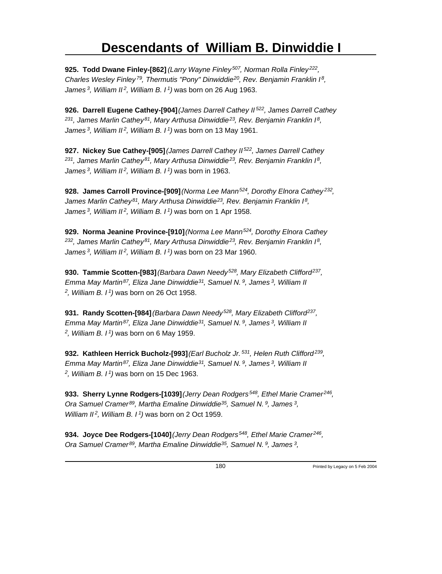**925. Todd Dwane Finley-[862]** *(Larry Wayne Finley<sup>507</sup>, Norman Rolla Finley<sup>222</sup> , Charles Wesley Finley<sup>79</sup>, Thermutis "Pony" Dinwiddie<sup>20</sup>, Rev. Benjamin Franklin I<sup>8</sup> , James<sup>3</sup>, William II<sup>2</sup>, William B. I<sup>1</sup>)* was born on 26 Aug 1963.

**926. Darrell Eugene Cathey-[904]** *(James Darrell Cathey II<sup>522</sup>, James Darrell Cathey <sup>231</sup>, James Marlin Cathey<sup>81</sup>, Mary Arthusa Dinwiddie<sup>23</sup>, Rev. Benjamin Franklin I<sup>8</sup> , James<sup>3</sup>, William II<sup>2</sup>, William B. I<sup>1</sup>)* was born on 13 May 1961.

**927. Nickey Sue Cathey-[905]** *(James Darrell Cathey II<sup>522</sup>, James Darrell Cathey <sup>231</sup>, James Marlin Cathey<sup>81</sup>, Mary Arthusa Dinwiddie<sup>23</sup>, Rev. Benjamin Franklin I<sup>8</sup> , James<sup>3</sup>, William II<sup>2</sup>, William B. I<sup>1</sup>)* was born in 1963.

**928. James Carroll Province-[909]** *(Norma Lee Mann<sup>524</sup>, Dorothy Elnora Cathey<sup>232</sup> , James Marlin Cathey<sup>81</sup>, Mary Arthusa Dinwiddie<sup>23</sup>, Rev. Benjamin Franklin I<sup>8</sup> , James<sup>3</sup>, William II<sup>2</sup>, William B. I<sup>1</sup>)* was born on 1 Apr 1958.

**929. Norma Jeanine Province-[910]** *(Norma Lee Mann<sup>524</sup>, Dorothy Elnora Cathey <sup>232</sup>, James Marlin Cathey<sup>81</sup>, Mary Arthusa Dinwiddie<sup>23</sup>, Rev. Benjamin Franklin I<sup>8</sup> , James<sup>3</sup>, William II<sup>2</sup>, William B. I<sup>1</sup>)* was born on 23 Mar 1960.

**930. Tammie Scotten-[983]** *(Barbara Dawn Needy<sup>528</sup>, Mary Elizabeth Clifford<sup>237</sup> , Emma May Martin<sup>87</sup>, Eliza Jane Dinwiddie<sup>31</sup>, Samuel N.<sup>9</sup>, James<sup>3</sup>, William II 2 , William B. I<sup>1</sup>)* was born on 26 Oct 1958.

**931. Randy Scotten-[984]** *(Barbara Dawn Needy<sup>528</sup>, Mary Elizabeth Clifford<sup>237</sup> , Emma May Martin<sup>87</sup>, Eliza Jane Dinwiddie<sup>31</sup>, Samuel N.<sup>9</sup>, James<sup>3</sup>, William II 2 , William B. I<sup>1</sup>)* was born on 6 May 1959.

**932. Kathleen Herrick Bucholz-[993]** *(Earl Bucholz Jr.<sup>531</sup>, Helen Ruth Clifford<sup>239</sup> , Emma May Martin<sup>87</sup>, Eliza Jane Dinwiddie<sup>31</sup>, Samuel N.<sup>9</sup>, James<sup>3</sup>, William II 2 , William B. I<sup>1</sup>)* was born on 15 Dec 1963.

**933. Sherry Lynne Rodgers-[1039]** *(Jerry Dean Rodgers<sup>548</sup>, Ethel Marie Cramer<sup>246</sup> , Ora Samuel Cramer<sup>89</sup>, Martha Emaline Dinwiddie<sup>35</sup>, Samuel N.<sup>9</sup>, James<sup>3</sup> , William II<sup>2</sup>, William B. I<sup>1</sup>)* was born on 2 Oct 1959.

**934. Joyce Dee Rodgers-[1040]** *(Jerry Dean Rodgers<sup>548</sup>, Ethel Marie Cramer<sup>246</sup> , Ora Samuel Cramer<sup>89</sup>, Martha Emaline Dinwiddie<sup>35</sup>, Samuel N.<sup>9</sup>, James<sup>3</sup> ,*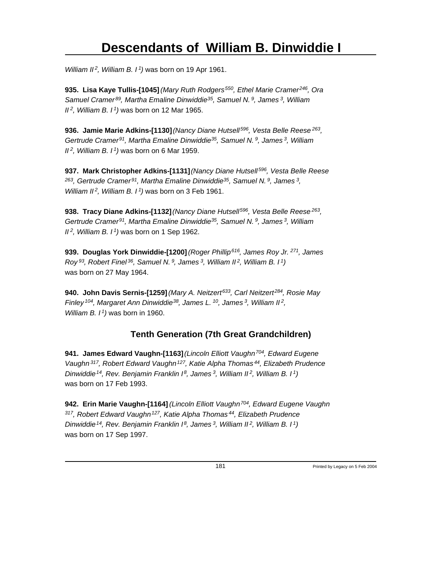*William II<sup>2</sup>, William B. I<sup>1</sup>)* was born on 19 Apr 1961.

**935. Lisa Kaye Tullis-[1045]** *(Mary Ruth Rodgers<sup>550</sup>, Ethel Marie Cramer<sup>246</sup>, Ora Samuel Cramer<sup>89</sup>, Martha Emaline Dinwiddie<sup>35</sup>, Samuel N.<sup>9</sup>, James<sup>3</sup>, William II<sup>2</sup>, William B. I<sup>1</sup>)* was born on 12 Mar 1965.

**936. Jamie Marie Adkins-[1130]** *(Nancy Diane Hutsell<sup>596</sup>, Vesta Belle Reese<sup>263</sup> , Gertrude Cramer<sup>91</sup>, Martha Emaline Dinwiddie<sup>35</sup>, Samuel N.<sup>9</sup>, James<sup>3</sup>, William II<sup>2</sup>, William B. I<sup>1</sup>)* was born on 6 Mar 1959.

**937. Mark Christopher Adkins-[1131]** *(Nancy Diane Hutsell<sup>596</sup>, Vesta Belle Reese <sup>263</sup>, Gertrude Cramer<sup>91</sup>, Martha Emaline Dinwiddie<sup>35</sup>, Samuel N.<sup>9</sup>, James<sup>3</sup> , William II<sup>2</sup>, William B. I<sup>1</sup>)* was born on 3 Feb 1961.

**938. Tracy Diane Adkins-[1132]** *(Nancy Diane Hutsell<sup>596</sup>, Vesta Belle Reese<sup>263</sup> , Gertrude Cramer<sup>91</sup>, Martha Emaline Dinwiddie<sup>35</sup>, Samuel N.<sup>9</sup>, James<sup>3</sup>, William II<sup>2</sup>, William B. I<sup>1</sup>)* was born on 1 Sep 1962.

**939. Douglas York Dinwiddie-[1200]** *(Roger Phillip<sup>616</sup>, James Roy Jr.<sup>271</sup>, James Roy<sup>93</sup>, Robert Finel<sup>36</sup>, Samuel N.<sup>9</sup>, James<sup>3</sup>, William II<sup>2</sup>, William B. I<sup>1</sup>)* was born on 27 May 1964.

**940. John Davis Sernis-[1259]** *(Mary A. Neitzert<sup>633</sup>, Carl Neitzert<sup>284</sup>, Rosie May Finley<sup>104</sup>, Margaret Ann Dinwiddie<sup>38</sup>, James L.<sup>10</sup>, James<sup>3</sup>, William II<sup>2</sup> , William B. I<sup>1</sup>)* was born in 1960.

### **Tenth Generation (7th Great Grandchildren)**

**941. James Edward Vaughn-[1163]** *(Lincoln Elliott Vaughn<sup>704</sup>, Edward Eugene Vaughn<sup>317</sup>, Robert Edward Vaughn<sup>127</sup>, Katie Alpha Thomas<sup>44</sup>, Elizabeth Prudence Dinwiddie<sup>14</sup>, Rev. Benjamin Franklin I<sup>8</sup>, James<sup>3</sup>, William II<sup>2</sup>, William B. I<sup>1</sup>)* was born on 17 Feb 1993.

**942. Erin Marie Vaughn-[1164]** *(Lincoln Elliott Vaughn<sup>704</sup>, Edward Eugene Vaughn <sup>317</sup>, Robert Edward Vaughn<sup>127</sup>, Katie Alpha Thomas<sup>44</sup>, Elizabeth Prudence Dinwiddie<sup>14</sup>, Rev. Benjamin Franklin I<sup>8</sup>, James<sup>3</sup>, William II<sup>2</sup>, William B. I<sup>1</sup>)* was born on 17 Sep 1997.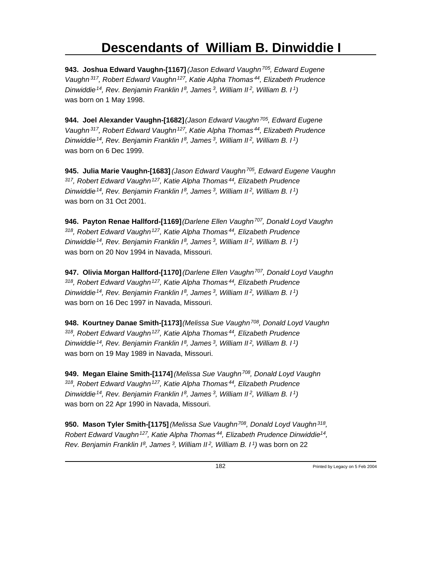**943. Joshua Edward Vaughn-[1167]** *(Jason Edward Vaughn<sup>705</sup>, Edward Eugene Vaughn<sup>317</sup>, Robert Edward Vaughn<sup>127</sup>, Katie Alpha Thomas<sup>44</sup>, Elizabeth Prudence Dinwiddie<sup>14</sup>, Rev. Benjamin Franklin I<sup>8</sup>, James<sup>3</sup>, William II<sup>2</sup>, William B. I<sup>1</sup>)* was born on 1 May 1998.

**944. Joel Alexander Vaughn-[1682]** *(Jason Edward Vaughn<sup>705</sup>, Edward Eugene Vaughn<sup>317</sup>, Robert Edward Vaughn<sup>127</sup>, Katie Alpha Thomas<sup>44</sup>, Elizabeth Prudence Dinwiddie<sup>14</sup>, Rev. Benjamin Franklin I<sup>8</sup>, James<sup>3</sup>, William II<sup>2</sup>, William B. I<sup>1</sup>)* was born on 6 Dec 1999.

**945. Julia Marie Vaughn-[1683]** *(Jason Edward Vaughn<sup>705</sup>, Edward Eugene Vaughn <sup>317</sup>, Robert Edward Vaughn<sup>127</sup>, Katie Alpha Thomas<sup>44</sup>, Elizabeth Prudence Dinwiddie<sup>14</sup>, Rev. Benjamin Franklin I<sup>8</sup>, James<sup>3</sup>, William II<sup>2</sup>, William B. I<sup>1</sup>)* was born on 31 Oct 2001.

**946. Payton Renae Hallford-[1169]** *(Darlene Ellen Vaughn<sup>707</sup>, Donald Loyd Vaughn <sup>318</sup>, Robert Edward Vaughn<sup>127</sup>, Katie Alpha Thomas<sup>44</sup>, Elizabeth Prudence Dinwiddie<sup>14</sup>, Rev. Benjamin Franklin I<sup>8</sup>, James<sup>3</sup>, William II<sup>2</sup>, William B. I<sup>1</sup>)* was born on 20 Nov 1994 in Navada, Missouri.

**947. Olivia Morgan Hallford-[1170]** *(Darlene Ellen Vaughn<sup>707</sup>, Donald Loyd Vaughn <sup>318</sup>, Robert Edward Vaughn<sup>127</sup>, Katie Alpha Thomas<sup>44</sup>, Elizabeth Prudence Dinwiddie<sup>14</sup>, Rev. Benjamin Franklin I<sup>8</sup>, James<sup>3</sup>, William II<sup>2</sup>, William B. I<sup>1</sup>)* was born on 16 Dec 1997 in Navada, Missouri.

**948. Kourtney Danae Smith-[1173]** *(Melissa Sue Vaughn<sup>708</sup>, Donald Loyd Vaughn <sup>318</sup>, Robert Edward Vaughn<sup>127</sup>, Katie Alpha Thomas<sup>44</sup>, Elizabeth Prudence Dinwiddie<sup>14</sup>, Rev. Benjamin Franklin I<sup>8</sup>, James<sup>3</sup>, William II<sup>2</sup>, William B. I<sup>1</sup>)* was born on 19 May 1989 in Navada, Missouri.

**949. Megan Elaine Smith-[1174]** *(Melissa Sue Vaughn<sup>708</sup>, Donald Loyd Vaughn <sup>318</sup>, Robert Edward Vaughn<sup>127</sup>, Katie Alpha Thomas<sup>44</sup>, Elizabeth Prudence Dinwiddie<sup>14</sup>, Rev. Benjamin Franklin I<sup>8</sup>, James<sup>3</sup>, William II<sup>2</sup>, William B. I<sup>1</sup>)* was born on 22 Apr 1990 in Navada, Missouri.

**950. Mason Tyler Smith-[1175]** *(Melissa Sue Vaughn<sup>708</sup>, Donald Loyd Vaughn<sup>318</sup> , Robert Edward Vaughn<sup>127</sup>, Katie Alpha Thomas<sup>44</sup>, Elizabeth Prudence Dinwiddie<sup>14</sup> , Rev. Benjamin Franklin I 8, James 3, William II 2, William B. I 1)* was born on 22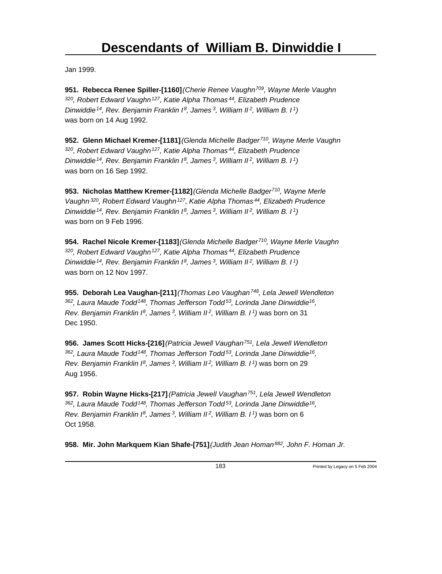Jan 1999.

**951. Rebecca Renee Spiller-[1160]** *(Cherie Renee Vaughn<sup>709</sup>, Wayne Merle Vaughn <sup>320</sup>, Robert Edward Vaughn<sup>127</sup>, Katie Alpha Thomas<sup>44</sup>, Elizabeth Prudence Dinwiddie<sup>14</sup>, Rev. Benjamin Franklin I<sup>8</sup>, James<sup>3</sup>, William II<sup>2</sup>, William B. I<sup>1</sup>)* was born on 14 Aug 1992.

**952. Glenn Michael Kremer-[1181]** *(Glenda Michelle Badger<sup>710</sup>, Wayne Merle Vaughn <sup>320</sup>, Robert Edward Vaughn<sup>127</sup>, Katie Alpha Thomas<sup>44</sup>, Elizabeth Prudence Dinwiddie<sup>14</sup>, Rev. Benjamin Franklin I<sup>8</sup>, James<sup>3</sup>, William II<sup>2</sup>, William B. I<sup>1</sup>)* was born on 16 Sep 1992.

**953. Nicholas Matthew Kremer-[1182]** *(Glenda Michelle Badger<sup>710</sup>, Wayne Merle Vaughn<sup>320</sup>, Robert Edward Vaughn<sup>127</sup>, Katie Alpha Thomas<sup>44</sup>, Elizabeth Prudence Dinwiddie<sup>14</sup>, Rev. Benjamin Franklin I<sup>8</sup>, James<sup>3</sup>, William II<sup>2</sup>, William B. I<sup>1</sup>)* was born on 9 Feb 1996.

**954. Rachel Nicole Kremer-[1183]** *(Glenda Michelle Badger<sup>710</sup>, Wayne Merle Vaughn <sup>320</sup>, Robert Edward Vaughn<sup>127</sup>, Katie Alpha Thomas<sup>44</sup>, Elizabeth Prudence Dinwiddie<sup>14</sup>, Rev. Benjamin Franklin I<sup>8</sup>, James<sup>3</sup>, William II<sup>2</sup>, William B. I<sup>1</sup>)* was born on 12 Nov 1997.

**955. Deborah Lea Vaughan-[211]** *(Thomas Leo Vaughan<sup>748</sup>, Lela Jewell Wendleton <sup>362</sup>, Laura Maude Todd<sup>148</sup>, Thomas Jefferson Todd<sup>53</sup>, Lorinda Jane Dinwiddie<sup>16</sup> , Rev. Benjamin Franklin I<sup>8</sup>, James<sup>3</sup>, William II<sup>2</sup>, William B. I<sup>1</sup>)* was born on 31 Dec 1950.

**956. James Scott Hicks-[216]** *(Patricia Jewell Vaughan<sup>751</sup>, Lela Jewell Wendleton <sup>362</sup>, Laura Maude Todd<sup>148</sup>, Thomas Jefferson Todd<sup>53</sup>, Lorinda Jane Dinwiddie<sup>16</sup> , Rev. Benjamin Franklin I<sup>8</sup>, James<sup>3</sup>, William II<sup>2</sup>, William B. I<sup>1</sup>)* was born on 29 Aug 1956.

**957. Robin Wayne Hicks-[217]** *(Patricia Jewell Vaughan<sup>751</sup>, Lela Jewell Wendleton <sup>362</sup>, Laura Maude Todd<sup>148</sup>, Thomas Jefferson Todd<sup>53</sup>, Lorinda Jane Dinwiddie<sup>16</sup> , Rev. Benjamin Franklin I<sup>8</sup>, James<sup>3</sup>, William II<sup>2</sup>, William B. I<sup>1</sup>)* was born on 6 Oct 1958.

**958. Mir. John Markquem Kian Shafe-[751]** *(Judith Jean Homan 882, John F. Homan Jr.*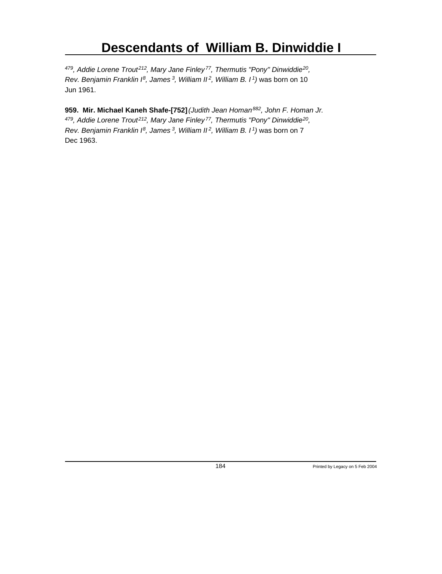*<sup>479</sup>, Addie Lorene Trout<sup>212</sup>, Mary Jane Finley<sup>77</sup>, Thermutis "Pony" Dinwiddie<sup>20</sup> , Rev. Benjamin Franklin I<sup>8</sup>, James<sup>3</sup>, William II<sup>2</sup>, William B. I<sup>1</sup>)* was born on 10 Jun 1961.

**959. Mir. Michael Kaneh Shafe-[752]** *(Judith Jean Homan<sup>882</sup>, John F. Homan Jr. <sup>479</sup>, Addie Lorene Trout<sup>212</sup>, Mary Jane Finley<sup>77</sup>, Thermutis "Pony" Dinwiddie<sup>20</sup> , Rev. Benjamin Franklin I<sup>8</sup>, James<sup>3</sup>, William II<sup>2</sup>, William B. I<sup>1</sup>)* was born on 7 Dec 1963.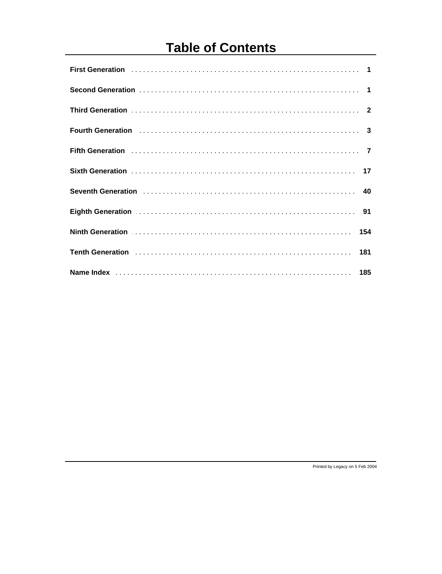# **Table of Contents**

| Fourth Generation (1000) contains a control of the control of the control of the control of the control of the control of the control of the control of the control of the control of the control of the control of the contro |  |
|--------------------------------------------------------------------------------------------------------------------------------------------------------------------------------------------------------------------------------|--|
| Fifth Generation (1000) 7 7                                                                                                                                                                                                    |  |
|                                                                                                                                                                                                                                |  |
| Seventh Generation (1990) 100 million and the Seventh Generation (1990) 100 million and the Seventh Contract Mu                                                                                                                |  |
| Eighth Generation (1999) 1994                                                                                                                                                                                                  |  |
| Ninth Generation (1990) 154                                                                                                                                                                                                    |  |
|                                                                                                                                                                                                                                |  |
|                                                                                                                                                                                                                                |  |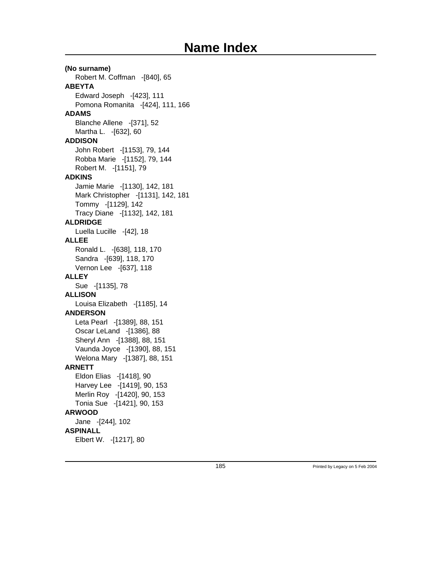### **(No surname)** Robert M. Coffman -[840], 65 **ABEYTA** Edward Joseph -[423], 111 Pomona Romanita -[424], 111, 166 **ADAMS** Blanche Allene -[371], 52 Martha L. -[632], 60 **ADDISON** John Robert -[1153], 79, 144 Robba Marie -[1152], 79, 144 Robert M. -[1151], 79 **ADKINS** Jamie Marie -[1130], 142, 181 Mark Christopher -[1131], 142, 181 Tommy -[1129], 142 Tracy Diane -[1132], 142, 181 **ALDRIDGE** Luella Lucille -[42], 18 **ALLEE** Ronald L. -[638], 118, 170 Sandra -[639], 118, 170 Vernon Lee -[637], 118 **ALLEY** Sue -[1135], 78 **ALLISON** Louisa Elizabeth -[1185], 14 **ANDERSON** Leta Pearl -[1389], 88, 151 Oscar LeLand -[1386], 88 Sheryl Ann -[1388], 88, 151 Vaunda Joyce -[1390], 88, 151 Welona Mary -[1387], 88, 151 **ARNETT** Eldon Elias -[1418], 90 Harvey Lee -[1419], 90, 153 Merlin Roy -[1420], 90, 153 Tonia Sue -[1421], 90, 153 **ARWOOD** Jane -[244], 102 **ASPINALL** Elbert W. -[1217], 80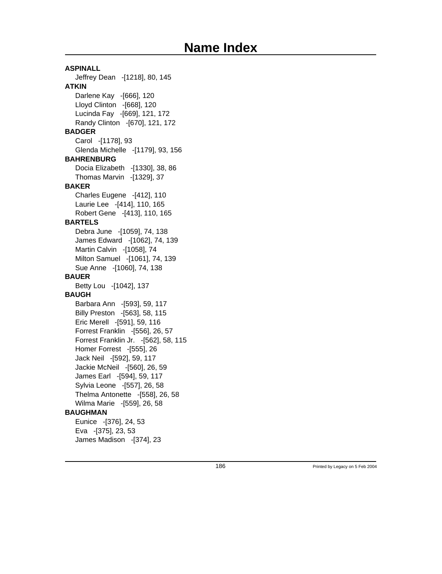### **ASPINALL** Jeffrey Dean -[1218], 80, 145 **ATKIN** Darlene Kay -[666], 120 Lloyd Clinton -[668], 120 Lucinda Fay -[669], 121, 172 Randy Clinton -[670], 121, 172 **BADGER** Carol -[1178], 93 Glenda Michelle -[1179], 93, 156 **BAHRENBURG** Docia Elizabeth -[1330], 38, 86 Thomas Marvin -[1329], 37 **BAKER** Charles Eugene -[412], 110 Laurie Lee -[414], 110, 165 Robert Gene -[413], 110, 165 **BARTELS** Debra June -[1059], 74, 138 James Edward -[1062], 74, 139 Martin Calvin -[1058], 74 Milton Samuel -[1061], 74, 139 Sue Anne -[1060], 74, 138 **BAUER** Betty Lou -[1042], 137 **BAUGH** Barbara Ann -[593], 59, 117 Billy Preston -[563], 58, 115 Eric Merell -[591], 59, 116 Forrest Franklin -[556], 26, 57 Forrest Franklin Jr. -[562], 58, 115 Homer Forrest -[555], 26 Jack Neil -[592], 59, 117 Jackie McNeil -[560], 26, 59 James Earl -[594], 59, 117 Sylvia Leone -[557], 26, 58 Thelma Antonette -[558], 26, 58 Wilma Marie -[559], 26, 58 **BAUGHMAN** Eunice -[376], 24, 53 Eva -[375], 23, 53 James Madison -[374], 23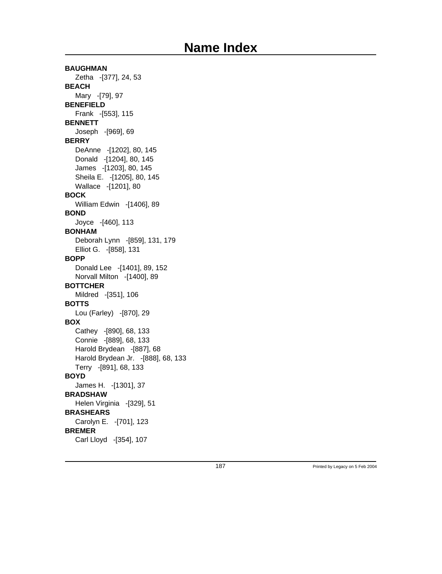**BAUGHMAN** Zetha -[377], 24, 53 **BEACH** Mary -[79], 97 **BENEFIELD** Frank -[553], 115 **BENNETT** Joseph -[969], 69 **BERRY** DeAnne -[1202], 80, 145 Donald -[1204], 80, 145 James -[1203], 80, 145 Sheila E. -[1205], 80, 145 Wallace -[1201], 80 **BOCK** William Edwin -[1406], 89 **BOND** Joyce -[460], 113 **BONHAM** Deborah Lynn -[859], 131, 179 Elliot G. -[858], 131 **BOPP** Donald Lee -[1401], 89, 152 Norvall Milton -[1400], 89 **BOTTCHER** Mildred -[351], 106 **BOTTS** Lou (Farley) -[870], 29 **BOX** Cathey -[890], 68, 133 Connie -[889], 68, 133 Harold Brydean -[887], 68 Harold Brydean Jr. -[888], 68, 133 Terry -[891], 68, 133 **BOYD** James H. -[1301], 37 **BRADSHAW** Helen Virginia -[329], 51 **BRASHEARS** Carolyn E. -[701], 123 **BREMER**

Carl Lloyd -[354], 107

187 **Printed by Legacy on 5 Feb 2004**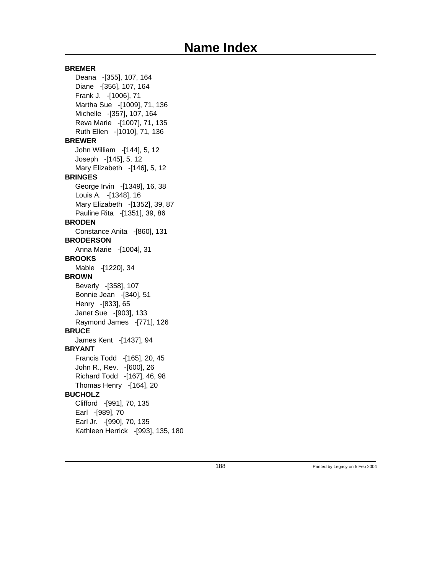### **BREMER**

Deana -[355], 107, 164 Diane -[356], 107, 164 Frank J. -[1006], 71 Martha Sue -[1009], 71, 136 Michelle -[357], 107, 164 Reva Marie -[1007], 71, 135 Ruth Ellen -[1010], 71, 136 **BREWER** John William -[144], 5, 12 Joseph -[145], 5, 12 Mary Elizabeth -[146], 5, 12 **BRINGES** George Irvin -[1349], 16, 38 Louis A. -[1348], 16 Mary Elizabeth -[1352], 39, 87 Pauline Rita -[1351], 39, 86 **BRODEN** Constance Anita -[860], 131 **BRODERSON** Anna Marie -[1004], 31 **BROOKS** Mable -[1220], 34 **BROWN** Beverly -[358], 107 Bonnie Jean -[340], 51 Henry -[833], 65 Janet Sue -[903], 133 Raymond James -[771], 126 **BRUCE** James Kent -[1437], 94 **BRYANT** Francis Todd -[165], 20, 45 John R., Rev. -[600], 26 Richard Todd -[167], 46, 98 Thomas Henry -[164], 20 **BUCHOLZ** Clifford -[991], 70, 135 Earl -[989], 70 Earl Jr. -[990], 70, 135 Kathleen Herrick -[993], 135, 180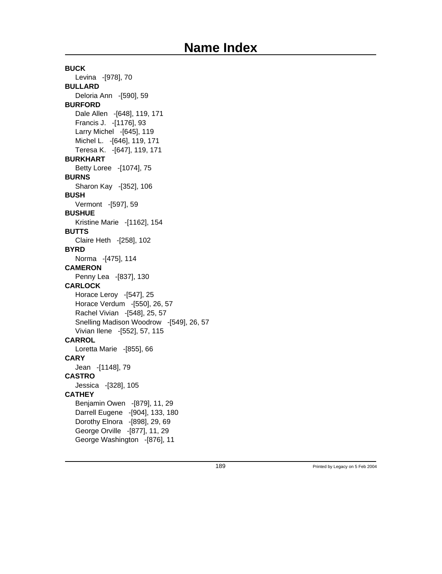**BUCK** Levina -[978], 70 **BULLARD** Deloria Ann -[590], 59 **BURFORD** Dale Allen -[648], 119, 171 Francis J. -[1176], 93 Larry Michel -[645], 119 Michel L. -[646], 119, 171 Teresa K. -[647], 119, 171 **BURKHART** Betty Loree -[1074], 75 **BURNS** Sharon Kay -[352], 106 **BUSH** Vermont -[597], 59 **BUSHUE** Kristine Marie -[1162], 154 **BUTTS** Claire Heth -[258], 102 **BYRD** Norma -[475], 114 **CAMERON** Penny Lea -[837], 130 **CARLOCK** Horace Leroy -[547], 25 Horace Verdum -[550], 26, 57 Rachel Vivian -[548], 25, 57 Snelling Madison Woodrow -[549], 26, 57 Vivian Ilene -[552], 57, 115 **CARROL** Loretta Marie -[855], 66 **CARY** Jean -[1148], 79 **CASTRO** Jessica -[328], 105 **CATHEY** Benjamin Owen -[879], 11, 29 Darrell Eugene -[904], 133, 180 Dorothy Elnora -[898], 29, 69 George Orville -[877], 11, 29 George Washington -[876], 11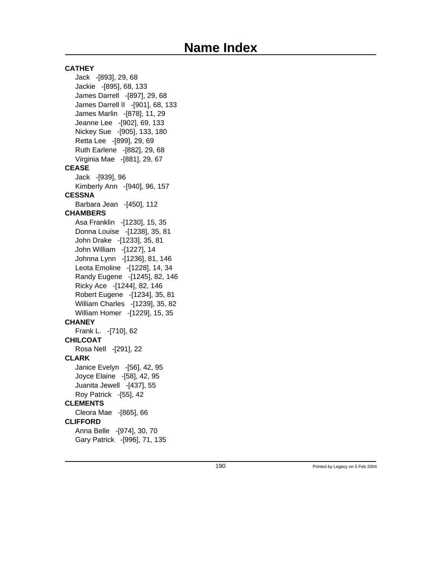**CATHEY** Jack -[893], 29, 68 Jackie -[895], 68, 133 James Darrell -[897], 29, 68 James Darrell II -[901], 68, 133 James Marlin -[878], 11, 29 Jeanne Lee -[902], 69, 133 Nickey Sue -[905], 133, 180 Retta Lee -[899], 29, 69 Ruth Earlene -[882], 29, 68 Virginia Mae -[881], 29, 67 **CEASE** Jack -[939], 96 Kimberly Ann -[940], 96, 157 **CESSNA** Barbara Jean -[450], 112 **CHAMBERS** Asa Franklin -[1230], 15, 35 Donna Louise -[1238], 35, 81 John Drake -[1233], 35, 81 John William -[1227], 14 Johnna Lynn -[1236], 81, 146 Leota Emoline -[1228], 14, 34 Randy Eugene -[1245], 82, 146 Ricky Ace -[1244], 82, 146 Robert Eugene -[1234], 35, 81 William Charles -[1239], 35, 82 William Homer -[1229], 15, 35 **CHANEY** Frank L. -[710], 62 **CHILCOAT** Rosa Nell -[291], 22 **CLARK** Janice Evelyn -[56], 42, 95 Joyce Elaine -[58], 42, 95 Juanita Jewell -[437], 55 Roy Patrick -[55], 42 **CLEMENTS** Cleora Mae -[865], 66 **CLIFFORD** Anna Belle -[974], 30, 70 Gary Patrick -[996], 71, 135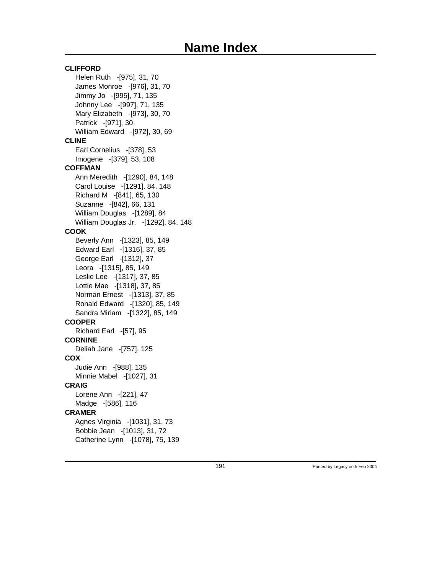### **CLIFFORD** Helen Ruth -[975], 31, 70 James Monroe -[976], 31, 70 Jimmy Jo -[995], 71, 135 Johnny Lee -[997], 71, 135 Mary Elizabeth -[973], 30, 70 Patrick -[971], 30 William Edward -[972], 30, 69 **CLINE** Earl Cornelius -[378], 53 Imogene -[379], 53, 108 **COFFMAN** Ann Meredith -[1290], 84, 148 Carol Louise -[1291], 84, 148 Richard M -[841], 65, 130 Suzanne -[842], 66, 131 William Douglas -[1289], 84 William Douglas Jr. -[1292], 84, 148 **COOK** Beverly Ann -[1323], 85, 149 Edward Earl -[1316], 37, 85 George Earl -[1312], 37 Leora -[1315], 85, 149 Leslie Lee -[1317], 37, 85 Lottie Mae -[1318], 37, 85 Norman Ernest -[1313], 37, 85 Ronald Edward -[1320], 85, 149 Sandra Miriam -[1322], 85, 149 **COOPER** Richard Earl -[57], 95 **CORNINE** Deliah Jane -[757], 125 **COX** Judie Ann -[988], 135 Minnie Mabel -[1027], 31 **CRAIG** Lorene Ann -[221], 47 Madge -[586], 116 **CRAMER** Agnes Virginia -[1031], 31, 73 Bobbie Jean -[1013], 31, 72 Catherine Lynn -[1078], 75, 139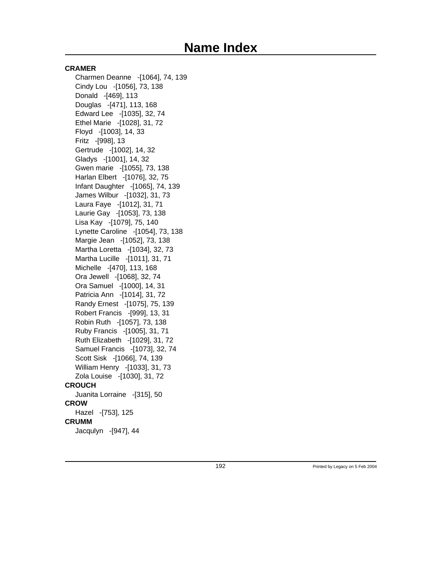#### **CRAMER**

Charmen Deanne -[1064], 74, 139 Cindy Lou -[1056], 73, 138 Donald -[469], 113 Douglas -[471], 113, 168 Edward Lee -[1035], 32, 74 Ethel Marie -[1028], 31, 72 Floyd -[1003], 14, 33 Fritz -[998], 13 Gertrude -[1002], 14, 32 Gladys -[1001], 14, 32 Gwen marie -[1055], 73, 138 Harlan Elbert -[1076], 32, 75 Infant Daughter -[1065], 74, 139 James Wilbur -[1032], 31, 73 Laura Faye -[1012], 31, 71 Laurie Gay -[1053], 73, 138 Lisa Kay -[1079], 75, 140 Lynette Caroline -[1054], 73, 138 Margie Jean -[1052], 73, 138 Martha Loretta -[1034], 32, 73 Martha Lucille -[1011], 31, 71 Michelle -[470], 113, 168 Ora Jewell -[1068], 32, 74 Ora Samuel -[1000], 14, 31 Patricia Ann -[1014], 31, 72 Randy Ernest -[1075], 75, 139 Robert Francis -[999], 13, 31 Robin Ruth -[1057], 73, 138 Ruby Francis -[1005], 31, 71 Ruth Elizabeth -[1029], 31, 72 Samuel Francis -[1073], 32, 74 Scott Sisk -[1066], 74, 139 William Henry -[1033], 31, 73 Zola Louise -[1030], 31, 72 **CROUCH** Juanita Lorraine -[315], 50 **CROW** Hazel -[753], 125 **CRUMM** Jacqulyn -[947], 44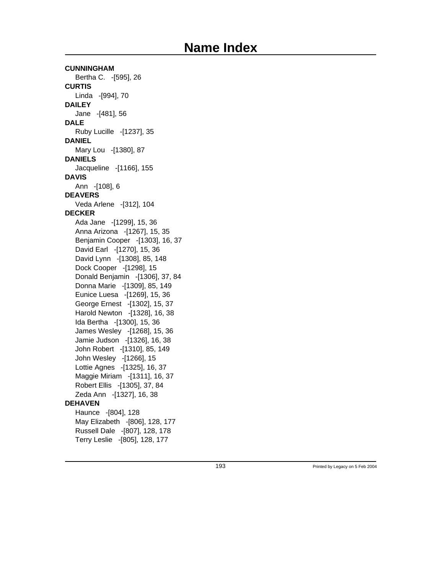**CUNNINGHAM** Bertha C. -[595], 26 **CURTIS** Linda -[994], 70 **DAILEY** Jane -[481], 56 **DALE** Ruby Lucille -[1237], 35 **DANIEL** Mary Lou -[1380], 87 **DANIELS** Jacqueline -[1166], 155 **DAVIS** Ann -[108], 6 **DEAVERS** Veda Arlene -[312], 104 **DECKER** Ada Jane -[1299], 15, 36 Anna Arizona -[1267], 15, 35 Benjamin Cooper -[1303], 16, 37 David Earl -[1270], 15, 36 David Lynn -[1308], 85, 148 Dock Cooper -[1298], 15 Donald Benjamin -[1306], 37, 84 Donna Marie -[1309], 85, 149 Eunice Luesa -[1269], 15, 36 George Ernest -[1302], 15, 37 Harold Newton -[1328], 16, 38 Ida Bertha -[1300], 15, 36 James Wesley -[1268], 15, 36 Jamie Judson -[1326], 16, 38 John Robert -[1310], 85, 149 John Wesley -[1266], 15 Lottie Agnes -[1325], 16, 37 Maggie Miriam -[1311], 16, 37 Robert Ellis -[1305], 37, 84 Zeda Ann -[1327], 16, 38 **DEHAVEN** Haunce -[804], 128 May Elizabeth -[806], 128, 177 Russell Dale -[807], 128, 178 Terry Leslie -[805], 128, 177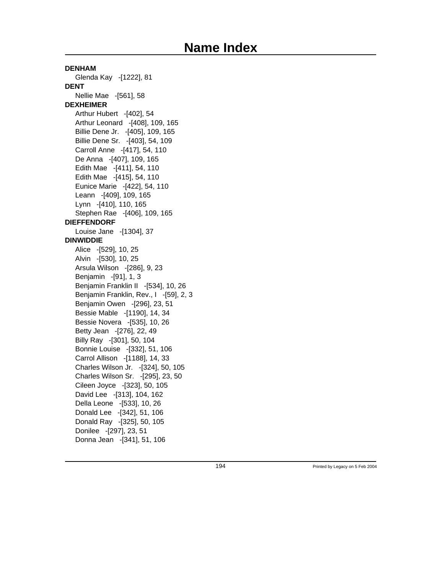**DENHAM** Glenda Kay -[1222], 81 **DENT** Nellie Mae -[561], 58 **DEXHEIMER** Arthur Hubert -[402], 54 Arthur Leonard -[408], 109, 165 Billie Dene Jr. -[405], 109, 165 Billie Dene Sr. -[403], 54, 109 Carroll Anne -[417], 54, 110 De Anna -[407], 109, 165 Edith Mae -[411], 54, 110 Edith Mae -[415], 54, 110 Eunice Marie -[422], 54, 110 Leann -[409], 109, 165 Lynn -[410], 110, 165 Stephen Rae -[406], 109, 165 **DIEFFENDORF** Louise Jane -[1304], 37 **DINWIDDIE** Alice -[529], 10, 25 Alvin -[530], 10, 25 Arsula Wilson -[286], 9, 23 Benjamin -[91], 1, 3 Benjamin Franklin II -[534], 10, 26 Benjamin Franklin, Rev., I -[59], 2, 3 Benjamin Owen -[296], 23, 51 Bessie Mable -[1190], 14, 34 Bessie Novera -[535], 10, 26 Betty Jean -[276], 22, 49 Billy Ray -[301], 50, 104 Bonnie Louise -[332], 51, 106 Carrol Allison -[1188], 14, 33 Charles Wilson Jr. -[324], 50, 105 Charles Wilson Sr. -[295], 23, 50 Cileen Joyce -[323], 50, 105 David Lee -[313], 104, 162 Della Leone -[533], 10, 26 Donald Lee -[342], 51, 106 Donald Ray -[325], 50, 105 Donilee -[297], 23, 51 Donna Jean -[341], 51, 106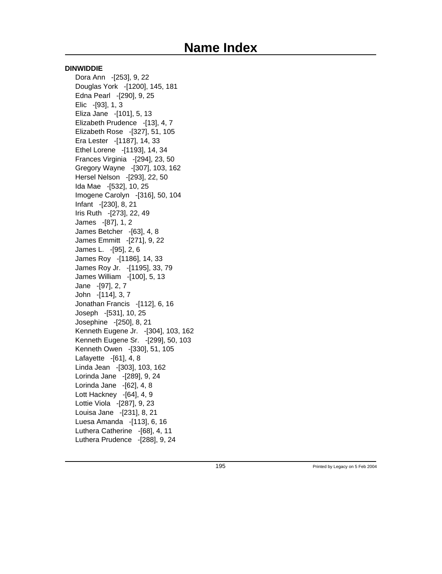#### **DINWIDDIE**

Dora Ann -[253], 9, 22 Douglas York -[1200], 145, 181 Edna Pearl -[290], 9, 25 Elic -[93], 1, 3 Eliza Jane -[101], 5, 13 Elizabeth Prudence -[13], 4, 7 Elizabeth Rose -[327], 51, 105 Era Lester -[1187], 14, 33 Ethel Lorene -[1193], 14, 34 Frances Virginia -[294], 23, 50 Gregory Wayne -[307], 103, 162 Hersel Nelson -[293], 22, 50 Ida Mae -[532], 10, 25 Imogene Carolyn -[316], 50, 104 Infant -[230], 8, 21 Iris Ruth -[273], 22, 49 James -[87], 1, 2 James Betcher -[63], 4, 8 James Emmitt -[271], 9, 22 James L. -[95], 2, 6 James Roy -[1186], 14, 33 James Roy Jr. -[1195], 33, 79 James William -[100], 5, 13 Jane -[97], 2, 7 John -[114], 3, 7 Jonathan Francis -[112], 6, 16 Joseph -[531], 10, 25 Josephine -[250], 8, 21 Kenneth Eugene Jr. -[304], 103, 162 Kenneth Eugene Sr. -[299], 50, 103 Kenneth Owen -[330], 51, 105 Lafayette -[61], 4, 8 Linda Jean -[303], 103, 162 Lorinda Jane -[289], 9, 24 Lorinda Jane -[62], 4, 8 Lott Hackney -[64], 4, 9 Lottie Viola -[287], 9, 23 Louisa Jane -[231], 8, 21 Luesa Amanda -[113], 6, 16 Luthera Catherine -[68], 4, 11 Luthera Prudence -[288], 9, 24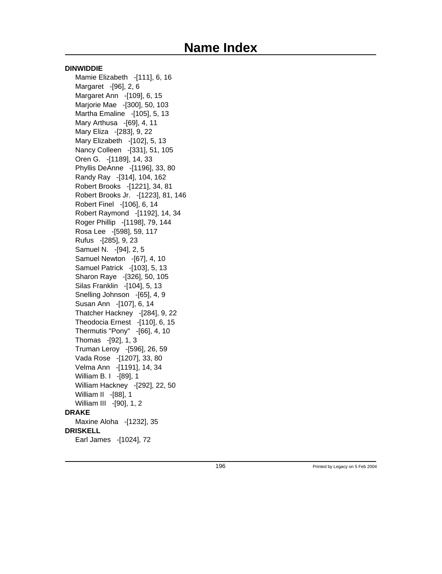#### **DINWIDDIE**

Mamie Elizabeth -[111], 6, 16 Margaret -[96], 2, 6 Margaret Ann -[109], 6, 15 Marjorie Mae -[300], 50, 103 Martha Emaline -[105], 5, 13 Mary Arthusa -[69], 4, 11 Mary Eliza -[283], 9, 22 Mary Elizabeth -[102], 5, 13 Nancy Colleen -[331], 51, 105 Oren G. -[1189], 14, 33 Phyllis DeAnne -[1196], 33, 80 Randy Ray -[314], 104, 162 Robert Brooks -[1221], 34, 81 Robert Brooks Jr. -[1223], 81, 146 Robert Finel -[106], 6, 14 Robert Raymond -[1192], 14, 34 Roger Phillip -[1198], 79, 144 Rosa Lee -[598], 59, 117 Rufus -[285], 9, 23 Samuel N. -[94], 2, 5 Samuel Newton -[67], 4, 10 Samuel Patrick -[103], 5, 13 Sharon Raye -[326], 50, 105 Silas Franklin -[104], 5, 13 Snelling Johnson -[65], 4, 9 Susan Ann -[107], 6, 14 Thatcher Hackney -[284], 9, 22 Theodocia Ernest -[110], 6, 15 Thermutis "Pony" -[66], 4, 10 Thomas -[92], 1, 3 Truman Leroy -[596], 26, 59 Vada Rose -[1207], 33, 80 Velma Ann -[1191], 14, 34 William B. I -[89], 1 William Hackney -[292], 22, 50 William II -[88], 1 William III -[90], 1, 2 **DRAKE** Maxine Aloha -[1232], 35 **DRISKELL** Earl James -[1024], 72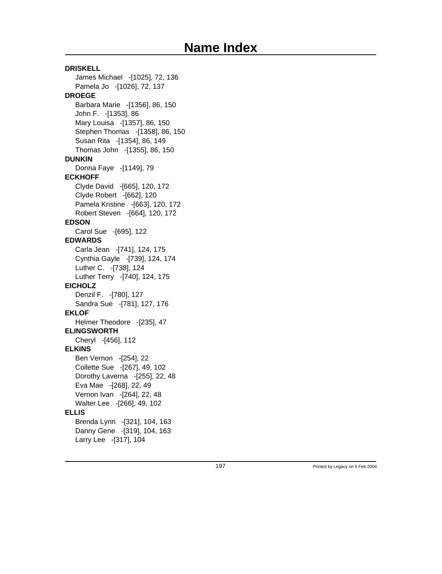**DRISKELL** James Michael -[1025], 72, 136 Pamela Jo -[1026], 72, 137 **DROEGE** Barbara Marie -[1356], 86, 150 John F. -[1353], 86 Mary Louisa -[1357], 86, 150 Stephen Thomas -[1358], 86, 150 Susan Rita -[1354], 86, 149 Thomas John -[1355], 86, 150 **DUNKIN** Donna Faye -[1149], 79 **ECKHOFF** Clyde David -[665], 120, 172 Clyde Robert -[662], 120 Pamela Kristine -[663], 120, 172 Robert Steven -[664], 120, 172 **EDSON** Carol Sue -[695], 122 **EDWARDS** Carla Jean -[741], 124, 175 Cynthia Gayle -[739], 124, 174 Luther C. -[738], 124 Luther Terry -[740], 124, 175 **EICHOLZ** Denzil F. -[780], 127 Sandra Sue -[781], 127, 176 **EKLOF** Helmer Theodore -[235], 47 **ELINGSWORTH** Cheryl -[456], 112 **ELKINS** Ben Vernon -[254], 22 Collette Sue -[267], 49, 102 Dorothy Laverna -[255], 22, 48 Eva Mae -[268], 22, 49 Vernon Ivan -[264], 22, 48 Walter Lee -[266], 49, 102 **ELLIS** Brenda Lynn -[321], 104, 163 Danny Gene -[319], 104, 163 Larry Lee -[317], 104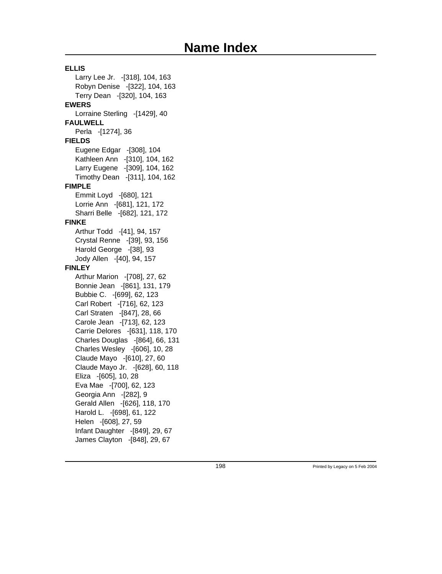**ELLIS** Larry Lee Jr. -[318], 104, 163 Robyn Denise -[322], 104, 163 Terry Dean -[320], 104, 163 **EWERS** Lorraine Sterling -[1429], 40 **FAULWELL** Perla -[1274], 36 **FIELDS** Eugene Edgar -[308], 104 Kathleen Ann -[310], 104, 162 Larry Eugene -[309], 104, 162 Timothy Dean -[311], 104, 162 **FIMPLE** Emmit Loyd -[680], 121 Lorrie Ann -[681], 121, 172 Sharri Belle -[682], 121, 172 **FINKE** Arthur Todd -[41], 94, 157 Crystal Renne -[39], 93, 156 Harold George -[38], 93 Jody Allen -[40], 94, 157 **FINLEY** Arthur Marion -[708], 27, 62 Bonnie Jean -[861], 131, 179 Bubbie C. -[699], 62, 123 Carl Robert -[716], 62, 123 Carl Straten -[847], 28, 66 Carole Jean -[713], 62, 123 Carrie Delores -[631], 118, 170 Charles Douglas -[864], 66, 131 Charles Wesley -[606], 10, 28 Claude Mayo -[610], 27, 60 Claude Mayo Jr. -[628], 60, 118 Eliza -[605], 10, 28 Eva Mae -[700], 62, 123 Georgia Ann -[282], 9 Gerald Allen -[626], 118, 170 Harold L. -[698], 61, 122 Helen -[608], 27, 59 Infant Daughter -[849], 29, 67 James Clayton -[848], 29, 67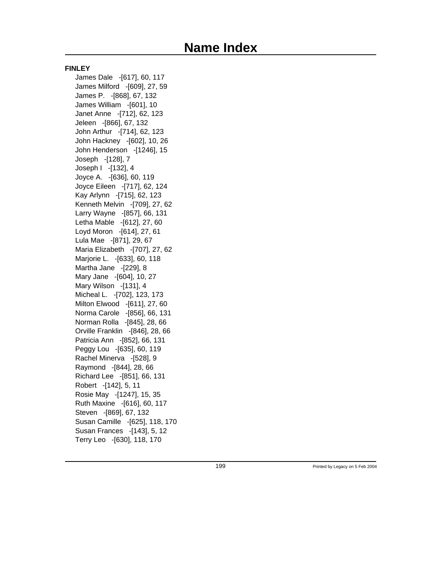#### **FINLEY**

James Dale -[617], 60, 117 James Milford -[609], 27, 59 James P. -[868], 67, 132 James William -[601], 10 Janet Anne -[712], 62, 123 Jeleen -[866], 67, 132 John Arthur -[714], 62, 123 John Hackney -[602], 10, 26 John Henderson -[1246], 15 Joseph -[128], 7 Joseph I -[132], 4 Joyce A. -[636], 60, 119 Joyce Eileen -[717], 62, 124 Kay Arlynn -[715], 62, 123 Kenneth Melvin -[709], 27, 62 Larry Wayne -[857], 66, 131 Letha Mable -[612], 27, 60 Loyd Moron -[614], 27, 61 Lula Mae -[871], 29, 67 Maria Elizabeth -[707], 27, 62 Marjorie L. -[633], 60, 118 Martha Jane -[229], 8 Mary Jane -[604], 10, 27 Mary Wilson -[131], 4 Micheal L. -[702], 123, 173 Milton Elwood -[611], 27, 60 Norma Carole -[856], 66, 131 Norman Rolla -[845], 28, 66 Orville Franklin -[846], 28, 66 Patricia Ann -[852], 66, 131 Peggy Lou -[635], 60, 119 Rachel Minerva -[528], 9 Raymond -[844], 28, 66 Richard Lee -[851], 66, 131 Robert -[142], 5, 11 Rosie May -[1247], 15, 35 Ruth Maxine -[616], 60, 117 Steven -[869], 67, 132 Susan Camille -[625], 118, 170 Susan Frances -[143], 5, 12 Terry Leo -[630], 118, 170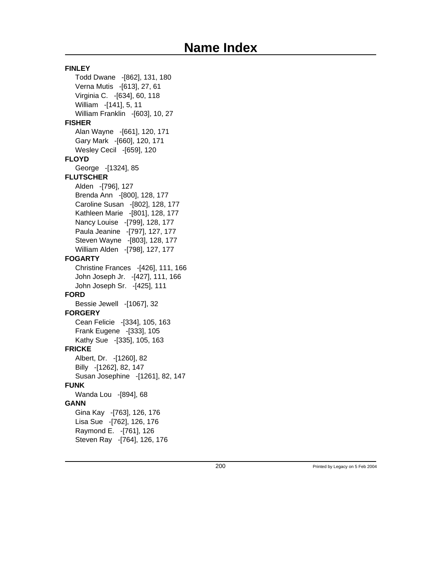**FINLEY** Todd Dwane -[862], 131, 180 Verna Mutis -[613], 27, 61 Virginia C. -[634], 60, 118 William -[141], 5, 11 William Franklin -[603], 10, 27 **FISHER** Alan Wayne -[661], 120, 171 Gary Mark -[660], 120, 171 Wesley Cecil -[659], 120 **FLOYD** George -[1324], 85 **FLUTSCHER** Alden -[796], 127 Brenda Ann -[800], 128, 177 Caroline Susan -[802], 128, 177 Kathleen Marie -[801], 128, 177 Nancy Louise -[799], 128, 177 Paula Jeanine -[797], 127, 177 Steven Wayne -[803], 128, 177 William Alden -[798], 127, 177 **FOGARTY** Christine Frances -[426], 111, 166 John Joseph Jr. -[427], 111, 166 John Joseph Sr. -[425], 111 **FORD** Bessie Jewell -[1067], 32 **FORGERY** Cean Felicie -[334], 105, 163 Frank Eugene -[333], 105 Kathy Sue -[335], 105, 163 **FRICKE** Albert, Dr. -[1260], 82 Billy -[1262], 82, 147 Susan Josephine -[1261], 82, 147 **FUNK** Wanda Lou -[894], 68 **GANN** Gina Kay -[763], 126, 176 Lisa Sue -[762], 126, 176 Raymond E. -[761], 126 Steven Ray -[764], 126, 176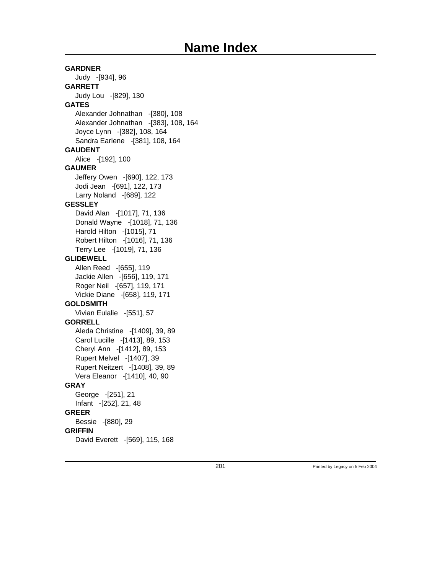### **GARDNER** Judy -[934], 96 **GARRETT** Judy Lou -[829], 130 **GATES** Alexander Johnathan -[380], 108 Alexander Johnathan -[383], 108, 164 Joyce Lynn -[382], 108, 164 Sandra Earlene -[381], 108, 164 **GAUDENT** Alice -[192], 100 **GAUMER** Jeffery Owen -[690], 122, 173 Jodi Jean -[691], 122, 173 Larry Noland -[689], 122 **GESSLEY** David Alan -[1017], 71, 136 Donald Wayne -[1018], 71, 136 Harold Hilton -[1015], 71 Robert Hilton -[1016], 71, 136 Terry Lee -[1019], 71, 136 **GLIDEWELL** Allen Reed -[655], 119 Jackie Allen -[656], 119, 171 Roger Neil -[657], 119, 171 Vickie Diane -[658], 119, 171 **GOLDSMITH** Vivian Eulalie -[551], 57 **GORRELL** Aleda Christine -[1409], 39, 89 Carol Lucille -[1413], 89, 153 Cheryl Ann -[1412], 89, 153 Rupert Melvel -[1407], 39 Rupert Neitzert -[1408], 39, 89 Vera Eleanor -[1410], 40, 90 **GRAY** George -[251], 21 Infant -[252], 21, 48 **GREER** Bessie -[880], 29 **GRIFFIN** David Everett -[569], 115, 168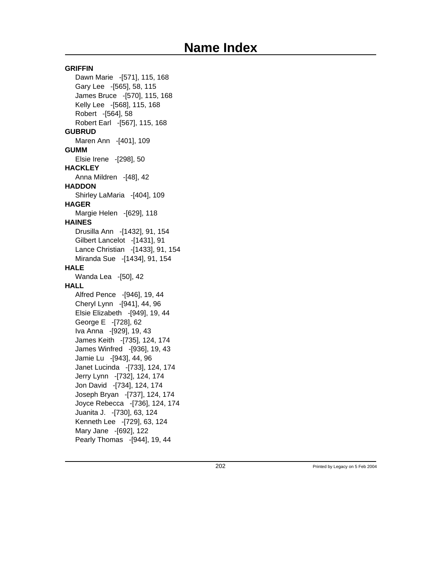**GRIFFIN** Dawn Marie -[571], 115, 168 Gary Lee -[565], 58, 115 James Bruce -[570], 115, 168 Kelly Lee -[568], 115, 168 Robert -[564], 58 Robert Earl -[567], 115, 168 **GUBRUD** Maren Ann -[401], 109 **GUMM** Elsie Irene -[298], 50 **HACKLEY** Anna Mildren -[48], 42 **HADDON** Shirley LaMaria -[404], 109 **HAGER** Margie Helen -[629], 118 **HAINES** Drusilla Ann -[1432], 91, 154 Gilbert Lancelot -[1431], 91 Lance Christian -[1433], 91, 154 Miranda Sue -[1434], 91, 154 **HALE** Wanda Lea -[50], 42 **HALL** Alfred Pence -[946], 19, 44 Cheryl Lynn -[941], 44, 96 Elsie Elizabeth -[949], 19, 44 George E -[728], 62 Iva Anna -[929], 19, 43 James Keith -[735], 124, 174 James Winfred -[936], 19, 43 Jamie Lu -[943], 44, 96 Janet Lucinda -[733], 124, 174 Jerry Lynn -[732], 124, 174 Jon David -[734], 124, 174 Joseph Bryan -[737], 124, 174 Joyce Rebecca -[736], 124, 174 Juanita J. -[730], 63, 124 Kenneth Lee -[729], 63, 124 Mary Jane -[692], 122 Pearly Thomas -[944], 19, 44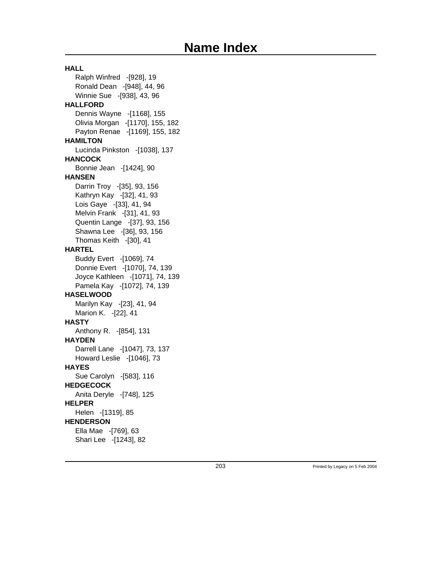**HALL** Ralph Winfred -[928], 19 Ronald Dean -[948], 44, 96 Winnie Sue -[938], 43, 96 **HALLFORD** Dennis Wayne -[1168], 155 Olivia Morgan -[1170], 155, 182 Payton Renae -[1169], 155, 182 **HAMILTON** Lucinda Pinkston -[1038], 137 **HANCOCK** Bonnie Jean -[1424], 90 **HANSEN** Darrin Troy -[35], 93, 156 Kathryn Kay -[32], 41, 93 Lois Gaye -[33], 41, 94 Melvin Frank -[31], 41, 93 Quentin Lange -[37], 93, 156 Shawna Lee -[36], 93, 156 Thomas Keith -[30], 41 **HARTEL** Buddy Evert -[1069], 74 Donnie Evert -[1070], 74, 139 Joyce Kathleen -[1071], 74, 139 Pamela Kay -[1072], 74, 139 **HASELWOOD** Marilyn Kay -[23], 41, 94 Marion K. -[22], 41 **HASTY** Anthony R. -[854], 131 **HAYDEN** Darrell Lane -[1047], 73, 137 Howard Leslie -[1046], 73 **HAYES** Sue Carolyn -[583], 116 **HEDGECOCK** Anita Deryle -[748], 125 **HELPER** Helen -[1319], 85 **HENDERSON** Ella Mae -[769], 63 Shari Lee -[1243], 82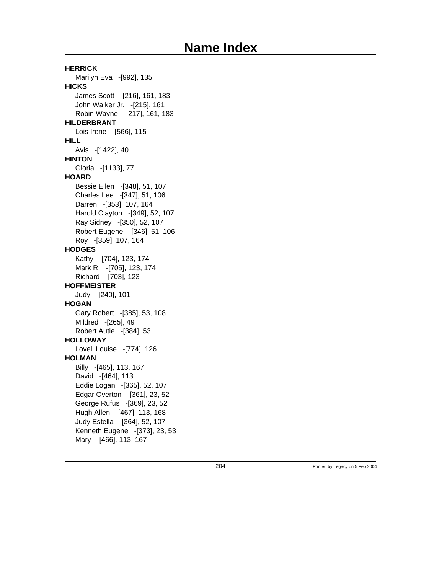**HERRICK** Marilyn Eva -[992], 135 **HICKS** James Scott -[216], 161, 183 John Walker Jr. -[215], 161 Robin Wayne -[217], 161, 183 **HILDERBRANT** Lois Irene -[566], 115 **HILL** Avis -[1422], 40 **HINTON** Gloria -[1133], 77 **HOARD** Bessie Ellen -[348], 51, 107 Charles Lee -[347], 51, 106 Darren -[353], 107, 164 Harold Clayton -[349], 52, 107 Ray Sidney -[350], 52, 107 Robert Eugene -[346], 51, 106 Roy -[359], 107, 164 **HODGES** Kathy -[704], 123, 174 Mark R. -[705], 123, 174 Richard -[703], 123 **HOFFMEISTER** Judy -[240], 101 **HOGAN** Gary Robert -[385], 53, 108 Mildred -[265], 49 Robert Autie -[384], 53 **HOLLOWAY** Lovell Louise -[774], 126 **HOLMAN** Billy -[465], 113, 167 David -[464], 113 Eddie Logan -[365], 52, 107 Edgar Overton -[361], 23, 52 George Rufus -[369], 23, 52 Hugh Allen -[467], 113, 168 Judy Estella -[364], 52, 107 Kenneth Eugene -[373], 23, 53 Mary -[466], 113, 167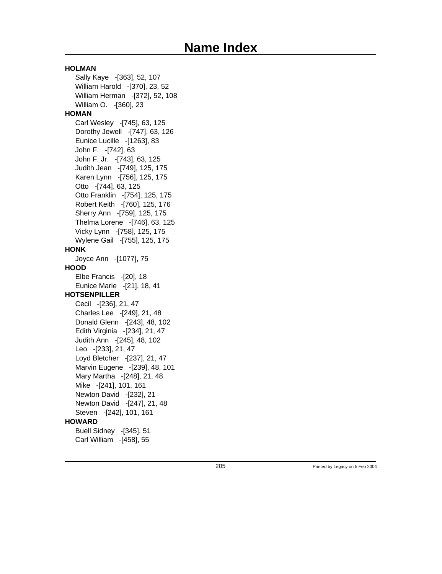**HOLMAN** Sally Kaye -[363], 52, 107 William Harold -[370], 23, 52 William Herman -[372], 52, 108 William O. -[360], 23 **HOMAN** Carl Wesley -[745], 63, 125 Dorothy Jewell -[747], 63, 126 Eunice Lucille -[1263], 83 John F. -[742], 63 John F. Jr. -[743], 63, 125 Judith Jean -[749], 125, 175 Karen Lynn -[756], 125, 175 Otto -[744], 63, 125 Otto Franklin -[754], 125, 175 Robert Keith -[760], 125, 176 Sherry Ann -[759], 125, 175 Thelma Lorene -[746], 63, 125 Vicky Lynn -[758], 125, 175 Wylene Gail -[755], 125, 175 **HONK** Joyce Ann -[1077], 75 **HOOD** Elbe Francis -[20], 18 Eunice Marie -[21], 18, 41 **HOTSENPILLER** Cecil -[236], 21, 47 Charles Lee -[249], 21, 48 Donald Glenn -[243], 48, 102 Edith Virginia -[234], 21, 47 Judith Ann -[245], 48, 102 Leo -[233], 21, 47 Loyd Bletcher -[237], 21, 47 Marvin Eugene -[239], 48, 101 Mary Martha -[248], 21, 48 Mike -[241], 101, 161 Newton David -[232], 21 Newton David -[247], 21, 48 Steven -[242], 101, 161 **HOWARD** Buell Sidney -[345], 51 Carl William -[458], 55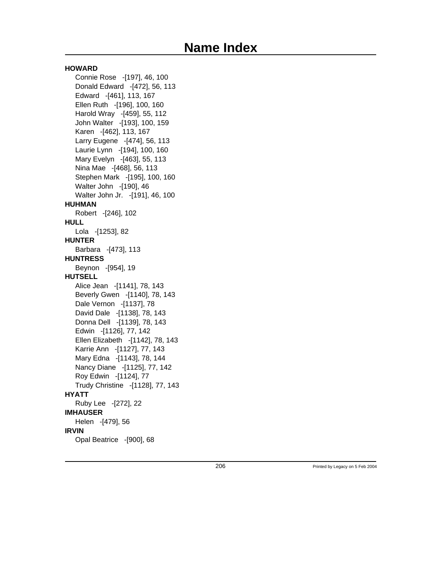#### **HOWARD**

Connie Rose -[197], 46, 100 Donald Edward -[472], 56, 113 Edward -[461], 113, 167 Ellen Ruth -[196], 100, 160 Harold Wray -[459], 55, 112 John Walter -[193], 100, 159 Karen -[462], 113, 167 Larry Eugene -[474], 56, 113 Laurie Lynn -[194], 100, 160 Mary Evelyn -[463], 55, 113 Nina Mae -[468], 56, 113 Stephen Mark -[195], 100, 160 Walter John -[190], 46 Walter John Jr. -[191], 46, 100 **HUHMAN** Robert -[246], 102 **HULL** Lola -[1253], 82 **HUNTER** Barbara -[473], 113 **HUNTRESS** Beynon -[954], 19 **HUTSELL** Alice Jean -[1141], 78, 143 Beverly Gwen -[1140], 78, 143 Dale Vernon -[1137], 78 David Dale -[1138], 78, 143 Donna Dell -[1139], 78, 143 Edwin -[1126], 77, 142 Ellen Elizabeth -[1142], 78, 143 Karrie Ann -[1127], 77, 143 Mary Edna -[1143], 78, 144 Nancy Diane -[1125], 77, 142 Roy Edwin -[1124], 77 Trudy Christine -[1128], 77, 143 **HYATT** Ruby Lee -[272], 22 **IMHAUSER** Helen -[479], 56 **IRVIN** Opal Beatrice -[900], 68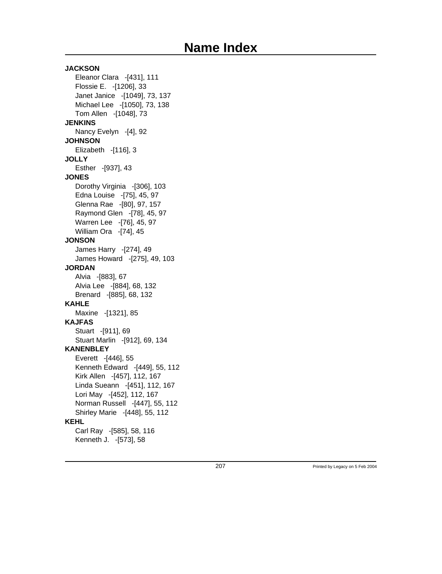**JACKSON** Eleanor Clara -[431], 111 Flossie E. -[1206], 33 Janet Janice -[1049], 73, 137 Michael Lee -[1050], 73, 138 Tom Allen -[1048], 73 **JENKINS** Nancy Evelyn -[4], 92 **JOHNSON** Elizabeth -[116], 3 **JOLLY** Esther -[937], 43 **JONES** Dorothy Virginia -[306], 103 Edna Louise -[75], 45, 97 Glenna Rae -[80], 97, 157 Raymond Glen -[78], 45, 97 Warren Lee -[76], 45, 97 William Ora -[74], 45 **JONSON** James Harry -[274], 49 James Howard -[275], 49, 103 **JORDAN** Alvia -[883], 67 Alvia Lee -[884], 68, 132 Brenard -[885], 68, 132 **KAHLE** Maxine -[1321], 85 **KAJFAS** Stuart -[911], 69 Stuart Marlin -[912], 69, 134 **KANENBLEY** Everett -[446], 55 Kenneth Edward -[449], 55, 112 Kirk Allen -[457], 112, 167 Linda Sueann -[451], 112, 167 Lori May -[452], 112, 167 Norman Russell -[447], 55, 112 Shirley Marie -[448], 55, 112 **KEHL** Carl Ray -[585], 58, 116 Kenneth J. -[573], 58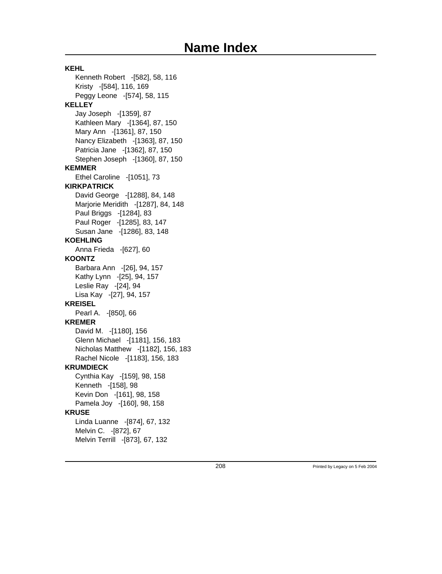**KEHL** Kenneth Robert -[582], 58, 116 Kristy -[584], 116, 169 Peggy Leone -[574], 58, 115 **KELLEY** Jay Joseph -[1359], 87 Kathleen Mary -[1364], 87, 150 Mary Ann -[1361], 87, 150 Nancy Elizabeth -[1363], 87, 150 Patricia Jane -[1362], 87, 150 Stephen Joseph -[1360], 87, 150 **KEMMER** Ethel Caroline -[1051], 73 **KIRKPATRICK** David George -[1288], 84, 148 Marjorie Meridith -[1287], 84, 148 Paul Briggs -[1284], 83 Paul Roger -[1285], 83, 147 Susan Jane -[1286], 83, 148 **KOEHLING** Anna Frieda -[627], 60 **KOONTZ** Barbara Ann -[26], 94, 157 Kathy Lynn -[25], 94, 157 Leslie Ray -[24], 94 Lisa Kay -[27], 94, 157 **KREISEL** Pearl A. -[850], 66 **KREMER** David M. -[1180], 156 Glenn Michael -[1181], 156, 183 Nicholas Matthew -[1182], 156, 183 Rachel Nicole -[1183], 156, 183 **KRUMDIECK** Cynthia Kay -[159], 98, 158 Kenneth -[158], 98 Kevin Don -[161], 98, 158 Pamela Joy -[160], 98, 158 **KRUSE** Linda Luanne -[874], 67, 132 Melvin C. -[872], 67 Melvin Terrill -[873], 67, 132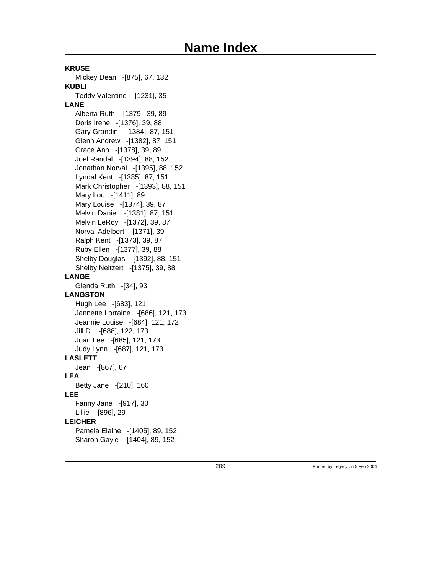**KRUSE** Mickey Dean -[875], 67, 132 **KUBLI** Teddy Valentine - [1231], 35 **LANE** Alberta Ruth -[1379], 39, 89 Doris Irene -[1376], 39, 88 Gary Grandin -[1384], 87, 151 Glenn Andrew -[1382], 87, 151 Grace Ann -[1378], 39, 89 Joel Randal -[1394], 88, 152 Jonathan Norval -[1395], 88, 152 Lyndal Kent -[1385], 87, 151 Mark Christopher -[1393], 88, 151 Mary Lou -[1411], 89 Mary Louise -[1374], 39, 87 Melvin Daniel -[1381], 87, 151 Melvin LeRoy -[1372], 39, 87 Norval Adelbert -[1371], 39 Ralph Kent -[1373], 39, 87 Ruby Ellen -[1377], 39, 88 Shelby Douglas -[1392], 88, 151 Shelby Neitzert -[1375], 39, 88 **LANGE** Glenda Ruth -[34], 93 **LANGSTON** Hugh Lee -[683], 121 Jannette Lorraine -[686], 121, 173 Jeannie Louise -[684], 121, 172 Jill D. -[688], 122, 173 Joan Lee -[685], 121, 173 Judy Lynn -[687], 121, 173 **LASLETT** Jean -[867], 67 **LEA** Betty Jane -[210], 160 **LEE** Fanny Jane -[917], 30 Lillie -[896], 29 **LEICHER** Pamela Elaine -[1405], 89, 152 Sharon Gayle -[1404], 89, 152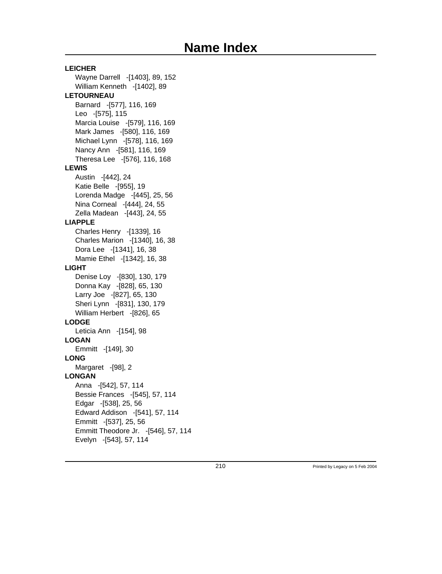**LEICHER** Wayne Darrell -[1403], 89, 152 William Kenneth -[1402], 89 **LETOURNEAU** Barnard -[577], 116, 169 Leo -[575], 115 Marcia Louise -[579], 116, 169 Mark James -[580], 116, 169 Michael Lynn -[578], 116, 169 Nancy Ann -[581], 116, 169 Theresa Lee -[576], 116, 168 **LEWIS** Austin -[442], 24 Katie Belle -[955], 19 Lorenda Madge -[445], 25, 56 Nina Corneal -[444], 24, 55 Zella Madean -[443], 24, 55 **LIAPPLE** Charles Henry -[1339], 16 Charles Marion -[1340], 16, 38 Dora Lee -[1341], 16, 38 Mamie Ethel -[1342], 16, 38 **LIGHT** Denise Loy -[830], 130, 179 Donna Kay -[828], 65, 130 Larry Joe -[827], 65, 130 Sheri Lynn -[831], 130, 179 William Herbert -[826], 65 **LODGE** Leticia Ann -[154], 98 **LOGAN** Emmitt -[149], 30 **LONG** Margaret -[98], 2 **LONGAN** Anna -[542], 57, 114 Bessie Frances -[545], 57, 114 Edgar -[538], 25, 56 Edward Addison -[541], 57, 114 Emmitt -[537], 25, 56 Emmitt Theodore Jr. -[546], 57, 114 Evelyn -[543], 57, 114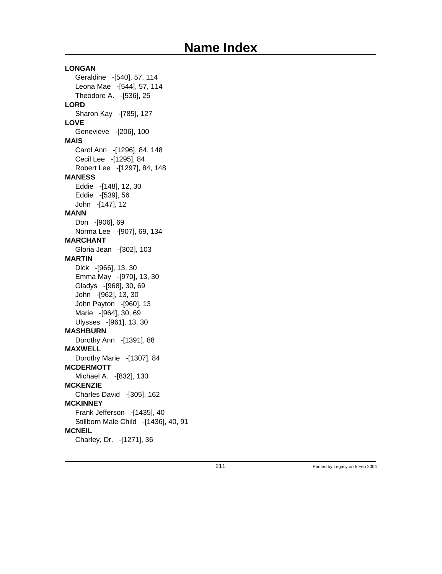### **LONGAN** Geraldine -[540], 57, 114 Leona Mae -[544], 57, 114 Theodore A. -[536], 25 **LORD** Sharon Kay -[785], 127 **LOVE** Genevieve -[206], 100 **MAIS** Carol Ann -[1296], 84, 148 Cecil Lee -[1295], 84 Robert Lee -[1297], 84, 148 **MANESS** Eddie -[148], 12, 30 Eddie -[539], 56 John -[147], 12 **MANN** Don -[906], 69 Norma Lee -[907], 69, 134 **MARCHANT** Gloria Jean -[302], 103 **MARTIN** Dick -[966], 13, 30 Emma May -[970], 13, 30 Gladys -[968], 30, 69 John -[962], 13, 30 John Payton -[960], 13 Marie -[964], 30, 69 Ulysses -[961], 13, 30 **MASHBURN** Dorothy Ann -[1391], 88 **MAXWELL** Dorothy Marie -[1307], 84 **MCDERMOTT** Michael A. -[832], 130 **MCKENZIE** Charles David -[305], 162 **MCKINNEY** Frank Jefferson -[1435], 40 Stillborn Male Child -[1436], 40, 91 **MCNEIL** Charley, Dr. -[1271], 36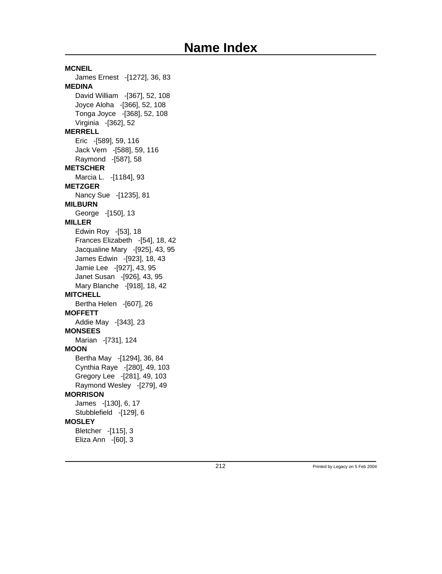**MCNEIL** James Ernest -[1272], 36, 83 **MEDINA** David William -[367], 52, 108 Joyce Aloha -[366], 52, 108 Tonga Joyce -[368], 52, 108 Virginia -[362], 52 **MERRELL** Eric -[589], 59, 116 Jack Vern -[588], 59, 116 Raymond -[587], 58 **METSCHER** Marcia L. -[1184], 93 **METZGER** Nancy Sue -[1235], 81 **MILBURN** George -[150], 13 **MILLER** Edwin Roy -[53], 18 Frances Elizabeth -[54], 18, 42 Jacqualine Mary -[925], 43, 95 James Edwin -[923], 18, 43 Jamie Lee -[927], 43, 95 Janet Susan -[926], 43, 95 Mary Blanche -[918], 18, 42 **MITCHELL** Bertha Helen -[607], 26 **MOFFETT** Addie May -[343], 23 **MONSEES** Marian -[731], 124 **MOON** Bertha May -[1294], 36, 84 Cynthia Raye -[280], 49, 103 Gregory Lee -[281], 49, 103 Raymond Wesley -[279], 49 **MORRISON** James -[130], 6, 17 Stubblefield -[129], 6 **MOSLEY** Bletcher -[115], 3 Eliza Ann -[60], 3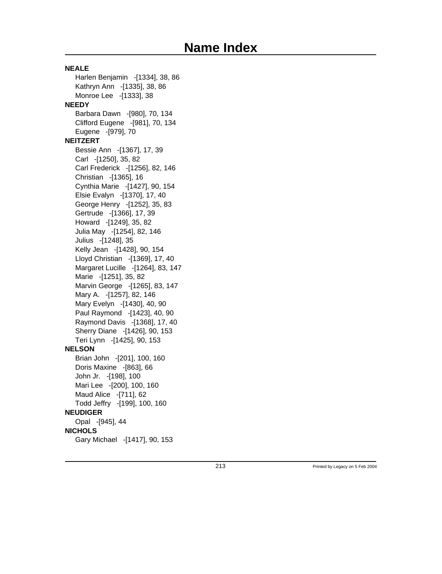**NEALE** Harlen Benjamin -[1334], 38, 86 Kathryn Ann -[1335], 38, 86 Monroe Lee -[1333], 38 **NEEDY** Barbara Dawn -[980], 70, 134 Clifford Eugene -[981], 70, 134 Eugene -[979], 70 **NEITZERT** Bessie Ann -[1367], 17, 39 Carl -[1250], 35, 82 Carl Frederick -[1256], 82, 146 Christian -[1365], 16 Cynthia Marie -[1427], 90, 154 Elsie Evalyn -[1370], 17, 40 George Henry -[1252], 35, 83 Gertrude -[1366], 17, 39 Howard -[1249], 35, 82 Julia May -[1254], 82, 146 Julius -[1248], 35 Kelly Jean -[1428], 90, 154 Lloyd Christian -[1369], 17, 40 Margaret Lucille -[1264], 83, 147 Marie -[1251], 35, 82 Marvin George -[1265], 83, 147 Mary A. -[1257], 82, 146 Mary Evelyn -[1430], 40, 90 Paul Raymond -[1423], 40, 90 Raymond Davis -[1368], 17, 40 Sherry Diane -[1426], 90, 153 Teri Lynn -[1425], 90, 153 **NELSON** Brian John -[201], 100, 160 Doris Maxine -[863], 66 John Jr. -[198], 100 Mari Lee -[200], 100, 160 Maud Alice -[711], 62 Todd Jeffry -[199], 100, 160 **NEUDIGER** Opal -[945], 44 **NICHOLS** Gary Michael -[1417], 90, 153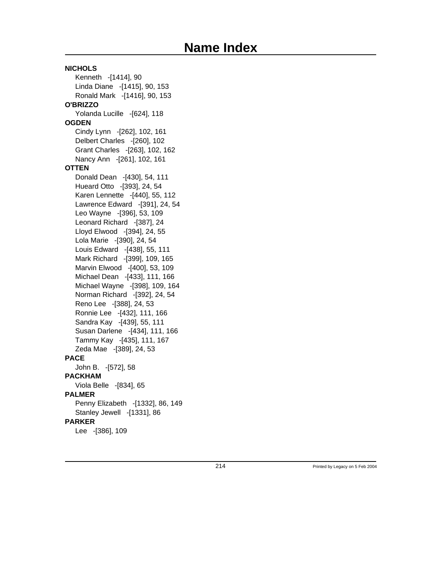### **NICHOLS** Kenneth -[1414], 90 Linda Diane -[1415], 90, 153 Ronald Mark -[1416], 90, 153 **O'BRIZZO** Yolanda Lucille -[624], 118 **OGDEN** Cindy Lynn -[262], 102, 161 Delbert Charles -[260], 102 Grant Charles -[263], 102, 162 Nancy Ann -[261], 102, 161 **OTTEN** Donald Dean -[430], 54, 111 Hueard Otto -[393], 24, 54 Karen Lennette -[440], 55, 112 Lawrence Edward -[391], 24, 54 Leo Wayne -[396], 53, 109 Leonard Richard -[387], 24 Lloyd Elwood -[394], 24, 55 Lola Marie -[390], 24, 54 Louis Edward -[438], 55, 111 Mark Richard -[399], 109, 165 Marvin Elwood -[400], 53, 109 Michael Dean -[433], 111, 166 Michael Wayne -[398], 109, 164 Norman Richard -[392], 24, 54 Reno Lee -[388], 24, 53 Ronnie Lee -[432], 111, 166 Sandra Kay -[439], 55, 111 Susan Darlene -[434], 111, 166 Tammy Kay -[435], 111, 167 Zeda Mae -[389], 24, 53 **PACE** John B. -[572], 58 **PACKHAM** Viola Belle -[834], 65 **PALMER** Penny Elizabeth -[1332], 86, 149 Stanley Jewell -[1331], 86 **PARKER** Lee -[386], 109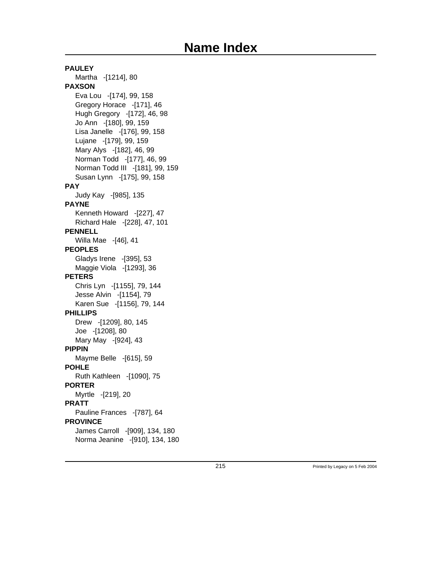**PAULEY** Martha -[1214], 80 **PAXSON** Eva Lou -[174], 99, 158 Gregory Horace -[171], 46 Hugh Gregory -[172], 46, 98 Jo Ann -[180], 99, 159 Lisa Janelle -[176], 99, 158 Lujane -[179], 99, 159 Mary Alys -[182], 46, 99 Norman Todd -[177], 46, 99 Norman Todd III -[181], 99, 159 Susan Lynn -[175], 99, 158 **PAY** Judy Kay -[985], 135 **PAYNE** Kenneth Howard -[227], 47 Richard Hale -[228], 47, 101 **PENNELL** Willa Mae -[46], 41 **PEOPLES** Gladys Irene -[395], 53 Maggie Viola -[1293], 36 **PETERS** Chris Lyn -[1155], 79, 144 Jesse Alvin -[1154], 79 Karen Sue -[1156], 79, 144 **PHILLIPS** Drew -[1209], 80, 145 Joe -[1208], 80 Mary May -[924], 43 **PIPPIN** Mayme Belle -[615], 59 **POHLE** Ruth Kathleen -[1090], 75 **PORTER** Myrtle -[219], 20 **PRATT** Pauline Frances -[787], 64 **PROVINCE** James Carroll -[909], 134, 180 Norma Jeanine -[910], 134, 180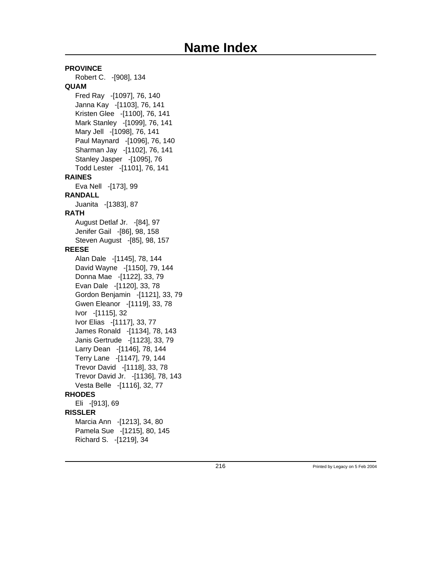**PROVINCE** Robert C. -[908], 134 **QUAM** Fred Ray -[1097], 76, 140 Janna Kay -[1103], 76, 141 Kristen Glee -[1100], 76, 141 Mark Stanley -[1099], 76, 141 Mary Jell -[1098], 76, 141 Paul Maynard -[1096], 76, 140 Sharman Jay -[1102], 76, 141 Stanley Jasper -[1095], 76 Todd Lester -[1101], 76, 141 **RAINES** Eva Nell -[173], 99 **RANDALL** Juanita -[1383], 87 **RATH** August Detlaf Jr. -[84], 97 Jenifer Gail -[86], 98, 158 Steven August -[85], 98, 157 **REESE** Alan Dale -[1145], 78, 144 David Wayne -[1150], 79, 144 Donna Mae -[1122], 33, 79 Evan Dale -[1120], 33, 78 Gordon Benjamin -[1121], 33, 79 Gwen Eleanor -[1119], 33, 78 Ivor -[1115], 32 Ivor Elias -[1117], 33, 77 James Ronald -[1134], 78, 143 Janis Gertrude -[1123], 33, 79 Larry Dean -[1146], 78, 144 Terry Lane -[1147], 79, 144 Trevor David -[1118], 33, 78 Trevor David Jr. -[1136], 78, 143 Vesta Belle -[1116], 32, 77 **RHODES** Eli -[913], 69 **RISSLER** Marcia Ann -[1213], 34, 80 Pamela Sue -[1215], 80, 145 Richard S. -[1219], 34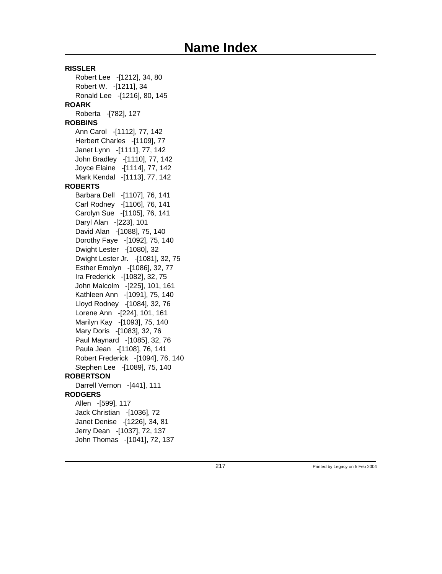**RISSLER** Robert Lee -[1212], 34, 80 Robert W. -[1211], 34 Ronald Lee -[1216], 80, 145 **ROARK** Roberta -[782], 127 **ROBBINS** Ann Carol -[1112], 77, 142 Herbert Charles -[1109], 77 Janet Lynn -[1111], 77, 142 John Bradley -[1110], 77, 142 Joyce Elaine -[1114], 77, 142 Mark Kendal -[1113], 77, 142 **ROBERTS** Barbara Dell -[1107], 76, 141 Carl Rodney -[1106], 76, 141 Carolyn Sue -[1105], 76, 141 Daryl Alan -[223], 101 David Alan -[1088], 75, 140 Dorothy Faye -[1092], 75, 140 Dwight Lester -[1080], 32 Dwight Lester Jr. -[1081], 32, 75 Esther Emolyn -[1086], 32, 77 Ira Frederick -[1082], 32, 75 John Malcolm -[225], 101, 161 Kathleen Ann -[1091], 75, 140 Lloyd Rodney -[1084], 32, 76 Lorene Ann -[224], 101, 161 Marilyn Kay -[1093], 75, 140 Mary Doris -[1083], 32, 76 Paul Maynard -[1085], 32, 76 Paula Jean -[1108], 76, 141 Robert Frederick -[1094], 76, 140 Stephen Lee -[1089], 75, 140 **ROBERTSON** Darrell Vernon -[441], 111 **RODGERS** Allen -[599], 117 Jack Christian -[1036], 72 Janet Denise -[1226], 34, 81 Jerry Dean -[1037], 72, 137 John Thomas -[1041], 72, 137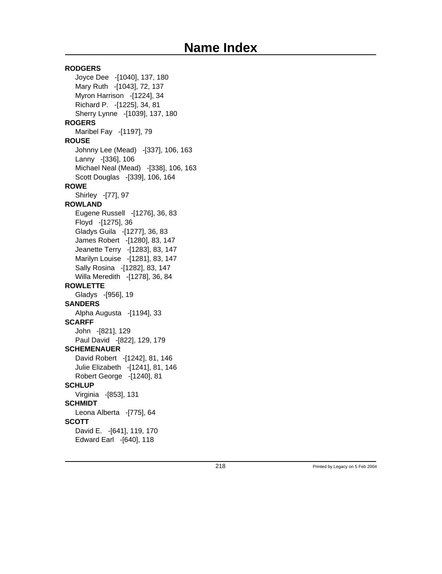### **RODGERS** Joyce Dee -[1040], 137, 180 Mary Ruth -[1043], 72, 137 Myron Harrison -[1224], 34 Richard P. -[1225], 34, 81 Sherry Lynne -[1039], 137, 180 **ROGERS** Maribel Fay -[1197], 79 **ROUSE** Johnny Lee (Mead) -[337], 106, 163 Lanny -[336], 106 Michael Neal (Mead) -[338], 106, 163 Scott Douglas -[339], 106, 164 **ROWE** Shirley -[77], 97 **ROWLAND** Eugene Russell -[1276], 36, 83 Floyd -[1275], 36 Gladys Guila -[1277], 36, 83 James Robert -[1280], 83, 147 Jeanette Terry -[1283], 83, 147 Marilyn Louise -[1281], 83, 147 Sally Rosina -[1282], 83, 147 Willa Meredith -[1278], 36, 84 **ROWLETTE** Gladys -[956], 19 **SANDERS** Alpha Augusta -[1194], 33 **SCARFF** John -[821], 129 Paul David -[822], 129, 179 **SCHEMENAUER** David Robert -[1242], 81, 146 Julie Elizabeth -[1241], 81, 146 Robert George -[1240], 81 **SCHLUP** Virginia -[853], 131 **SCHMIDT** Leona Alberta -[775], 64 **SCOTT** David E. -[641], 119, 170 Edward Earl -[640], 118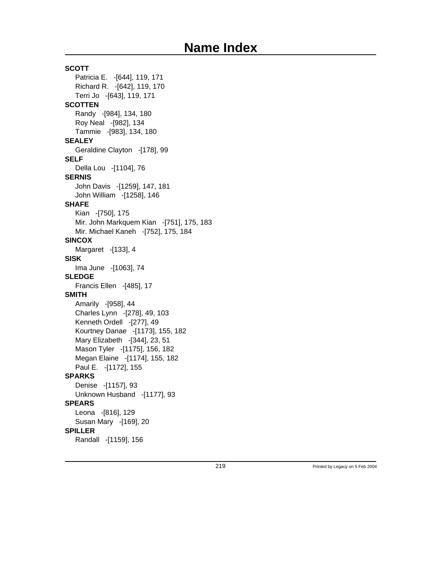**SCOTT** Patricia E. -[644], 119, 171 Richard R. -[642], 119, 170 Terri Jo -[643], 119, 171 **SCOTTEN** Randy -[984], 134, 180 Roy Neal -[982], 134 Tammie -[983], 134, 180 **SEALEY** Geraldine Clayton -[178], 99 **SELF** Della Lou -[1104], 76 **SERNIS** John Davis -[1259], 147, 181 John William -[1258], 146 **SHAFE** Kian -[750], 175 Mir. John Markquem Kian -[751], 175, 183 Mir. Michael Kaneh -[752], 175, 184 **SINCOX** Margaret -[133], 4 **SISK** Ima June -[1063], 74 **SLEDGE** Francis Ellen -[485], 17 **SMITH** Amarily -[958], 44 Charles Lynn -[278], 49, 103 Kenneth Ordell -[277], 49 Kourtney Danae -[1173], 155, 182 Mary Elizabeth -[344], 23, 51 Mason Tyler -[1175], 156, 182 Megan Elaine -[1174], 155, 182 Paul E. -[1172], 155 **SPARKS** Denise -[1157], 93 Unknown Husband -[1177], 93 **SPEARS** Leona -[816], 129 Susan Mary -[169], 20 **SPILLER** Randall -[1159], 156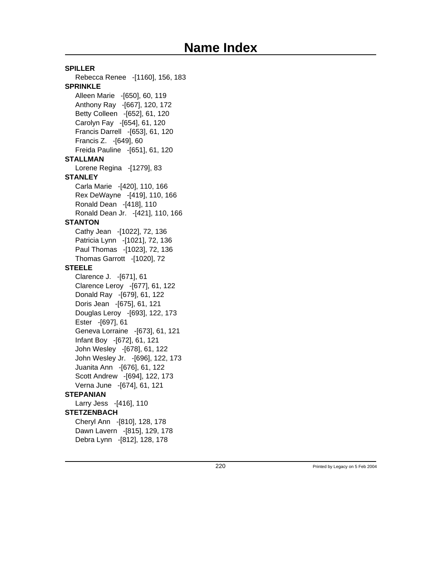**SPILLER** Rebecca Renee -[1160], 156, 183 **SPRINKLE** Alleen Marie -[650], 60, 119 Anthony Ray -[667], 120, 172 Betty Colleen -[652], 61, 120 Carolyn Fay -[654], 61, 120 Francis Darrell -[653], 61, 120 Francis Z. -[649], 60 Freida Pauline -[651], 61, 120 **STALLMAN** Lorene Regina -[1279], 83 **STANLEY** Carla Marie -[420], 110, 166 Rex DeWayne -[419], 110, 166 Ronald Dean -[418], 110 Ronald Dean Jr. -[421], 110, 166 **STANTON** Cathy Jean -[1022], 72, 136 Patricia Lynn -[1021], 72, 136 Paul Thomas -[1023], 72, 136 Thomas Garrott -[1020], 72 **STEELE** Clarence J. -[671], 61 Clarence Leroy -[677], 61, 122 Donald Ray -[679], 61, 122 Doris Jean -[675], 61, 121 Douglas Leroy -[693], 122, 173 Ester -[697], 61 Geneva Lorraine -[673], 61, 121 Infant Boy -[672], 61, 121 John Wesley -[678], 61, 122 John Wesley Jr. -[696], 122, 173 Juanita Ann -[676], 61, 122 Scott Andrew -[694], 122, 173 Verna June -[674], 61, 121 **STEPANIAN** Larry Jess -[416], 110 **STETZENBACH** Cheryl Ann -[810], 128, 178 Dawn Lavern -[815], 129, 178 Debra Lynn -[812], 128, 178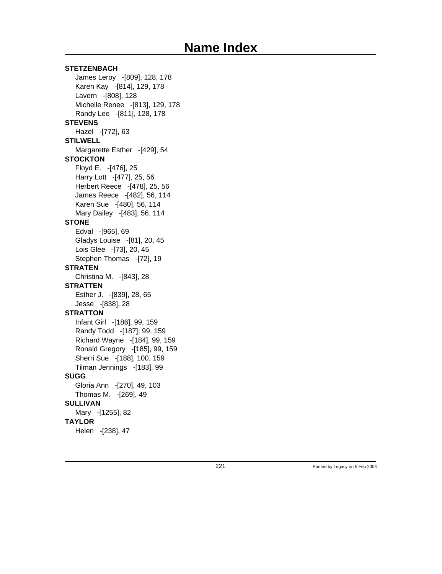**STETZENBACH** James Leroy -[809], 128, 178 Karen Kay -[814], 129, 178 Lavern -[808], 128 Michelle Renee -[813], 129, 178 Randy Lee -[811], 128, 178 **STEVENS** Hazel -[772], 63 **STILWELL** Margarette Esther -[429], 54 **STOCKTON** Floyd E. -[476], 25 Harry Lott -[477], 25, 56 Herbert Reece -[478], 25, 56 James Reece -[482], 56, 114 Karen Sue -[480], 56, 114 Mary Dailey -[483], 56, 114 **STONE** Edval -[965], 69 Gladys Louise -[81], 20, 45 Lois Glee -[73], 20, 45 Stephen Thomas -[72], 19 **STRATEN** Christina M. -[843], 28 **STRATTEN** Esther J. -[839], 28, 65 Jesse -[838], 28 **STRATTON** Infant Girl -[186], 99, 159 Randy Todd -[187], 99, 159 Richard Wayne -[184], 99, 159 Ronald Gregory -[185], 99, 159 Sherri Sue -[188], 100, 159 Tilman Jennings -[183], 99 **SUGG** Gloria Ann -[270], 49, 103 Thomas M. -[269], 49 **SULLIVAN** Mary -[1255], 82 **TAYLOR** Helen -[238], 47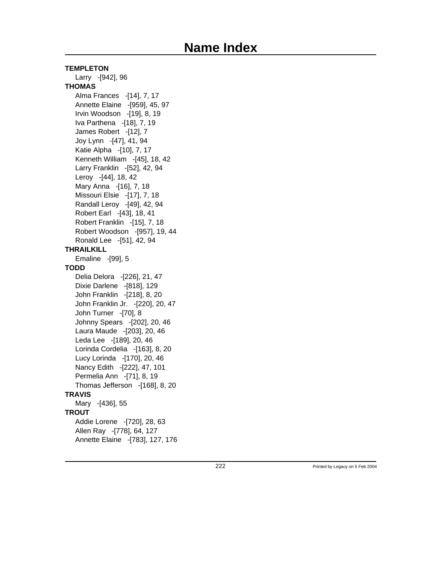#### **TEMPLETON**

Larry -[942], 96 **THOMAS** Alma Frances -[14], 7, 17 Annette Elaine -[959], 45, 97 Irvin Woodson -[19], 8, 19 Iva Parthena -[18], 7, 19 James Robert -[12], 7 Joy Lynn -[47], 41, 94 Katie Alpha -[10], 7, 17 Kenneth William -[45], 18, 42 Larry Franklin -[52], 42, 94 Leroy -[44], 18, 42 Mary Anna -[16], 7, 18 Missouri Elsie -[17], 7, 18 Randall Leroy -[49], 42, 94 Robert Earl -[43], 18, 41 Robert Franklin -[15], 7, 18 Robert Woodson -[957], 19, 44 Ronald Lee -[51], 42, 94 **THRAILKILL** Emaline -[99], 5 **TODD** Delia Delora -[226], 21, 47 Dixie Darlene -[818], 129 John Franklin -[218], 8, 20 John Franklin Jr. -[220], 20, 47 John Turner -[70], 8 Johnny Spears -[202], 20, 46 Laura Maude -[203], 20, 46 Leda Lee -[189], 20, 46 Lorinda Cordelia -[163], 8, 20 Lucy Lorinda -[170], 20, 46 Nancy Edith -[222], 47, 101 Permelia Ann -[71], 8, 19 Thomas Jefferson -[168], 8, 20 **TRAVIS** Mary -[436], 55 **TROUT** Addie Lorene -[720], 28, 63 Allen Ray -[778], 64, 127 Annette Elaine -[783], 127, 176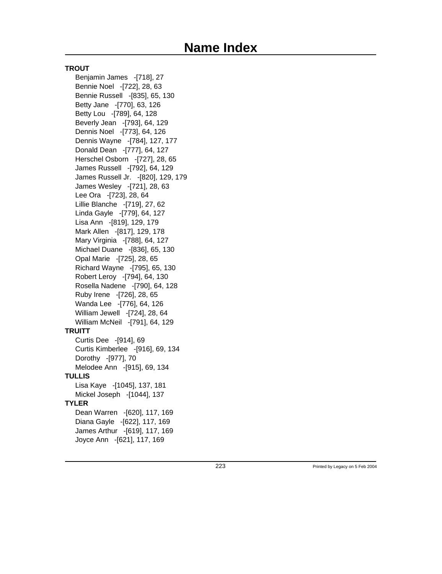#### **TROUT**

Benjamin James -[718], 27 Bennie Noel -[722], 28, 63 Bennie Russell -[835], 65, 130 Betty Jane -[770], 63, 126 Betty Lou -[789], 64, 128 Beverly Jean -[793], 64, 129 Dennis Noel -[773], 64, 126 Dennis Wayne -[784], 127, 177 Donald Dean -[777], 64, 127 Herschel Osborn -[727], 28, 65 James Russell -[792], 64, 129 James Russell Jr. -[820], 129, 179 James Wesley -[721], 28, 63 Lee Ora -[723], 28, 64 Lillie Blanche -[719], 27, 62 Linda Gayle -[779], 64, 127 Lisa Ann -[819], 129, 179 Mark Allen -[817], 129, 178 Mary Virginia -[788], 64, 127 Michael Duane -[836], 65, 130 Opal Marie -[725], 28, 65 Richard Wayne -[795], 65, 130 Robert Leroy -[794], 64, 130 Rosella Nadene -[790], 64, 128 Ruby Irene -[726], 28, 65 Wanda Lee -[776], 64, 126 William Jewell -[724], 28, 64 William McNeil -[791], 64, 129 **TRUITT** Curtis Dee -[914], 69 Curtis Kimberlee -[916], 69, 134 Dorothy -[977], 70 Melodee Ann -[915], 69, 134 **TULLIS** Lisa Kaye -[1045], 137, 181 Mickel Joseph -[1044], 137 **TYLER** Dean Warren -[620], 117, 169 Diana Gayle -[622], 117, 169 James Arthur -[619], 117, 169 Joyce Ann -[621], 117, 169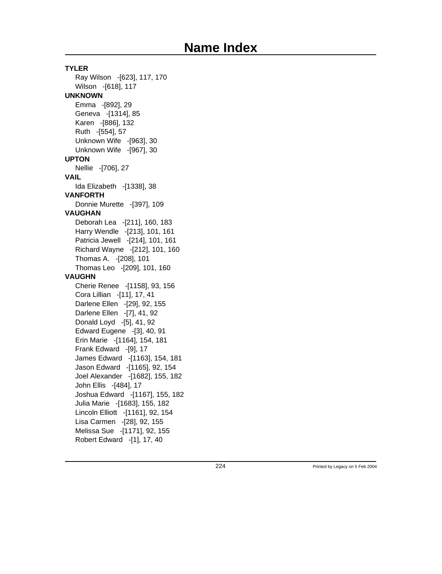**TYLER** Ray Wilson -[623], 117, 170 Wilson -[618], 117 **UNKNOWN** Emma -[892], 29 Geneva -[1314], 85 Karen -[886], 132 Ruth -[554], 57 Unknown Wife -[963], 30 Unknown Wife -[967], 30 **UPTON** Nellie -[706], 27 **VAIL** Ida Elizabeth -[1338], 38 **VANFORTH** Donnie Murette -[397], 109 **VAUGHAN** Deborah Lea -[211], 160, 183 Harry Wendle -[213], 101, 161 Patricia Jewell -[214], 101, 161 Richard Wayne -[212], 101, 160 Thomas A. -[208], 101 Thomas Leo -[209], 101, 160 **VAUGHN** Cherie Renee -[1158], 93, 156 Cora Lillian -[11], 17, 41 Darlene Ellen -[29], 92, 155 Darlene Ellen -[7], 41, 92 Donald Loyd -[5], 41, 92 Edward Eugene -[3], 40, 91 Erin Marie -[1164], 154, 181 Frank Edward -[9], 17 James Edward -[1163], 154, 181 Jason Edward -[1165], 92, 154 Joel Alexander -[1682], 155, 182 John Ellis -[484], 17 Joshua Edward -[1167], 155, 182 Julia Marie -[1683], 155, 182 Lincoln Elliott -[1161], 92, 154 Lisa Carmen -[28], 92, 155 Melissa Sue -[1171], 92, 155 Robert Edward -[1], 17, 40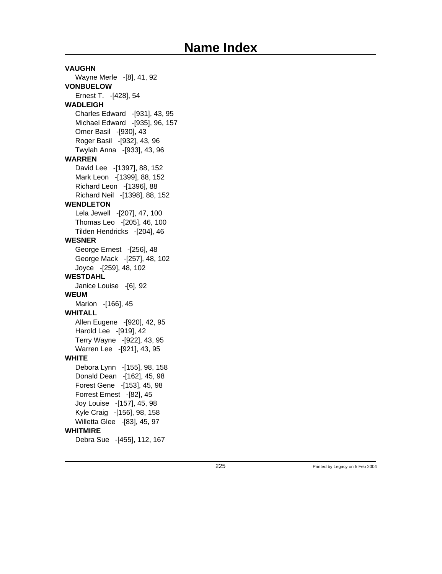**VAUGHN** Wayne Merle -[8], 41, 92 **VONBUELOW** Ernest T. -[428], 54 **WADLEIGH** Charles Edward -[931], 43, 95 Michael Edward -[935], 96, 157 Omer Basil -[930], 43 Roger Basil -[932], 43, 96 Twylah Anna -[933], 43, 96 **WARREN** David Lee -[1397], 88, 152 Mark Leon -[1399], 88, 152 Richard Leon -[1396], 88 Richard Neil -[1398], 88, 152 **WENDLETON** Lela Jewell -[207], 47, 100 Thomas Leo -[205], 46, 100 Tilden Hendricks -[204], 46 **WESNER** George Ernest -[256], 48 George Mack -[257], 48, 102 Joyce -[259], 48, 102 **WESTDAHL** Janice Louise -[6], 92 **WEUM** Marion -[166], 45 **WHITALL** Allen Eugene -[920], 42, 95 Harold Lee -[919], 42 Terry Wayne -[922], 43, 95 Warren Lee -[921], 43, 95 **WHITE** Debora Lynn -[155], 98, 158 Donald Dean -[162], 45, 98 Forest Gene -[153], 45, 98 Forrest Ernest -[82], 45 Joy Louise -[157], 45, 98 Kyle Craig -[156], 98, 158 Willetta Glee -[83], 45, 97 **WHITMIRE** Debra Sue -[455], 112, 167